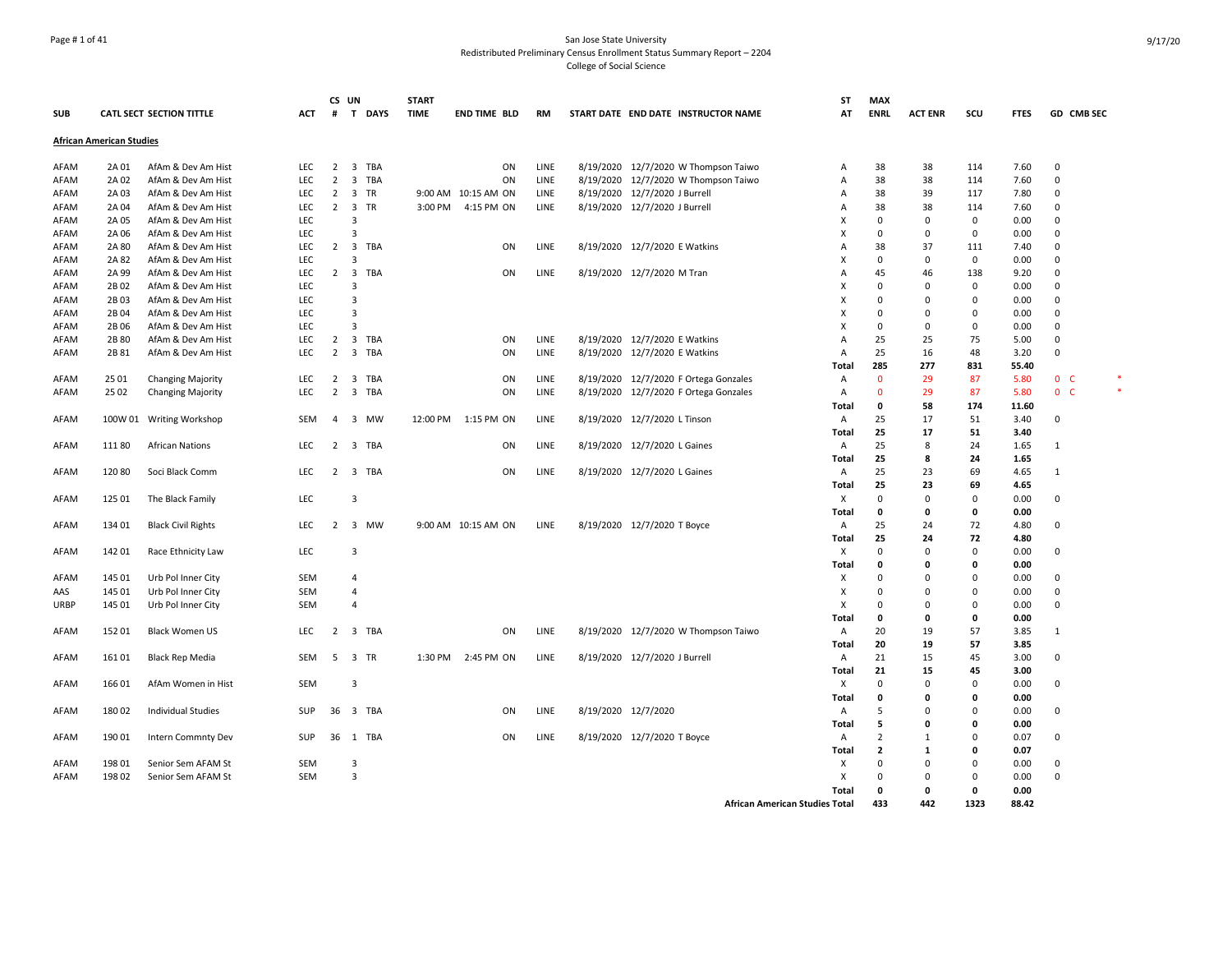## Page # 1 of 41 San Jose State University Redistributed Preliminary Census Enrollment Status Summary Report – 2204 College of Social Science

|             |                                 |                                 |            |                | CS UN                   |          | <b>START</b> |                     |             |           |                               |                                       | <b>ST</b>                             | <b>MAX</b>     |                |             |             |                |  |
|-------------|---------------------------------|---------------------------------|------------|----------------|-------------------------|----------|--------------|---------------------|-------------|-----------|-------------------------------|---------------------------------------|---------------------------------------|----------------|----------------|-------------|-------------|----------------|--|
| <b>SUB</b>  |                                 | <b>CATL SECT SECTION TITTLE</b> | ACT        | #              |                         | T DAYS   | <b>TIME</b>  | <b>END TIME BLD</b> | <b>RM</b>   |           |                               | START DATE END DATE INSTRUCTOR NAME   | AT                                    | <b>ENRL</b>    | <b>ACT ENR</b> | scu         | <b>FTES</b> | GD CMB SEC     |  |
|             | <b>African American Studies</b> |                                 |            |                |                         |          |              |                     |             |           |                               |                                       |                                       |                |                |             |             |                |  |
| AFAM        | 2A 01                           | AfAm & Dev Am Hist              | <b>LEC</b> | 2              | $\overline{3}$          | TBA      |              | ON                  | LINE        |           |                               | 8/19/2020 12/7/2020 W Thompson Taiwo  | A                                     | 38             | 38             | 114         | 7.60        | $\Omega$       |  |
| AFAM        | 2A 02                           | AfAm & Dev Am Hist              | LEC        | $\overline{2}$ |                         | 3 TBA    |              | ON                  | LINE        | 8/19/2020 |                               | 12/7/2020 W Thompson Taiwo            | Α                                     | 38             | 38             | 114         | 7.60        | 0              |  |
| AFAM        | 2A 03                           | AfAm & Dev Am Hist              | LEC        | $\overline{2}$ | $\overline{\mathbf{3}}$ | TR       |              | 9:00 AM 10:15 AM ON | LINE        |           | 8/19/2020 12/7/2020 J Burrell |                                       | Α                                     | 38             | 39             | 117         | 7.80        | 0              |  |
| AFAM        | 2A 04                           | AfAm & Dev Am Hist              | <b>LEC</b> | $\overline{2}$ | $\overline{\mathbf{3}}$ | TR       | 3:00 PM      | 4:15 PM ON          | LINE        |           | 8/19/2020 12/7/2020 J Burrell |                                       | A                                     | 38             | 38             | 114         | 7.60        | 0              |  |
| AFAM        | 2A 05                           | AfAm & Dev Am Hist              | LEC        |                | 3                       |          |              |                     |             |           |                               |                                       | x                                     | $\Omega$       | $\Omega$       | 0           | 0.00        | 0              |  |
| AFAM        | 2A 06                           | AfAm & Dev Am Hist              | LEC        |                | $\overline{3}$          |          |              |                     |             |           |                               |                                       | $\boldsymbol{\mathsf{x}}$             | $\mathbf 0$    | 0              | 0           | 0.00        | 0              |  |
| AFAM        | 2A 80                           | AfAm & Dev Am Hist              | <b>LEC</b> | $\overline{2}$ | $\overline{\mathbf{3}}$ | TBA      |              | ON                  | LINE        |           | 8/19/2020 12/7/2020 E Watkins |                                       | A                                     | 38             | 37             | 111         | 7.40        | 0              |  |
| AFAM        | 2A 82                           | AfAm & Dev Am Hist              | LEC        |                | $\overline{3}$          |          |              |                     |             |           |                               |                                       | X                                     | $\mathbf 0$    | 0              | 0           | 0.00        | 0              |  |
| AFAM        | 2A 99                           | AfAm & Dev Am Hist              | LEC        | $2^{\circ}$    | $\overline{\mathbf{3}}$ | TBA      |              | ON                  | LINE        |           | 8/19/2020 12/7/2020 M Tran    |                                       | A                                     | 45             | 46             | 138         | 9.20        | 0              |  |
| AFAM        | 2B 02                           | AfAm & Dev Am Hist              | LEC        |                | $\overline{3}$          |          |              |                     |             |           |                               |                                       | X                                     | $\Omega$       | $\Omega$       | 0           | 0.00        | 0              |  |
| AFAM        | 2B03                            | AfAm & Dev Am Hist              | LEC        |                | 3                       |          |              |                     |             |           |                               |                                       | X                                     | $\Omega$       | $\Omega$       | 0           | 0.00        | 0              |  |
| AFAM        | 2B 04                           | AfAm & Dev Am Hist              | LEC        |                | $\overline{3}$          |          |              |                     |             |           |                               |                                       | X                                     | $\Omega$       | O              | $\mathbf 0$ | 0.00        | $\mathbf 0$    |  |
| AFAM        | 2B 06                           | AfAm & Dev Am Hist              | <b>LEC</b> |                | $\overline{3}$          |          |              |                     |             |           |                               |                                       | x                                     | $\Omega$       | $\Omega$       | 0           | 0.00        | 0              |  |
| AFAM        | 2B 80                           | AfAm & Dev Am Hist              | LEC        | $\overline{2}$ |                         | 3 TBA    |              | ON                  | LINE        |           | 8/19/2020 12/7/2020 E Watkins |                                       | A                                     | 25             | 25             | 75          | 5.00        | 0              |  |
| AFAM        | 2B 81                           | AfAm & Dev Am Hist              | <b>LEC</b> | $2^{\circ}$    |                         | 3 TBA    |              | ON                  | LINE        |           | 8/19/2020 12/7/2020 E Watkins |                                       | $\overline{A}$                        | 25             | 16             | 48          | 3.20        | $\Omega$       |  |
|             |                                 |                                 |            |                |                         |          |              |                     |             |           |                               |                                       | Total                                 | 285            | 277            | 831         | 55.40       |                |  |
| AFAM        | 25 01                           | Changing Majority               | LEC        | 2              | $\overline{\mathbf{3}}$ | TBA      |              | ON                  | LINE        |           |                               | 8/19/2020 12/7/2020 F Ortega Gonzales | Α                                     | $\Omega$       | 29             | 87          | 5.80        | 0 <sup>o</sup> |  |
| AFAM        | 25 02                           | Changing Majority               | <b>LEC</b> | $2^{\circ}$    |                         | 3 TBA    |              | ON                  | LINE        |           |                               | 8/19/2020 12/7/2020 F Ortega Gonzales | $\overline{A}$                        | $\Omega$       | 29             | 87          | 5.80        | 0 <sup>o</sup> |  |
|             |                                 |                                 |            |                |                         |          |              |                     |             |           |                               |                                       | <b>Total</b>                          | 0              | 58             | 174         | 11.60       |                |  |
| AFAM        | 100W 01                         | <b>Writing Workshop</b>         | <b>SEM</b> | 4              |                         | 3 MW     | 12:00 PM     | 1:15 PM ON          | LINE        |           | 8/19/2020 12/7/2020 L Tinson  |                                       | A                                     | 25             | 17             | 51          | 3.40        | 0              |  |
|             |                                 |                                 |            |                |                         |          |              |                     |             |           |                               |                                       | Total                                 | 25             | 17             | 51          | 3.40        |                |  |
| AFAM        | 11180                           | <b>African Nations</b>          | <b>LEC</b> | $\overline{2}$ |                         | 3 TBA    |              | ON                  | LINE        |           | 8/19/2020 12/7/2020 L Gaines  |                                       | $\overline{A}$                        | 25             | 8              | 24          | 1.65        | 1              |  |
|             |                                 |                                 |            |                |                         |          |              |                     |             |           |                               |                                       | Total                                 | 25             | 8              | 24          | 1.65        |                |  |
| AFAM        | 12080                           | Soci Black Comm                 | <b>LEC</b> | $\mathbf{2}$   |                         | 3 TBA    |              | ON                  | <b>LINE</b> |           | 8/19/2020 12/7/2020 L Gaines  |                                       | $\overline{A}$                        | 25             | 23             | 69          | 4.65        | $\mathbf{1}$   |  |
|             |                                 |                                 |            |                |                         |          |              |                     |             |           |                               |                                       | Total                                 | 25             | 23             | 69          | 4.65        |                |  |
| AFAM        | 125 01                          | The Black Family                | LEC        |                | $\overline{3}$          |          |              |                     |             |           |                               |                                       | Х                                     | $\Omega$       | $\Omega$       | 0           | 0.00        | 0              |  |
|             |                                 |                                 |            |                |                         |          |              |                     |             |           |                               |                                       | Total                                 | $\mathbf 0$    | $\mathbf 0$    | 0           | 0.00        |                |  |
| AFAM        | 134 01                          | <b>Black Civil Rights</b>       | LEC        | $2^{\circ}$    |                         | 3 MW     |              | 9:00 AM 10:15 AM ON | LINE        |           | 8/19/2020 12/7/2020 T Boyce   |                                       | Α                                     | 25             | 24             | 72          | 4.80        | $\mathbf 0$    |  |
|             |                                 |                                 |            |                |                         |          |              |                     |             |           |                               |                                       | Total                                 | 25             | 24             | 72          | 4.80        |                |  |
| AFAM        | 142 01                          | Race Ethnicity Law              | <b>LEC</b> |                | $\overline{3}$          |          |              |                     |             |           |                               |                                       | X                                     | $\Omega$       | 0              | 0           | 0.00        | 0              |  |
|             |                                 |                                 |            |                |                         |          |              |                     |             |           |                               |                                       | Total                                 | $\mathbf 0$    | 0              | 0           | 0.00        |                |  |
| AFAM        | 145 01                          | Urb Pol Inner City              | <b>SEM</b> |                | $\overline{4}$          |          |              |                     |             |           |                               |                                       | Х                                     | $\Omega$       | $\Omega$       | $\Omega$    | 0.00        | 0              |  |
| AAS         | 145 01                          | Urb Pol Inner City              | <b>SEM</b> |                | $\overline{4}$          |          |              |                     |             |           |                               |                                       | Х                                     | $\Omega$       | O              | 0           | 0.00        | 0              |  |
| <b>URBP</b> | 145 01                          | Urb Pol Inner City              | <b>SEM</b> |                | $\overline{4}$          |          |              |                     |             |           |                               |                                       | X                                     | $\Omega$       | $\Omega$       | 0           | 0.00        | 0              |  |
|             |                                 |                                 |            |                |                         |          |              |                     |             |           |                               |                                       | Total                                 | 0              | 0              | 0           | 0.00        |                |  |
| AFAM        | 152 01                          | <b>Black Women US</b>           | LEC        | $\overline{2}$ |                         | 3 TBA    |              | ON                  | LINE        |           |                               | 8/19/2020 12/7/2020 W Thompson Taiwo  | Α                                     | 20             | 19             | 57          | 3.85        | $\mathbf{1}$   |  |
|             |                                 |                                 |            |                |                         |          |              |                     |             |           |                               |                                       | Total                                 | 20             | 19             | 57          | 3.85        |                |  |
| AFAM        | 161 01                          | <b>Black Rep Media</b>          | <b>SEM</b> | -5             |                         | 3 TR     | 1:30 PM      | 2:45 PM ON          | LINE        |           | 8/19/2020 12/7/2020 J Burrell |                                       | $\overline{A}$                        | 21             | 15             | 45          | 3.00        | 0              |  |
|             |                                 |                                 |            |                |                         |          |              |                     |             |           |                               |                                       | Total                                 | 21             | 15             | 45          | 3.00        |                |  |
| AFAM        | 166 01                          | AfAm Women in Hist              | <b>SEM</b> |                | $\overline{3}$          |          |              |                     |             |           |                               |                                       | Х                                     | $\Omega$       | $\Omega$       | 0           | 0.00        | 0              |  |
|             |                                 |                                 |            |                |                         |          |              |                     |             |           |                               |                                       | Total                                 | $\mathbf{0}$   | O              | 0           | 0.00        |                |  |
| AFAM        | 180 02                          | <b>Individual Studies</b>       | SUP        |                |                         | 36 3 TBA |              | ON                  | LINE        |           | 8/19/2020 12/7/2020           |                                       | Α                                     | 5              | $\Omega$       | $\mathbf 0$ | 0.00        | 0              |  |
|             |                                 |                                 |            |                |                         |          |              |                     |             |           |                               |                                       | Total                                 | 5              | O              | 0           | 0.00        |                |  |
| AFAM        | 190 01                          | Intern Commnty Dev              | <b>SUP</b> |                |                         | 36 1 TBA |              | ON                  | LINE        |           | 8/19/2020 12/7/2020 T Boyce   |                                       | Α                                     | $\overline{2}$ | 1              | 0           | 0.07        | 0              |  |
|             |                                 |                                 |            |                |                         |          |              |                     |             |           |                               |                                       | Total                                 | $\overline{2}$ | $\mathbf{1}$   | 0           | 0.07        |                |  |
| AFAM        | 198 01                          | Senior Sem AFAM St              | <b>SEM</b> |                | $\overline{3}$          |          |              |                     |             |           |                               |                                       | Х                                     | $\Omega$       | $\Omega$       | $\mathbf 0$ | 0.00        | $\Omega$       |  |
| AFAM        | 198 02                          | Senior Sem AFAM St              | <b>SEM</b> |                | $\overline{3}$          |          |              |                     |             |           |                               |                                       | X                                     | $\Omega$       | 0              | 0           | 0.00        | $\Omega$       |  |
|             |                                 |                                 |            |                |                         |          |              |                     |             |           |                               |                                       | Total                                 | 0              | 0              | 0           | 0.00        |                |  |
|             |                                 |                                 |            |                |                         |          |              |                     |             |           |                               |                                       | <b>African American Studies Total</b> | 433            | 442            | 1323        | 88.42       |                |  |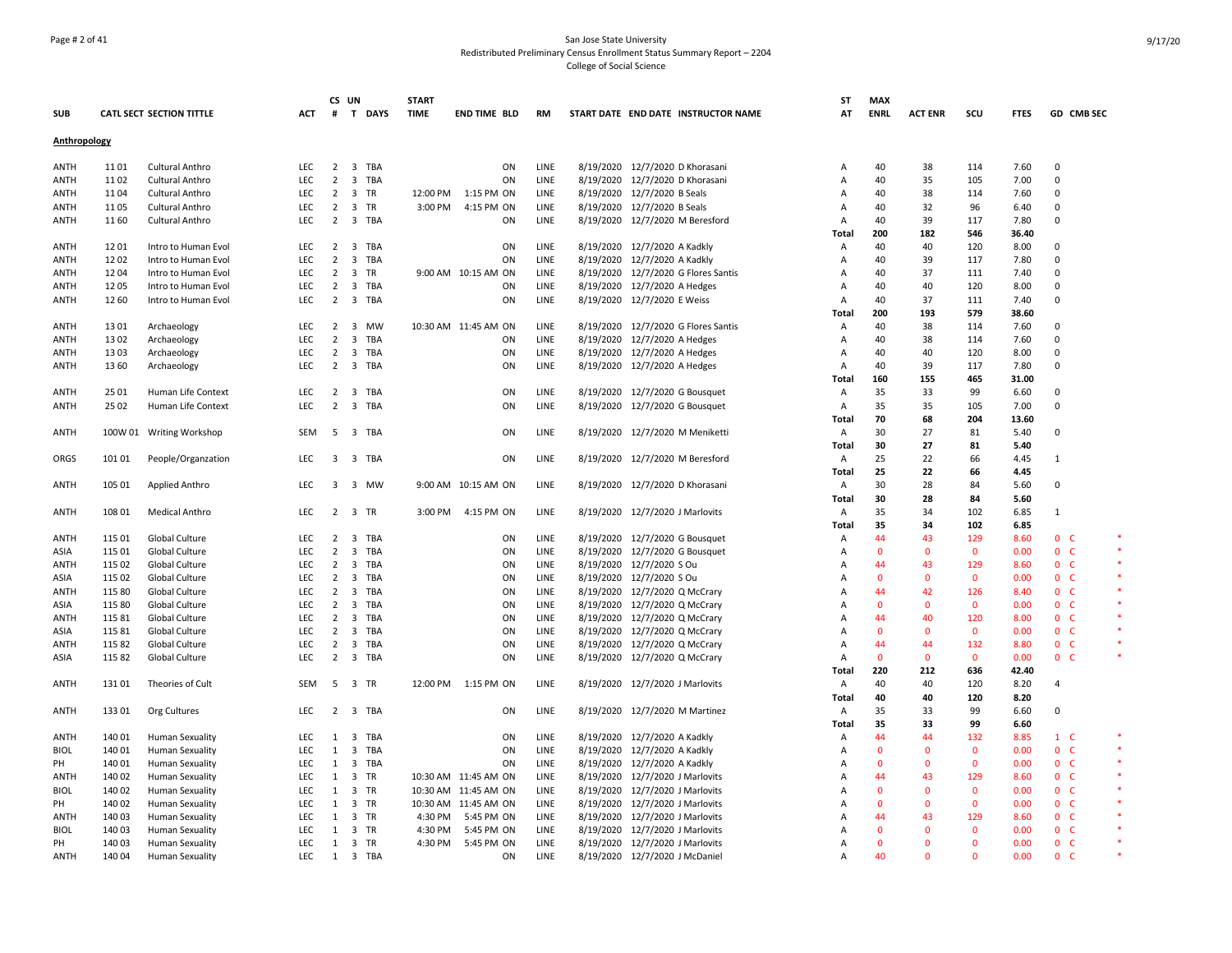## Page # 2 of 41 San Jose State University Redistributed Preliminary Census Enrollment Status Summary Report – 2204 College of Social Science

|              |        |                                 |            |                | CS UN   |          | <b>START</b> |                      |           |                                     | ST             | <b>MAX</b>   |                |              |             |                    |        |
|--------------|--------|---------------------------------|------------|----------------|---------|----------|--------------|----------------------|-----------|-------------------------------------|----------------|--------------|----------------|--------------|-------------|--------------------|--------|
| <b>SUB</b>   |        | <b>CATL SECT SECTION TITTLE</b> | <b>ACT</b> |                |         | # T DAYS | <b>TIME</b>  | <b>END TIME BLD</b>  | <b>RM</b> | START DATE END DATE INSTRUCTOR NAME | AT             | <b>ENRL</b>  | <b>ACT ENR</b> | SCU          | <b>FTES</b> | GD CMB SEC         |        |
| Anthropology |        |                                 |            |                |         |          |              |                      |           |                                     |                |              |                |              |             |                    |        |
| ANTH         | 1101   | Cultural Anthro                 | <b>LEC</b> |                | 2 3 TBA |          |              | ON                   | LINE      | 8/19/2020 12/7/2020 D Khorasani     | Α              | 40           | 38             | 114          | 7.60        | $\Omega$           |        |
|              | 1102   |                                 | LEC        | 2              |         | 3 TBA    |              | ON                   | LINE      | 8/19/2020 12/7/2020 D Khorasani     |                | 40           |                |              |             | $\Omega$           |        |
| ANTH         |        | Cultural Anthro                 |            |                |         |          |              |                      |           |                                     | Α              |              | 35             | 105          | 7.00        | $\mathbf 0$        |        |
| ANTH         | 1104   | Cultural Anthro                 | LEC        | $\overline{2}$ | 3 TR    |          | 12:00 PM     | 1:15 PM ON           | LINE      | 8/19/2020 12/7/2020 B Seals         | A              | 40           | 38             | 114          | 7.60        |                    |        |
| ANTH         | 1105   | Cultural Anthro                 | <b>LEC</b> | $\overline{2}$ | 3 TR    |          | 3:00 PM      | 4:15 PM ON           | LINE      | 8/19/2020 12/7/2020 B Seals         | A              | 40           | 32             | 96           | 6.40        | 0                  |        |
| ANTH         | 1160   | Cultural Anthro                 | <b>LEC</b> | $\overline{2}$ |         | 3 TBA    |              | ON                   | LINE      | 8/19/2020 12/7/2020 M Beresford     | $\overline{A}$ | 40           | 39             | 117          | 7.80        | 0                  |        |
|              |        |                                 |            |                |         |          |              |                      |           |                                     | Total          | 200          | 182            | 546          | 36.40       |                    |        |
| ANTH         | 1201   | Intro to Human Evol             | LEC        | 2              |         | 3 TBA    |              | ON                   | LINE      | 8/19/2020 12/7/2020 A Kadkly        | Α              | 40           | 40             | 120          | 8.00        | 0                  |        |
| ANTH         | 1202   | Intro to Human Evol             | LEC        | $\overline{2}$ |         | 3 TBA    |              | ON                   | LINE      | 8/19/2020 12/7/2020 A Kadkly        | Α              | 40           | 39             | 117          | 7.80        | $\Omega$           |        |
| ANTH         | 1204   | Intro to Human Evol             | LEC        | 2              | 3 TR    |          |              | 9:00 AM 10:15 AM ON  | LINE      | 8/19/2020 12/7/2020 G Flores Santis | Α              | 40           | 37             | 111          | 7.40        | 0                  |        |
| ANTH         | 1205   | Intro to Human Evol             | LEC        | $\overline{2}$ |         | 3 TBA    |              | ON                   | LINE      | 8/19/2020 12/7/2020 A Hedges        | Α              | 40           | 40             | 120          | 8.00        | $\mathbf 0$        |        |
| ANTH         | 12 60  | Intro to Human Evol             | <b>LEC</b> |                | 2 3 TBA |          |              | ON                   | LINE      | 8/19/2020 12/7/2020 E Weiss         | $\overline{A}$ | 40           | 37             | 111          | 7.40        | 0                  |        |
|              |        |                                 |            |                |         |          |              |                      |           |                                     | Total          | 200          | 193            | 579          | 38.60       |                    |        |
| ANTH         | 1301   | Archaeology                     | LEC        | $\overline{2}$ |         | 3 MW     |              | 10:30 AM 11:45 AM ON | LINE      | 8/19/2020 12/7/2020 G Flores Santis | Α              | 40           | 38             | 114          | 7.60        | 0                  |        |
| ANTH         | 1302   | Archaeology                     | LEC        | $\overline{2}$ |         | 3 TBA    |              | ON                   | LINE      | 8/19/2020 12/7/2020 A Hedges        | Α              | 40           | 38             | 114          | 7.60        | $\mathsf 0$        |        |
| ANTH         | 1303   | Archaeology                     | LEC        | 2              |         | 3 TBA    |              | ON                   | LINE      | 8/19/2020 12/7/2020 A Hedges        | A              | 40           | 40             | 120          | 8.00        | $\mathbf 0$        |        |
| ANTH         | 13 60  | Archaeology                     | <b>LEC</b> | 2              |         | 3 TBA    |              | ON                   | LINE      | 8/19/2020 12/7/2020 A Hedges        | Α              | 40           | 39             | 117          | 7.80        | 0                  |        |
|              |        |                                 |            |                |         |          |              |                      |           |                                     | Total          | 160          | 155            | 465          | 31.00       |                    |        |
| ANTH         | 25 01  | Human Life Context              | <b>LEC</b> | 2              |         | 3 TBA    |              | ON                   | LINE      | 8/19/2020 12/7/2020 G Bousquet      | $\overline{A}$ | 35           | 33             | 99           | 6.60        | $\mathbf 0$        |        |
| ANTH         | 25 02  | Human Life Context              | LEC        | $\overline{2}$ |         | 3 TBA    |              | ON                   | LINE      | 8/19/2020 12/7/2020 G Bousquet      | Α              | 35           | 35             | 105          | 7.00        | 0                  |        |
|              |        |                                 |            |                |         |          |              |                      |           |                                     | Total          | 70           | 68             | 204          | 13.60       |                    |        |
| ANTH         |        | 100W 01 Writing Workshop        | SEM        | 5              | 3 TBA   |          |              | ON                   | LINE      | 8/19/2020 12/7/2020 M Meniketti     | Α              | 30           | 27             | 81           | 5.40        | $\mathbf 0$        |        |
|              |        |                                 |            |                |         |          |              |                      |           |                                     | Total          | 30           | 27             | 81           | 5.40        |                    |        |
| ORGS         | 101 01 | People/Organzation              | <b>LEC</b> | 3              |         | 3 TBA    |              | ON                   | LINE      | 8/19/2020 12/7/2020 M Beresford     | A              | 25           | 22             | 66           | 4.45        | 1                  |        |
|              |        |                                 |            |                |         |          |              |                      |           |                                     | Total          | 25           | 22             | 66           | 4.45        |                    |        |
| ANTH         | 105 01 | Applied Anthro                  | <b>LEC</b> |                |         | 3 3 MW   |              | 9:00 AM 10:15 AM ON  | LINE      | 8/19/2020 12/7/2020 D Khorasani     | A              | 30           | 28             | 84           | 5.60        | $\mathbf 0$        |        |
|              |        |                                 |            |                |         |          |              |                      |           |                                     | Total          | 30           | 28             | 84           | 5.60        |                    |        |
| ANTH         | 108 01 | <b>Medical Anthro</b>           | <b>LEC</b> | $\overline{2}$ | 3 TR    |          | 3:00 PM      | 4:15 PM ON           | LINE      | 8/19/2020 12/7/2020 J Marlovits     | $\overline{A}$ | 35           | 34             | 102          | 6.85        | 1                  |        |
|              |        |                                 |            |                |         |          |              |                      |           |                                     | Total          | 35           | 34             | 102          | 6.85        |                    |        |
| ANTH         | 115 01 | Global Culture                  | <b>LEC</b> | $\overline{2}$ |         | 3 TBA    |              | ON                   | LINE      | 8/19/2020 12/7/2020 G Bousquet      | Α              | 44           | 43             | 129          | 8.60        | 0 <sub>c</sub>     |        |
| ASIA         | 115 01 | Global Culture                  | LEC        | $\overline{2}$ |         | 3 TBA    |              | ON                   | LINE      | 8/19/2020 12/7/2020 G Bousquet      | Α              | $\mathbf 0$  | $\mathbf{0}$   | $\mathbf 0$  | 0.00        | 0 <sup>o</sup>     | $\ast$ |
| ANTH         | 115 02 | Global Culture                  | LEC        | 2              |         | 3 TBA    |              | ON                   | LINE      | 8/19/2020 12/7/2020 S Ou            | A              | 44           | 43             | 129          | 8.60        | 0 <sub>c</sub>     |        |
|              | 115 02 | Global Culture                  | LEC        | $\overline{2}$ |         | 3 TBA    |              | ON                   | LINE      | 8/19/2020 12/7/2020 S Ou            | A              | $\Omega$     | $\Omega$       | $\mathbf 0$  | 0.00        | 0 <sup>o</sup>     |        |
| ASIA<br>ANTH | 115 80 | Global Culture                  | <b>LEC</b> | $\overline{2}$ |         | 3 TBA    |              | ON                   | LINE      | 8/19/2020 12/7/2020 Q McCrary       | A              | 44           | 42             | 126          | 8.40        | 0 <sup>o</sup>     | $\ast$ |
|              |        |                                 | LEC        |                |         | 3 TBA    |              | ON                   | LINE      |                                     |                | $\Omega$     | $\Omega$       |              |             | 0 <sub>c</sub>     |        |
| ASIA         | 115 80 | Global Culture                  |            | 2              |         |          |              |                      |           | 8/19/2020 12/7/2020 Q McCrary       | A              |              |                | $\mathbf{0}$ | 0.00        |                    |        |
| ANTH         | 115 81 | Global Culture                  | LEC        | $\overline{2}$ |         | 3 TBA    |              | ON                   | LINE      | 8/19/2020 12/7/2020 Q McCrary       | A              | 44           | 40             | 120          | 8.00        | 0 <sub>c</sub>     |        |
| ASIA         | 115 81 | Global Culture                  | LEC        | $\overline{2}$ |         | 3 TBA    |              | ON                   | LINE      | 8/19/2020 12/7/2020 Q McCrary       | A              | $\mathbf{0}$ | $\mathbf{0}$   | $\mathbf 0$  | 0.00        | 0 <sub>c</sub>     | *      |
| ANTH         | 115 82 | Global Culture                  | <b>LEC</b> | $\overline{2}$ |         | 3 TBA    |              | ON                   | LINE      | 8/19/2020 12/7/2020 Q McCrary       | Α              | 44           | 44             | 132          | 8.80        | 0 <sub>c</sub>     |        |
| ASIA         | 11582  | Global Culture                  | <b>LEC</b> | 2              | 3 TBA   |          |              | ON                   | LINE      | 8/19/2020 12/7/2020 Q McCrary       | Α              | $\mathbf{0}$ | $\Omega$       | $\mathbf 0$  | 0.00        | 0 <sub>c</sub>     |        |
|              |        |                                 |            |                |         |          |              |                      |           |                                     | Total          | 220          | 212            | 636          | 42.40       |                    |        |
| ANTH         | 13101  | Theories of Cult                | SEM        |                | 5 3 TR  |          | 12:00 PM     | 1:15 PM ON           | LINE      | 8/19/2020 12/7/2020 J Marlovits     | Α              | 40           | 40             | 120          | 8.20        | 4                  |        |
|              |        |                                 |            |                |         |          |              |                      |           |                                     | Total          | 40           | 40             | 120          | 8.20        |                    |        |
| ANTH         | 133 01 | Org Cultures                    | LEC        |                | 2 3 TBA |          |              | ON                   | LINE      | 8/19/2020 12/7/2020 M Martinez      | Α              | 35           | 33             | 99           | 6.60        | 0                  |        |
|              |        |                                 |            |                |         |          |              |                      |           |                                     | Total          | 35           | 33             | 99           | 6.60        |                    |        |
| ANTH         | 140 01 | Human Sexuality                 | LEC        | 1              |         | 3 TBA    |              | ON                   | LINE      | 8/19/2020 12/7/2020 A Kadkly        | Α              | 44           | 44             | 132          | 8.85        | $1\quad C$         | *      |
| <b>BIOL</b>  | 140 01 | <b>Human Sexuality</b>          | LEC        | $\mathbf{1}$   |         | 3 TBA    |              | ON                   | LINE      | 8/19/2020 12/7/2020 A Kadkly        | Α              | $\mathbf 0$  | $\Omega$       | $\mathbf 0$  | 0.00        | 0 <sub>c</sub>     |        |
| PH           | 140 01 | <b>Human Sexuality</b>          | LEC        | 1              |         | 3 TBA    |              | ON                   | LINE      | 8/19/2020 12/7/2020 A Kadkly        | A              | $\mathbf 0$  | $\mathbf 0$    | $\mathbf 0$  | 0.00        | 0 <sup>o</sup>     |        |
| ANTH         | 140 02 | <b>Human Sexuality</b>          | <b>LEC</b> | $\mathbf{1}$   | 3 TR    |          |              | 10:30 AM 11:45 AM ON | LINE      | 8/19/2020 12/7/2020 J Marlovits     | A              | 44           | 43             | 129          | 8.60        | 0 <sup>o</sup>     | $\ast$ |
| <b>BIOL</b>  | 140 02 | <b>Human Sexuality</b>          | LEC        | $\mathbf{1}$   | 3 TR    |          |              | 10:30 AM 11:45 AM ON | LINE      | 8/19/2020 12/7/2020 J Marlovits     | A              | $\Omega$     | $\Omega$       | $\mathbf{0}$ | 0.00        | 0 <sup>o</sup>     |        |
| PH           | 140 02 | Human Sexuality                 | LEC        | 1              | 3 TR    |          |              | 10:30 AM 11:45 AM ON | LINE      | 8/19/2020 12/7/2020 J Marlovits     | A              | $\Omega$     | $\Omega$       | $\mathbf{0}$ | 0.00        | 0 <sub>c</sub>     |        |
| ANTH         | 140 03 | <b>Human Sexuality</b>          | LEC        | $\mathbf{1}$   | 3 TR    |          | 4:30 PM      | 5:45 PM ON           | LINE      | 8/19/2020 12/7/2020 J Marlovits     | А              | 44           | 43             | 129          | 8.60        | 0 <sub>c</sub>     |        |
| <b>BIOL</b>  | 140 03 | Human Sexuality                 | LEC        | 1              | 3 TR    |          | 4:30 PM      | 5:45 PM ON           | LINE      | 8/19/2020 12/7/2020 J Marlovits     | А              | $\Omega$     | $\Omega$       | $\mathbf{0}$ | 0.00        | 0 <sub>c</sub>     | *      |
| PH           | 140 03 | Human Sexuality                 | LEC        | 1              | 3 TR    |          | 4:30 PM      | 5:45 PM ON           | LINE      | 8/19/2020 12/7/2020 J Marlovits     | A              | $\mathbf{0}$ | $\Omega$       | $\mathbf{0}$ | 0.00        | 0 <sub>c</sub>     |        |
| ANTH         | 140 04 | Human Sexuality                 | LEC        | 1              |         | 3 TBA    |              | ON                   | LINE      | 8/19/2020 12/7/2020 J McDaniel      | A              | 40           | $\Omega$       | $\Omega$     | 0.00        | $\mathbf{0}$<br>-C |        |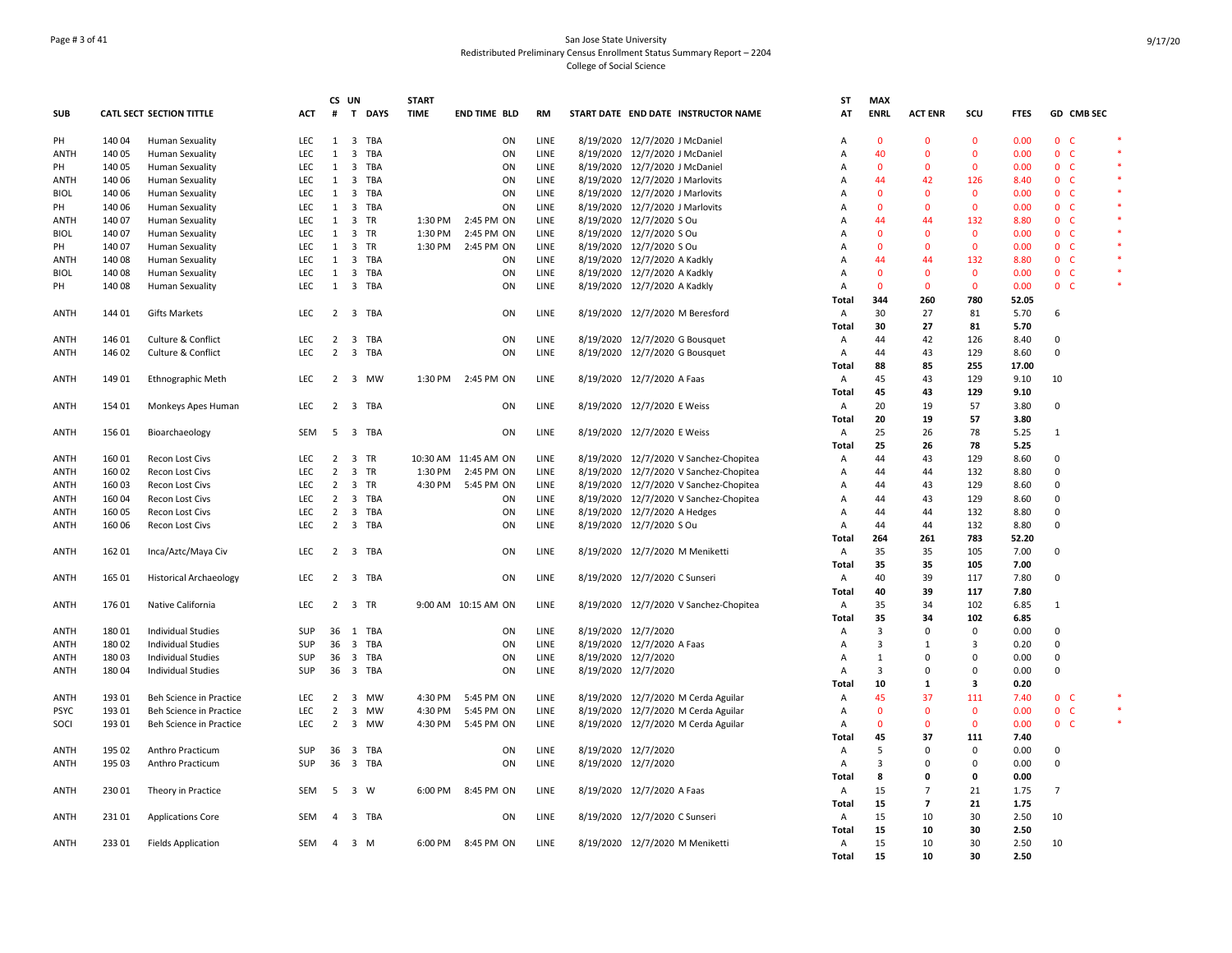## Page # 3 of 41 San Jose State University Redistributed Preliminary Census Enrollment Status Summary Report – 2204 College of Social Science

|             |        |                                 |            | CS UN          |                         | <b>START</b>          |                      |           |                     |                                        | SΤ             | <b>MAX</b>   |                |                |             |                |                |        |
|-------------|--------|---------------------------------|------------|----------------|-------------------------|-----------------------|----------------------|-----------|---------------------|----------------------------------------|----------------|--------------|----------------|----------------|-------------|----------------|----------------|--------|
| <b>SUB</b>  |        | <b>CATL SECT SECTION TITTLE</b> | <b>ACT</b> | #              |                         | T DAYS<br><b>TIME</b> | <b>END TIME BLD</b>  | <b>RM</b> |                     | START DATE END DATE INSTRUCTOR NAME    | AT             | <b>ENRL</b>  | <b>ACT ENR</b> | scu            | <b>FTES</b> |                | GD CMB SEC     |        |
| PH          | 140 04 | <b>Human Sexuality</b>          | <b>LEC</b> | 1              | 3 TBA                   |                       | ON                   | LINE      |                     | 8/19/2020 12/7/2020 J McDaniel         | Α              | $\mathbf{0}$ | $\Omega$       | $\mathbf{0}$   | 0.00        |                | 0 <sub>c</sub> |        |
| <b>ANTH</b> | 140 05 | Human Sexuality                 | LEC        | 1              | 3 TBA                   |                       | ON                   | LINE      |                     | 8/19/2020 12/7/2020 J McDaniel         | A              | 40           | $\Omega$       | $\overline{0}$ | 0.00        |                | 0 <sub>c</sub> |        |
| PH          | 140 05 | Human Sexuality                 | LEC.       | $\mathbf{1}$   | 3 TBA                   |                       | ON                   | LINE      |                     | 8/19/2020 12/7/2020 J McDaniel         | A              | $\mathbf{0}$ | $\Omega$       | $\mathbf{0}$   | 0.00        |                | 0 <sub>c</sub> |        |
| <b>ANTH</b> | 140 06 | <b>Human Sexuality</b>          | <b>LEC</b> | 1              | 3 TBA                   |                       | ON                   | LINE      |                     | 8/19/2020 12/7/2020 J Marlovits        | A              | 44           | 42             | 126            | 8.40        |                | 0 <sub>c</sub> | $\ast$ |
| <b>BIOL</b> | 140 06 | <b>Human Sexuality</b>          | LEC        | 1              | 3 TBA                   |                       | ON                   | LINE      |                     | 8/19/2020 12/7/2020 J Marlovits        | A              | $\Omega$     | $\Omega$       | $\mathbf{0}$   | 0.00        |                | 0 <sub>c</sub> |        |
| PH          | 140 06 | <b>Human Sexuality</b>          | LEC        | 1              | 3 TBA                   |                       | ON                   | LINE      |                     | 8/19/2020 12/7/2020 J Marlovits        | A              | $\Omega$     | $\Omega$       | $\mathbf 0$    | 0.00        |                | $0-$           |        |
| ANTH        | 140 07 | <b>Human Sexuality</b>          | LEC        | 1              | 3 TR                    | 1:30 PM               | 2:45 PM ON           | LINE      |                     | 8/19/2020 12/7/2020 S Ou               | A              | 44           | 44             | 132            | 8.80        |                | $0-$           |        |
| <b>BIOL</b> | 140 07 | <b>Human Sexuality</b>          | LEC        | 1              | 3 TR                    | 1:30 PM               | 2:45 PM ON           | LINE      |                     | 8/19/2020 12/7/2020 S Ou               | A              | $\mathbf{0}$ | $\Omega$       | $\mathbf 0$    | 0.00        |                | 0 <sup>o</sup> |        |
| PH          | 140 07 | Human Sexuality                 | LEC        | $\mathbf{1}$   | 3 TR                    | 1:30 PM               | 2:45 PM ON           | LINE      |                     | 8/19/2020 12/7/2020 S Ou               | A              | $\Omega$     | $\Omega$       | $\mathbf{0}$   | 0.00        |                | 0 <sub>c</sub> |        |
| <b>ANTH</b> | 140 08 | <b>Human Sexuality</b>          | LEC        | $\mathbf{1}$   | 3 TBA                   |                       | ON                   | LINE      |                     | 8/19/2020 12/7/2020 A Kadkly           | A              | 44           | 44             | 132            | 8.80        |                | 0 <sup>o</sup> |        |
| <b>BIOL</b> | 140 08 | <b>Human Sexuality</b>          | LEC        | 1              | 3 TBA                   |                       | ON                   | LINE      |                     | 8/19/2020 12/7/2020 A Kadkly           | A              | $\mathbf{0}$ | $\Omega$       | $\mathbf{0}$   | 0.00        |                | 0 <sub>c</sub> |        |
| PH          | 140 08 | Human Sexuality                 | <b>LEC</b> | 1              | 3 TBA                   |                       | ON                   | LINE      |                     | 8/19/2020 12/7/2020 A Kadkly           | A              | $\Omega$     | $\Omega$       | $\mathbf{0}$   | 0.00        |                | 0 <sub>c</sub> | *      |
|             |        |                                 |            |                |                         |                       |                      |           |                     |                                        | Total          | 344          | 260            | 780            | 52.05       |                |                |        |
| ANTH        | 144 01 | <b>Gifts Markets</b>            | LEC        |                | 2 3 TBA                 |                       | ON                   | LINE      |                     | 8/19/2020 12/7/2020 M Beresford        | Α              | 30           | 27             | 81             | 5.70        | 6              |                |        |
|             |        |                                 |            |                |                         |                       |                      |           |                     |                                        | Total          | 30           | 27             | 81             | 5.70        |                |                |        |
|             |        |                                 |            |                |                         |                       |                      |           |                     |                                        |                |              |                |                |             |                |                |        |
| <b>ANTH</b> | 146 01 | Culture & Conflict              | LEC        | $\overline{2}$ | 3 TBA                   |                       | ON                   | LINE      |                     | 8/19/2020 12/7/2020 G Bousquet         | A              | 44           | 42             | 126            | 8.40        | 0              |                |        |
| <b>ANTH</b> | 146 02 | Culture & Conflict              | <b>LEC</b> | $\overline{2}$ | 3 TBA                   |                       | ON                   | LINE      |                     | 8/19/2020 12/7/2020 G Bousquet         | Α              | 44           | 43             | 129            | 8.60        | 0              |                |        |
|             |        |                                 |            |                |                         |                       |                      |           |                     |                                        | Total          | 88           | 85             | 255            | 17.00       |                |                |        |
| <b>ANTH</b> | 149 01 | <b>Ethnographic Meth</b>        | LEC        | $\overline{2}$ | 3 MW                    | 1:30 PM               | 2:45 PM ON           | LINE      |                     | 8/19/2020 12/7/2020 A Faas             | A              | 45           | 43             | 129            | 9.10        | 10             |                |        |
|             |        |                                 |            |                |                         |                       |                      |           |                     |                                        | Total          | 45           | 43             | 129            | 9.10        |                |                |        |
| <b>ANTH</b> | 154 01 | Monkeys Apes Human              | <b>LEC</b> |                | 2 3 TBA                 |                       | ON                   | LINE      |                     | 8/19/2020 12/7/2020 E Weiss            | Α              | 20           | 19             | 57             | 3.80        | 0              |                |        |
|             |        |                                 |            |                |                         |                       |                      |           |                     |                                        | Total          | 20           | 19             | 57             | 3.80        |                |                |        |
| ANTH        | 15601  | Bioarchaeology                  | SEM        | 5              | 3 TBA                   |                       | ON                   | LINE      |                     | 8/19/2020 12/7/2020 E Weiss            | A              | 25           | 26             | 78             | 5.25        | 1              |                |        |
|             |        |                                 |            |                |                         |                       |                      |           |                     |                                        | Total          | 25           | 26             | 78             | 5.25        |                |                |        |
| <b>ANTH</b> | 16001  | Recon Lost Civs                 | LEC        | $\overline{2}$ | 3 TR                    |                       | 10:30 AM 11:45 AM ON | LINE      |                     | 8/19/2020 12/7/2020 V Sanchez-Chopitea | Α              | 44           | 43             | 129            | 8.60        | 0              |                |        |
| ANTH        | 160 02 | Recon Lost Civs                 | LEC        | $\overline{2}$ | 3 TR                    | 1:30 PM               | 2:45 PM ON           | LINE      |                     | 8/19/2020 12/7/2020 V Sanchez-Chopitea | Α              | 44           | 44             | 132            | 8.80        | $\mathbf 0$    |                |        |
| ANTH        | 160 03 | Recon Lost Civs                 | LEC        | $\overline{2}$ | 3 TR                    | 4:30 PM               | 5:45 PM ON           | LINE      | 8/19/2020           | 12/7/2020 V Sanchez-Chopitea           | A              | 44           | 43             | 129            | 8.60        | 0              |                |        |
| ANTH        | 160 04 | Recon Lost Civs                 | LEC        | $\overline{2}$ | 3 TBA                   |                       | ON                   | LINE      |                     | 8/19/2020 12/7/2020 V Sanchez-Chopitea | A              | 44           | 43             | 129            | 8.60        | $\mathbf 0$    |                |        |
| ANTH        | 160 05 | Recon Lost Civs                 | <b>LEC</b> | $\overline{2}$ | 3 TBA                   |                       | ON                   | LINE      |                     | 8/19/2020 12/7/2020 A Hedges           | Α              | 44           | 44             | 132            | 8.80        | $\mathbf 0$    |                |        |
| ANTH        | 16006  | Recon Lost Civs                 | <b>LEC</b> | $\overline{2}$ | 3 TBA                   |                       | ON                   | LINE      |                     | 8/19/2020 12/7/2020 S Ou               | A              | 44           | 44             | 132            | 8.80        | $\mathbf 0$    |                |        |
|             |        |                                 |            |                |                         |                       |                      |           |                     |                                        | Total          | 264          | 261            | 783            | 52.20       |                |                |        |
| <b>ANTH</b> | 16201  | Inca/Aztc/Maya Civ              | LEC        | $\overline{2}$ | 3 TBA                   |                       | ON                   | LINE      |                     | 8/19/2020 12/7/2020 M Meniketti        | Α              | 35           | 35             | 105            | 7.00        | $\mathsf 0$    |                |        |
|             |        |                                 |            |                |                         |                       |                      |           |                     |                                        | Total          | 35           | 35             | 105            | 7.00        |                |                |        |
| ANTH        | 165 01 |                                 | LEC        | $\mathbf{2}$   | 3 TBA                   |                       | ON                   | LINE      |                     | 8/19/2020 12/7/2020 C Sunseri          | Α              | 40           | 39             | 117            | 7.80        | 0              |                |        |
|             |        | <b>Historical Archaeology</b>   |            |                |                         |                       |                      |           |                     |                                        |                | 40           | 39             | 117            | 7.80        |                |                |        |
|             |        |                                 |            |                |                         |                       |                      |           |                     |                                        | Total          |              |                |                |             |                |                |        |
| <b>ANTH</b> | 176 01 | Native California               | <b>LEC</b> | $\overline{2}$ | 3 TR                    |                       | 9:00 AM 10:15 AM ON  | LINE      |                     | 8/19/2020 12/7/2020 V Sanchez-Chopitea | A              | 35           | 34             | 102            | 6.85        | 1              |                |        |
|             |        |                                 |            |                |                         |                       |                      |           |                     |                                        | Total          | 35           | 34             | 102            | 6.85        |                |                |        |
| <b>ANTH</b> | 180 01 | <b>Individual Studies</b>       | SUP        |                | 36 1 TBA                |                       | ON                   | LINE      |                     | 8/19/2020 12/7/2020                    | A              | 3            | $\Omega$       | $\mathbf 0$    | 0.00        | $\mathbf 0$    |                |        |
| ANTH        | 180 02 | <b>Individual Studies</b>       | SUP        | 36             | 3 TBA                   |                       | ON                   | LINE      |                     | 8/19/2020 12/7/2020 A Faas             | A              | 3            | $\mathbf{1}$   | $\overline{3}$ | 0.20        | $\mathbf 0$    |                |        |
| ANTH        | 18003  | <b>Individual Studies</b>       | <b>SUP</b> |                | 36 3 TBA                |                       | ON                   | LINE      | 8/19/2020 12/7/2020 |                                        | Α              | $\mathbf{1}$ | $\Omega$       | 0              | 0.00        | $\mathsf 0$    |                |        |
| ANTH        | 18004  | <b>Individual Studies</b>       | SUP        |                | 36 3 TBA                |                       | ON                   | LINE      |                     | 8/19/2020 12/7/2020                    | Α              | 3            | $\Omega$       | $\mathbf 0$    | 0.00        | 0              |                |        |
|             |        |                                 |            |                |                         |                       |                      |           |                     |                                        | Total          | 10           | 1              | 3              | 0.20        |                |                |        |
| <b>ANTH</b> | 193 01 | Beh Science in Practice         | LEC        | $\overline{2}$ | 3 MW                    | 4:30 PM               | 5:45 PM ON           | LINE      |                     | 8/19/2020 12/7/2020 M Cerda Aguilar    | Α              | 45           | 37             | 111            | 7.40        |                | 0 <sup>o</sup> |        |
| <b>PSYC</b> | 193 01 | Beh Science in Practice         | LEC.       | $\overline{2}$ | 3 MW                    | 4:30 PM               | 5:45 PM ON           | LINE      |                     | 8/19/2020 12/7/2020 M Cerda Aguilar    | $\overline{A}$ | $\Omega$     | $\Omega$       | $\mathbf{0}$   | 0.00        |                | 0 <sup>o</sup> |        |
| SOCI        | 193 01 | Beh Science in Practice         | <b>LEC</b> | $\overline{2}$ | 3 MW                    | 4:30 PM               | 5:45 PM ON           | LINE      |                     | 8/19/2020 12/7/2020 M Cerda Aguilar    | A              | $\mathbf{0}$ | $\mathbf{0}$   | $\mathbf{0}$   | 0.00        |                | 0 <sub>c</sub> |        |
|             |        |                                 |            |                |                         |                       |                      |           |                     |                                        | Total          | 45           | 37             | 111            | 7.40        |                |                |        |
| ANTH        | 195 02 | Anthro Practicum                | SUP        | 36             | 3 TBA                   |                       | ON                   | LINE      | 8/19/2020 12/7/2020 |                                        | Α              | 5            | $\Omega$       | $\mathbf 0$    | 0.00        | 0              |                |        |
| ANTH        | 195 03 | Anthro Practicum                | <b>SUP</b> |                | 36 3 TBA                |                       | ON                   | LINE      |                     | 8/19/2020 12/7/2020                    | Α              | 3            | $\Omega$       | $\mathbf 0$    | 0.00        | $\mathbf 0$    |                |        |
|             |        |                                 |            |                |                         |                       |                      |           |                     |                                        | Total          | 8            | $\Omega$       | 0              | 0.00        |                |                |        |
| ANTH        | 230 01 | Theory in Practice              | <b>SEM</b> | 5              | $\overline{\mathbf{3}}$ | 6:00 PM<br>W          | 8:45 PM ON           | LINE      |                     | 8/19/2020 12/7/2020 A Faas             | A              | 15           | $\overline{7}$ | 21             | 1.75        | $\overline{7}$ |                |        |
|             |        |                                 |            |                |                         |                       |                      |           |                     |                                        | Total          | 15           | $\overline{7}$ | 21             | 1.75        |                |                |        |
| ANTH        | 23101  | <b>Applications Core</b>        | <b>SEM</b> | 4              | 3 TBA                   |                       | ON                   | LINE      |                     | 8/19/2020 12/7/2020 C Sunseri          | Α              | 15           | 10             | 30             | 2.50        | 10             |                |        |
|             |        |                                 |            |                |                         |                       |                      |           |                     |                                        | Total          | 15           | 10             | 30             | 2.50        |                |                |        |
| <b>ANTH</b> | 23301  | <b>Fields Application</b>       | <b>SEM</b> | $\overline{a}$ | 3 M                     |                       | 6:00 PM 8:45 PM ON   | LINE      |                     | 8/19/2020 12/7/2020 M Meniketti        | Α              | 15           | 10             | 30             | 2.50        | 10             |                |        |
|             |        |                                 |            |                |                         |                       |                      |           |                     |                                        | Total          | 15           | 10             | 30             | 2.50        |                |                |        |
|             |        |                                 |            |                |                         |                       |                      |           |                     |                                        |                |              |                |                |             |                |                |        |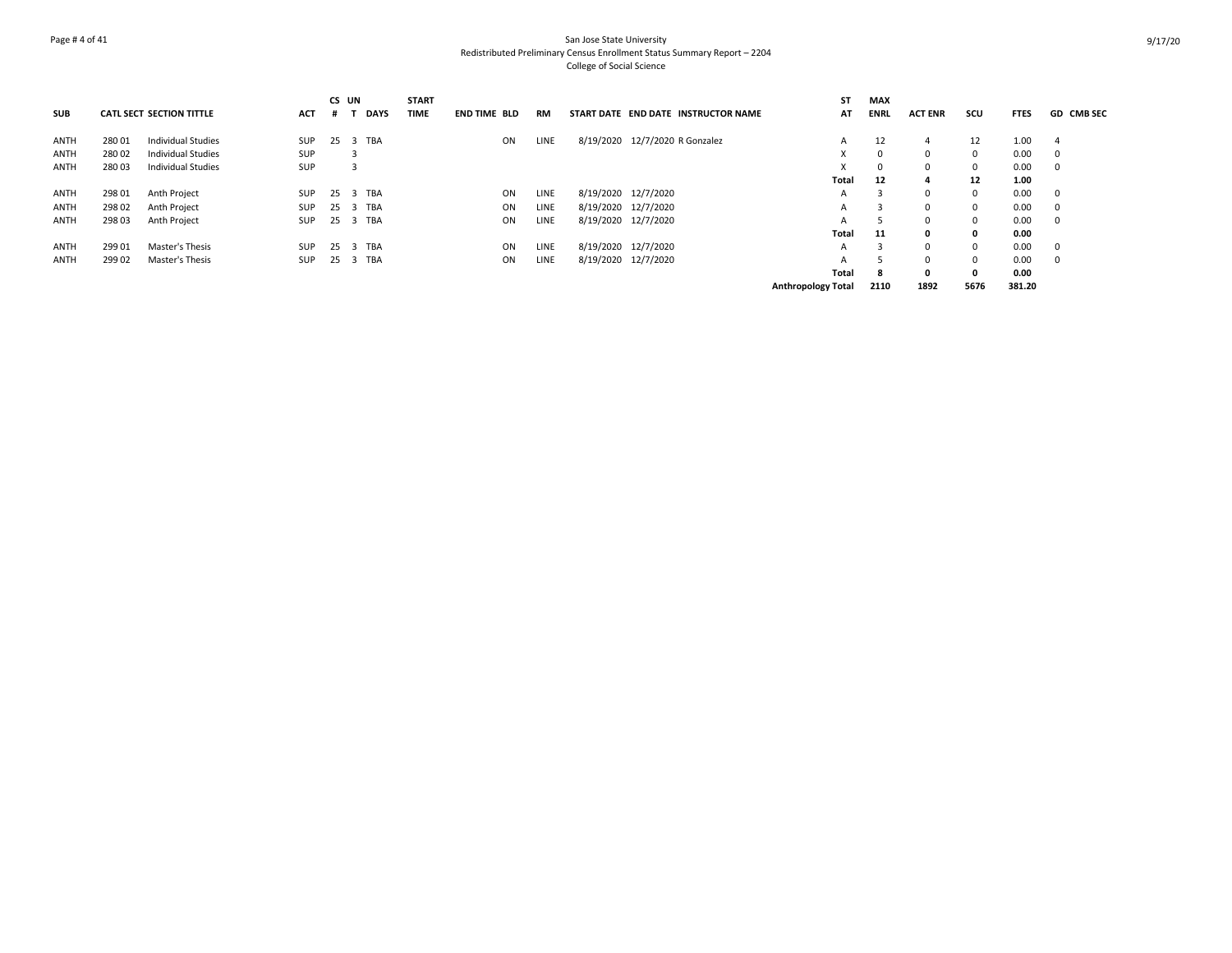## Page # 4 of 41 San Jose State University Redistributed Preliminary Census Enrollment Status Summary Report – 2204 College of Social Science

|             |        |                                 |            | CS UN |     |             | <b>START</b> |                     |      |                                     | <b>ST</b>                 | <b>MAX</b>  |                |          |             |                         |
|-------------|--------|---------------------------------|------------|-------|-----|-------------|--------------|---------------------|------|-------------------------------------|---------------------------|-------------|----------------|----------|-------------|-------------------------|
| <b>SUB</b>  |        | <b>CATL SECT SECTION TITTLE</b> | <b>ACT</b> |       | - 1 | <b>DAYS</b> | <b>TIME</b>  | <b>END TIME BLD</b> | RM   | START DATE END DATE INSTRUCTOR NAME | AT                        | <b>ENRL</b> | <b>ACT ENR</b> | scu      | <b>FTES</b> | <b>GD CMB SEC</b>       |
| <b>ANTH</b> | 28001  | Individual Studies              | SUP        |       |     | 25 3 TBA    |              | ON                  | LINE | 8/19/2020 12/7/2020 R Gonzalez      | A                         | 12          | 4              | 12       | 1.00        | - 4                     |
|             |        |                                 |            |       |     |             |              |                     |      |                                     |                           |             |                |          |             |                         |
| <b>ANTH</b> | 28002  | Individual Studies              | SUP        |       |     |             |              |                     |      |                                     | X                         | 0           | $\Omega$       | $\Omega$ | 0.00        | $^{\circ}$              |
| <b>ANTH</b> | 28003  | Individual Studies              | SUP        |       |     |             |              |                     |      |                                     | $\lambda$                 | 0           | $\Omega$       | $\Omega$ | 0.00        | $^{\circ}$              |
|             |        |                                 |            |       |     |             |              |                     |      |                                     | Total                     | 12          |                | 12       | 1.00        |                         |
| ANTH        | 298 01 | Anth Project                    | SUP        |       |     | 25 3 TBA    |              | ON                  | LINE | 8/19/2020 12/7/2020                 | А                         | 3           | $\Omega$       | $\Omega$ | 0.00        | $\overline{\mathbf{0}}$ |
| <b>ANTH</b> | 298 02 | Anth Project                    | SUP        |       |     | 25 3 TBA    |              | ON                  | LINE | 8/19/2020 12/7/2020                 | А                         |             | $\Omega$       | $\Omega$ | 0.00        | $\Omega$                |
| <b>ANTH</b> | 298 03 | Anth Project                    | SUP        |       |     | 25 3 TBA    |              | ON                  | LINE | 8/19/2020 12/7/2020                 | A                         |             | $\Omega$       | 0        | 0.00        | 0                       |
|             |        |                                 |            |       |     |             |              |                     |      |                                     | Total                     | 11          | $\mathbf{0}$   | 0        | 0.00        |                         |
| ANTH        | 299 01 | Master's Thesis                 | SUP        |       |     | 25 3 TBA    |              | ON                  | LINE | 8/19/2020 12/7/2020                 | A                         | 3           | $\Omega$       | $\Omega$ | 0.00        | 0                       |
| <b>ANTH</b> | 299 02 | Master's Thesis                 | SUP        |       |     | 25 3 TBA    |              | ON                  | LINE | 8/19/2020 12/7/2020                 | А                         |             | $\Omega$       | $\Omega$ | 0.00        | $\mathbf 0$             |
|             |        |                                 |            |       |     |             |              |                     |      |                                     | <b>Total</b>              | 8           | $\mathbf{0}$   | 0        | 0.00        |                         |
|             |        |                                 |            |       |     |             |              |                     |      |                                     | <b>Anthropology Total</b> | 2110        | 1892           | 5676     | 381.20      |                         |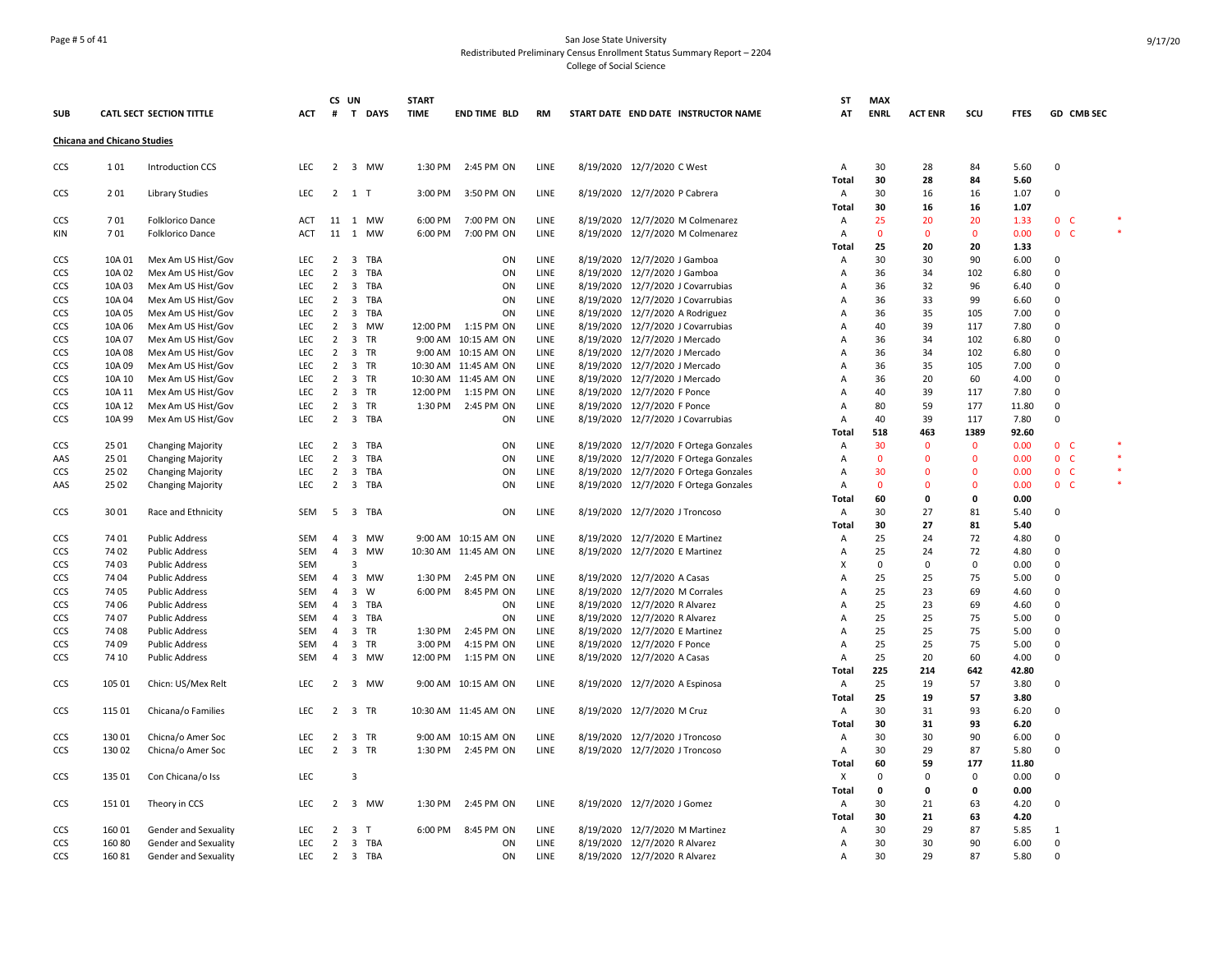## Page # 5 of 41 San Jose State University Redistributed Preliminary Census Enrollment Status Summary Report – 2204 College of Social Science

|                          |                                    |                                                    |                          |                                  | CS UN               |                    | <b>START</b>       |                                             |              |           |                                                                  | ST                  | <b>MAX</b>     |                |                |              |                                  |    |
|--------------------------|------------------------------------|----------------------------------------------------|--------------------------|----------------------------------|---------------------|--------------------|--------------------|---------------------------------------------|--------------|-----------|------------------------------------------------------------------|---------------------|----------------|----------------|----------------|--------------|----------------------------------|----|
| <b>SUB</b>               |                                    | <b>CATL SECT SECTION TITTLE</b>                    | <b>ACT</b>               |                                  |                     | # T DAYS           | <b>TIME</b>        | <b>END TIME BLD</b>                         | RM           |           | START DATE END DATE INSTRUCTOR NAME                              | AT                  | <b>ENRL</b>    | <b>ACT ENR</b> | scu            | <b>FTES</b>  | <b>GD CMB SEC</b>                |    |
|                          | <b>Chicana and Chicano Studies</b> |                                                    |                          |                                  |                     |                    |                    |                                             |              |           |                                                                  |                     |                |                |                |              |                                  |    |
| CCS                      | 101                                | <b>Introduction CCS</b>                            | <b>LEC</b>               |                                  |                     | 2 3 MW             | 1:30 PM            | 2:45 PM ON                                  | LINE         |           | 8/19/2020 12/7/2020 C West                                       | A                   | 30             | 28             | 84             | 5.60         | $\overline{0}$                   |    |
|                          |                                    |                                                    |                          |                                  |                     |                    |                    |                                             |              |           |                                                                  | Total               | 30             | 28             | 84             | 5.60         |                                  |    |
| CCS                      | 201                                | Library Studies                                    | LEC                      |                                  | $2 \quad 1 \quad T$ |                    | 3:00 PM            | 3:50 PM ON                                  | LINE         |           | 8/19/2020 12/7/2020 P Cabrera                                    | A                   | 30             | 16             | 16             | 1.07         | 0                                |    |
|                          |                                    |                                                    |                          |                                  |                     |                    |                    |                                             |              |           |                                                                  | Total               | 30             | 16             | 16             | 1.07         |                                  |    |
| CCS                      | 701<br>701                         | <b>Folklorico Dance</b><br><b>Folklorico Dance</b> | <b>ACT</b><br><b>ACT</b> |                                  |                     | 11 1 MW<br>11 1 MW | 6:00 PM<br>6:00 PM | 7:00 PM ON<br>7:00 PM ON                    | LINE<br>LINE |           | 8/19/2020 12/7/2020 M Colmenarez                                 | $\overline{A}$      | 25<br>$\Omega$ | 20<br>$\Omega$ | 20<br>$\Omega$ | 1.33<br>0.00 | 0 <sup>o</sup><br>0 <sub>c</sub> | *. |
| KIN                      |                                    |                                                    |                          |                                  |                     |                    |                    |                                             |              |           | 8/19/2020 12/7/2020 M Colmenarez                                 | A<br>Total          | 25             | 20             | 20             | 1.33         |                                  |    |
| CCS                      | 10A 01                             | Mex Am US Hist/Gov                                 | <b>LEC</b>               | $\overline{2}$                   |                     | 3 TBA              |                    | ON                                          | LINE         |           | 8/19/2020 12/7/2020 J Gamboa                                     | Α                   | 30             | 30             | 90             | 6.00         | 0                                |    |
| CCS                      | 10A 02                             | Mex Am US Hist/Gov                                 | <b>LEC</b>               | $\overline{2}$                   |                     | 3 TBA              |                    | ON                                          | LINE         |           | 8/19/2020 12/7/2020 J Gamboa                                     | A                   | 36             | 34             | 102            | 6.80         | $\mathbf 0$                      |    |
| CCS                      | 10A 03                             | Mex Am US Hist/Gov                                 | <b>LEC</b>               | 2                                |                     | 3 TBA              |                    | ON                                          | LINE         | 8/19/2020 | 12/7/2020 J Covarrubias                                          | A                   | 36             | 32             | 96             | 6.40         | 0                                |    |
| CCS                      | 10A 04                             | Mex Am US Hist/Gov                                 | LEC                      | $\overline{2}$                   |                     | 3 TBA              |                    | ON                                          | LINE         |           | 8/19/2020 12/7/2020 J Covarrubias                                | Α                   | 36             | 33             | 99             | 6.60         | 0                                |    |
| CCS                      | 10A 05                             | Mex Am US Hist/Gov                                 | <b>LEC</b>               | $\overline{2}$                   |                     | 3 TBA              |                    | ON                                          | LINE         |           | 8/19/2020 12/7/2020 A Rodriguez                                  | Α                   | 36             | 35             | 105            | 7.00         | 0                                |    |
| CCS                      | 10A 06                             | Mex Am US Hist/Gov                                 | <b>LEC</b>               | $\overline{2}$                   |                     | 3 MW               |                    | 12:00 PM   1:15 PM ON                       | LINE         |           | 8/19/2020 12/7/2020 J Covarrubias                                | A                   | 40             | 39             | 117            | 7.80         | $\mathbf 0$                      |    |
| CCS                      | 10A 07                             | Mex Am US Hist/Gov                                 | LEC                      | $\overline{2}$                   |                     | 3 TR               |                    | 9:00 AM 10:15 AM ON                         | LINE         |           | 8/19/2020 12/7/2020 J Mercado                                    | A                   | 36             | 34             | 102            | 6.80         | 0                                |    |
| CCS                      | 10A 08                             | Mex Am US Hist/Gov                                 | LEC                      | $\overline{2}$                   |                     | 3 TR               |                    | 9:00 AM 10:15 AM ON                         | LINE         |           | 8/19/2020 12/7/2020 J Mercado                                    | A                   | 36             | 34             | 102            | 6.80         | 0                                |    |
| CCS                      | 10A 09                             | Mex Am US Hist/Gov                                 | LEC                      | $\overline{2}$                   |                     | 3 TR               |                    | 10:30 AM 11:45 AM ON                        | LINE         |           | 8/19/2020 12/7/2020 J Mercado                                    | A                   | 36             | 35             | 105            | 7.00         | $\mathbf 0$                      |    |
| CCS                      | 10A 10                             | Mex Am US Hist/Gov                                 | LEC                      | $\overline{2}$                   |                     | 3 TR               |                    | 10:30 AM 11:45 AM ON                        | LINE         | 8/19/2020 | 12/7/2020 J Mercado                                              | Α                   | 36             | 20             | 60             | 4.00         | 0                                |    |
| CCS                      | 10A 11                             | Mex Am US Hist/Gov                                 | LEC                      | $\overline{2}$                   |                     | 3 TR               | 12:00 PM           | 1:15 PM ON                                  | LINE         |           | 8/19/2020 12/7/2020 F Ponce                                      | A                   | 40             | 39             | 117            | 7.80         | 0                                |    |
| CCS                      | 10A 12                             | Mex Am US Hist/Gov                                 | LEC                      | $\overline{2}$                   |                     | 3 TR               | 1:30 PM            | 2:45 PM ON                                  | LINE         |           | 8/19/2020 12/7/2020 F Ponce                                      | A                   | 80             | 59             | 177            | 11.80        | 0                                |    |
| CCS                      | 10A 99                             | Mex Am US Hist/Gov                                 | LEC                      | $\overline{2}$                   |                     | 3 TBA              |                    | ON                                          | LINE         |           | 8/19/2020 12/7/2020 J Covarrubias                                | Α                   | 40             | 39             | 117            | 7.80         | 0                                |    |
|                          |                                    |                                                    |                          |                                  |                     |                    |                    |                                             |              |           |                                                                  | Total               | 518            | 463            | 1389           | 92.60        |                                  |    |
| CCS                      | 25 01                              | Changing Majority                                  | LEC                      | $\overline{2}$                   |                     | 3 TBA              |                    | ON                                          | LINE         |           | 8/19/2020 12/7/2020 F Ortega Gonzales                            | Α                   | 30             | $\Omega$       | $\mathbf 0$    | 0.00         | 0 <sub>c</sub>                   |    |
| AAS                      | 25 01                              | <b>Changing Majority</b>                           | <b>LEC</b>               | $\overline{2}$                   |                     | 3 TBA              |                    | ON                                          | LINE         |           | 8/19/2020 12/7/2020 F Ortega Gonzales                            | A                   | $\mathbf{0}$   | $\mathbf{0}$   | $\mathbf 0$    | 0.00         | 0 <sub>c</sub>                   |    |
| CCS                      | 25 02                              | <b>Changing Majority</b>                           | LEC                      | $\overline{2}$                   |                     | 3 TBA              |                    | ON                                          | LINE         |           | 8/19/2020 12/7/2020 F Ortega Gonzales                            | Α                   | 30             | $\Omega$       | $\mathbf 0$    | 0.00         | 0 <sub>c</sub>                   |    |
| AAS                      | 25 02                              | <b>Changing Majority</b>                           | LEC                      | $\overline{2}$                   |                     | 3 TBA              |                    | ON                                          | LINE         |           | 8/19/2020 12/7/2020 F Ortega Gonzales                            | Α                   | $\Omega$       | $\Omega$       | $\Omega$       | 0.00         | 0 <sub>c</sub>                   |    |
|                          |                                    |                                                    |                          |                                  |                     |                    |                    |                                             |              |           |                                                                  | Total               | 60             | $\Omega$       | 0              | 0.00         |                                  |    |
| CCS                      | 3001                               | Race and Ethnicity                                 | <b>SEM</b>               |                                  |                     | 5 3 TBA            |                    | ON                                          | LINE         |           | 8/19/2020 12/7/2020 J Troncoso                                   | Α                   | 30             | 27             | 81             | 5.40         | 0                                |    |
|                          |                                    |                                                    |                          |                                  |                     |                    |                    |                                             |              |           |                                                                  | Total               | 30             | 27             | 81             | 5.40         |                                  |    |
| <b>CCS</b><br><b>CCS</b> | 74 01<br>7402                      | <b>Public Address</b><br><b>Public Address</b>     | <b>SEM</b><br><b>SEM</b> | $\overline{4}$<br>$\overline{4}$ |                     | 3 MW<br>3 MW       |                    | 9:00 AM 10:15 AM ON<br>10:30 AM 11:45 AM ON | LINE<br>LINE |           | 8/19/2020 12/7/2020 E Martinez<br>8/19/2020 12/7/2020 E Martinez | $\overline{A}$<br>A | 25<br>25       | 24<br>24       | 72<br>72       | 4.80<br>4.80 | 0<br>0                           |    |
| CCS                      | 7403                               | <b>Public Address</b>                              | <b>SEM</b>               |                                  | 3                   |                    |                    |                                             |              |           |                                                                  | X                   | $\Omega$       | $\Omega$       | $\mathbf 0$    | 0.00         | 0                                |    |
| CCS                      | 74 04                              | <b>Public Address</b>                              | SEM                      | $\overline{4}$                   |                     | 3 MW               | 1:30 PM            | 2:45 PM ON                                  | LINE         |           | 8/19/2020 12/7/2020 A Casas                                      | Α                   | 25             | 25             | 75             | 5.00         | $\mathbf 0$                      |    |
| CCS                      | 74 05                              | <b>Public Address</b>                              | <b>SEM</b>               | $\overline{4}$                   | 3 W                 |                    | 6:00 PM            | 8:45 PM ON                                  | LINE         |           | 8/19/2020 12/7/2020 M Corrales                                   | A                   | 25             | 23             | 69             | 4.60         | 0                                |    |
| CCS                      | 74 06                              | <b>Public Address</b>                              | SEM                      | $\overline{4}$                   |                     | 3 TBA              |                    | ON                                          | LINE         |           | 8/19/2020 12/7/2020 R Alvarez                                    | A                   | 25             | 23             | 69             | 4.60         | $\mathsf 0$                      |    |
| CCS                      | 74 07                              | <b>Public Address</b>                              | <b>SEM</b>               | 4                                |                     | 3 TBA              |                    | ON                                          | LINE         |           | 8/19/2020 12/7/2020 R Alvarez                                    | Α                   | 25             | 25             | 75             | 5.00         | 0                                |    |
| CCS                      | 74 08                              | <b>Public Address</b>                              | <b>SEM</b>               | $\overline{4}$                   |                     | 3 TR               | 1:30 PM            | 2:45 PM ON                                  | LINE         |           | 8/19/2020 12/7/2020 E Martinez                                   | Α                   | 25             | 25             | 75             | 5.00         | $\Omega$                         |    |
| CCS                      | 74 09                              | <b>Public Address</b>                              | SEM                      | $\overline{4}$                   |                     | 3 TR               | 3:00 PM            | 4:15 PM ON                                  | LINE         |           | 8/19/2020 12/7/2020 F Ponce                                      | A                   | 25             | 25             | 75             | 5.00         | 0                                |    |
| CCS                      | 74 10                              | <b>Public Address</b>                              | <b>SEM</b>               | $\overline{4}$                   |                     | 3 MW               | 12:00 PM           | 1:15 PM ON                                  | LINE         |           | 8/19/2020 12/7/2020 A Casas                                      | Α                   | 25             | 20             | 60             | 4.00         | 0                                |    |
|                          |                                    |                                                    |                          |                                  |                     |                    |                    |                                             |              |           |                                                                  | Total               | 225            | 214            | 642            | 42.80        |                                  |    |
| CCS                      | 105 01                             | Chicn: US/Mex Relt                                 | <b>LEC</b>               | $\overline{2}$                   |                     | 3 MW               |                    | 9:00 AM 10:15 AM ON                         | LINE         |           | 8/19/2020 12/7/2020 A Espinosa                                   | $\mathsf{A}$        | 25             | 19             | 57             | 3.80         | 0                                |    |
|                          |                                    |                                                    |                          |                                  |                     |                    |                    |                                             |              |           |                                                                  | Total               | 25             | 19             | 57             | 3.80         |                                  |    |
| CCS                      | 115 01                             | Chicana/o Families                                 | LEC                      | $\overline{2}$                   |                     | 3 TR               |                    | 10:30 AM 11:45 AM ON                        | LINE         |           | 8/19/2020 12/7/2020 M Cruz                                       | Α                   | 30             | 31             | 93             | 6.20         | 0                                |    |
|                          |                                    |                                                    |                          |                                  |                     |                    |                    |                                             |              |           |                                                                  | Total               | 30             | 31             | 93             | 6.20         |                                  |    |
| CCS                      | 130 01                             | Chicna/o Amer Soc                                  | LEC                      | $\overline{2}$                   |                     | 3 TR               |                    | 9:00 AM 10:15 AM ON                         | LINE         |           | 8/19/2020 12/7/2020 J Troncoso                                   | Α                   | 30             | 30             | 90             | 6.00         | 0                                |    |
| CCS                      | 130 02                             | Chicna/o Amer Soc                                  | LEC                      | $\overline{2}$                   |                     | 3 TR               | 1:30 PM            | 2:45 PM ON                                  | LINE         |           | 8/19/2020 12/7/2020 J Troncoso                                   | Α                   | 30             | 29             | 87             | 5.80         | $\mathbf 0$                      |    |
|                          |                                    |                                                    |                          |                                  |                     |                    |                    |                                             |              |           |                                                                  | Total               | 60             | 59             | 177            | 11.80        |                                  |    |
| CCS                      | 135 01                             | Con Chicana/o Iss                                  | LEC                      |                                  | -3                  |                    |                    |                                             |              |           |                                                                  | X                   | $\Omega$       | $\Omega$       | 0              | 0.00         | 0                                |    |
|                          |                                    |                                                    |                          |                                  |                     |                    |                    |                                             |              |           |                                                                  | Total               | 0              | 0              | $\mathbf 0$    | 0.00         |                                  |    |
| CCS                      | 15101                              | Theory in CCS                                      | LEC                      | $\overline{2}$                   |                     | 3 MW               | 1:30 PM            | 2:45 PM ON                                  | LINE         |           | 8/19/2020 12/7/2020 J Gomez                                      | Α                   | 30             | 21             | 63             | 4.20         | 0                                |    |
|                          |                                    |                                                    |                          |                                  |                     |                    |                    |                                             |              |           |                                                                  | Total               | 30             | 21             | 63             | 4.20         |                                  |    |
| CCS                      | 160 01                             | Gender and Sexuality                               | LEC                      | $\overline{2}$                   | 3 <sub>T</sub>      |                    | 6:00 PM            | 8:45 PM ON                                  | LINE         |           | 8/19/2020 12/7/2020 M Martinez                                   | Α                   | 30             | 29             | 87             | 5.85         | 1                                |    |
| CCS                      | 160 80                             | Gender and Sexuality                               | LEC                      | $\overline{2}$                   |                     | 3 TBA              |                    | ON                                          | LINE         |           | 8/19/2020 12/7/2020 R Alvarez                                    | A                   | 30             | 30             | 90             | 6.00         | $\Omega$                         |    |
| CCS                      | 16081                              | Gender and Sexuality                               | LEC.                     | $\overline{2}$                   |                     | 3 TBA              |                    | ON                                          | LINE         |           | 8/19/2020 12/7/2020 R Alvarez                                    | Α                   | 30             | 29             | 87             | 5.80         | $\Omega$                         |    |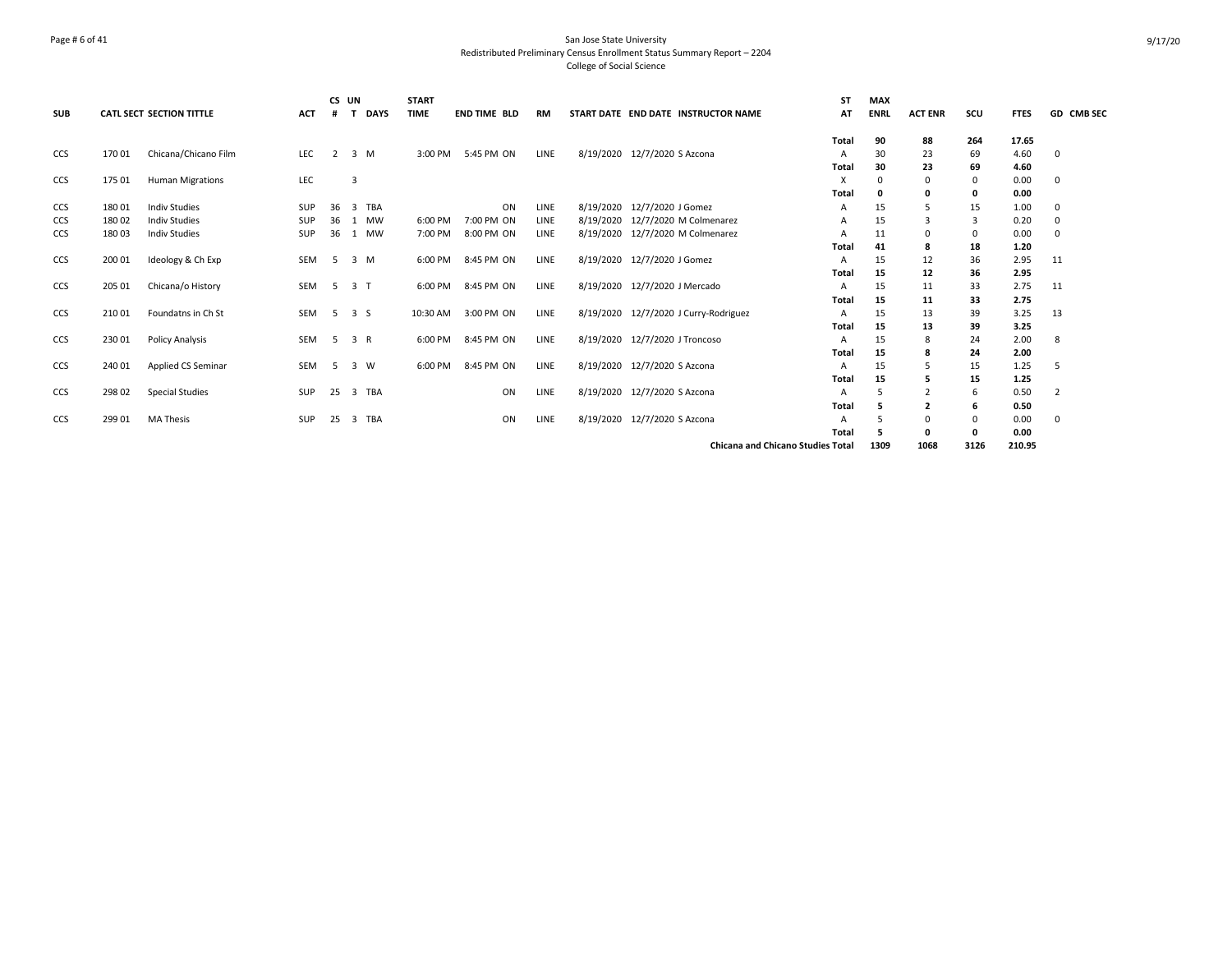## Page # 6 of 41 San Jose State University Redistributed Preliminary Census Enrollment Status Summary Report – 2204 College of Social Science

| <b>SUB</b> |        | <b>CATL SECT SECTION TITTLE</b> | <b>ACT</b> |                | CS UN          | <b>DAYS</b> | <b>START</b><br><b>TIME</b> | <b>END TIME BLD</b> | RM          | START DATE END DATE INSTRUCTOR NAME      | ST<br>AT     | <b>MAX</b><br><b>ENRL</b> | <b>ACT ENR</b> | scu     | <b>FTES</b>  | GD CMB SEC     |
|------------|--------|---------------------------------|------------|----------------|----------------|-------------|-----------------------------|---------------------|-------------|------------------------------------------|--------------|---------------------------|----------------|---------|--------------|----------------|
|            |        |                                 |            |                |                |             |                             |                     |             |                                          | <b>Total</b> | 90                        | 88             | 264     | 17.65        |                |
| <b>CCS</b> | 170 01 | Chicana/Chicano Film            | LEC        | $\overline{2}$ |                | $3 \, M$    | 3:00 PM                     | 5:45 PM ON          | LINE        | 8/19/2020 12/7/2020 S Azcona             | Α            | 30                        | 23             | 69      | 4.60         | 0              |
|            |        |                                 |            |                |                |             |                             |                     |             |                                          | Total        | 30                        | 23             | 69      | 4.60         |                |
| <b>CCS</b> | 175 01 | <b>Human Migrations</b>         | LEC        |                | $\overline{3}$ |             |                             |                     |             |                                          | x            | O                         | 0              | 0       | 0.00<br>0.00 | 0              |
| <b>CCS</b> | 18001  | <b>Indiv Studies</b>            | <b>SUP</b> | 36             |                | 3 TBA       |                             | ON                  | LINE        | 8/19/2020 12/7/2020 J Gomez              | Total<br>A   | 15                        | 0<br>5         | 0<br>15 | 1.00         | 0              |
| <b>CCS</b> | 18002  | <b>Indiv Studies</b>            | SUP        | 36 1           |                | MW          | 6:00 PM                     | 7:00 PM ON          | LINE        | 8/19/2020 12/7/2020 M Colmenarez         | А            | 15                        |                | 3       | 0.20         | 0              |
| <b>CCS</b> | 18003  | <b>Indiv Studies</b>            | SUP        | 36             |                | 1 MW        | 7:00 PM                     | 8:00 PM ON          | <b>LINE</b> | 8/19/2020 12/7/2020 M Colmenarez         | A            | 11                        | 0              | 0       | 0.00         | $\Omega$       |
|            |        |                                 |            |                |                |             |                             |                     |             |                                          | <b>Total</b> | 41                        | 8              | 18      | 1.20         |                |
| CCS        | 200 01 | Ideology & Ch Exp               | SEM        | -5             |                | 3 M         | 6:00 PM                     | 8:45 PM ON          | LINE        | 8/19/2020 12/7/2020 J Gomez              | А            | 15                        | 12             | 36      | 2.95         | 11             |
|            |        |                                 |            |                |                |             |                             |                     |             |                                          | Total        | 15                        | 12             | 36      | 2.95         |                |
| CCS        | 205 01 | Chicana/o History               | SEM        | -5             | 3 <sub>1</sub> |             | 6:00 PM                     | 8:45 PM ON          | LINE        | 8/19/2020 12/7/2020 J Mercado            | A            | 15                        | 11             | 33      | 2.75         | 11             |
|            |        |                                 |            |                |                |             |                             |                     |             |                                          | Total        | 15                        | 11             | 33      | 2.75         |                |
| <b>CCS</b> | 21001  | Foundatns in Ch St              | SEM        | -5             | 3S             |             | 10:30 AM                    | 3:00 PM ON          | LINE        | 8/19/2020 12/7/2020 J Curry-Rodriguez    | A            | 15                        | 13             | 39      | 3.25         | 13             |
|            |        |                                 |            |                |                |             |                             |                     |             |                                          | Total        | 15                        | 13             | 39      | 3.25         |                |
| <b>CCS</b> | 230 01 | <b>Policy Analysis</b>          | SEM        | -5             | 3 R            |             | 6:00 PM                     | 8:45 PM ON          | LINE        | 8/19/2020 12/7/2020 J Troncoso           | A            | 15                        | 8              | 24      | 2.00         | 8              |
|            |        |                                 |            |                |                |             |                             |                     |             |                                          | Total        | 15                        | 8              | 24      | 2.00         |                |
| <b>CCS</b> | 240 01 | Applied CS Seminar              | SEM        | -5             |                | 3 W         | 6:00 PM                     | 8:45 PM ON          | LINE        | 8/19/2020 12/7/2020 S Azcona             | A            | 15                        |                | 15      | 1.25         | .5             |
|            |        |                                 |            |                |                |             |                             |                     |             |                                          | <b>Total</b> | 15                        |                | 15      | 1.25         |                |
| <b>CCS</b> | 29802  | <b>Special Studies</b>          | SUP        | 25             |                | 3 TBA       |                             | ON                  | LINE        | 8/19/2020 12/7/2020 S Azcona             | A            | 5                         |                | 6       | 0.50         | $\overline{2}$ |
|            |        |                                 |            |                |                |             |                             |                     |             |                                          | Total        | 5                         | $\overline{2}$ | 6       | 0.50         |                |
| <b>CCS</b> | 299 01 | <b>MA Thesis</b>                | SUP        | 25             | $\overline{3}$ | TBA         |                             | ON                  | LINE        | 8/19/2020 12/7/2020 S Azcona             | A            |                           | 0              | 0       | 0.00         | 0              |
|            |        |                                 |            |                |                |             |                             |                     |             |                                          | Total        |                           | 0              | 0       | 0.00         |                |
|            |        |                                 |            |                |                |             |                             |                     |             | <b>Chicana and Chicano Studies Total</b> |              | 1309                      | 1068           | 3126    | 210.95       |                |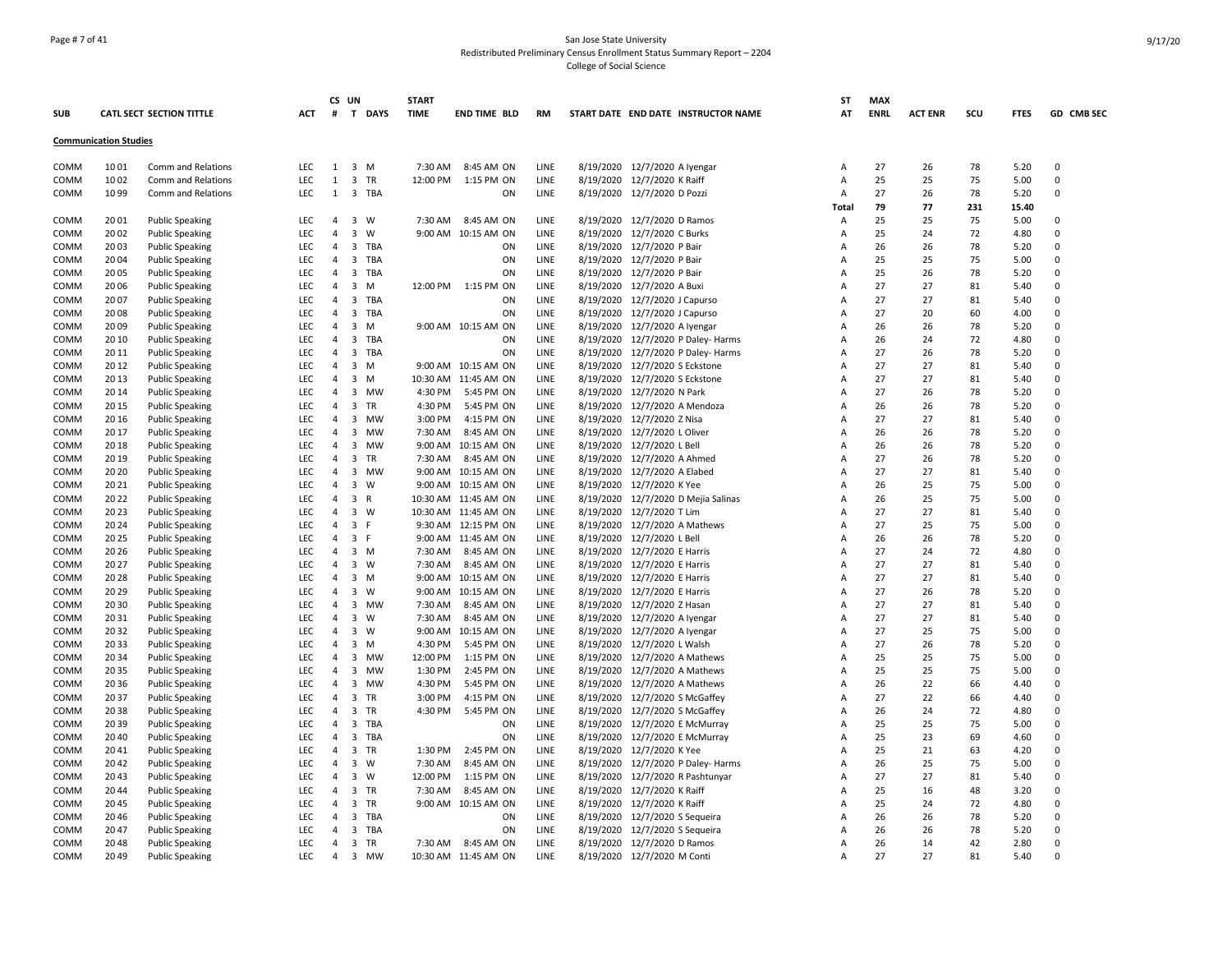## Page # 7 of 41 San Jose State University Redistributed Preliminary Census Enrollment Status Summary Report – 2204 College of Social Science

|             |                              |                                 |            |                | CS UN                   |           | <b>START</b> |                       |             |                                     | ST    | <b>MAX</b>  |                |     |             |                |
|-------------|------------------------------|---------------------------------|------------|----------------|-------------------------|-----------|--------------|-----------------------|-------------|-------------------------------------|-------|-------------|----------------|-----|-------------|----------------|
| <b>SUB</b>  |                              | <b>CATL SECT SECTION TITTLE</b> | <b>ACT</b> |                |                         | # T DAYS  | <b>TIME</b>  | END TIME BLD          | RM          | START DATE END DATE INSTRUCTOR NAME | AT    | <b>ENRL</b> | <b>ACT ENR</b> | scu | <b>FTES</b> | GD CMB SEC     |
|             | <b>Communication Studies</b> |                                 |            |                |                         |           |              |                       |             |                                     |       |             |                |     |             |                |
| COMM        | 1001                         | Comm and Relations              | <b>LEC</b> | 1              |                         | 3 M       | 7:30 AM      | 8:45 AM ON            | LINE        | 8/19/2020 12/7/2020 A Iyengar       | Α     | 27          | 26             | 78  | 5.20        | $\mathbf 0$    |
| COMM        | 1002                         | Comm and Relations              | <b>LEC</b> | 1              |                         | 3 TR      |              | 12:00 PM 1:15 PM ON   | <b>LINE</b> | 8/19/2020 12/7/2020 K Raiff         | Α     | 25          | 25             | 75  | 5.00        | $\overline{0}$ |
| COMM        | 1099                         | Comm and Relations              | <b>LEC</b> | 1              |                         | 3 TBA     |              | ON                    | LINE        | 8/19/2020 12/7/2020 D Pozzi         | Α     | 27          | 26             | 78  | 5.20        | $\mathbf 0$    |
|             |                              |                                 |            |                |                         |           |              |                       |             |                                     | Total | 79          | 77             | 231 | 15.40       |                |
| COMM        | 2001                         | <b>Public Speaking</b>          | LEC        |                |                         | 4 3 W     |              | 7:30 AM 8:45 AM ON    | LINE        | 8/19/2020 12/7/2020 D Ramos         | Α     | 25          | 25             | 75  | 5.00        | $\Omega$       |
| COMM        | 2002                         | <b>Public Speaking</b>          | LEC        | $\overline{4}$ | $\overline{\mathbf{3}}$ | W         |              | 9:00 AM 10:15 AM ON   | LINE        | 8/19/2020 12/7/2020 C Burks         | Α     | 25          | 24             | 72  | 4.80        | $\overline{0}$ |
| COMM        | 2003                         | <b>Public Speaking</b>          | LEC        | 4              |                         | 3 TBA     |              | ON                    | LINE        | 8/19/2020 12/7/2020 P Bair          | Α     | 26          | 26             | 78  | 5.20        | $\mathbf 0$    |
| COMM        | 2004                         | <b>Public Speaking</b>          | <b>LEC</b> | $\overline{4}$ | $\overline{\mathbf{3}}$ | TBA       |              | ON                    | LINE        | 8/19/2020 12/7/2020 P Bair          | Α     | 25          | 25             | 75  | 5.00        | $\Omega$       |
| <b>COMM</b> | 2005                         | <b>Public Speaking</b>          | <b>LEC</b> | $\overline{4}$ |                         | 3 TBA     |              | ON                    | <b>LINE</b> | 8/19/2020 12/7/2020 P Bair          | А     | 25          | 26             | 78  | 5.20        | $\Omega$       |
| COMM        | 20 06                        | <b>Public Speaking</b>          | <b>LEC</b> | $\overline{4}$ | $\overline{\mathbf{3}}$ | M         |              | 12:00 PM   1:15 PM ON | LINE        | 8/19/2020 12/7/2020 A Buxi          | Α     | 27          | 27             | 81  | 5.40        | $\mathbf 0$    |
| COMM        | 2007                         | <b>Public Speaking</b>          | LEC        | $\overline{4}$ | $\overline{\mathbf{3}}$ | TBA       |              | ON                    | LINE        | 8/19/2020 12/7/2020 J Capurso       | Α     | 27          | 27             | 81  | 5.40        | $\mathbf 0$    |
| COMM        | 2008                         | <b>Public Speaking</b>          | LEC        | 4              |                         | 3 TBA     |              | ON                    | LINE        | 8/19/2020 12/7/2020 J Capurso       | Α     | 27          | 20             | 60  | 4.00        | $\mathbf 0$    |
| COMM        | 2009                         | <b>Public Speaking</b>          | <b>LEC</b> | 4              |                         | 3 M       |              | 9:00 AM 10:15 AM ON   | LINE        | 8/19/2020 12/7/2020 A Iyengar       | Α     | 26          | 26             | 78  | 5.20        | $\overline{0}$ |
| COMM        | 20 10                        | <b>Public Speaking</b>          | LEC        | $\overline{4}$ |                         | 3 TBA     |              | ON                    | LINE        | 8/19/2020 12/7/2020 P Daley- Harms  | Α     | 26          | 24             | 72  | 4.80        | $\Omega$       |
| COMM        | 20 11                        | <b>Public Speaking</b>          | <b>LEC</b> | $\overline{4}$ | $\overline{\mathbf{3}}$ | TBA       |              | ON                    | LINE        | 8/19/2020 12/7/2020 P Daley- Harms  | Α     | 27          | 26             | 78  | 5.20        | $\Omega$       |
| <b>COMM</b> | 2012                         | <b>Public Speaking</b>          | <b>LEC</b> | $\overline{4}$ |                         | 3 M       |              | 9:00 AM 10:15 AM ON   | <b>LINE</b> | 8/19/2020 12/7/2020 S Eckstone      | A     | 27          | 27             | 81  | 5.40        | $\Omega$       |
| COMM        | 20 13                        | <b>Public Speaking</b>          | LEC        | $\overline{4}$ | $\overline{\mathbf{3}}$ | M         |              | 10:30 AM 11:45 AM ON  | LINE        | 8/19/2020 12/7/2020 S Eckstone      | A     | 27          | 27             | 81  | 5.40        | $\Omega$       |
| COMM        | 20 14                        | <b>Public Speaking</b>          | <b>LEC</b> | $\overline{4}$ |                         | 3 MW      | 4:30 PM      | 5:45 PM ON            | LINE        | 8/19/2020 12/7/2020 N Park          | Α     | 27          | 26             | 78  | 5.20        | $\overline{0}$ |
| COMM        | 20 15                        | <b>Public Speaking</b>          | <b>LEC</b> | 4              | $\overline{\mathbf{3}}$ | TR        | 4:30 PM      | 5:45 PM ON            | LINE        | 8/19/2020 12/7/2020 A Mendoza       | Α     | 26          | 26             | 78  | 5.20        | $\mathbf 0$    |
| COMM        | 20 16                        | <b>Public Speaking</b>          | <b>LEC</b> | 4              | $\overline{\mathbf{3}}$ | MW        | 3:00 PM      | 4:15 PM ON            | LINE        | 8/19/2020 12/7/2020 Z Nisa          | Α     | 27          | 27             | 81  | 5.40        | $\Omega$       |
| COMM        | 20 17                        | <b>Public Speaking</b>          | <b>LEC</b> | $\overline{4}$ | $\overline{\mathbf{3}}$ | MW        | 7:30 AM      | 8:45 AM ON            | LINE        | 8/19/2020 12/7/2020 L Oliver        | Α     | 26          | 26             | 78  | 5.20        | $\Omega$       |
| COMM        | 2018                         | <b>Public Speaking</b>          | <b>LEC</b> | $\overline{4}$ | $\overline{\mathbf{3}}$ | MW        |              | 9:00 AM 10:15 AM ON   | LINE        | 8/19/2020 12/7/2020 L Bell          | A     | 26          | 26             | 78  | 5.20        | $\Omega$       |
| COMM        | 20 19                        | <b>Public Speaking</b>          | LEC        | $\overline{4}$ |                         | 3 TR      | 7:30 AM      | 8:45 AM ON            | LINE        | 8/19/2020 12/7/2020 A Ahmed         | Α     | 27          | 26             | 78  | 5.20        | $\mathbf 0$    |
| COMM        | 20 20                        | <b>Public Speaking</b>          | <b>LEC</b> | $\overline{4}$ | $\overline{\mathbf{3}}$ | MW        |              | 9:00 AM 10:15 AM ON   | <b>LINE</b> | 8/19/2020 12/7/2020 A Elabed        | Α     | 27          | 27             | 81  | 5.40        | $\Omega$       |
| COMM        | 20 21                        | <b>Public Speaking</b>          | <b>LEC</b> | $\overline{4}$ | $\overline{\mathbf{3}}$ | <b>W</b>  |              | 9:00 AM 10:15 AM ON   | LINE        | 8/19/2020 12/7/2020 K Yee           | A     | 26          | 25             | 75  | 5.00        | $\mathbf 0$    |
| COMM        | 20 22                        | <b>Public Speaking</b>          | LEC        | 4              |                         | 3 R       |              | 10:30 AM 11:45 AM ON  | LINE        | 8/19/2020 12/7/2020 D Mejia Salinas | Α     | 26          | 25             | 75  | 5.00        | $\mathbf 0$    |
| COMM        | 2023                         | <b>Public Speaking</b>          | <b>LEC</b> | 4              |                         | 3 W       |              | 10:30 AM 11:45 AM ON  | LINE        | 8/19/2020 12/7/2020 T Lim           | Α     | 27          | 27             | 81  | 5.40        | $\mathbf 0$    |
| COMM        | 20 24                        | <b>Public Speaking</b>          | LEC        | 4              | 3 F                     |           |              | 9:30 AM 12:15 PM ON   | LINE        | 8/19/2020 12/7/2020 A Mathews       | A     | 27          | 25             | 75  | 5.00        | $\Omega$       |
| COMM        | 20 25                        | <b>Public Speaking</b>          | <b>LEC</b> | 4              |                         | 3 F       |              | 9:00 AM 11:45 AM ON   | LINE        | 8/19/2020 12/7/2020 L Bell          | Α     | 26          | 26             | 78  | 5.20        | $\mathbf 0$    |
| COMM        | 20 26                        | <b>Public Speaking</b>          | LEC        | 4              |                         | 3 M       | 7:30 AM      | 8:45 AM ON            | LINE        | 8/19/2020 12/7/2020 E Harris        | Α     | 27          | 24             | 72  | 4.80        | $\mathbf 0$    |
| COMM        | 20 27                        | <b>Public Speaking</b>          | <b>LEC</b> | $\overline{4}$ |                         | 3 W       | 7:30 AM      | 8:45 AM ON            | <b>LINE</b> | 8/19/2020 12/7/2020 E Harris        | А     | 27          | 27             | 81  | 5.40        | $\mathbf 0$    |
| COMM        | 2028                         | <b>Public Speaking</b>          | <b>LEC</b> | $\overline{4}$ |                         | 3 M       |              | 9:00 AM 10:15 AM ON   | LINE        | 8/19/2020 12/7/2020 E Harris        | A     | 27          | 27             | 81  | 5.40        | $\Omega$       |
| COMM        | 20 29                        | <b>Public Speaking</b>          | <b>LEC</b> | $\overline{4}$ |                         | 3 W       |              | 9:00 AM 10:15 AM ON   | LINE        | 8/19/2020 12/7/2020 E Harris        | Α     | 27          | 26             | 78  | 5.20        | $\mathbf 0$    |
| COMM        | 20 30                        | <b>Public Speaking</b>          | LEC        | 4              |                         | 3 MW      | 7:30 AM      | 8:45 AM ON            | LINE        | 8/19/2020 12/7/2020 Z Hasan         | Α     | 27          | 27             | 81  | 5.40        | $\Omega$       |
| COMM        | 2031                         | <b>Public Speaking</b>          | LEC        | 4              | $\overline{\mathbf{3}}$ | w         | 7:30 AM      | 8:45 AM ON            | LINE        | 8/19/2020 12/7/2020 A Iyengar       | Α     | 27          | 27             | 81  | 5.40        | $\mathbf 0$    |
| COMM        | 20 32                        | <b>Public Speaking</b>          | <b>LEC</b> | 4              | $\overline{\mathbf{3}}$ | W         |              | 9:00 AM 10:15 AM ON   | LINE        | 8/19/2020 12/7/2020 A Iyengar       | Α     | 27          | 25             | 75  | 5.00        | $\Omega$       |
| COMM        | 2033                         | <b>Public Speaking</b>          | LEC        | 4              |                         | 3 M       | 4:30 PM      | 5:45 PM ON            | LINE        | 8/19/2020 12/7/2020 L Walsh         | Α     | 27          | 26             | 78  | 5.20        | $\Omega$       |
| COMM        | 20 34                        | <b>Public Speaking</b>          | LEC.       | $\overline{4}$ | $\overline{\mathbf{3}}$ | MW        | 12:00 PM     | 1:15 PM ON            | <b>LINE</b> | 8/19/2020 12/7/2020 A Mathews       | A     | 25          | 25             | 75  | 5.00        | $\Omega$       |
| COMM        | 2035                         | <b>Public Speaking</b>          | <b>LEC</b> | $\overline{4}$ | $\overline{\mathbf{3}}$ | <b>MW</b> | 1:30 PM      | 2:45 PM ON            | LINE        | 8/19/2020 12/7/2020 A Mathews       | A     | 25          | 25             | 75  | 5.00        | $\Omega$       |
| COMM        | 2036                         | <b>Public Speaking</b>          | LEC        | $\overline{4}$ | $\overline{\mathbf{3}}$ | MW        | 4:30 PM      | 5:45 PM ON            | LINE        | 8/19/2020 12/7/2020 A Mathews       | A     | 26          | 22             | 66  | 4.40        | $\mathbf 0$    |
| COMM        | 2037                         | <b>Public Speaking</b>          | LEC        | 4              |                         | 3 TR      | 3:00 PM      | 4:15 PM ON            | LINE        | 8/19/2020 12/7/2020 S McGaffey      | Α     | 27          | 22             | 66  | 4.40        | $\mathsf 0$    |
| COMM        | 2038                         | <b>Public Speaking</b>          | LEC        | 4              | $\overline{\mathbf{3}}$ | TR        | 4:30 PM      | 5:45 PM ON            | LINE        | 8/19/2020 12/7/2020 S McGaffey      | Α     | 26          | 24             | 72  | 4.80        | $\Omega$       |
| COMM        | 20 39                        | <b>Public Speaking</b>          | <b>LEC</b> | $\overline{4}$ | $\overline{\mathbf{3}}$ | TBA       |              | ON                    | LINE        | 8/19/2020 12/7/2020 E McMurray      | Α     | 25          | 25             | 75  | 5.00        | $\Omega$       |
| COMM        | 2040                         | <b>Public Speaking</b>          | <b>LEC</b> | $\overline{4}$ |                         | 3 TBA     |              | ON                    | LINE        | 8/19/2020 12/7/2020 E McMurray      | Α     | 25          | 23             | 69  | 4.60        | $\Omega$       |
| COMM        | 2041                         | <b>Public Speaking</b>          | LEC        | 4              | $\overline{\mathbf{3}}$ | TR        | 1:30 PM      | 2:45 PM ON            | LINE        | 8/19/2020 12/7/2020 K Yee           | A     | 25          | 21             | 63  | 4.20        | 0              |
| COMM        | 2042                         | <b>Public Speaking</b>          | LEC        | $\overline{4}$ |                         | 3 W       | 7:30 AM      | 8:45 AM ON            | LINE        | 8/19/2020 12/7/2020 P Daley- Harms  | Α     | 26          | 25             | 75  | 5.00        | $\mathbf 0$    |
| COMM        | 2043                         | <b>Public Speaking</b>          | <b>LEC</b> | $\overline{4}$ |                         | 3 W       | 12:00 PM     | 1:15 PM ON            | LINE        | 8/19/2020 12/7/2020 R Pashtunyar    | Α     | 27          | 27             | 81  | 5.40        | $\mathbf 0$    |
| COMM        | 2044                         | <b>Public Speaking</b>          | <b>LEC</b> | 4              |                         | 3 TR      | 7:30 AM      | 8:45 AM ON            | LINE        | 8/19/2020 12/7/2020 K Raiff         | Α     | 25          | 16             | 48  | 3.20        | 0              |
| COMM        | 2045                         | <b>Public Speaking</b>          | LEC        | 4              |                         | 3 TR      |              | 9:00 AM 10:15 AM ON   | LINE        | 8/19/2020 12/7/2020 K Raiff         | Α     | 25          | 24             | 72  | 4.80        | $\Omega$       |
| COMM        | 2046                         | <b>Public Speaking</b>          | LEC        | $\overline{4}$ | $\overline{\mathbf{3}}$ | TBA       |              | ON                    | LINE        | 8/19/2020 12/7/2020 S Sequeira      | А     | 26          | 26             | 78  | 5.20        | $\Omega$       |
| COMM        | 2047                         | <b>Public Speaking</b>          | LEC        | 4              |                         | 3 TBA     |              | ON                    | LINE        | 8/19/2020 12/7/2020 S Sequeira      | А     | 26          | 26             | 78  | 5.20        | $\Omega$       |
| COMM        | 2048                         | <b>Public Speaking</b>          | LEC        | $\overline{4}$ |                         | 3 TR      | 7:30 AM      | 8:45 AM ON            | LINE        | 8/19/2020 12/7/2020 D Ramos         | Α     | 26          | 14             | 42  | 2.80        | $\mathbf 0$    |
| COMM        | 2049                         | <b>Public Speaking</b>          | LEC.       | $\overline{4}$ |                         | 3 MW      |              | 10:30 AM 11:45 AM ON  | <b>LINE</b> | 8/19/2020 12/7/2020 M Conti         | A     | 27          | 27             | 81  | 5.40        | $\Omega$       |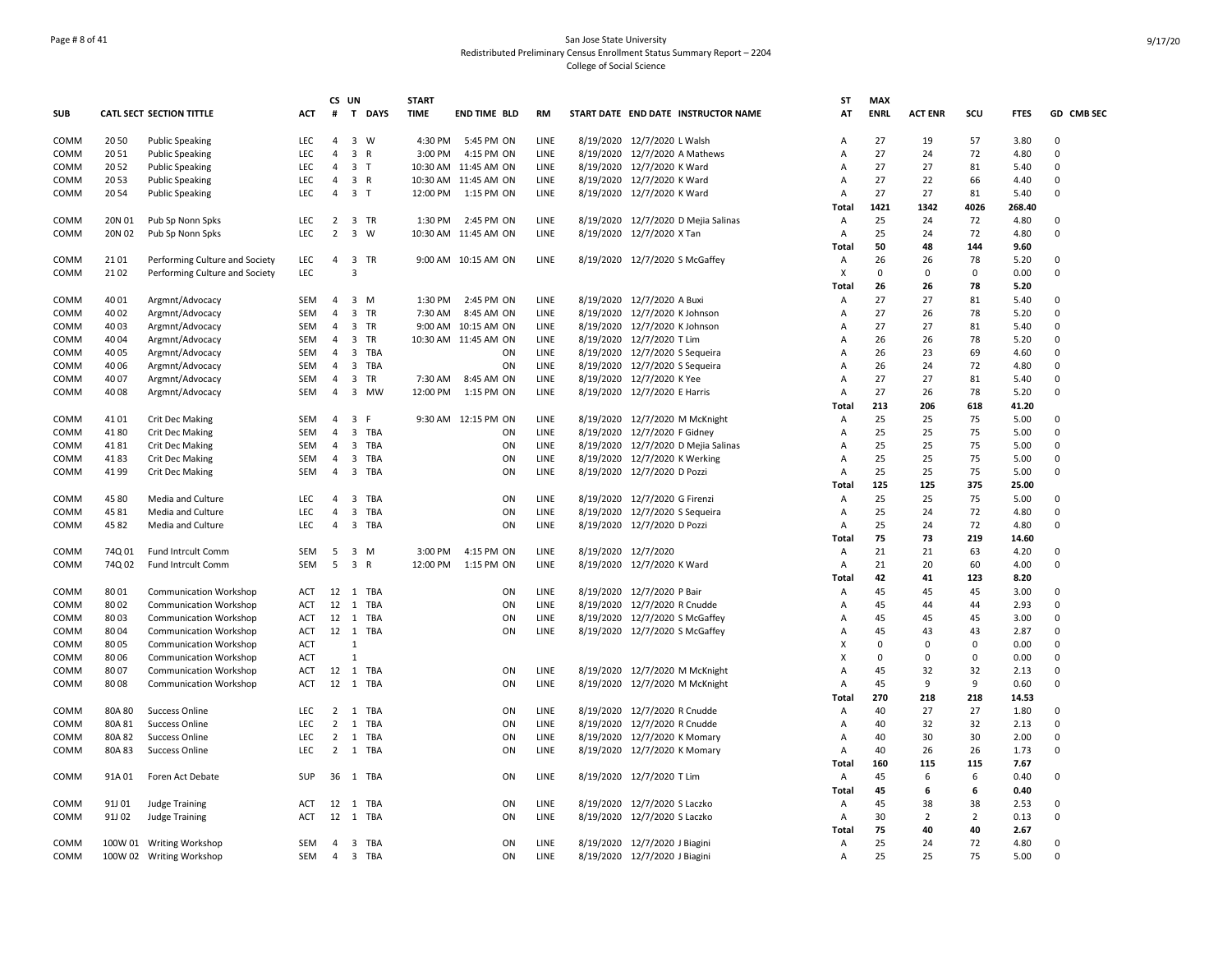## Page # 8 of 41 San Jose State University Redistributed Preliminary Census Enrollment Status Summary Report – 2204 College of Social Science

|            |        |                                |            |                | CS UN                   |          | <b>START</b> |                      |      |                                |                                     | SΤ    | <b>MAX</b>  |                |             |             |             |
|------------|--------|--------------------------------|------------|----------------|-------------------------|----------|--------------|----------------------|------|--------------------------------|-------------------------------------|-------|-------------|----------------|-------------|-------------|-------------|
| <b>SUB</b> |        | CATL SECT SECTION TITTLE       | ACT        | #              |                         | T DAYS   | <b>TIME</b>  | END TIME BLD         | RM   |                                | START DATE END DATE INSTRUCTOR NAME | AT    | <b>ENRL</b> | <b>ACT ENR</b> | scu         | <b>FTES</b> | GD CMB SEC  |
| COMM       | 20 50  | <b>Public Speaking</b>         | <b>LEC</b> | $\overline{4}$ |                         | 3 W      |              | 4:30 PM 5:45 PM ON   | LINE | 8/19/2020 12/7/2020 L Walsh    |                                     | A     | 27          | 19             | 57          | 3.80        | $\Omega$    |
| COMM       | 2051   | <b>Public Speaking</b>         | LEC        | $\overline{4}$ |                         | 3 R      | 3:00 PM      | 4:15 PM ON           | LINE |                                | 8/19/2020 12/7/2020 A Mathews       | A     | 27          | 24             | 72          | 4.80        | $\Omega$    |
| COMM       | 2052   | <b>Public Speaking</b>         | <b>LEC</b> | $\overline{4}$ | 3 <sub>1</sub>          |          |              | 10:30 AM 11:45 AM ON | LINE | 8/19/2020 12/7/2020 K Ward     |                                     | А     | 27          | 27             | 81          | 5.40        | $\mathbf 0$ |
| COMM       | 2053   | <b>Public Speaking</b>         | <b>LEC</b> | $\overline{4}$ |                         | 3 R      |              | 10:30 AM 11:45 AM ON | LINE | 8/19/2020 12/7/2020 K Ward     |                                     | Α     | 27          | 22             | 66          | 4.40        | $\Omega$    |
| COMM       | 2054   | <b>Public Speaking</b>         | LEC        | 4              | 3 T                     |          | 12:00 PM     | 1:15 PM ON           | LINE | 8/19/2020 12/7/2020 K Ward     |                                     | Α     | 27          | 27             | 81          | 5.40        | $\mathbf 0$ |
|            |        |                                |            |                |                         |          |              |                      |      |                                |                                     | Total | 1421        | 1342           | 4026        | 268.40      |             |
| COMM       | 20N 01 | Pub Sp Nonn Spks               | <b>LEC</b> | $\overline{2}$ |                         | 3 TR     | 1:30 PM      | 2:45 PM ON           | LINE |                                | 8/19/2020 12/7/2020 D Mejia Salinas | Α     | 25          | 24             | 72          | 4.80        | $\Omega$    |
| COMM       | 20N 02 | Pub Sp Nonn Spks               | LEC        | $\overline{2}$ |                         | 3 W      |              | 10:30 AM 11:45 AM ON | LINE | 8/19/2020 12/7/2020 X Tan      |                                     | Α     | 25          | 24             | 72          | 4.80        | $\mathbf 0$ |
|            |        |                                |            |                |                         |          |              |                      |      |                                |                                     | Total | 50          | 48             | 144         | 9.60        |             |
| COMM       | 2101   | Performing Culture and Society | <b>LEC</b> | 4              |                         | 3 TR     |              | 9:00 AM 10:15 AM ON  | LINE |                                | 8/19/2020 12/7/2020 S McGaffey      | Α     | 26          | 26             | 78          | 5.20        | 0           |
| COMM       | 2102   | Performing Culture and Society | LEC        |                | 3                       |          |              |                      |      |                                |                                     | X     | $\Omega$    | $\mathbf 0$    | $\mathbf 0$ | 0.00        | $\Omega$    |
|            |        |                                |            |                |                         |          |              |                      |      |                                |                                     | Total | 26          | 26             | 78          | 5.20        |             |
| COMM       | 40 01  | Argmnt/Advocacy                | SEM        | $\overline{4}$ |                         | 3 M      | 1:30 PM      | 2:45 PM ON           | LINE | 8/19/2020 12/7/2020 A Buxi     |                                     | Α     | 27          | 27             | 81          | 5.40        | $\Omega$    |
| COMM       | 40 02  | Argmnt/Advocacy                | SEM        | $\overline{4}$ |                         | 3 TR     | 7:30 AM      | 8:45 AM ON           | LINE | 8/19/2020 12/7/2020 K Johnson  |                                     | Α     | 27          | 26             | 78          | 5.20        | $\mathbf 0$ |
| COMM       | 40 03  | Argmnt/Advocacy                | SEM        | $\overline{4}$ |                         | 3 TR     |              | 9:00 AM 10:15 AM ON  | LINE | 8/19/2020 12/7/2020 K Johnson  |                                     | Α     | 27          | 27             | 81          | 5.40        | $\mathbf 0$ |
| COMM       | 40 04  | Argmnt/Advocacy                | <b>SEM</b> | $\overline{4}$ |                         | 3 TR     |              | 10:30 AM 11:45 AM ON | LINE | 8/19/2020 12/7/2020 T Lim      |                                     | A     | 26          | 26             | 78          | 5.20        | $\Omega$    |
| COMM       | 40 05  | Argmnt/Advocacy                | <b>SEM</b> | $\overline{4}$ |                         | 3 TBA    |              | ON                   | LINE | 8/19/2020 12/7/2020 S Sequeira |                                     | A     | 26          | 23             | 69          | 4.60        | $\Omega$    |
|            |        |                                | <b>SEM</b> | $\overline{4}$ |                         | 3 TBA    |              | ON                   | LINE |                                |                                     | A     | 26          | 24             | 72          | 4.80        | $\Omega$    |
| COMM       | 40 06  | Argmnt/Advocacy                |            |                |                         |          |              |                      |      | 8/19/2020 12/7/2020 S Sequeira |                                     |       |             |                |             |             |             |
| COMM       | 40 07  | Argmnt/Advocacy                | SEM        | 4              |                         | 3 TR     | 7:30 AM      | 8:45 AM ON           | LINE | 8/19/2020 12/7/2020 K Yee      |                                     | Α     | 27          | 27             | 81          | 5.40        | $\mathbf 0$ |
| COMM       | 4008   | Argmnt/Advocacy                | <b>SEM</b> | 4              |                         | 3 MW     | 12:00 PM     | 1:15 PM ON           | LINE | 8/19/2020 12/7/2020 E Harris   |                                     | Α     | 27          | 26             | 78          | 5.20        | $\Omega$    |
|            |        |                                |            |                |                         |          |              |                      |      |                                |                                     | Total | 213         | 206            | 618         | 41.20       |             |
| COMM       | 4101   | <b>Crit Dec Making</b>         | <b>SEM</b> | $\overline{4}$ | $\overline{\mathbf{3}}$ | - F      |              | 9:30 AM 12:15 PM ON  | LINE |                                | 8/19/2020 12/7/2020 M McKnight      | Α     | 25          | 25             | 75          | 5.00        | $\Omega$    |
| COMM       | 4180   | <b>Crit Dec Making</b>         | <b>SEM</b> | $\overline{4}$ | $\overline{3}$          | TBA      |              | ON                   | LINE | 8/19/2020 12/7/2020 F Gidney   |                                     | A     | 25          | 25             | 75          | 5.00        | $\Omega$    |
| COMM       | 4181   | <b>Crit Dec Making</b>         | SEM        | $\overline{4}$ | $\overline{\mathbf{3}}$ | TBA      |              | ON                   | LINE |                                | 8/19/2020 12/7/2020 D Mejia Salinas | Α     | 25          | 25             | 75          | 5.00        | $\mathbf 0$ |
| COMM       | 4183   | <b>Crit Dec Making</b>         | SEM        | $\overline{4}$ | $\overline{\mathbf{3}}$ | TBA      |              | ON                   | LINE | 8/19/2020 12/7/2020 K Werking  |                                     | Α     | 25          | 25             | 75          | 5.00        | $\Omega$    |
| COMM       | 4199   | <b>Crit Dec Making</b>         | SEM        | $\overline{4}$ |                         | 3 TBA    |              | ON                   | LINE | 8/19/2020 12/7/2020 D Pozzi    |                                     | Α     | 25          | 25             | 75          | 5.00        | $\mathbf 0$ |
|            |        |                                |            |                |                         |          |              |                      |      |                                |                                     | Total | 125         | 125            | 375         | 25.00       |             |
| COMM       | 45 80  | Media and Culture              | <b>LEC</b> | $\overline{4}$ |                         | 3 TBA    |              | ON                   | LINE | 8/19/2020 12/7/2020 G Firenzi  |                                     | Α     | 25          | 25             | 75          | 5.00        | $\Omega$    |
| COMM       | 4581   | Media and Culture              | LEC        | 4              |                         | 3 TBA    |              | ON                   | LINE | 8/19/2020 12/7/2020 S Sequeira |                                     | Α     | 25          | 24             | 72          | 4.80        | $\Omega$    |
| COMM       | 4582   | Media and Culture              | <b>LEC</b> | 4              | $\overline{\mathbf{3}}$ | TBA      |              | ON                   | LINE | 8/19/2020 12/7/2020 D Pozzi    |                                     | Α     | 25          | 24             | 72          | 4.80        | 0           |
|            |        |                                |            |                |                         |          |              |                      |      |                                |                                     | Total | 75          | 73             | 219         | 14.60       |             |
| COMM       | 74Q 01 | Fund Intrcult Comm             | <b>SEM</b> | 5              |                         | 3 M      | 3:00 PM      | 4:15 PM ON           | LINE | 8/19/2020 12/7/2020            |                                     | Α     | 21          | 21             | 63          | 4.20        | $\Omega$    |
| COMM       | 74Q02  | Fund Intrcult Comm             | <b>SEM</b> | 5              |                         | 3 R      | 12:00 PM     | 1:15 PM ON           | LINE | 8/19/2020 12/7/2020 K Ward     |                                     | Α     | 21          | 20             | 60          | 4.00        | $\Omega$    |
|            |        |                                |            |                |                         |          |              |                      |      |                                |                                     | Total | 42          | 41             | 123         | 8.20        |             |
| COMM       | 8001   | <b>Communication Workshop</b>  | ACT        | 12             |                         | 1 TBA    |              | ON                   | LINE | 8/19/2020 12/7/2020 P Bair     |                                     | Α     | 45          | 45             | 45          | 3.00        | $\mathbf 0$ |
| COMM       | 8002   | <b>Communication Workshop</b>  | ACT        |                |                         | 12 1 TBA |              | ON                   | LINE | 8/19/2020 12/7/2020 R Cnudde   |                                     | A     | 45          | 44             | 44          | 2.93        | $\mathbf 0$ |
| COMM       | 8003   | <b>Communication Workshop</b>  | ACT        | 12             | $\overline{1}$          | TBA      |              | ON                   | LINE |                                | 8/19/2020 12/7/2020 S McGaffey      | Α     | 45          | 45             | 45          | 3.00        | $\Omega$    |
| COMM       | 8004   | <b>Communication Workshop</b>  | <b>ACT</b> |                |                         | 12 1 TBA |              | ON                   | LINE |                                | 8/19/2020 12/7/2020 S McGaffey      | A     | 45          | 43             | 43          | 2.87        | $\Omega$    |
| COMM       | 8005   | <b>Communication Workshop</b>  | <b>ACT</b> |                | $\mathbf{1}$            |          |              |                      |      |                                |                                     | X     | $\Omega$    | $\Omega$       | $\Omega$    | 0.00        | $\Omega$    |
| COMM       | 8006   | <b>Communication Workshop</b>  | ACT        |                | $\mathbf{1}$            |          |              |                      |      |                                |                                     | X     | $\Omega$    | $\mathbf 0$    | $\Omega$    | 0.00        | $\mathbf 0$ |
| COMM       | 8007   | <b>Communication Workshop</b>  | ACT        | 12 1           |                         | TBA      |              | ON                   | LINE |                                | 8/19/2020 12/7/2020 M McKnight      | Α     | 45          | 32             | 32          | 2.13        | $\mathbf 0$ |
| COMM       | 8008   | <b>Communication Workshop</b>  | <b>ACT</b> |                |                         | 12 1 TBA |              | ON                   | LINE |                                | 8/19/2020 12/7/2020 M McKnight      | Α     | 45          | 9              | 9           | 0.60        | $\mathbf 0$ |
|            |        |                                |            |                |                         |          |              |                      |      |                                |                                     | Total | 270         | 218            | 218         | 14.53       |             |
| COMM       | 80A 80 | Success Online                 | <b>LEC</b> | $\overline{2}$ | 1                       | TBA      |              | ON                   | LINE | 8/19/2020 12/7/2020 R Cnudde   |                                     | Α     | 40          | 27             | 27          | 1.80        | $\Omega$    |
|            | 80A 81 |                                | <b>LEC</b> | $\overline{2}$ | 1                       | TBA      |              | ON                   | LINE | 8/19/2020 12/7/2020 R Cnudde   |                                     |       | 40          | 32             | 32          | 2.13        | $\mathbf 0$ |
| COMM       |        | Success Online                 |            |                |                         |          |              |                      |      |                                |                                     | Α     |             |                |             |             | 0           |
| COMM       | 80A 82 | Success Online                 | <b>LEC</b> |                |                         | 2 1 TBA  |              | ON                   | LINE | 8/19/2020 12/7/2020 K Momary   |                                     | Α     | 40          | 30             | 30          | 2.00        | $\Omega$    |
| COMM       | 80A 83 | <b>Success Online</b>          | <b>LEC</b> |                |                         | 2 1 TBA  |              | ON                   | LINE | 8/19/2020 12/7/2020 K Momary   |                                     | A     | 40          | 26             | 26          | 1.73        |             |
|            |        |                                |            |                |                         |          |              |                      |      |                                |                                     | Total | 160         | 115            | 115         | 7.67        |             |
| COMM       | 91A01  | Foren Act Debate               | SUP        | 36             |                         | 1 TBA    |              | ON                   | LINE | 8/19/2020 12/7/2020 T Lim      |                                     | Α     | 45          | 6              | 6           | 0.40        | $\Omega$    |
|            |        |                                |            |                |                         |          |              |                      |      |                                |                                     | Total | 45          | 6              | 6           | 0.40        |             |
| COMM       | 91J01  | <b>Judge Training</b>          | ACT        | 12             | 1                       | TBA      |              | ON                   | LINE | 8/19/2020 12/7/2020 S Laczko   |                                     | Α     | 45          | 38             | 38          | 2.53        | 0           |
| COMM       | 91J 02 | <b>Judge Training</b>          | ACT        | 12             |                         | 1 TBA    |              | ON                   | LINE | 8/19/2020 12/7/2020 S Laczko   |                                     | Α     | 30          | 2              | 2           | 0.13        | $\mathbf 0$ |
|            |        |                                |            |                |                         |          |              |                      |      |                                |                                     | Total | 75          | 40             | 40          | 2.67        |             |
| COMM       |        | 100W 01 Writing Workshop       | <b>SEM</b> | $\overline{4}$ |                         | 3 TBA    |              | ON                   | LINE | 8/19/2020 12/7/2020 J Biagini  |                                     | A     | 25          | 24             | 72          | 4.80        | $\Omega$    |
| COMM       |        | 100W 02 Writing Workshop       | SEM        |                |                         | 4 3 TBA  |              | ON                   | LINE | 8/19/2020 12/7/2020 J Biagini  |                                     | А     | 25          | 25             | 75          | 5.00        | $\Omega$    |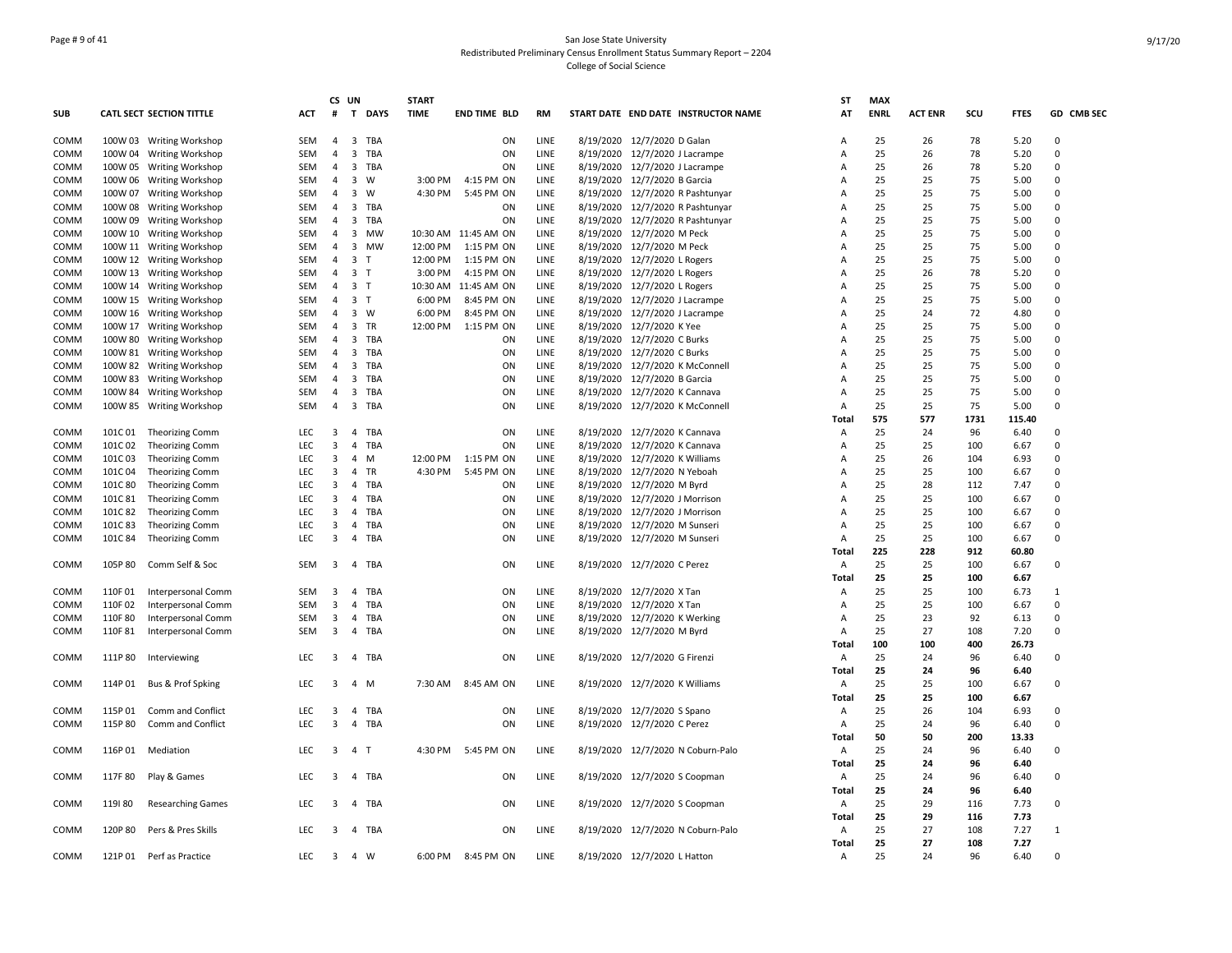## Page # 9 of 41 San Jose State University Redistributed Preliminary Census Enrollment Status Summary Report – 2204 College of Social Science

|            |         |                           |            | CS UN                   |                         |             | <b>START</b> |                      |      |                                     | SΤ    | <b>MAX</b>  |                |      |             |            |
|------------|---------|---------------------------|------------|-------------------------|-------------------------|-------------|--------------|----------------------|------|-------------------------------------|-------|-------------|----------------|------|-------------|------------|
| <b>SUB</b> |         | CATL SECT SECTION TITTLE  | ACT        | #                       | T                       | <b>DAYS</b> | <b>TIME</b>  | <b>END TIME BLD</b>  | RM   | START DATE END DATE INSTRUCTOR NAME | AT    | <b>ENRL</b> | <b>ACT ENR</b> | scu  | <b>FTES</b> | GD CMB SEC |
| COMM       |         | 100W 03 Writing Workshop  | <b>SEM</b> | $\overline{4}$          | 3 TBA                   |             |              | ON                   | LINE | 8/19/2020 12/7/2020 D Galan         | А     | 25          | 26             | 78   | 5.20        | $\Omega$   |
| COMM       |         | 100W 04 Writing Workshop  | <b>SEM</b> | $\overline{4}$          | 3 TBA                   |             |              | ON                   | LINE | 8/19/2020 12/7/2020 J Lacrampe      | A     | 25          | 26             | 78   | 5.20        | $\Omega$   |
| COMM       |         | 100W 05 Writing Workshop  | SEM        | $\overline{4}$          | 3 TBA                   |             |              | ON                   | LINE | 8/19/2020 12/7/2020 J Lacrampe      | A     | 25          | 26             | 78   | 5.20        | $\Omega$   |
| COMM       |         | 100W 06 Writing Workshop  | SEM        |                         | 4 3 W                   |             | 3:00 PM      | 4:15 PM ON           | LINE | 8/19/2020 12/7/2020 B Garcia        | Α     | 25          | 25             | 75   | 5.00        | $\Omega$   |
| COMM       |         | 100W 07 Writing Workshop  | <b>SEM</b> | $\overline{4}$          | $\overline{\mathbf{3}}$ | W           | 4:30 PM      | 5:45 PM ON           | LINE | 8/19/2020 12/7/2020 R Pashtunyar    | A     | 25          | 25             | 75   | 5.00        | $\Omega$   |
| COMM       |         | 100W 08 Writing Workshop  | SEM        | $\overline{4}$          | 3 TBA                   |             |              | ON                   | LINE | 8/19/2020 12/7/2020 R Pashtunyar    | A     | 25          | 25             | 75   | 5.00        | $\Omega$   |
| COMM       |         | 100W 09 Writing Workshop  | SEM        | $\overline{4}$          | 3 TBA                   |             |              | ON                   | LINE | 8/19/2020 12/7/2020 R Pashtunyar    | A     | 25          | 25             | 75   | 5.00        | $\Omega$   |
| COMM       |         | 100W 10 Writing Workshop  | <b>SEM</b> | $\overline{4}$          | 3 MW                    |             |              | 10:30 AM 11:45 AM ON | LINE | 8/19/2020 12/7/2020 M Peck          | А     | 25          | 25             | 75   | 5.00        | $\Omega$   |
| COMM       |         | 100W 11 Writing Workshop  | SEM        | $\overline{4}$          | 3 MW                    |             | 12:00 PM     | 1:15 PM ON           | LINE | 8/19/2020 12/7/2020 M Peck          | A     | 25          | 25             | 75   | 5.00        | $\Omega$   |
| COMM       |         | 100W 12 Writing Workshop  | SEM        | $\overline{4}$          | 3 <sub>T</sub>          |             | 12:00 PM     | 1:15 PM ON           | LINE | 8/19/2020 12/7/2020 L Rogers        | A     | 25          | 25             | 75   | 5.00        | $\Omega$   |
| COMM       |         | 100W 13 Writing Workshop  | <b>SEM</b> |                         | 4 3 T                   |             | 3:00 PM      | 4:15 PM ON           | LINE | 8/19/2020 12/7/2020 L Rogers        | A     | 25          | 26             | 78   | 5.20        | $\Omega$   |
| COMM       |         | 100W 14 Writing Workshop  | SEM        | 4                       | 3 T                     |             |              | 10:30 AM 11:45 AM ON | LINE | 8/19/2020 12/7/2020 L Rogers        | Α     | 25          | 25             | 75   | 5.00        | $\Omega$   |
| COMM       |         | 100W 15 Writing Workshop  | SEM        | $\overline{4}$          | 3 <sub>1</sub>          |             | 6:00 PM      | 8:45 PM ON           | LINE | 8/19/2020 12/7/2020 J Lacrampe      | A     | 25          | 25             | 75   | 5.00        | $\Omega$   |
| COMM       |         | 100W 16 Writing Workshop  | SEM        | $\overline{4}$          | 3 W                     |             | 6:00 PM      | 8:45 PM ON           | LINE | 8/19/2020 12/7/2020 J Lacrampe      | A     | 25          | 24             | 72   | 4.80        | $\Omega$   |
| COMM       |         | 100W 17 Writing Workshop  | <b>SEM</b> |                         | 4 3 TR                  |             | 12:00 PM     | 1:15 PM ON           | LINE | 8/19/2020 12/7/2020 K Yee           | A     | 25          | 25             | 75   | 5.00        | $\Omega$   |
| COMM       |         | 100W 80 Writing Workshop  | SEM        | $\overline{4}$          | 3 TBA                   |             |              | ON                   | LINE | 8/19/2020 12/7/2020 C Burks         | A     | 25          | 25             | 75   | 5.00        | $\Omega$   |
| COMM       |         | 100W 81 Writing Workshop  | SEM        | $\overline{4}$          | 3 TBA                   |             |              | ON                   | LINE | 8/19/2020 12/7/2020 C Burks         | A     | 25          | 25             | 75   | 5.00        | $\Omega$   |
| COMM       |         | 100W 82 Writing Workshop  | SEM        |                         | 4 3 TBA                 |             |              | ON                   | LINE | 8/19/2020 12/7/2020 K McConnell     | Α     | 25          | 25             | 75   | 5.00        | $\Omega$   |
| COMM       |         | 100W 83 Writing Workshop  | SEM        | $\overline{4}$          | 3 TBA                   |             |              | ON                   | LINE | 8/19/2020 12/7/2020 B Garcia        | A     | 25          | 25             | 75   | 5.00        | $\Omega$   |
| COMM       |         | 100W 84 Writing Workshop  | <b>SEM</b> | $\overline{4}$          | 3 TBA                   |             |              | ON                   | LINE | 8/19/2020 12/7/2020 K Cannava       | A     | 25          | 25             | 75   | 5.00        | $\Omega$   |
| COMM       |         | 100W 85 Writing Workshop  | SEM        | $\overline{4}$          | 3 TBA                   |             |              | ON                   | LINE | 8/19/2020 12/7/2020 K McConnell     | A     | 25          | 25             | 75   | 5.00        | $\Omega$   |
|            |         |                           |            |                         |                         |             |              |                      |      |                                     | Total | 575         | 577            | 1731 | 115.40      |            |
| COMM       | 101C 01 | <b>Theorizing Comm</b>    | <b>LEC</b> | $\overline{\mathbf{3}}$ | $\overline{4}$          | TBA         |              | ON                   | LINE | 8/19/2020 12/7/2020 K Cannava       | A     | 25          | 24             | 96   | 6.40        | $\Omega$   |
| COMM       | 101C02  | <b>Theorizing Comm</b>    | <b>LEC</b> | $\overline{\mathbf{3}}$ | $\overline{4}$          | TBA         |              | ON                   | LINE | 8/19/2020 12/7/2020 K Cannava       | Α     | 25          | 25             | 100  | 6.67        | $\Omega$   |
| COMM       | 101C03  | <b>Theorizing Comm</b>    | <b>LEC</b> | $\overline{\mathbf{3}}$ | $\overline{4}$          | M           |              | 12:00 PM 1:15 PM ON  | LINE | 8/19/2020 12/7/2020 K Williams      | A     | 25          | 26             | 104  | 6.93        | $\Omega$   |
| COMM       | 101C04  | <b>Theorizing Comm</b>    | LEC        | $\overline{3}$          | 4 TR                    |             | 4:30 PM      | 5:45 PM ON           | LINE | 8/19/2020 12/7/2020 N Yeboah        | Α     | 25          | 25             | 100  | 6.67        | $\Omega$   |
| COMM       | 101C 80 | <b>Theorizing Comm</b>    | <b>LEC</b> | 3                       | 4                       | TBA         |              | ON                   | LINE | 8/19/2020 12/7/2020 M Byrd          | Α     | 25          | 28             | 112  | 7.47        | $\Omega$   |
| COMM       | 101C 81 | <b>Theorizing Comm</b>    | <b>LEC</b> | 3                       | 4                       | TBA         |              | ON                   | LINE | 8/19/2020 12/7/2020 J Morrison      | A     | 25          | 25             | 100  | 6.67        | $\Omega$   |
| COMM       | 101C82  | Theorizing Comm           | <b>LEC</b> | 3                       | $\overline{4}$          | TBA         |              | ON                   | LINE | 8/19/2020 12/7/2020 J Morrison      | A     | 25          | 25             | 100  | 6.67        | $\Omega$   |
| COMM       | 101C83  | <b>Theorizing Comm</b>    | <b>LEC</b> | 3                       | $\overline{4}$          | TBA         |              | ON                   | LINE | 8/19/2020 12/7/2020 M Sunseri       | A     | 25          | 25             | 100  | 6.67        | $\Omega$   |
| COMM       | 101C 84 | <b>Theorizing Comm</b>    | LEC        | $\overline{\mathbf{3}}$ | 4 TBA                   |             |              | ON                   | LINE | 8/19/2020 12/7/2020 M Sunseri       | Α     | 25          | 25             | 100  | 6.67        | $\Omega$   |
|            |         |                           |            |                         |                         |             |              |                      |      |                                     | Total | 225         | 228            | 912  | 60.80       |            |
| COMM       | 105P80  | Comm Self & Soc           | SEM        | 3                       | 4 TBA                   |             |              | ON                   | LINE | 8/19/2020 12/7/2020 C Perez         | Α     | 25          | 25             | 100  | 6.67        | $\Omega$   |
|            |         |                           |            |                         |                         |             |              |                      |      |                                     | Total | 25          | 25             | 100  | 6.67        |            |
| COMM       | 110F01  | Interpersonal Comm        | SEM        | 3                       | $\overline{a}$          | TBA         |              | ON                   | LINE | 8/19/2020 12/7/2020 X Tan           | Α     | 25          | 25             | 100  | 6.73        | 1          |
| COMM       | 110F02  | Interpersonal Comm        | <b>SEM</b> | $\overline{\mathbf{3}}$ | 4                       | TBA         |              | ON                   | LINE | 8/19/2020 12/7/2020 X Tan           | A     | 25          | 25             | 100  | 6.67        | $\Omega$   |
| COMM       | 110F 80 | <b>Interpersonal Comm</b> | SEM        | 3                       | 4                       | TBA         |              | ON                   | LINE | 8/19/2020 12/7/2020 K Werking       | Α     | 25          | 23             | 92   | 6.13        | $\Omega$   |
| COMM       | 110F81  | Interpersonal Comm        | SEM        | $\overline{\mathbf{3}}$ | 4 TBA                   |             |              | ON                   | LINE | 8/19/2020 12/7/2020 M Byrd          | A     | 25          | 27             | 108  | 7.20        | $\Omega$   |
|            |         |                           |            |                         |                         |             |              |                      |      |                                     | Total | 100         | 100            | 400  | 26.73       |            |
| COMM       | 111P80  | Interviewing              | <b>LEC</b> | $\overline{3}$          | 4 TBA                   |             |              | ON                   | LINE | 8/19/2020 12/7/2020 G Firenzi       | Α     | 25          | 24             | 96   | 6.40        | $\Omega$   |
|            |         |                           |            |                         |                         |             |              |                      |      |                                     | Total | 25          | 24             | 96   | 6.40        |            |
| COMM       | 114P 01 | Bus & Prof Spking         | <b>LEC</b> | 3                       | 4 M                     |             |              | 7:30 AM 8:45 AM ON   | LINE | 8/19/2020 12/7/2020 K Williams      | Α     | 25          | 25             | 100  | 6.67        | $\Omega$   |
|            |         |                           |            |                         |                         |             |              |                      |      |                                     | Total | 25          | 25             | 100  | 6.67        |            |
| COMM       | 115P 01 | Comm and Conflict         | LEC        | 3                       | 4                       | TBA         |              | ON                   | LINE | 8/19/2020 12/7/2020 S Spano         | Α     | 25          | 26             | 104  | 6.93        | $\Omega$   |
| COMM       | 115P 80 | Comm and Conflict         | <b>LEC</b> | $\overline{3}$          | 4 TBA                   |             |              | ON                   | LINE | 8/19/2020 12/7/2020 C Perez         | A     | 25          | 24             | 96   | 6.40        | $\Omega$   |
|            |         |                           |            |                         |                         |             |              |                      |      |                                     | Total | 50          | 50             | 200  | 13.33       |            |
| COMM       | 116P 01 | Mediation                 | <b>LEC</b> | $\overline{\mathbf{3}}$ | 4 T                     |             | 4:30 PM      | 5:45 PM ON           | LINE | 8/19/2020 12/7/2020 N Coburn-Palo   | Α     | 25          | 24             | 96   | 6.40        | $\Omega$   |
|            |         |                           |            |                         |                         |             |              |                      |      |                                     | Total | 25          | 24             | 96   | 6.40        |            |
| COMM       | 117F 80 | Play & Games              | <b>LEC</b> | 3                       | 4 TBA                   |             |              | ON                   | LINE | 8/19/2020 12/7/2020 S Coopman       | Α     | 25          | 24             | 96   | 6.40        | $\Omega$   |
|            |         |                           |            |                         |                         |             |              |                      |      |                                     | Total | 25          | 24             | 96   | 6.40        |            |
| COMM       | 119180  | <b>Researching Games</b>  | LEC        | 3                       | 4 TBA                   |             |              | ON                   | LINE | 8/19/2020 12/7/2020 S Coopman       | Α     | 25          | 29             | 116  | 7.73        | 0          |
|            |         |                           |            |                         |                         |             |              |                      |      |                                     | Total | 25          | 29             | 116  | 7.73        |            |
| COMM       | 120P 80 | Pers & Pres Skills        | <b>LEC</b> | 3                       | 4 TBA                   |             |              | ON                   | LINE | 8/19/2020 12/7/2020 N Coburn-Palo   | Α     | 25          | 27             | 108  | 7.27        |            |
|            |         |                           |            |                         |                         |             |              |                      |      |                                     | Total | 25          | 27             | 108  | 7.27        |            |
| COMM       |         | 121P 01 Perf as Practice  | LEC        | $\overline{\mathbf{3}}$ | 4 W                     |             | 6:00 PM      | 8:45 PM ON           | LINE | 8/19/2020 12/7/2020 L Hatton        | Α     | 25          | 24             | 96   | 6.40        | $\Omega$   |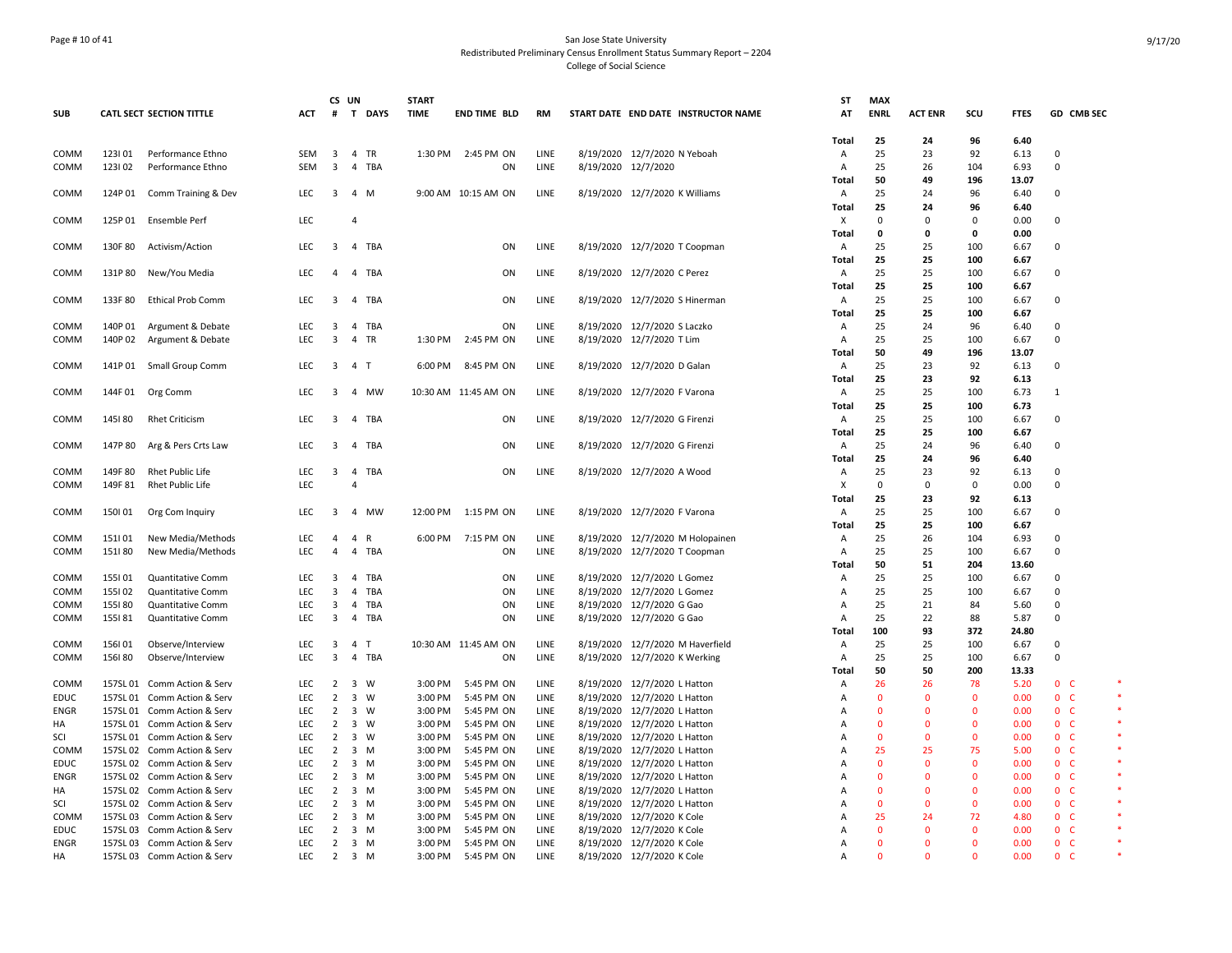## Page # 10 of 41 San Jose State University Redistributed Preliminary Census Enrollment Status Summary Report – 2204 College of Social Science

|                   |                  |                                                            |                          |                                  | CS UN          |                | <b>START</b>       |                          |              |                     |                                                              | ST                             | <b>MAX</b>                   |                      |                              |               |                                       |  |
|-------------------|------------------|------------------------------------------------------------|--------------------------|----------------------------------|----------------|----------------|--------------------|--------------------------|--------------|---------------------|--------------------------------------------------------------|--------------------------------|------------------------------|----------------------|------------------------------|---------------|---------------------------------------|--|
| <b>SUB</b>        |                  | CATL SECT SECTION TITTLE                                   | ACT                      | #                                |                | T DAYS         | <b>TIME</b>        | <b>END TIME BLD</b>      | RM           |                     | START DATE END DATE INSTRUCTOR NAME                          | AT                             | <b>ENRL</b>                  | <b>ACT ENR</b>       | scu                          | <b>FTES</b>   | GD CMB SEC                            |  |
|                   |                  |                                                            |                          |                                  |                |                |                    |                          |              |                     |                                                              | <b>Total</b>                   | 25                           | 24                   | 96                           | 6.40          |                                       |  |
| COMM              | 123101           | Performance Ethno                                          | SEM                      | $\overline{\mathbf{3}}$          |                | 4 TR           |                    | 1:30 PM 2:45 PM ON       | LINE         |                     | 8/19/2020 12/7/2020 N Yeboah                                 | Α                              | 25                           | 23                   | 92                           | 6.13          | $\Omega$<br>$\Omega$                  |  |
| COMM              | 123102           | Performance Ethno                                          | SEM                      | $\overline{3}$                   |                | 4 TBA          |                    | ON                       | LINE         | 8/19/2020 12/7/2020 |                                                              | Α<br>Total                     | 25<br>50                     | 26<br>49             | 104<br>196                   | 6.93<br>13.07 |                                       |  |
| COMM              | 124P 01          | Comm Training & Dev                                        | <b>LEC</b>               | 3                                |                | 4 M            |                    | 9:00 AM 10:15 AM ON      | LINE         |                     | 8/19/2020 12/7/2020 K Williams                               | A                              | 25                           | 24                   | 96                           | 6.40          | 0                                     |  |
|                   |                  |                                                            |                          |                                  |                |                |                    |                          |              |                     |                                                              | <b>Total</b>                   | 25                           | 24                   | 96                           | 6.40          |                                       |  |
| COMM              |                  | 125P 01 Ensemble Perf                                      | LEC                      |                                  | $\overline{4}$ |                |                    |                          |              |                     |                                                              | X                              | $\Omega$                     | $\Omega$             | $\Omega$                     | 0.00          | $\Omega$                              |  |
|                   |                  |                                                            |                          |                                  |                |                |                    |                          |              |                     |                                                              | <b>Total</b>                   | 0                            | $\Omega$             | $\Omega$                     | 0.00          |                                       |  |
| COMM              | 130F 80          | Activism/Action                                            | LEC                      | $\overline{\mathbf{3}}$          |                | 4 TBA          |                    | ON                       | LINE         |                     | 8/19/2020 12/7/2020 T Coopman                                | Α                              | 25                           | 25                   | 100                          | 6.67          | $\Omega$                              |  |
|                   |                  |                                                            |                          |                                  |                |                |                    |                          |              |                     |                                                              | <b>Total</b>                   | 25                           | 25                   | 100                          | 6.67          |                                       |  |
| COMM              | 131P80           | New/You Media                                              | LEC.                     | $\overline{a}$                   |                | 4 TBA          |                    | ON                       | LINE         |                     | 8/19/2020 12/7/2020 C Perez                                  | A                              | 25                           | 25                   | 100                          | 6.67          | 0                                     |  |
|                   |                  |                                                            |                          |                                  |                |                |                    |                          |              |                     |                                                              | <b>Total</b>                   | 25                           | 25                   | 100                          | 6.67          |                                       |  |
| COMM              | 133F80           | <b>Ethical Prob Comm</b>                                   | <b>LEC</b>               | 3                                |                | 4 TBA          |                    | ON                       | LINE         |                     | 8/19/2020 12/7/2020 S Hinerman                               | $\overline{A}$<br><b>Total</b> | 25<br>25                     | 25<br>25             | 100<br>100                   | 6.67<br>6.67  | $\Omega$                              |  |
| COMM              | 140P 01          | Argument & Debate                                          | <b>LEC</b>               | $\overline{3}$                   |                | 4 TBA          |                    | ON                       | LINE         |                     | 8/19/2020 12/7/2020 S Laczko                                 | Α                              | 25                           | 24                   | 96                           | 6.40          | $\mathbf 0$                           |  |
| COMM              | 140P 02          | Argument & Debate                                          | LEC                      | $\overline{3}$                   |                | 4 TR           | 1:30 PM            | 2:45 PM ON               | LINE         |                     | 8/19/2020 12/7/2020 T Lim                                    | A                              | 25                           | 25                   | 100                          | 6.67          | $\Omega$                              |  |
|                   |                  |                                                            |                          |                                  |                |                |                    |                          |              |                     |                                                              | Total                          | 50                           | 49                   | 196                          | 13.07         |                                       |  |
| COMM              | 141P 01          | Small Group Comm                                           | <b>LEC</b>               | $\overline{\mathbf{3}}$          | 4 T            |                | 6:00 PM            | 8:45 PM ON               | LINE         |                     | 8/19/2020 12/7/2020 D Galan                                  | A                              | 25                           | 23                   | 92                           | 6.13          | 0                                     |  |
|                   |                  |                                                            |                          |                                  |                |                |                    |                          |              |                     |                                                              | <b>Total</b>                   | 25                           | 23                   | 92                           | 6.13          |                                       |  |
| COMM              | 144F 01          | Org Comm                                                   | <b>LEC</b>               | 3                                |                | 4 MW           |                    | 10:30 AM 11:45 AM ON     | LINE         |                     | 8/19/2020 12/7/2020 F Varona                                 | $\overline{A}$                 | 25                           | 25                   | 100                          | 6.73          | $\mathbf{1}$                          |  |
|                   |                  |                                                            |                          |                                  |                |                |                    |                          |              |                     |                                                              | <b>Total</b>                   | 25                           | 25                   | 100                          | 6.73          |                                       |  |
| COMM              | 145180           | <b>Rhet Criticism</b>                                      | LEC.                     | $\overline{\mathbf{3}}$          |                | 4 TBA          |                    | ON                       | LINE         |                     | 8/19/2020 12/7/2020 G Firenzi                                | Α                              | 25                           | 25                   | 100                          | 6.67          | 0                                     |  |
|                   |                  |                                                            |                          |                                  |                |                |                    |                          |              |                     |                                                              | Total                          | 25                           | 25                   | 100                          | 6.67          |                                       |  |
| COMM              | 147P 80          | Arg & Pers Crts Law                                        | <b>LEC</b>               | 3                                |                | 4 TBA          |                    | ON                       | LINE         |                     | 8/19/2020 12/7/2020 G Firenzi                                | A<br>Total                     | 25<br>25                     | 24<br>24             | 96<br>96                     | 6.40<br>6.40  | 0                                     |  |
| COMM              | 149F 80          | <b>Rhet Public Life</b>                                    | LEC                      | 3                                | $\overline{4}$ | TBA            |                    | ON                       | LINE         |                     | 8/19/2020 12/7/2020 A Wood                                   | $\overline{A}$                 | 25                           | 23                   | 92                           | 6.13          | $\Omega$                              |  |
| COMM              | 149F 81          | <b>Rhet Public Life</b>                                    | LEC                      |                                  | 4              |                |                    |                          |              |                     |                                                              | X                              | 0                            | $\Omega$             | $\Omega$                     | 0.00          | $\Omega$                              |  |
|                   |                  |                                                            |                          |                                  |                |                |                    |                          |              |                     |                                                              | <b>Total</b>                   | 25                           | 23                   | 92                           | 6.13          |                                       |  |
| COMM              | 150101           | Org Com Inquiry                                            | LEC                      | $\overline{\mathbf{3}}$          |                | 4 MW           |                    | 12:00 PM 1:15 PM ON      | LINE         |                     | 8/19/2020 12/7/2020 F Varona                                 | Α                              | 25                           | 25                   | 100                          | 6.67          | 0                                     |  |
|                   |                  |                                                            |                          |                                  |                |                |                    |                          |              |                     |                                                              | <b>Total</b>                   | 25                           | 25                   | 100                          | 6.67          |                                       |  |
| COMM              | 151101           | New Media/Methods                                          | <b>LEC</b>               | $\overline{4}$                   |                | 4 R            | 6:00 PM            | 7:15 PM ON               | LINE         |                     | 8/19/2020 12/7/2020 M Holopainen                             | Α                              | 25                           | 26                   | 104                          | 6.93          | 0                                     |  |
| COMM              | 151180           | New Media/Methods                                          | <b>LEC</b>               | $\overline{4}$                   |                | 4 TBA          |                    | ON                       | LINE         |                     | 8/19/2020 12/7/2020 T Coopman                                | Α                              | 25                           | 25                   | 100                          | 6.67          | $\Omega$                              |  |
|                   |                  |                                                            |                          |                                  |                |                |                    |                          |              |                     |                                                              | <b>Total</b>                   | 50                           | 51                   | 204                          | 13.60         |                                       |  |
| COMM<br>COMM      | 155101<br>155102 | Quantitative Comm<br>Quantitative Comm                     | <b>LEC</b><br>LEC        | $\overline{3}$<br>$\overline{3}$ |                | 4 TBA<br>4 TBA |                    | ON<br>ON                 | LINE<br>LINE |                     | 8/19/2020 12/7/2020 L Gomez<br>8/19/2020 12/7/2020 L Gomez   | Α<br>A                         | 25<br>25                     | 25<br>25             | 100<br>100                   | 6.67<br>6.67  | $\Omega$<br>$\Omega$                  |  |
| COMM              | 155I80           | Quantitative Comm                                          | <b>LEC</b>               | 3                                |                | 4 TBA          |                    | ON                       | LINE         |                     | 8/19/2020 12/7/2020 G Gao                                    | Α                              | 25                           | 21                   | 84                           | 5.60          | $\Omega$                              |  |
| COMM              | 155181           | Quantitative Comm                                          | <b>LEC</b>               | 3                                |                | 4 TBA          |                    | ON                       | LINE         |                     | 8/19/2020 12/7/2020 G Gao                                    | A                              | 25                           | 22                   | 88                           | 5.87          | $\Omega$                              |  |
|                   |                  |                                                            |                          |                                  |                |                |                    |                          |              |                     |                                                              | Total                          | 100                          | 93                   | 372                          | 24.80         |                                       |  |
| COMM              | 156101           | Observe/Interview                                          | <b>LEC</b>               | 3                                | 4 T            |                |                    | 10:30 AM 11:45 AM ON     | LINE         |                     | 8/19/2020 12/7/2020 M Haverfield                             | Α                              | 25                           | 25                   | 100                          | 6.67          | $\Omega$                              |  |
| COMM              | 156180           | Observe/Interview                                          | LEC                      | $\overline{3}$                   |                | 4 TBA          |                    | ON                       | LINE         |                     | 8/19/2020 12/7/2020 K Werking                                | $\overline{A}$                 | 25                           | 25                   | 100                          | 6.67          | $\Omega$                              |  |
|                   |                  |                                                            |                          |                                  |                |                |                    |                          |              |                     |                                                              | Total                          | 50                           | 50                   | 200                          | 13.33         |                                       |  |
| COMM              |                  | 157SL 01 Comm Action & Serv                                | LEC                      | $\overline{2}$                   |                | 3 W            | 3:00 PM            | 5:45 PM ON               | LINE         |                     | 8/19/2020 12/7/2020 L Hatton                                 | A                              | 26                           | 26                   | 78                           | 5.20          | 0 <sup>o</sup>                        |  |
| <b>EDUC</b>       |                  | 157SL 01 Comm Action & Serv                                | <b>LEC</b><br><b>LEC</b> | $\overline{2}$                   |                | 3 W<br>3 W     | 3:00 PM<br>3:00 PM | 5:45 PM ON               | LINE<br>LINE |                     | 8/19/2020 12/7/2020 L Hatton                                 | $\overline{A}$                 | $\mathbf{0}$<br>$\mathbf{0}$ | $\Omega$<br>$\Omega$ | $\mathbf{0}$<br>$\mathbf{0}$ | 0.00<br>0.00  | 0 <sup>o</sup><br>0 <sub>c</sub>      |  |
| <b>ENGR</b><br>НA |                  | 157SL 01 Comm Action & Serv<br>157SL 01 Comm Action & Serv | <b>LEC</b>               | $\overline{2}$<br>$\overline{2}$ |                | 3 W            | 3:00 PM            | 5:45 PM ON<br>5:45 PM ON | LINE         |                     | 8/19/2020 12/7/2020 L Hatton<br>8/19/2020 12/7/2020 L Hatton | A<br>A                         | $\Omega$                     | $\Omega$             | $\overline{0}$               | 0.00          | 0 <sub>c</sub>                        |  |
| SCI               |                  | 157SL 01 Comm Action & Serv                                | LEC                      | $\overline{2}$                   |                | 3 W            | 3:00 PM            | 5:45 PM ON               | LINE         |                     | 8/19/2020 12/7/2020 L Hatton                                 | А                              | $\Omega$                     | $\Omega$             | $\mathbf{0}$                 | 0.00          | 0 <sub>c</sub>                        |  |
| COMM              |                  | 157SL 02 Comm Action & Serv                                | LEC                      | $\overline{2}$                   |                | 3 M            | 3:00 PM            | 5:45 PM ON               | LINE         |                     | 8/19/2020 12/7/2020 L Hatton                                 | A                              | 25                           | 25                   | 75                           | 5.00          | 0 <sub>c</sub>                        |  |
| EDUC              |                  | 157SL 02 Comm Action & Serv                                | LEC                      | $\overline{2}$                   |                | $3 \, M$       | 3:00 PM            | 5:45 PM ON               | LINE         |                     | 8/19/2020 12/7/2020 L Hatton                                 | A                              | $\Omega$                     | 0                    | $\mathbf{0}$                 | 0.00          | 0 <sub>c</sub>                        |  |
| <b>ENGR</b>       |                  | 157SL 02 Comm Action & Serv                                | <b>LEC</b>               | $\overline{2}$                   |                | 3 M            | 3:00 PM            | 5:45 PM ON               | LINE         |                     | 8/19/2020 12/7/2020 L Hatton                                 | A                              | $\Omega$                     | $\Omega$             | $\mathbf{0}$                 | 0.00          | 0 <sup>o</sup>                        |  |
| HA                |                  | 157SL 02 Comm Action & Serv                                | <b>LEC</b>               | $\overline{2}$                   |                | 3 M            | 3:00 PM            | 5:45 PM ON               | LINE         |                     | 8/19/2020 12/7/2020 L Hatton                                 | A                              | $\Omega$                     | $\Omega$             | $\Omega$                     | 0.00          | 0 <sup>o</sup>                        |  |
| SCI               |                  | 157SL 02 Comm Action & Serv                                | <b>LEC</b>               | $\overline{2}$                   |                | $3 \, M$       | 3:00 PM            | 5:45 PM ON               | LINE         |                     | 8/19/2020 12/7/2020 L Hatton                                 | A                              | $\mathbf{0}$                 | $\Omega$             | $\mathbf{0}$                 | 0.00          | 0 <sup>o</sup>                        |  |
| COMM              |                  | 157SL 03 Comm Action & Serv                                | <b>LEC</b>               | $\overline{2}$                   |                | $3 \, M$       | 3:00 PM            | 5:45 PM ON               | LINE         |                     | 8/19/2020 12/7/2020 K Cole                                   | A                              | 25                           | 24                   | 72                           | 4.80          | 0 <sub>c</sub>                        |  |
| EDUC              |                  | 157SL 03 Comm Action & Serv                                | <b>LEC</b>               | $\overline{2}$                   |                | $3 \, M$       | 3:00 PM            | 5:45 PM ON               | LINE         |                     | 8/19/2020 12/7/2020 K Cole                                   | A                              | $\Omega$                     | $\Omega$             | $\mathbf{0}$                 | 0.00          | 0 <sub>c</sub>                        |  |
| <b>ENGR</b>       |                  | 157SL 03 Comm Action & Serv                                | <b>LEC</b><br><b>LEC</b> | $\overline{2}$                   |                | 3 M            | 3:00 PM            | 5:45 PM ON               | LINE<br>LINE |                     | 8/19/2020 12/7/2020 K Cole                                   | A<br>$\overline{A}$            | $\mathbf 0$<br>$\Omega$      | $\Omega$<br>$\Omega$ | $\overline{0}$<br>$\Omega$   | 0.00          | 0 <sub>c</sub><br>$\mathbf{0}$<br>- C |  |
| HA                |                  | 157SL 03 Comm Action & Serv                                |                          | $\overline{2}$                   | 3 M            |                | 3:00 PM            | 5:45 PM ON               |              |                     | 8/19/2020 12/7/2020 K Cole                                   |                                |                              |                      |                              | 0.00          |                                       |  |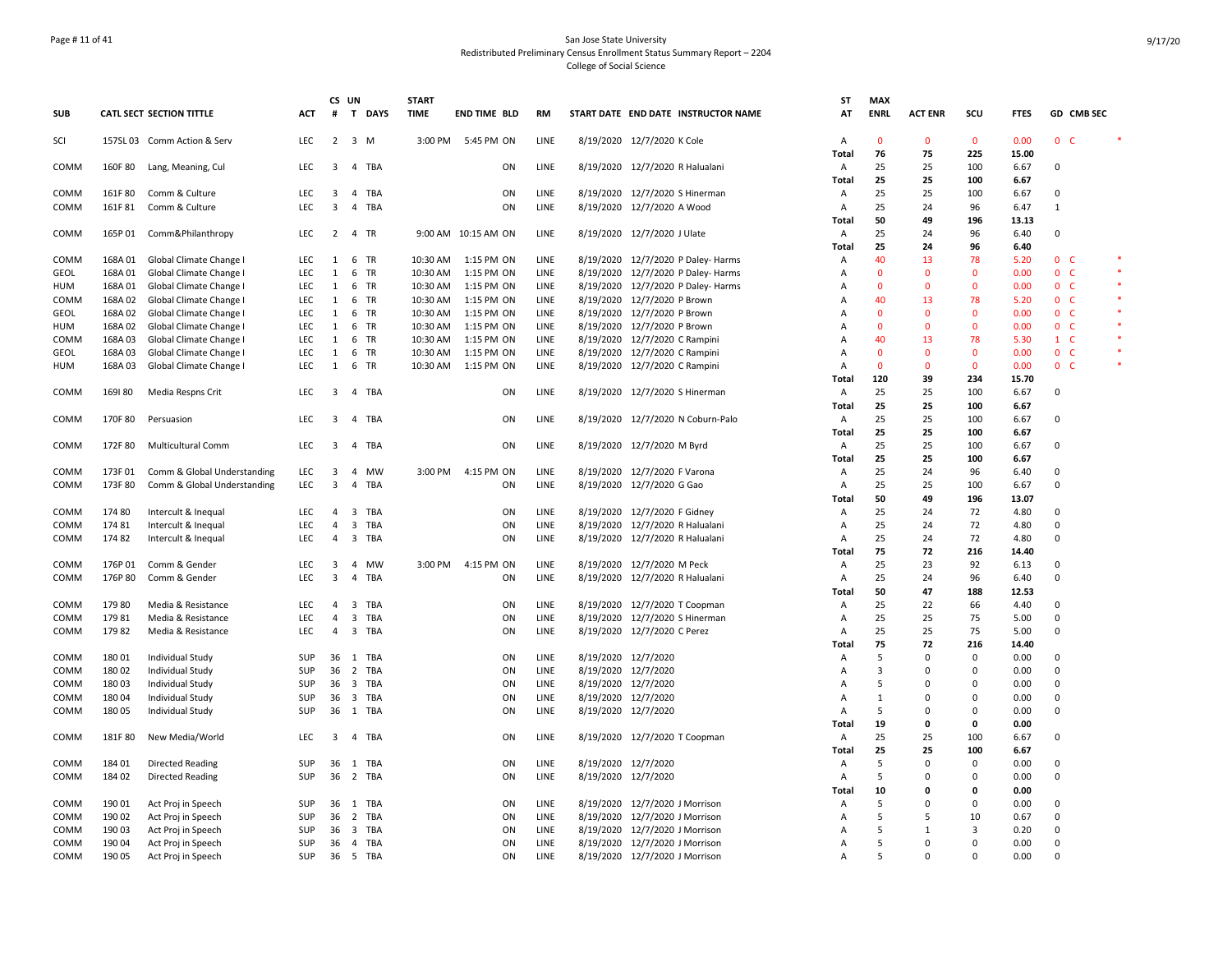## Page # 11 of 41 San Jose State University Redistributed Preliminary Census Enrollment Status Summary Report – 2204 College of Social Science

|             |         |                             |            |                         | CS UN          |          | <b>START</b> |                     |             |                     |                                     | ST             | <b>MAX</b>         |                    |                      |               |                |            |  |
|-------------|---------|-----------------------------|------------|-------------------------|----------------|----------|--------------|---------------------|-------------|---------------------|-------------------------------------|----------------|--------------------|--------------------|----------------------|---------------|----------------|------------|--|
| <b>SUB</b>  |         | CATL SECT SECTION TITTLE    | АСТ        | #                       |                | T DAYS   | <b>TIME</b>  | <b>END TIME BLD</b> | RM          |                     | START DATE END DATE INSTRUCTOR NAME | AT             | <b>ENRL</b>        | <b>ACT ENR</b>     | scu                  | <b>FTES</b>   |                | GD CMB SEC |  |
| SCI         |         | 157SL 03 Comm Action & Serv | <b>LEC</b> | $\overline{2}$          | $3 \, M$       |          |              | 3:00 PM 5:45 PM ON  | LINE        |                     | 8/19/2020 12/7/2020 K Cole          | A<br>Total     | $\mathbf{0}$<br>76 | $\mathbf{0}$<br>75 | $\mathbf{0}$<br>225  | 0.00<br>15.00 | 0 <sub>c</sub> |            |  |
| COMM        | 160F 80 | Lang, Meaning, Cul          | <b>LEC</b> | $\overline{3}$          |                | 4 TBA    |              | ON                  | LINE        |                     | 8/19/2020 12/7/2020 R Halualani     | Α              | 25                 | 25                 | 100                  | 6.67          | $\Omega$       |            |  |
|             |         |                             |            |                         |                |          |              |                     |             |                     |                                     | Total          | 25                 | 25                 | 100                  | 6.67          |                |            |  |
| COMM        | 161F80  | Comm & Culture              | <b>LEC</b> | 3                       |                | 4 TBA    |              | ON                  | LINE        |                     | 8/19/2020 12/7/2020 S Hinerman      | Α              | 25                 | 25                 | 100                  | 6.67          | $\Omega$       |            |  |
| COMM        | 161F81  | Comm & Culture              | LEC        | $\overline{3}$          |                | 4 TBA    |              | ON                  | LINE        |                     | 8/19/2020 12/7/2020 A Wood          | Α              | 25                 | 24                 | 96                   | 6.47          | $\mathbf{1}$   |            |  |
|             |         |                             |            |                         |                |          |              |                     |             |                     |                                     | Total          | 50                 | 49                 | 196                  | 13.13         |                |            |  |
| COMM        | 165P 01 | Comm&Philanthropy           | LEC        | $\overline{2}$          |                | 4 TR     |              | 9:00 AM 10:15 AM ON | LINE        |                     | 8/19/2020 12/7/2020 J Ulate         | Α              | 25                 | 24                 | 96                   | 6.40          | 0              |            |  |
|             |         |                             |            |                         |                |          |              |                     |             |                     |                                     | Total          | 25                 | 24                 | 96                   | 6.40          |                |            |  |
| COMM        | 168A01  | Global Climate Change I     | <b>LEC</b> | 1                       |                | 6 TR     | 10:30 AM     | 1:15 PM ON          | <b>LINE</b> |                     | 8/19/2020 12/7/2020 P Daley- Harms  | Α              | 40                 | 13                 | 78                   | 5.20          | 0 <sup>o</sup> |            |  |
| <b>GEOL</b> | 168A01  | Global Climate Change I     | LEC        | 1                       |                | 6 TR     | 10:30 AM     | 1:15 PM ON          | LINE        |                     | 8/19/2020 12/7/2020 P Daley- Harms  | Α              | $\mathbf{0}$       | $\Omega$           | $\mathbf{0}$         | 0.00          | 0 <sub>c</sub> |            |  |
| HUM         | 168A01  | Global Climate Change I     | LEC        | $\mathbf{1}$            |                | 6 TR     | 10:30 AM     | 1:15 PM ON          | LINE        |                     | 8/19/2020 12/7/2020 P Daley- Harms  | Α              | $\mathbf 0$        | $\mathbf 0$        | $\mathbf 0$          | 0.00          | 0 <sup>o</sup> |            |  |
| COMM        | 168A02  | Global Climate Change I     | LEC        | 1                       |                | 6 TR     | 10:30 AM     | 1:15 PM ON          | LINE        |                     | 8/19/2020 12/7/2020 P Brown         | А              | 40                 | 13                 | 78                   | 5.20          | 0 <sub>c</sub> |            |  |
| GEOL        | 168A02  | Global Climate Change I     | LEC        | 1                       |                | 6 TR     | 10:30 AM     | 1:15 PM ON          | LINE        |                     | 8/19/2020 12/7/2020 P Brown         | А              | $\mathbf 0$        | $\mathbf 0$        | $\mathbf 0$          | 0.00          | 0 <sub>c</sub> |            |  |
| HUM         | 168A02  | Global Climate Change I     | LEC        | $\mathbf{1}$            |                | 6 TR     | 10:30 AM     | 1:15 PM ON          | LINE        |                     | 8/19/2020 12/7/2020 P Brown         | А              | $\mathbf{0}$       | $\Omega$           | $\mathbf{0}$         | 0.00          | 0 <sup>o</sup> |            |  |
| COMM        | 168A03  | Global Climate Change I     | LEC        | 1                       |                | 6 TR     | 10:30 AM     | 1:15 PM ON          | LINE        |                     | 8/19/2020 12/7/2020 C Rampini       | A              | 40                 | 13                 | 78                   | 5.30          | $1 \quad C$    |            |  |
| <b>GEOL</b> | 168A03  | Global Climate Change I     | LEC        | 1                       |                | 6 TR     | 10:30 AM     | 1:15 PM ON          | LINE        |                     | 8/19/2020 12/7/2020 C Rampini       | Α              | $\Omega$           | $\mathbf 0$        | $\mathbf 0$          | 0.00          | 0 <sub>c</sub> |            |  |
| HUM         | 168A03  | Global Climate Change I     | <b>LEC</b> | $\mathbf{1}$            |                | 6 TR     | 10:30 AM     | 1:15 PM ON          | LINE        |                     | 8/19/2020 12/7/2020 C Rampini       | Α              | $\mathbf{0}$       | $\mathbf{0}$       | $\mathbf{0}$         | 0.00          | 0 <sup>o</sup> |            |  |
|             |         |                             |            |                         |                |          |              |                     |             |                     |                                     | Total          | 120                | 39                 | 234                  | 15.70         |                |            |  |
| COMM        | 169180  | Media Respns Crit           | <b>LEC</b> | 3                       |                | 4 TBA    |              | ON                  | LINE        |                     | 8/19/2020 12/7/2020 S Hinerman      | Α              | 25<br>25           | 25<br>25           | 100                  | 6.67<br>6.67  | $\Omega$       |            |  |
|             |         |                             | LEC        | 3                       |                | 4 TBA    |              | ON                  | LINE        |                     | 8/19/2020 12/7/2020 N Coburn-Palo   | Total<br>Α     | 25                 | 25                 | 100<br>100           | 6.67          | 0              |            |  |
| COMM        | 170F 80 | Persuasion                  |            |                         |                |          |              |                     |             |                     |                                     | Total          | 25                 | 25                 | 100                  | 6.67          |                |            |  |
| COMM        | 172F 80 | <b>Multicultural Comm</b>   | <b>LEC</b> | 3                       |                | 4 TBA    |              | ON                  | LINE        |                     | 8/19/2020 12/7/2020 M Byrd          | $\overline{A}$ | 25                 | 25                 | 100                  | 6.67          | $\Omega$       |            |  |
|             |         |                             |            |                         |                |          |              |                     |             |                     |                                     | <b>Total</b>   | 25                 | 25                 | 100                  | 6.67          |                |            |  |
| COMM        | 173F01  | Comm & Global Understanding | LEC        | 3                       |                | 4 MW     | 3:00 PM      | 4:15 PM ON          | LINE        |                     | 8/19/2020 12/7/2020 F Varona        | Α              | 25                 | 24                 | 96                   | 6.40          | $\mathbf 0$    |            |  |
| COMM        | 173F 80 | Comm & Global Understanding | LEC        | 3                       | $\overline{4}$ | TBA      |              | ON                  | LINE        |                     | 8/19/2020 12/7/2020 G Gao           | Α              | 25                 | 25                 | 100                  | 6.67          | $\Omega$       |            |  |
|             |         |                             |            |                         |                |          |              |                     |             |                     |                                     | Total          | 50                 | 49                 | 196                  | 13.07         |                |            |  |
| COMM        | 174 80  | Intercult & Inequal         | <b>LEC</b> | 4                       |                | 3 TBA    |              | ON                  | LINE        |                     | 8/19/2020 12/7/2020 F Gidney        | Α              | 25                 | 24                 | 72                   | 4.80          | 0              |            |  |
| COMM        | 17481   | Intercult & Inequal         | LEC        | $\overline{4}$          |                | 3 TBA    |              | ON                  | LINE        |                     | 8/19/2020 12/7/2020 R Halualani     | Α              | 25                 | 24                 | 72                   | 4.80          | $\Omega$       |            |  |
| COMM        | 17482   | Intercult & Inequal         | LEC        | 4                       |                | 3 TBA    |              | ON                  | LINE        |                     | 8/19/2020 12/7/2020 R Halualani     | Α              | 25                 | 24                 | 72                   | 4.80          | $\Omega$       |            |  |
|             |         |                             |            |                         |                |          |              |                     |             |                     |                                     | Total          | 75                 | 72                 | 216                  | 14.40         |                |            |  |
| COMM        | 176P 01 | Comm & Gender               | <b>LEC</b> | 3                       |                | 4 MW     | 3:00 PM      | 4:15 PM ON          | <b>LINE</b> |                     | 8/19/2020 12/7/2020 M Peck          | Α              | 25                 | 23                 | 92                   | 6.13          | 0              |            |  |
| COMM        | 176P 80 | Comm & Gender               | LEC        | $\overline{3}$          |                | 4 TBA    |              | ON                  | LINE        |                     | 8/19/2020 12/7/2020 R Halualani     | Α              | 25                 | 24                 | 96                   | 6.40          | $\Omega$       |            |  |
|             |         |                             |            |                         |                |          |              |                     |             |                     |                                     | Total          | 50                 | 47                 | 188                  | 12.53         |                |            |  |
| COMM        | 17980   | Media & Resistance          | LEC        | 4                       |                | 3 TBA    |              | ON                  | LINE        |                     | 8/19/2020 12/7/2020 T Coopman       | Α              | 25                 | 22                 | 66                   | 4.40          | 0              |            |  |
| COMM        | 17981   | Media & Resistance          | LEC        | 4                       |                | 3 TBA    |              | ON                  | LINE        |                     | 8/19/2020 12/7/2020 S Hinerman      | Α              | 25                 | 25                 | 75                   | 5.00          | $\mathbf 0$    |            |  |
| COMM        | 17982   | Media & Resistance          | LEC        | $\overline{4}$          |                | 3 TBA    |              | ON                  | LINE        |                     | 8/19/2020 12/7/2020 C Perez         | Α              | 25                 | 25                 | 75                   | 5.00          | $\Omega$       |            |  |
|             |         |                             |            |                         |                |          |              |                     |             |                     |                                     | Total          | 75                 | 72                 | 216                  | 14.40         |                |            |  |
| COMM        | 18001   | Individual Study            | <b>SUP</b> |                         |                | 36 1 TBA |              | ON                  | LINE        | 8/19/2020 12/7/2020 |                                     | A              | 5                  | $\Omega$           | $\Omega$             | 0.00          | $\Omega$       |            |  |
| COMM        | 180 02  | <b>Individual Study</b>     | SUP        | 36                      |                | 2 TBA    |              | ON                  | LINE        | 8/19/2020 12/7/2020 |                                     | Α              | 3                  | $\Omega$           | $\Omega$             | 0.00          | $\Omega$       |            |  |
| COMM        | 18003   | <b>Individual Study</b>     | SUP        | 36                      |                | 3 TBA    |              | ON                  | LINE        | 8/19/2020 12/7/2020 |                                     | Α              | 5                  | $\Omega$           | $\Omega$             | 0.00          | $\mathbf 0$    |            |  |
| COMM        | 180 04  | Individual Study            | SUP        | 36                      |                | 3 TBA    |              | ON                  | LINE        | 8/19/2020 12/7/2020 |                                     | Α              | 1                  | $\Omega$           | $\Omega$<br>$\Omega$ | 0.00          | $\Omega$       |            |  |
| COMM        | 180 05  | Individual Study            | <b>SUP</b> | 36                      |                | 1 TBA    |              | ON                  | LINE        | 8/19/2020 12/7/2020 |                                     | Α              | 5<br>19            | $\Omega$<br>0      | $\mathbf{0}$         | 0.00          | $\mathbf 0$    |            |  |
| COMM        | 181F 80 | New Media/World             | LEC        | $\overline{\mathbf{3}}$ |                | 4 TBA    |              | ON                  | LINE        |                     | 8/19/2020 12/7/2020 T Coopman       | Total<br>Α     | 25                 | 25                 | 100                  | 0.00<br>6.67  | $\Omega$       |            |  |
|             |         |                             |            |                         |                |          |              |                     |             |                     |                                     | Total          | 25                 | 25                 | 100                  | 6.67          |                |            |  |
| COMM        | 184 01  | Directed Reading            | <b>SUP</b> | 36                      |                | 1 TBA    |              | ON                  | LINE        | 8/19/2020 12/7/2020 |                                     | Α              | 5                  | $\Omega$           | 0                    | 0.00          | $\Omega$       |            |  |
| COMM        | 184 02  | Directed Reading            | SUP        | 36                      |                | 2 TBA    |              | ON                  | LINE        | 8/19/2020 12/7/2020 |                                     | Α              | 5                  | $\Omega$           | $\Omega$             | 0.00          | $\Omega$       |            |  |
|             |         |                             |            |                         |                |          |              |                     |             |                     |                                     | Total          | 10                 | $\Omega$           | $\Omega$             | 0.00          |                |            |  |
| COMM        | 190 01  | Act Proj in Speech          | SUP        | 36                      |                | 1 TBA    |              | ON                  | LINE        |                     | 8/19/2020 12/7/2020 J Morrison      | Α              | 5                  | $\mathbf 0$        | $\mathbf 0$          | 0.00          | 0              |            |  |
| COMM        | 190 02  | Act Proj in Speech          | SUP        | 36                      |                | 2 TBA    |              | ON                  | LINE        |                     | 8/19/2020 12/7/2020 J Morrison      | Α              | 5                  | 5                  | 10                   | 0.67          | 0              |            |  |
| COMM        | 190 03  | Act Proj in Speech          | SUP        | 36                      |                | 3 TBA    |              | ON                  | LINE        |                     | 8/19/2020 12/7/2020 J Morrison      | А              | 5                  | 1                  | 3                    | 0.20          | 0              |            |  |
| COMM        | 190 04  | Act Proj in Speech          | <b>SUP</b> | 36                      |                | 4 TBA    |              | ON                  | LINE        |                     | 8/19/2020 12/7/2020 J Morrison      | А              | 5                  | $\Omega$           | $\Omega$             | 0.00          | $\Omega$       |            |  |
| COMM        | 190 05  | Act Proj in Speech          | SUP        |                         |                | 36 5 TBA |              | ON                  | LINE        |                     | 8/19/2020 12/7/2020 J Morrison      | A              | 5                  | $\Omega$           | $\Omega$             | 0.00          | $\Omega$       |            |  |
|             |         |                             |            |                         |                |          |              |                     |             |                     |                                     |                |                    |                    |                      |               |                |            |  |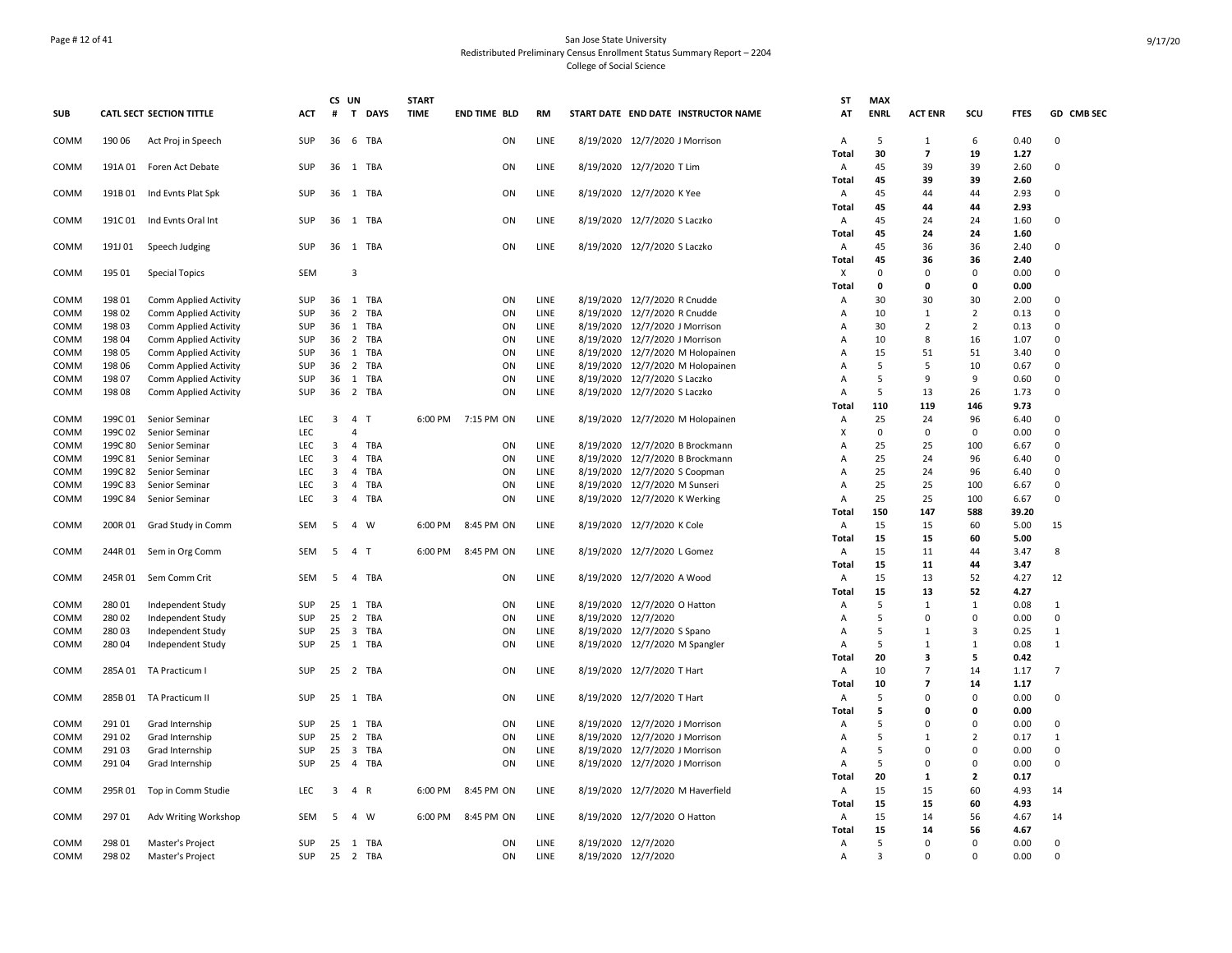## Page # 12 of 41 San Jose State University Redistributed Preliminary Census Enrollment Status Summary Report – 2204 College of Social Science

|            |         |                                 |            | CS             | UN                      |              | <b>START</b> |                     |           |                     |                                     | <b>ST</b>         | <b>MAX</b>       |                         |                         |              |                |
|------------|---------|---------------------------------|------------|----------------|-------------------------|--------------|--------------|---------------------|-----------|---------------------|-------------------------------------|-------------------|------------------|-------------------------|-------------------------|--------------|----------------|
| <b>SUB</b> |         | <b>CATL SECT SECTION TITTLE</b> | АСТ        | #              | T                       | <b>DAYS</b>  | <b>TIME</b>  | <b>END TIME BLD</b> | <b>RM</b> |                     | START DATE END DATE INSTRUCTOR NAME | AT                | <b>ENRL</b>      | <b>ACT ENR</b>          | scu                     | <b>FTES</b>  | GD CMB SEC     |
| COMM       | 190 06  | Act Proj in Speech              | <b>SUP</b> | 36             | 6                       | TBA          |              | ON                  | LINE      |                     | 8/19/2020 12/7/2020 J Morrison      | A<br>Total        | 5<br>30          | 1<br>$\overline{ }$     | 6<br>19                 | 0.40<br>1.27 | $\Omega$       |
| COMM       | 191A 01 | Foren Act Debate                | <b>SUP</b> | 36             |                         | 1 TBA        |              | ON                  | LINE      |                     | 8/19/2020 12/7/2020 T Lim           | A<br>Total        | 45<br>45         | 39<br>39                | 39<br>39                | 2.60<br>2.60 | 0              |
| COMM       | 191B01  | Ind Evnts Plat Spk              | SUP        | 36             | 1                       | TBA          |              | ON                  | LINE      |                     | 8/19/2020 12/7/2020 K Yee           | A<br>Total        | 45<br>45         | 44<br>44                | 44<br>44                | 2.93<br>2.93 | $\Omega$       |
| COMM       | 191C 01 | Ind Evnts Oral Int              | <b>SUP</b> | 36             |                         | 1 TBA        |              | ON                  | LINE      |                     | 8/19/2020 12/7/2020 S Laczko        | A<br><b>Total</b> | 45<br>45         | 24<br>24                | 24<br>24                | 1.60<br>1.60 | 0              |
| COMM       | 191J 01 | Speech Judging                  | SUP        | 36             |                         | 1 TBA        |              | ON                  | LINE      |                     | 8/19/2020 12/7/2020 S Laczko        | A<br>Total        | 45<br>45         | 36<br>36                | 36<br>36                | 2.40<br>2.40 | 0              |
| COMM       | 195 01  | <b>Special Topics</b>           | SEM        |                | 3                       |              |              |                     |           |                     |                                     | Х<br>Total        | $\mathbf 0$<br>0 | $\Omega$<br>0           | $\Omega$<br>$\mathbf 0$ | 0.00<br>0.00 | 0              |
| COMM       | 198 01  | Comm Applied Activity           | SUP        | 36             |                         | 1 TBA        |              | ON                  | LINE      |                     | 8/19/2020 12/7/2020 R Cnudde        | A                 | 30               | 30                      | 30                      | 2.00         | 0              |
| COMM       | 198 02  | Comm Applied Activity           | <b>SUP</b> | 36             | 2                       | TBA          |              | ON                  | LINE      |                     | 8/19/2020 12/7/2020 R Cnudde        | A                 | 10               | 1                       | $\overline{2}$          | 0.13         | 0              |
|            |         |                                 |            |                |                         |              |              |                     |           |                     |                                     |                   |                  |                         |                         |              |                |
| COMM       | 198 03  | Comm Applied Activity           | <b>SUP</b> | 36             |                         | 1 TBA        |              | ON                  | LINE      |                     | 8/19/2020 12/7/2020 J Morrison      | A                 | 30               | 2                       | $\overline{2}$          | 0.13         | $\Omega$       |
| COMM       | 198 04  | Comm Applied Activity           | SUP        | 36             | $\overline{2}$          | TBA          |              | ON                  | LINE      |                     | 8/19/2020 12/7/2020 J Morrison      | A                 | 10               | 8                       | 16                      | 1.07         | $\Omega$       |
| COMM       | 198 05  | Comm Applied Activity           | SUP        | 36             |                         | 1 TBA        |              | ON                  | LINE      |                     | 8/19/2020 12/7/2020 M Holopainen    | A                 | 15               | 51                      | 51                      | 3.40         | $\Omega$       |
| COMM       | 198 06  | Comm Applied Activity           | SUP        | 36             |                         | 2 TBA        |              | ON                  | LINE      |                     | 8/19/2020 12/7/2020 M Holopainen    | Α                 | 5                | 5                       | 10                      | 0.67         | 0              |
| COMM       | 198 07  | Comm Applied Activity           | SUP        | 36             | 1                       | TBA          |              | ON                  | LINE      |                     | 8/19/2020 12/7/2020 S Laczko        | A                 | 5                | 9                       | 9                       | 0.60         | 0              |
| COMM       | 198 08  | Comm Applied Activity           | SUP        | 36             |                         | 2 TBA        |              | ON                  | LINE      |                     | 8/19/2020 12/7/2020 S Laczko        | A                 | 5                | 13                      | 26                      | 1.73         | 0              |
|            |         |                                 |            |                |                         |              |              |                     |           |                     |                                     | Total             | 110              | 119                     | 146                     | 9.73         |                |
| COMM       | 199C 01 | Senior Seminar                  | <b>LEC</b> | $\overline{3}$ | $\overline{4}$          | $\mathsf{T}$ | 6:00 PM      | 7:15 PM ON          | LINE      |                     | 8/19/2020 12/7/2020 M Holopainen    | Α                 | 25               | 24                      | 96                      | 6.40         | 0              |
|            |         |                                 |            |                | 4                       |              |              |                     |           |                     |                                     | X                 |                  | $\Omega$                |                         |              | $\Omega$       |
| COMM       | 199C 02 | Senior Seminar                  | <b>LEC</b> |                |                         |              |              |                     |           |                     |                                     |                   | 0                |                         | $\mathbf 0$             | 0.00         |                |
| COMM       | 199C 80 | Senior Seminar                  | LEC        | 3              | $\overline{4}$          | TBA          |              | ON                  | LINE      |                     | 8/19/2020 12/7/2020 B Brockmann     | A                 | 25               | 25                      | 100                     | 6.67         | $\Omega$       |
| COMM       | 199C 81 | Senior Seminar                  | <b>LEC</b> | 3              | $\overline{4}$          | TBA          |              | ON                  | LINE      |                     | 8/19/2020 12/7/2020 B Brockmann     | A                 | 25               | 24                      | 96                      | 6.40         | $\Omega$       |
| COMM       | 199C 82 | Senior Seminar                  | <b>LEC</b> | 3              | 4                       | TBA          |              | ON                  | LINE      |                     | 8/19/2020 12/7/2020 S Coopman       | Α                 | 25               | 24                      | 96                      | 6.40         | 0              |
| COMM       | 199C 83 | Senior Seminar                  | LEC        | 3              | 4                       | TBA          |              | ON                  | LINE      |                     | 8/19/2020 12/7/2020 M Sunseri       | Α                 | 25               | 25                      | 100                     | 6.67         | $\Omega$       |
| COMM       | 199C 84 | Senior Seminar                  | LEC        | 3              |                         | 4 TBA        |              | ON                  | LINE      |                     | 8/19/2020 12/7/2020 K Werking       | Α                 | 25               | 25                      | 100                     | 6.67         | 0              |
|            |         |                                 |            |                |                         |              |              |                     |           |                     |                                     | Total             | 150              | 147                     | 588                     | 39.20        |                |
| COMM       | 200R01  | Grad Study in Comm              | <b>SEM</b> | 5              |                         | 4 W          | 6:00 PM      | 8:45 PM ON          | LINE      |                     | 8/19/2020 12/7/2020 K Cole          | $\overline{A}$    | 15               | 15                      | 60                      | 5.00         | 15             |
|            |         |                                 |            |                |                         |              |              |                     |           |                     |                                     | Total             | 15               | 15                      | 60                      | 5.00         |                |
| COMM       |         | 244R 01 Sem in Org Comm         | SEM        | 5              | 4 T                     |              | 6:00 PM      | 8:45 PM ON          | LINE      |                     | 8/19/2020 12/7/2020 L Gomez         | A                 | 15               | 11                      | 44                      | 3.47         | 8              |
|            |         |                                 |            |                |                         |              |              |                     |           |                     |                                     | Total             | 15               | 11                      | 44                      | 3.47         |                |
|            |         |                                 |            |                |                         |              |              |                     |           |                     |                                     |                   |                  |                         |                         |              |                |
| COMM       | 245R 01 | Sem Comm Crit                   | SEM        | - 5            |                         | 4 TBA        |              | ON                  | LINE      |                     | 8/19/2020 12/7/2020 A Wood          | Α                 | 15               | 13                      | 52                      | 4.27         | 12             |
|            |         |                                 |            |                |                         |              |              |                     |           |                     |                                     | Total             | 15               | 13                      | 52                      | 4.27         |                |
| COMM       | 280 01  | Independent Study               | <b>SUP</b> | 25             |                         | 1 TBA        |              | ON                  | LINE      |                     | 8/19/2020 12/7/2020 O Hatton        | A                 | 5                | $\mathbf{1}$            | $\mathbf{1}$            | 0.08         | $\mathbf{1}$   |
| COMM       | 280 02  | Independent Study               | <b>SUP</b> | 25             | 2                       | TBA          |              | ON                  | LINE      | 8/19/2020 12/7/2020 |                                     | Α                 | 5                | $\Omega$                | $\Omega$                | 0.00         | 0              |
| COMM       | 28003   | Independent Study               | <b>SUP</b> | 25             | $\overline{\mathbf{3}}$ | TBA          |              | ON                  | LINE      |                     | 8/19/2020 12/7/2020 S Spano         | $\overline{A}$    | 5                | 1                       | 3                       | 0.25         | $\mathbf{1}$   |
| COMM       | 280 04  | Independent Study               | <b>SUP</b> | 25             |                         | 1 TBA        |              | ON                  | LINE      |                     | 8/19/2020 12/7/2020 M Spangler      | $\overline{A}$    | 5                | 1                       | 1                       | 0.08         | $\mathbf{1}$   |
|            |         |                                 |            |                |                         |              |              |                     |           |                     |                                     | <b>Total</b>      | 20               | 3                       | 5                       | 0.42         |                |
| COMM       | 285A01  | TA Practicum I                  | SUP        | 25             |                         | 2 TBA        |              | ON                  | LINE      |                     | 8/19/2020 12/7/2020 T Hart          | Α                 | 10               | $\overline{7}$          | 14                      | 1.17         | $\overline{7}$ |
|            |         |                                 |            |                |                         |              |              |                     |           |                     |                                     | Total             | 10               | $\overline{\mathbf{z}}$ | 14                      | 1.17         |                |
| COMM       | 285B01  | TA Practicum II                 | SUP        |                |                         | 25 1 TBA     |              | ON                  | LINE      |                     | 8/19/2020 12/7/2020 T Hart          | Α                 | 5                | $\Omega$                | $\mathbf 0$             | 0.00         | 0              |
|            |         |                                 |            |                |                         |              |              |                     |           |                     |                                     |                   |                  | $\Omega$                | $\mathbf{0}$            |              |                |
|            |         |                                 |            |                |                         |              |              |                     |           |                     |                                     | Total             | 5                |                         |                         | 0.00         |                |
| COMM       | 29101   | Grad Internship                 | <b>SUP</b> | 25             |                         | 1 TBA        |              | ON                  | LINE      |                     | 8/19/2020 12/7/2020 J Morrison      | A                 | 5                | $\Omega$                | $\Omega$                | 0.00         | 0              |
| COMM       | 291 02  | Grad Internship                 | SUP        | 25             | $\overline{2}$          | TBA          |              | ON                  | LINE      |                     | 8/19/2020 12/7/2020 J Morrison      | Α                 | 5                | $\mathbf{1}$            | $\overline{2}$          | 0.17         | $\mathbf{1}$   |
| COMM       | 291 03  | Grad Internship                 | SUP        | 25             | $\overline{\mathbf{3}}$ | TBA          |              | ON                  | LINE      |                     | 8/19/2020 12/7/2020 J Morrison      | Α                 | 5                | $\Omega$                | $\mathbf 0$             | 0.00         | $\Omega$       |
| COMM       | 291 04  | Grad Internship                 | SUP        | 25             |                         | 4 TBA        |              | ON                  | LINE      |                     | 8/19/2020 12/7/2020 J Morrison      | Α                 | 5                | $\Omega$                | $\mathbf 0$             | 0.00         | 0              |
|            |         |                                 |            |                |                         |              |              |                     |           |                     |                                     | Total             | 20               | 1                       | $\overline{2}$          | 0.17         |                |
| COMM       | 295R 01 | Top in Comm Studie              | <b>LEC</b> | 3              | 4 R                     |              | 6:00 PM      | 8:45 PM ON          | LINE      |                     | 8/19/2020 12/7/2020 M Haverfield    | Α                 | 15               | 15                      | 60                      | 4.93         | 14             |
|            |         |                                 |            |                |                         |              |              |                     |           |                     |                                     | Total             | 15               | 15                      | 60                      | 4.93         |                |
| COMM       | 297 01  | Adv Writing Workshop            | SEM        | 5              |                         | 4 W          | 6:00 PM      | 8:45 PM ON          | LINE      |                     | 8/19/2020 12/7/2020 O Hatton        | A                 | 15               | 14                      | 56                      | 4.67         | 14             |
|            |         |                                 |            |                |                         |              |              |                     |           |                     |                                     | Total             | 15               | 14                      | 56                      | 4.67         |                |
|            |         |                                 |            |                |                         |              |              |                     |           |                     |                                     |                   |                  |                         |                         |              |                |
| COMM       | 298 01  | Master's Project                | <b>SUP</b> | 25             |                         | 1 TBA        |              | ON                  | LINE      | 8/19/2020 12/7/2020 |                                     | A                 | 5                | $\Omega$                | $\Omega$                | 0.00         | $\Omega$       |
| COMM       | 298 02  | Master's Project                | SUP        | 25             |                         | 2 TBA        |              | ON                  | LINE      | 8/19/2020 12/7/2020 |                                     | Α                 | 3                | $\Omega$                | $\Omega$                | 0.00         | $\Omega$       |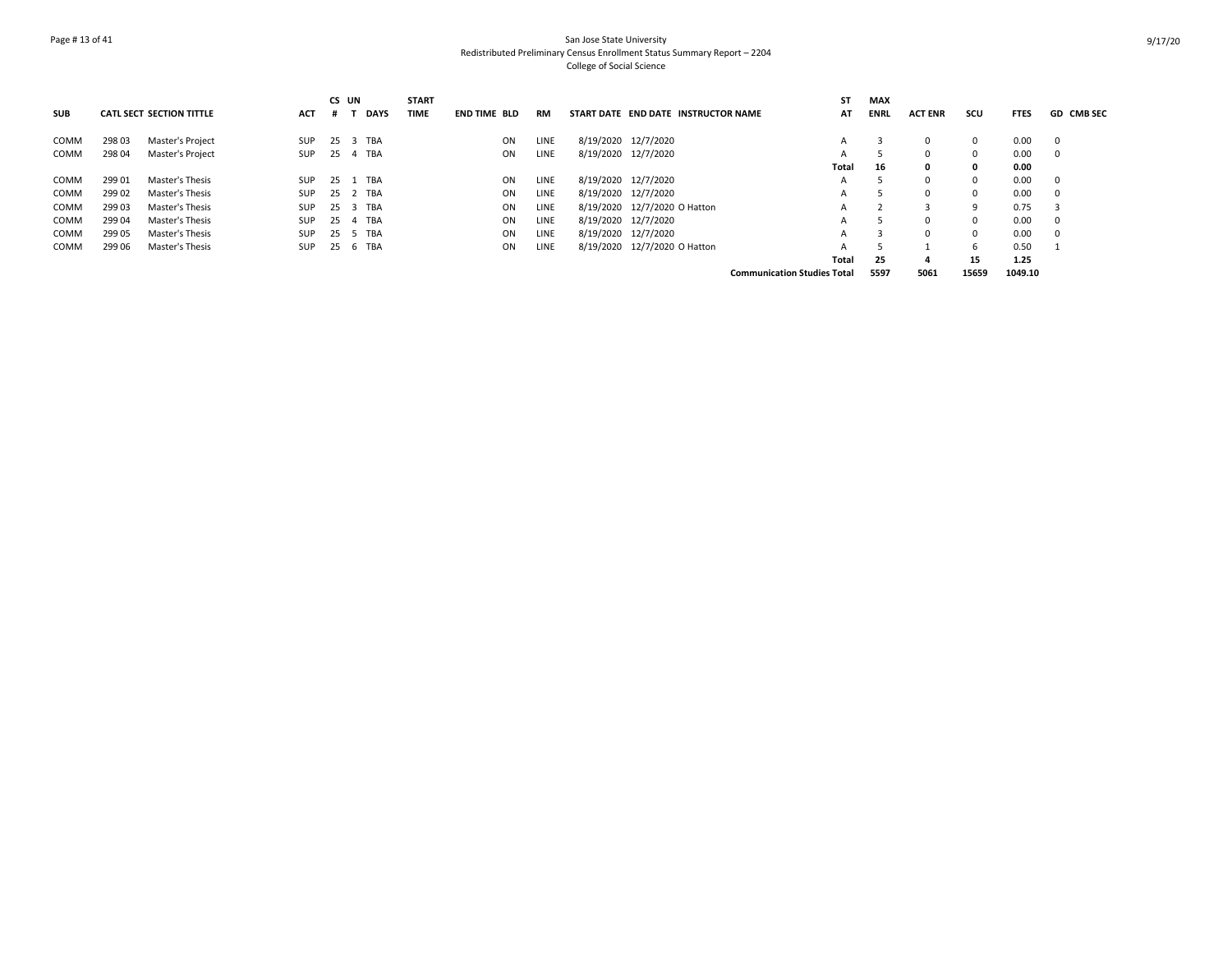## Page # 13 of 41 San Jose State University Redistributed Preliminary Census Enrollment Status Summary Report – 2204 College of Social Science

|             |        |                                 |            |    | CS UN |             | <b>START</b> |                     |      |                                     | SΤ                                 | <b>MAX</b>  |                |              |             |                   |
|-------------|--------|---------------------------------|------------|----|-------|-------------|--------------|---------------------|------|-------------------------------------|------------------------------------|-------------|----------------|--------------|-------------|-------------------|
| <b>SUB</b>  |        | <b>CATL SECT SECTION TITTLE</b> | <b>ACT</b> | #  |       | <b>DAYS</b> | <b>TIME</b>  | <b>END TIME BLD</b> | RM   | START DATE END DATE INSTRUCTOR NAME | AT                                 | <b>ENRL</b> | <b>ACT ENR</b> | scu          | <b>FTES</b> | <b>GD CMB SEC</b> |
| COMM        | 298 03 | Master's Project                | <b>SUP</b> |    |       | 25 3 TBA    |              | ON                  | LINE | 8/19/2020 12/7/2020                 | A                                  |             |                | $\mathbf{0}$ | 0.00        | 0                 |
| <b>COMM</b> | 298 04 | Master's Project                | SUP        | 25 |       | 4 TBA       |              | ON                  | LINE | 8/19/2020 12/7/2020                 |                                    |             |                | $\Omega$     | 0.00        | 0                 |
|             |        |                                 |            |    |       |             |              |                     |      |                                     | Total                              | 16          | 0              | 0            | 0.00        |                   |
| <b>COMM</b> | 299 01 | Master's Thesis                 | <b>SUP</b> |    |       | 25 1 TBA    |              | ON                  | LINE | 8/19/2020 12/7/2020                 | Α                                  |             | O              | $\mathbf{0}$ | 0.00        | $\mathbf 0$       |
| <b>COMM</b> | 299 02 | Master's Thesis                 | <b>SUP</b> |    |       | 25 2 TBA    |              | ON                  | LINE | 8/19/2020 12/7/2020                 | А                                  |             | O              | $\Omega$     | 0.00        | $\Omega$          |
| COMM        | 299 03 | Master's Thesis                 | <b>SUP</b> |    |       | 25 3 TBA    |              | ON                  | LINE | 8/19/2020 12/7/2020 O Hatton        |                                    |             |                | 9            | 0.75        |                   |
| COMM        | 299 04 | Master's Thesis                 | <b>SUP</b> | 25 |       | 4 TBA       |              | ON                  | LINE | 8/19/2020 12/7/2020                 |                                    |             |                | $\mathbf{0}$ | 0.00        | 0                 |
| COMM        | 299 05 | Master's Thesis                 | <b>SUP</b> |    |       | 25 5 TBA    |              | ON                  | LINE | 8/19/2020 12/7/2020                 |                                    |             | O              | $\Omega$     | 0.00        | $\Omega$          |
| COMM        | 299 06 | Master's Thesis                 | <b>SUP</b> | 25 |       | 6 TBA       |              | ON                  | LINE | 8/19/2020 12/7/2020 O Hatton        | А                                  |             |                | 6            | 0.50        |                   |
|             |        |                                 |            |    |       |             |              |                     |      |                                     | Total                              | 25          | 4              | 15           | 1.25        |                   |
|             |        |                                 |            |    |       |             |              |                     |      |                                     | <b>Communication Studies Total</b> | 5597        | 5061           | 15659        | 1049.10     |                   |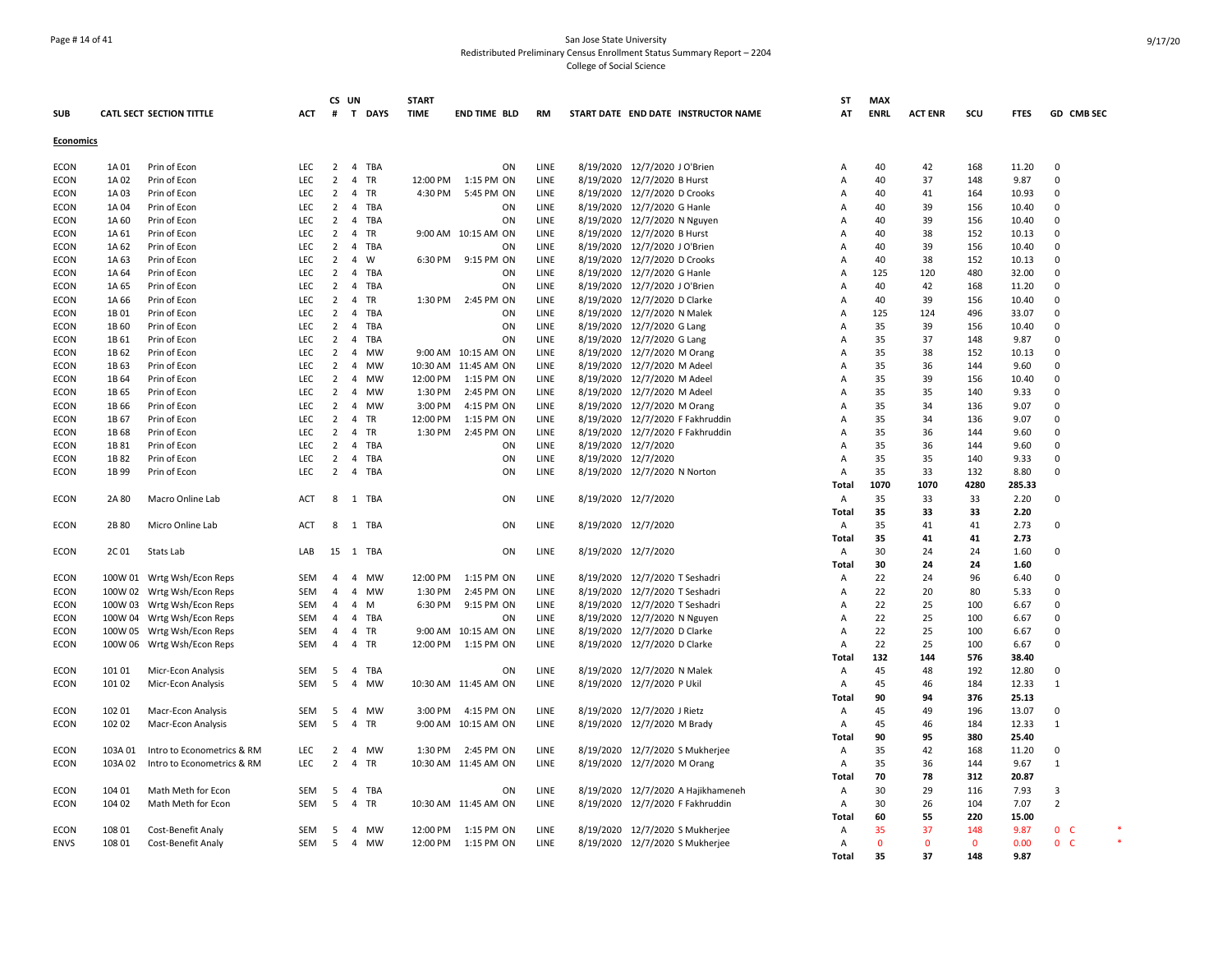## Page # 14 of 41 San Jose State University Redistributed Preliminary Census Enrollment Status Summary Report – 2204 College of Social Science

|                  |         |                                 |            | CS UN          |                |            | <b>START</b> |                      |           |                     |                                     | <b>ST</b>      | <b>MAX</b>   |                |              |             |                |  |
|------------------|---------|---------------------------------|------------|----------------|----------------|------------|--------------|----------------------|-----------|---------------------|-------------------------------------|----------------|--------------|----------------|--------------|-------------|----------------|--|
| <b>SUB</b>       |         | <b>CATL SECT SECTION TITTLE</b> | <b>ACT</b> | #              |                | T DAYS     | <b>TIME</b>  | <b>END TIME BLD</b>  | <b>RM</b> |                     | START DATE END DATE INSTRUCTOR NAME | AT             | <b>ENRL</b>  | <b>ACT ENR</b> | SCU          | <b>FTES</b> | GD CMB SEC     |  |
| <b>Economics</b> |         |                                 |            |                |                |            |              |                      |           |                     |                                     |                |              |                |              |             |                |  |
| <b>ECON</b>      | 1A 01   | Prin of Econ                    | <b>LEC</b> | 2              |                | 4 TBA      |              | ON                   | LINE      |                     | 8/19/2020 12/7/2020 J O'Brien       | Α              | 40           | 42             | 168          | 11.20       | $\mathbf 0$    |  |
| <b>ECON</b>      | 1A 02   | Prin of Econ                    | LEC        | $\overline{2}$ | $\overline{4}$ | TR         | 12:00 PM     | 1:15 PM ON           | LINE      |                     | 8/19/2020 12/7/2020 B Hurst         | A              | 40           | 37             | 148          | 9.87        | $\Omega$       |  |
| <b>ECON</b>      | 1A 03   | Prin of Econ                    | LEC        | $\overline{2}$ |                | 4 TR       | 4:30 PM      | 5:45 PM ON           | LINE      |                     | 8/19/2020 12/7/2020 D Crooks        | Α              | 40           | 41             | 164          | 10.93       | $\mathbf 0$    |  |
| <b>ECON</b>      | 1A 04   | Prin of Econ                    | <b>LEC</b> | $\overline{2}$ |                | 4 TBA      |              | ON                   | LINE      |                     | 8/19/2020 12/7/2020 G Hanle         | A              | 40           | 39             | 156          | 10.40       | 0              |  |
| <b>ECON</b>      | 1A 60   | Prin of Econ                    | <b>LEC</b> | 2              |                | 4 TBA      |              | ON                   | LINE      |                     | 8/19/2020 12/7/2020 N Nguyen        | A              | 40           | 39             | 156          | 10.40       | 0              |  |
| <b>ECON</b>      | 1A 61   | Prin of Econ                    | LEC        | $\overline{2}$ |                | 4 TR       |              | 9:00 AM 10:15 AM ON  | LINE      |                     | 8/19/2020 12/7/2020 B Hurst         | A              | 40           | 38             | 152          | 10.13       | $\mathbf 0$    |  |
| ECON             | 1A 62   | Prin of Econ                    | LEC        | $\overline{2}$ |                | 4 TBA      |              | ON                   | LINE      |                     | 8/19/2020 12/7/2020 J O'Brien       | A              | 40           | 39             | 156          | 10.40       | 0              |  |
| <b>ECON</b>      | 1A 63   | Prin of Econ                    | LEC        | $\overline{2}$ | $\overline{4}$ | W          |              | 6:30 PM 9:15 PM ON   | LINE      |                     | 8/19/2020 12/7/2020 D Crooks        | A              | 40           | 38             | 152          | 10.13       | 0              |  |
| <b>ECON</b>      | 1A 64   | Prin of Econ                    | LEC        | $\overline{2}$ |                | 4 TBA      |              | ON                   | LINE      | 8/19/2020           | 12/7/2020 G Hanle                   | A              | 125          | 120            | 480          | 32.00       | 0              |  |
| <b>ECON</b>      | 1A 65   | Prin of Econ                    | <b>LEC</b> | 2              | $\overline{4}$ | TBA        |              | ON                   | LINE      |                     | 8/19/2020 12/7/2020 J O'Brien       | A              | 40           | 42             | 168          | 11.20       | $\Omega$       |  |
| <b>ECON</b>      | 1A 66   | Prin of Econ                    | <b>LEC</b> | $\overline{2}$ |                | 4 TR       | 1:30 PM      | 2:45 PM ON           | LINE      |                     | 8/19/2020 12/7/2020 D Clarke        | A              | 40           | 39             | 156          | 10.40       | 0              |  |
| <b>ECON</b>      | 1B01    | Prin of Econ                    | LEC        | $\overline{2}$ |                | 4 TBA      |              | ON                   | LINE      |                     | 8/19/2020 12/7/2020 N Malek         | Α              | 125          | 124            | 496          | 33.07       | $\Omega$       |  |
| <b>ECON</b>      | 1B 60   | Prin of Econ                    | <b>LEC</b> | $\overline{2}$ | $\overline{4}$ | TBA        |              | ON                   | LINE      |                     | 8/19/2020 12/7/2020 G Lang          | A              | 35           | 39             | 156          | 10.40       | 0              |  |
| <b>ECON</b>      | 1B 61   | Prin of Econ                    | LEC        | $\overline{2}$ | $\overline{4}$ | TBA        |              | ON                   | LINE      | 8/19/2020           | 12/7/2020 G Lang                    | A              | 35           | 37             | 148          | 9.87        | $\Omega$       |  |
| <b>ECON</b>      | 1B 62   | Prin of Econ                    | LEC        | $\overline{2}$ |                | 4 MW       |              | 9:00 AM 10:15 AM ON  | LINE      |                     | 8/19/2020 12/7/2020 M Orang         | A              | 35           | 38             | 152          | 10.13       | $\mathbf 0$    |  |
| <b>ECON</b>      | 1B 63   | Prin of Econ                    | LEC        | 2              |                | 4 MW       |              | 10:30 AM 11:45 AM ON | LINE      |                     | 8/19/2020 12/7/2020 M Adeel         | A              | 35           | 36             | 144          | 9.60        | 0              |  |
| <b>ECON</b>      | 1B 64   | Prin of Econ                    | LEC        | $\overline{2}$ | $\overline{4}$ | MW         | 12:00 PM     | 1:15 PM ON           | LINE      |                     | 8/19/2020 12/7/2020 M Adeel         | Α              | 35           | 39             | 156          | 10.40       | 0              |  |
| <b>ECON</b>      | 1B 65   | Prin of Econ                    | <b>LEC</b> | 2              |                | 4 MW       | 1:30 PM      | 2:45 PM ON           | LINE      |                     | 8/19/2020 12/7/2020 M Adeel         | A              | 35           | 35             | 140          | 9.33        | $\Omega$       |  |
| <b>ECON</b>      | 1B 66   | Prin of Econ                    | LEC        | 2              |                | 4 MW       | 3:00 PM      | 4:15 PM ON           | LINE      |                     | 8/19/2020 12/7/2020 M Orang         | A              | 35           | 34             | 136          | 9.07        | $\Omega$       |  |
| <b>ECON</b>      | 1B 67   | Prin of Econ                    | LEC        | 2              |                | 4 TR       | 12:00 PM     | 1:15 PM ON           | LINE      |                     | 8/19/2020 12/7/2020 F Fakhruddin    | A              | 35           | 34             | 136          | 9.07        | $\Omega$       |  |
| <b>ECON</b>      | 1B 68   | Prin of Econ                    | LEC        | $\overline{2}$ |                | 4 TR       | 1:30 PM      | 2:45 PM ON           | LINE      |                     | 8/19/2020 12/7/2020 F Fakhruddin    | A              | 35           | 36             | 144          | 9.60        | $\Omega$       |  |
| <b>ECON</b>      | 1B 81   | Prin of Econ                    | LEC        | $\overline{2}$ | $\overline{4}$ | <b>TBA</b> |              | ΟN                   | LINE      | 8/19/2020 12/7/2020 |                                     | A              | 35           | 36             | 144          | 9.60        | $\mathbf 0$    |  |
| <b>ECON</b>      | 1B 82   | Prin of Econ                    | LEC        | $\overline{2}$ |                | 4 TBA      |              | ON                   | LINE      | 8/19/2020 12/7/2020 |                                     | A              | 35           | 35             | 140          | 9.33        | 0              |  |
| <b>ECON</b>      | 1B 99   | Prin of Econ                    | <b>LEC</b> | $\overline{2}$ | $\overline{4}$ | TBA        |              | ON                   | LINE      |                     | 8/19/2020 12/7/2020 N Norton        | Α              | 35           | 33             | 132          | 8.80        | $\mathbf 0$    |  |
|                  |         |                                 |            |                |                |            |              |                      |           |                     |                                     | Total          | 1070         | 1070           | 4280         | 285.33      |                |  |
| <b>ECON</b>      | 2A 80   | Macro Online Lab                | <b>ACT</b> | 8              |                | 1 TBA      |              | ON                   | LINE      | 8/19/2020 12/7/2020 |                                     | Α              | 35           | 33             | 33           | 2.20        | 0              |  |
|                  |         |                                 |            |                |                |            |              |                      |           |                     |                                     | Total          | 35           | 33             | 33           | 2.20        |                |  |
| <b>ECON</b>      | 2B 80   | Micro Online Lab                | ACT        | 8              |                | 1 TBA      |              | ON                   | LINE      | 8/19/2020 12/7/2020 |                                     | Α              | 35           | 41             | 41           | 2.73        | $\Omega$       |  |
|                  |         |                                 |            |                |                |            |              |                      |           |                     |                                     | Total          | 35           | 41             | 41           | 2.73        |                |  |
| <b>ECON</b>      | 2C 01   | Stats Lab                       | LAB        |                |                | 15 1 TBA   |              | ON                   | LINE      | 8/19/2020 12/7/2020 |                                     | Α              | 30           | 24             | 24           | 1.60        | 0              |  |
|                  |         |                                 |            |                |                |            |              |                      |           |                     |                                     | Total          | 30           | 24             | 24           | 1.60        |                |  |
| <b>ECON</b>      |         | 100W 01 Wrtg Wsh/Econ Reps      | SEM        | 4              |                | 4 MW       | 12:00 PM     | 1:15 PM ON           | LINE      |                     | 8/19/2020 12/7/2020 T Seshadri      | Α              | 22           | 24             | 96           | 6.40        | 0              |  |
| ECON             |         | 100W 02 Wrtg Wsh/Econ Reps      | <b>SEM</b> | 4              |                | 4 MW       | 1:30 PM      | 2:45 PM ON           | LINE      |                     | 8/19/2020 12/7/2020 T Seshadri      | Α              | 22           | 20             | 80           | 5.33        | 0              |  |
| <b>ECON</b>      |         | 100W 03 Wrtg Wsh/Econ Reps      | <b>SEM</b> | $\overline{4}$ | 4 M            |            | 6:30 PM      | 9:15 PM ON           | LINE      |                     | 8/19/2020 12/7/2020 T Seshadri      | A              | 22           | 25             | 100          | 6.67        | $\Omega$       |  |
| <b>ECON</b>      |         | 100W 04 Wrtg Wsh/Econ Reps      | <b>SEM</b> | $\overline{4}$ |                | 4 TBA      |              | ON                   | LINE      |                     | 8/19/2020 12/7/2020 N Nguyen        | A              | 22           | 25             | 100          | 6.67        | $\Omega$       |  |
| <b>ECON</b>      |         | 100W 05 Wrtg Wsh/Econ Reps      | SEM        | $\overline{a}$ |                | 4 TR       |              | 9:00 AM 10:15 AM ON  | LINE      |                     | 8/19/2020 12/7/2020 D Clarke        | A              | 22           | 25             | 100          | 6.67        | $\Omega$       |  |
| <b>ECON</b>      |         | 100W 06 Wrtg Wsh/Econ Reps      | SEM        | $\overline{4}$ |                | 4 TR       | 12:00 PM     | 1:15 PM ON           | LINE      |                     | 8/19/2020 12/7/2020 D Clarke        | $\Delta$       | 22           | 25             | 100          | 6.67        | $\Omega$       |  |
|                  |         |                                 |            |                |                |            |              |                      |           |                     |                                     | Total          | 132          | 144            | 576          | 38.40       |                |  |
| <b>ECON</b>      | 101 01  | Micr-Econ Analysis              | <b>SEM</b> | -5             |                | 4 TBA      |              | ON                   | LINE      |                     | 8/19/2020 12/7/2020 N Malek         | Α              | 45           | 48             | 192          | 12.80       | 0              |  |
| <b>ECON</b>      | 101 02  | Micr-Econ Analysis              | <b>SEM</b> | 5              |                | 4 MW       |              | 10:30 AM 11:45 AM ON | LINE      |                     | 8/19/2020 12/7/2020 P Ukil          | Α              | 45           | 46             | 184          | 12.33       | $\mathbf{1}$   |  |
|                  |         |                                 |            |                |                |            |              |                      |           |                     |                                     | Total          | 90           | 94             | 376          | 25.13       |                |  |
| <b>ECON</b>      | 102 01  | Macr-Econ Analysis              | <b>SEM</b> | 5              |                | 4 MW       | 3:00 PM      | 4:15 PM ON           | LINE      |                     | 8/19/2020 12/7/2020 J Rietz         | Α              | 45           | 49             | 196          | 13.07       | $\mathbf 0$    |  |
| <b>ECON</b>      | 102 02  | Macr-Econ Analysis              | <b>SEM</b> | 5              | 4 TR           |            |              | 9:00 AM 10:15 AM ON  | LINE      |                     | 8/19/2020 12/7/2020 M Brady         | $\overline{A}$ | 45           | 46             | 184          | 12.33       | $\mathbf{1}$   |  |
|                  |         |                                 |            |                |                |            |              |                      |           |                     |                                     | Total          | 90           | 95             | 380          | 25.40       |                |  |
| ECON             | 103A01  | Intro to Econometrics & RM      | LEC        | $\overline{2}$ | $\overline{4}$ | <b>MW</b>  | 1:30 PM      | 2:45 PM ON           | LINE      |                     | 8/19/2020 12/7/2020 S Mukherjee     | A              | 35           | 42             | 168          | 11.20       | $\mathbf 0$    |  |
| ECON             | 103A 02 | Intro to Econometrics & RM      | LEC        | $\overline{2}$ |                | 4 TR       |              | 10:30 AM 11:45 AM ON | LINE      |                     | 8/19/2020 12/7/2020 M Orang         | Α              | 35           | 36             | 144          | 9.67        | $\mathbf{1}$   |  |
|                  |         |                                 |            |                |                |            |              |                      |           |                     |                                     | Total          | 70           | 78             | 312          | 20.87       |                |  |
| <b>ECON</b>      | 104 01  | Math Meth for Econ              | SEM        | 5              |                | 4 TBA      |              | ON                   | LINE      |                     | 8/19/2020 12/7/2020 A Hajikhameneh  | Α              | 30           | 29             | 116          | 7.93        | 3              |  |
| <b>ECON</b>      | 104 02  | Math Meth for Econ              | <b>SEM</b> | 5              |                | 4 TR       |              | 10:30 AM 11:45 AM ON | LINE      |                     | 8/19/2020 12/7/2020 F Fakhruddin    | Α              | 30           | 26             | 104          | 7.07        | $\overline{2}$ |  |
|                  |         |                                 |            |                |                |            |              |                      |           |                     |                                     | Total          | 60           | 55             | 220          | 15.00       |                |  |
| <b>ECON</b>      | 108 01  | Cost-Benefit Analy              | <b>SEM</b> | 5              |                | 4 MW       | 12:00 PM     | 1:15 PM ON           | LINE      |                     | 8/19/2020 12/7/2020 S Mukherjee     | Α              | 35           | 37             | 148          | 9.87        | 0 <sub>c</sub> |  |
| <b>ENVS</b>      | 108 01  | Cost-Benefit Analy              | SEM        |                |                | 5 4 MW     |              | 12:00 PM  1:15 PM ON | LINE      |                     | 8/19/2020 12/7/2020 S Mukherjee     | A              | $\mathbf{0}$ | $\mathbf{0}$   | $\mathbf{0}$ | 0.00        | 0 <sup>o</sup> |  |
|                  |         |                                 |            |                |                |            |              |                      |           |                     |                                     | Total          | 35           | 37             | 148          | 9.87        |                |  |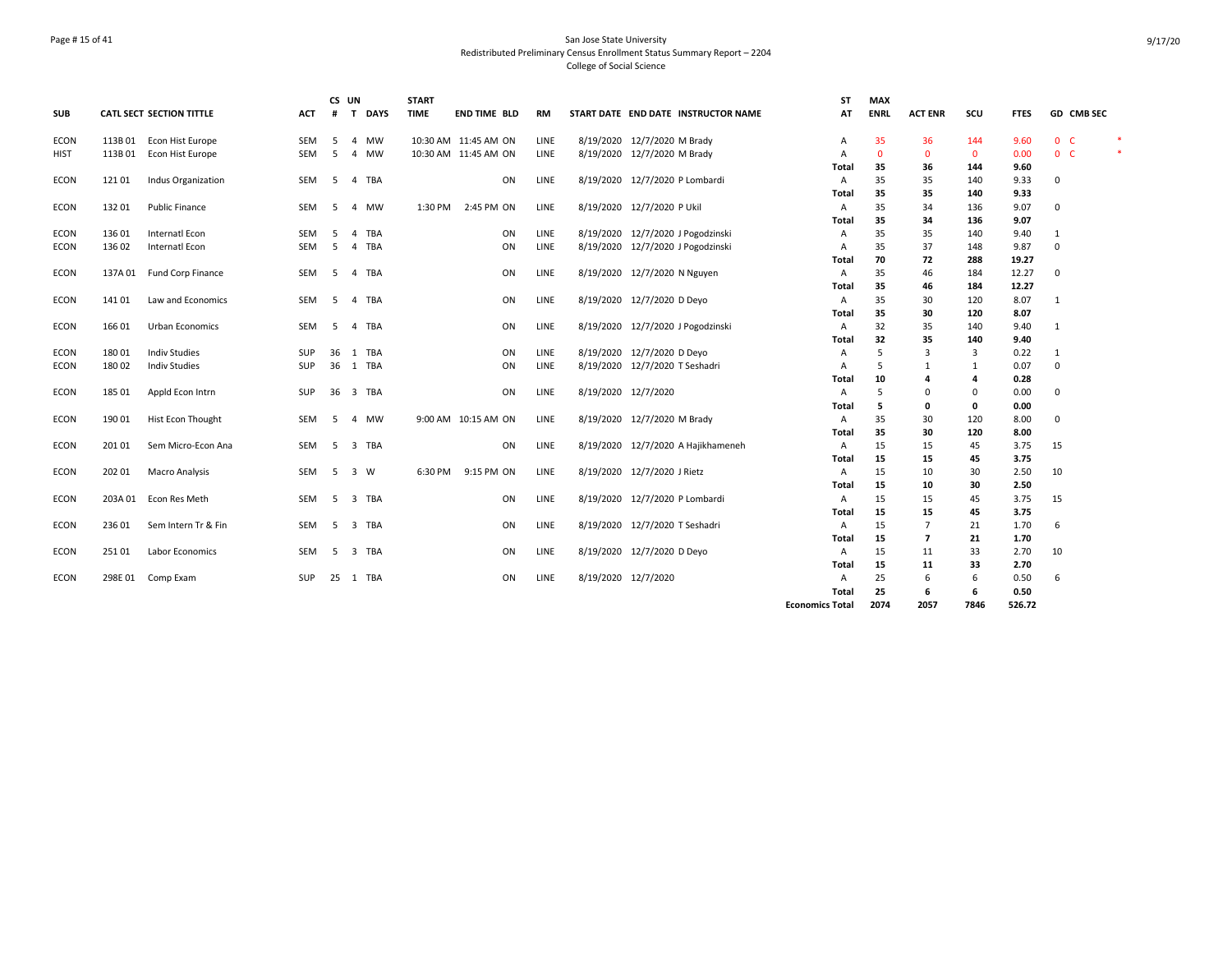## Page # 15 of 41 San Jose State University Redistributed Preliminary Census Enrollment Status Summary Report – 2204 College of Social Science

|             |         |                          |            |    | CS UN          |          | <b>START</b> |                      |    |           |                                |                                     | <b>ST</b>              | <b>MAX</b>  |                          |                |             |                |        |
|-------------|---------|--------------------------|------------|----|----------------|----------|--------------|----------------------|----|-----------|--------------------------------|-------------------------------------|------------------------|-------------|--------------------------|----------------|-------------|----------------|--------|
| <b>SUB</b>  |         | CATL SECT SECTION TITTLE | ACT        | #  |                | T DAYS   | <b>TIME</b>  | <b>END TIME BLD</b>  |    | <b>RM</b> |                                | START DATE END DATE INSTRUCTOR NAME | AT                     | <b>ENRL</b> | <b>ACT ENR</b>           | scu            | <b>FTES</b> | GD CMB SEC     |        |
| <b>ECON</b> | 113B01  | Econ Hist Europe         | SEM        | -5 | 4              | MW       |              | 10:30 AM 11:45 AM ON |    | LINE      | 8/19/2020 12/7/2020 M Brady    |                                     | Α                      | 35          | 36                       | 144            | 9.60        | 0 <sub>c</sub> | 米      |
| HIST        | 113B01  | Econ Hist Europe         | <b>SEM</b> | .5 | 4              | MW       |              | 10:30 AM 11:45 AM ON |    | LINE      | 8/19/2020 12/7/2020 M Brady    |                                     | A                      | $\Omega$    | $\mathbf{0}$             | $\mathbf 0$    | 0.00        | 0 <sub>c</sub> | $\ast$ |
|             |         |                          |            |    |                |          |              |                      |    |           |                                |                                     | Total                  | 35          | 36                       | 144            | 9.60        |                |        |
| <b>ECON</b> | 121 01  | Indus Organization       | <b>SEM</b> | -5 |                | 4 TBA    |              |                      | ON | LINE      | 8/19/2020 12/7/2020 P Lombardi |                                     | A                      | 35          | 35                       | 140            | 9.33        | 0              |        |
|             |         |                          |            |    |                |          |              |                      |    |           |                                |                                     | <b>Total</b>           | 35          | 35                       | 140            | 9.33        |                |        |
| <b>ECON</b> | 132 01  | <b>Public Finance</b>    | SEM        | -5 |                | 4 MW     | 1:30 PM      | 2:45 PM ON           |    | LINE      | 8/19/2020 12/7/2020 P Ukil     |                                     | A                      | 35          | 34                       | 136            | 9.07        | 0              |        |
|             |         |                          |            |    |                |          |              |                      |    |           |                                |                                     | Total                  | 35          | 34                       | 136            | 9.07        |                |        |
| <b>ECON</b> | 13601   | Internatl Econ           | <b>SEM</b> | .5 | $\overline{4}$ | TBA      |              |                      | ON | LINE      |                                | 8/19/2020 12/7/2020 J Pogodzinski   | A                      | 35          | 35                       | 140            | 9.40        | 1              |        |
| <b>ECON</b> | 136 02  | Internatl Econ           | <b>SEM</b> | -5 |                | 4 TBA    |              |                      | ON | LINE      |                                | 8/19/2020 12/7/2020 J Pogodzinski   | A                      | 35          | 37                       | 148            | 9.87        | $\mathbf 0$    |        |
|             |         |                          |            |    |                |          |              |                      |    |           |                                |                                     | Total                  | 70          | 72                       | 288            | 19.27       |                |        |
| <b>ECON</b> | 137A 01 | Fund Corp Finance        | SEM        | -5 |                | 4 TBA    |              |                      | ON | LINE      | 8/19/2020 12/7/2020 N Nguyen   |                                     | Α                      | 35          | 46                       | 184            | 12.27       | 0              |        |
|             |         |                          |            |    |                |          |              |                      |    |           |                                |                                     | Total                  | 35          | 46                       | 184            | 12.27       |                |        |
| <b>ECON</b> | 141 01  | Law and Economics        | <b>SEM</b> | -5 |                | 4 TBA    |              |                      | ON | LINE      | 8/19/2020 12/7/2020 D Deyo     |                                     | Α                      | 35          | 30                       | 120            | 8.07        | $\mathbf{1}$   |        |
|             |         |                          |            |    |                |          |              |                      |    |           |                                |                                     | Total                  | 35          | 30                       | 120            | 8.07        |                |        |
| <b>ECON</b> | 166 01  | Urban Economics          | <b>SEM</b> | -5 |                | 4 TBA    |              |                      | ON | LINE      |                                | 8/19/2020 12/7/2020 J Pogodzinski   | Α                      | 32          | 35                       | 140            | 9.40        | 1              |        |
|             |         |                          |            |    |                |          |              |                      |    |           |                                |                                     | <b>Total</b>           | 32          | 35                       | 140            | 9.40        |                |        |
| <b>ECON</b> | 18001   | <b>Indiv Studies</b>     | SUP        | 36 |                | 1 TBA    |              |                      | ON | LINE      | 8/19/2020 12/7/2020 D Deyo     |                                     | A                      | 5           | 3                        | 3              | 0.22        | 1              |        |
| ECON        | 18002   | <b>Indiv Studies</b>     | SUP        | 36 |                | 1 TBA    |              |                      | ON | LINE      | 8/19/2020 12/7/2020 T Seshadri |                                     | A                      | .5          | -1                       | 1              | 0.07        | 0              |        |
|             |         |                          |            |    |                |          |              |                      |    |           |                                |                                     | Total                  | 10          | Δ                        | $\overline{a}$ | 0.28        |                |        |
| ECON        | 185 01  | Appld Econ Intrn         | SUP        | 36 |                | 3 TBA    |              |                      | ON | LINE      | 8/19/2020 12/7/2020            |                                     | Α                      | .5          | $\Omega$                 | 0              | 0.00        | 0              |        |
|             |         |                          |            |    |                |          |              |                      |    |           |                                |                                     | <b>Total</b>           | 5           | 0                        | $\mathbf 0$    | 0.00        |                |        |
| <b>ECON</b> | 19001   | Hist Econ Thought        | <b>SEM</b> | -5 |                | 4 MW     |              | 9:00 AM 10:15 AM ON  |    | LINE      | 8/19/2020 12/7/2020 M Brady    |                                     | A                      | 35          | 30                       | 120            | 8.00        | 0              |        |
|             |         |                          |            |    |                |          |              |                      |    |           |                                |                                     | Total                  | 35          | 30                       | 120            | 8.00        |                |        |
| <b>ECON</b> | 201 01  | Sem Micro-Econ Ana       | <b>SEM</b> | -5 |                | 3 TBA    |              |                      | ON | LINE      |                                | 8/19/2020 12/7/2020 A Hajikhameneh  | Α                      | 15          | 15                       | 45             | 3.75        | 15             |        |
|             |         |                          |            |    |                |          |              |                      |    |           |                                |                                     | Total                  | 15          | 15                       | 45             | 3.75        |                |        |
| ECON        | 202 01  | <b>Macro Analysis</b>    | SEM        | -5 |                | 3 W      | 6:30 PM      | 9:15 PM ON           |    | LINE      | 8/19/2020 12/7/2020 J Rietz    |                                     | Α                      | 15          | 10                       | 30             | 2.50        | 10             |        |
|             |         |                          |            |    |                |          |              |                      |    |           |                                |                                     | Total                  | 15          | 10                       | 30             | 2.50        |                |        |
| ECON        | 203A 01 | Econ Res Meth            | <b>SEM</b> | -5 |                | 3 TBA    |              |                      | ON | LINE      | 8/19/2020 12/7/2020 P Lombardi |                                     | $\mathsf{A}$           | 15          | 15                       | 45             | 3.75        | 15             |        |
|             |         |                          |            |    |                |          |              |                      |    |           |                                |                                     | Total                  | 15          | 15                       | 45             | 3.75        |                |        |
| <b>ECON</b> | 236 01  | Sem Intern Tr & Fin      | <b>SEM</b> | 5  |                | 3 TBA    |              |                      | ON | LINE      | 8/19/2020 12/7/2020 T Seshadri |                                     | $\mathsf{A}$           | 15          | $\overline{7}$           | 21             | 1.70        | 6              |        |
|             |         |                          |            |    |                |          |              |                      |    |           |                                |                                     | Total                  | 15          | $\overline{\phantom{a}}$ | 21             | 1.70        |                |        |
| <b>ECON</b> | 25101   | Labor Economics          | <b>SEM</b> | -5 |                | 3 TBA    |              |                      | ON | LINE      | 8/19/2020 12/7/2020 D Deyo     |                                     | $\mathsf{A}$           | 15          | 11                       | 33             | 2.70        | 10             |        |
|             |         |                          |            |    |                |          |              |                      |    |           |                                |                                     | Total                  | 15          | 11                       | 33             | 2.70        |                |        |
| <b>ECON</b> | 298E 01 | Comp Exam                | <b>SUP</b> |    |                | 25 1 TBA |              |                      | ON | LINE      | 8/19/2020 12/7/2020            |                                     | A                      | 25          | 6                        | 6              | 0.50        | 6              |        |
|             |         |                          |            |    |                |          |              |                      |    |           |                                |                                     | Total                  | 25          | 6                        | 6              | 0.50        |                |        |
|             |         |                          |            |    |                |          |              |                      |    |           |                                |                                     | <b>Economics Total</b> | 2074        | 2057                     | 7846           | 526.72      |                |        |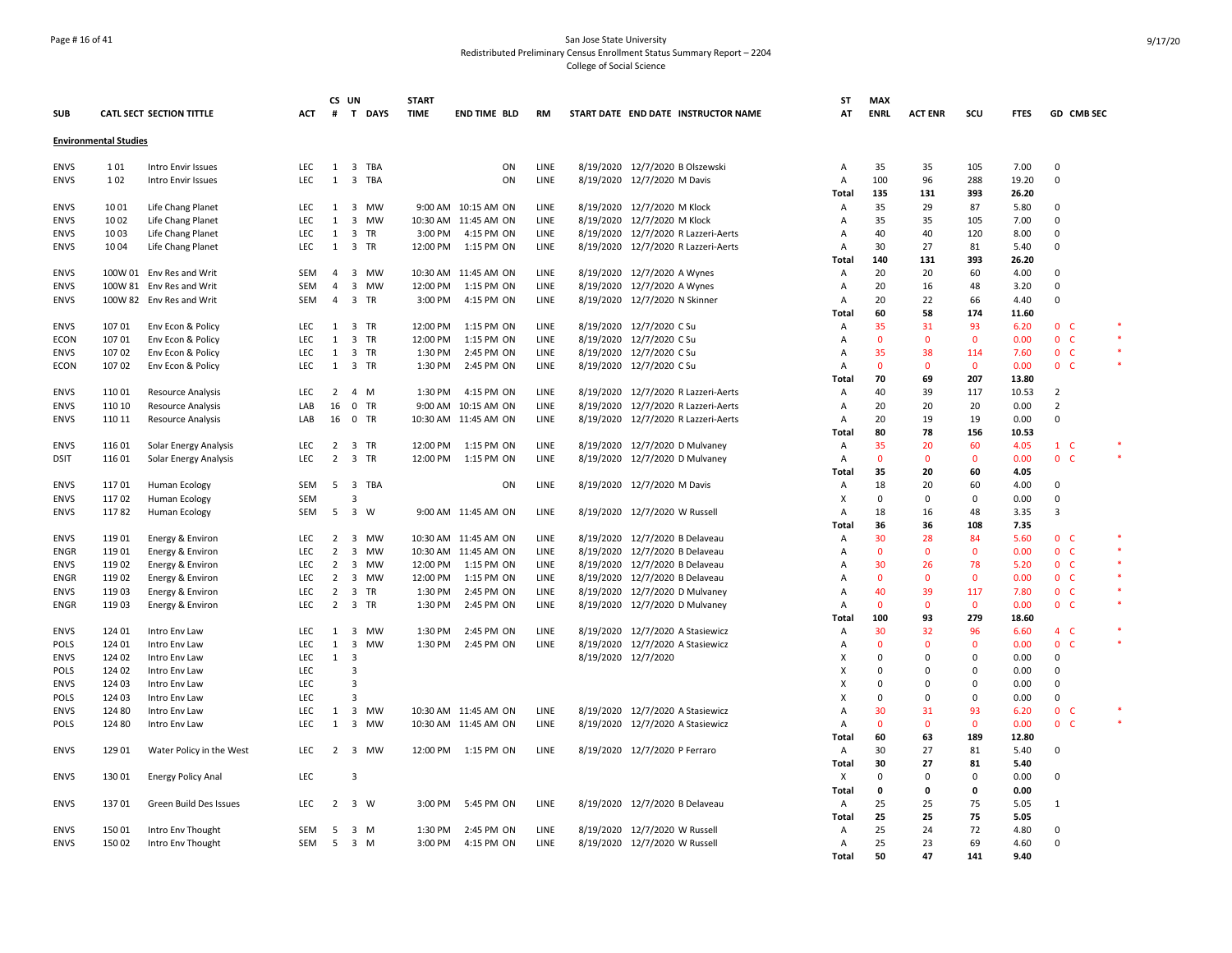## Page # 16 of 41 San Jose State University Redistributed Preliminary Census Enrollment Status Summary Report – 2204 College of Social Science

|             |                              |                                      |            | CS UN               |                         |              | <b>START</b> |                      |      |                     |                                     | <b>ST</b>                 | <b>MAX</b>   |                |              |             |                     |        |
|-------------|------------------------------|--------------------------------------|------------|---------------------|-------------------------|--------------|--------------|----------------------|------|---------------------|-------------------------------------|---------------------------|--------------|----------------|--------------|-------------|---------------------|--------|
| <b>SUB</b>  |                              | <b>CATL SECT SECTION TITTLE</b>      | ACT        |                     |                         | # T DAYS     | <b>TIME</b>  | <b>END TIME BLD</b>  | RM   |                     | START DATE END DATE INSTRUCTOR NAME | AT                        | <b>ENRL</b>  | <b>ACT ENR</b> | scu          | <b>FTES</b> | GD CMB SEC          |        |
|             | <b>Environmental Studies</b> |                                      |            |                     |                         |              |              |                      |      |                     |                                     |                           |              |                |              |             |                     |        |
| <b>ENVS</b> | 101                          | Intro Envir Issues                   | <b>LEC</b> |                     |                         | 1 3 TBA      |              | ON                   | LINE |                     | 8/19/2020 12/7/2020 B Olszewski     | Α                         | 35           | 35             | 105          | 7.00        | $\mathbf 0$         |        |
| <b>ENVS</b> | 102                          | Intro Envir Issues                   | LEC        | 1                   |                         | 3 TBA        |              | ON                   | LINE |                     | 8/19/2020 12/7/2020 M Davis         | Α                         | 100          | 96             | 288          | 19.20       | 0                   |        |
|             |                              |                                      |            |                     |                         |              |              |                      |      |                     |                                     | Total                     | 135          | 131            | 393          | 26.20       |                     |        |
| <b>ENVS</b> | 1001                         | Life Chang Planet                    | LEC        | 1                   |                         | 3 MW         |              | 9:00 AM 10:15 AM ON  | LINE |                     | 8/19/2020 12/7/2020 M Klock         | Α                         | 35           | 29             | 87           | 5.80        | 0                   |        |
| <b>ENVS</b> | 1002                         | Life Chang Planet                    | LEC        | 1                   |                         | 3 MW         |              | 10:30 AM 11:45 AM ON | LINE |                     | 8/19/2020 12/7/2020 M Klock         | Α                         | 35           | 35             | 105          | 7.00        | 0                   |        |
| <b>ENVS</b> | 1003                         | Life Chang Planet                    | <b>LEC</b> | 1                   |                         | 3 TR         | 3:00 PM      | 4:15 PM ON           | LINE |                     | 8/19/2020 12/7/2020 R Lazzeri-Aerts | A                         | 40           | 40             | 120          | 8.00        | $\mathbf 0$         |        |
| <b>ENVS</b> | 1004                         | Life Chang Planet                    | LEC        |                     | 1 3 TR                  |              | 12:00 PM     | 1:15 PM ON           | LINE |                     | 8/19/2020 12/7/2020 R Lazzeri-Aerts | А                         | 30           | 27             | 81           | 5.40        | 0                   |        |
|             |                              |                                      |            |                     |                         |              |              |                      |      |                     |                                     | Total                     | 140          | 131            | 393          | 26.20       |                     |        |
| <b>ENVS</b> |                              | 100W 01 Env Res and Writ             | <b>SEM</b> | 4                   |                         | 3 MW         |              | 10:30 AM 11:45 AM ON | LINE |                     | 8/19/2020 12/7/2020 A Wynes         | Α                         | 20           | 20             | 60           | 4.00        | 0                   |        |
| <b>ENVS</b> |                              | 100W 81 Env Res and Writ             | <b>SEM</b> | $\overline{4}$      |                         | 3 MW         | 12:00 PM     | 1:15 PM ON           | LINE |                     | 8/19/2020 12/7/2020 A Wynes         | Α                         | 20           | 16             | 48           | 3.20        | $\mathbf 0$         |        |
| <b>ENVS</b> |                              | 100W 82 Env Res and Writ             | SEM        | $\overline{4}$      |                         | 3 TR         | 3:00 PM      | 4:15 PM ON           | LINE |                     | 8/19/2020 12/7/2020 N Skinner       | Α                         | 20           | 22             | 66           | 4.40        | $\mathbf 0$         |        |
|             |                              |                                      |            |                     |                         |              |              |                      |      |                     |                                     | Total                     | 60           | 58             | 174          | 11.60       |                     |        |
| <b>ENVS</b> | 10701                        | Env Econ & Policy                    | <b>LEC</b> | 1                   |                         | 3 TR         | 12:00 PM     | 1:15 PM ON           | LINE |                     | 8/19/2020 12/7/2020 C Su            | A                         | 35           | 31             | 93           | 6.20        | 0 <sub>c</sub>      | $\ast$ |
| <b>ECON</b> | 107 01                       | Env Econ & Policy                    | LEC        | $\mathbf{1}$        |                         | 3 TR         | 12:00 PM     | 1:15 PM ON           | LINE |                     | 8/19/2020 12/7/2020 C Su            | А                         | $\mathbf 0$  | $\mathbf 0$    | $\mathbf 0$  | 0.00        | 0 <sub>c</sub>      | $\ast$ |
| <b>ENVS</b> | 107 02                       | Env Econ & Policy                    | LEC        | 1                   |                         | 3 TR         | 1:30 PM      | 2:45 PM ON           | LINE |                     | 8/19/2020 12/7/2020 C Su            | А                         | 35           | 38             | 114          | 7.60        | 0 <sub>c</sub>      |        |
| <b>ECON</b> | 107 02                       | Env Econ & Policy                    | LEC        | 1                   |                         | 3 TR         | 1:30 PM      | 2:45 PM ON           | LINE |                     | 8/19/2020 12/7/2020 C Su            | Α                         | $\mathbf 0$  | $\mathbf 0$    | $\mathbf 0$  | 0.00        | 0 <sup>o</sup>      | $\ast$ |
|             |                              |                                      |            |                     |                         |              |              |                      |      |                     |                                     | Total                     | 70           | 69             | 207          | 13.80       |                     |        |
| <b>ENVS</b> | 11001                        | <b>Resource Analysis</b>             | LEC        | $\overline{2}$      | 4 M                     |              | 1:30 PM      | 4:15 PM ON           | LINE |                     | 8/19/2020 12/7/2020 R Lazzeri-Aerts | Α                         | 40           | 39             | 117          | 10.53       | $\overline{2}$      |        |
| <b>ENVS</b> | 110 10                       | <b>Resource Analysis</b>             | LAB        | 16                  |                         | 0 TR         | 9:00 AM      | 10:15 AM ON          | LINE |                     | 8/19/2020 12/7/2020 R Lazzeri-Aerts | Α                         | 20           | 20             | 20           | 0.00        | $\overline{2}$      |        |
| <b>ENVS</b> | 110 11                       | <b>Resource Analysis</b>             | LAB        | 16                  |                         | $0$ TR       |              | 10:30 AM 11:45 AM ON | LINE |                     | 8/19/2020 12/7/2020 R Lazzeri-Aerts | A                         | 20           | 19             | 19           | 0.00        | $\mathbf 0$         |        |
|             |                              |                                      |            |                     |                         |              |              |                      |      |                     |                                     | <b>Total</b>              | 80           | 78             | 156          | 10.53       |                     |        |
| <b>ENVS</b> | 116 01                       | Solar Energy Analysis                | LEC        | $\overline{2}$      |                         | 3 TR         | 12:00 PM     | 1:15 PM ON           | LINE |                     | 8/19/2020 12/7/2020 D Mulvaney      | Α                         | 35           | 20             | 60           | 4.05        | 1 C                 |        |
| <b>DSIT</b> | 116 01                       | Solar Energy Analysis                | LEC        | $\overline{2}$      |                         | 3 TR         | 12:00 PM     | 1:15 PM ON           | LINE |                     | 8/19/2020 12/7/2020 D Mulvaney      | Α                         | $\mathbf 0$  | $\mathbf 0$    | $\mathbf 0$  | 0.00        | 0 <sub>c</sub>      | $\ast$ |
|             |                              |                                      |            |                     |                         |              |              |                      |      |                     |                                     | Total                     | 35           | 20             | 60           | 4.05        |                     |        |
| <b>ENVS</b> | 11701                        | Human Ecology                        | <b>SEM</b> | 5                   |                         | 3 TBA        |              | ON                   | LINE |                     | 8/19/2020 12/7/2020 M Davis         | Α                         | 18           | 20             | 60           | 4.00        | 0                   |        |
| <b>ENVS</b> | 11702                        | Human Ecology                        | <b>SEM</b> |                     | $\overline{3}$          |              |              |                      |      |                     |                                     | X                         | $\mathbf 0$  | 0              | 0            | 0.00        | $\Omega$            |        |
| <b>ENVS</b> | 11782                        | Human Ecology                        | <b>SEM</b> | 5                   | $\overline{\mathbf{3}}$ | W            |              | 9:00 AM 11:45 AM ON  | LINE |                     | 8/19/2020 12/7/2020 W Russell       | A                         | 18           | 16             | 48           | 3.35        | $\overline{3}$      |        |
|             |                              |                                      |            |                     |                         |              |              |                      |      |                     |                                     | <b>Total</b>              | 36           | 36             | 108          | 7.35        |                     |        |
| <b>ENVS</b> | 119 01                       |                                      |            |                     |                         |              |              | 10:30 AM 11:45 AM ON | LINE |                     | 8/19/2020 12/7/2020 B Delaveau      |                           | 30           | 28             | 84           | 5.60        | 0 <sub>c</sub>      | $\ast$ |
| ENGR        | 11901                        | Energy & Environ<br>Energy & Environ | LEC<br>LEC | $\overline{2}$<br>2 |                         | 3 MW<br>3 MW |              | 10:30 AM 11:45 AM ON | LINE | 8/19/2020           | 12/7/2020 B Delaveau                | Α<br>Α                    | $\mathbf 0$  | $\mathbf 0$    | $\mathbf 0$  | 0.00        | $\mathbf{0}$<br>- C | $\ast$ |
| <b>ENVS</b> | 11902                        | Energy & Environ                     | LEC        | $\overline{2}$      |                         | 3 MW         | 12:00 PM     | 1:15 PM ON           | LINE |                     | 8/19/2020 12/7/2020 B Delaveau      | $\overline{A}$            | 30           | 26             | 78           | 5.20        | 0 <sub>c</sub>      |        |
| <b>ENGR</b> | 119 02                       | Energy & Environ                     | LEC        | $\overline{2}$      |                         | 3 MW         | 12:00 PM     | 1:15 PM ON           | LINE |                     | 8/19/2020 12/7/2020 B Delaveau      | $\overline{A}$            | $\mathbf{0}$ | $\mathbf{0}$   | $\mathbf{0}$ | 0.00        | 0 <sup>o</sup>      | $\ast$ |
| <b>ENVS</b> | 11903                        | Energy & Environ                     | LEC        | $\overline{2}$      |                         | 3 TR         | 1:30 PM      | 2:45 PM ON           | LINE |                     | 8/19/2020 12/7/2020 D Mulvaney      | Α                         | 40           | 39             | 117          | 7.80        | 0 <sup>o</sup>      | $\ast$ |
| <b>ENGR</b> | 11903                        | Energy & Environ                     | LEC        | $2^{\circ}$         |                         | 3 TR         | 1:30 PM      | 2:45 PM ON           | LINE |                     | 8/19/2020 12/7/2020 D Mulvaney      | A                         | $\mathbf{0}$ | $\mathbf{0}$   | $\mathbf{0}$ | 0.00        | 0 <sub>c</sub>      | $\ast$ |
|             |                              |                                      |            |                     |                         |              |              |                      |      |                     |                                     | <b>Total</b>              | 100          | 93             | 279          | 18.60       |                     |        |
| <b>ENVS</b> | 124 01                       | Intro Env Law                        | <b>LEC</b> | 1                   |                         | 3 MW         | 1:30 PM      | 2:45 PM ON           | LINE |                     | 8/19/2020 12/7/2020 A Stasiewicz    | Α                         | 30           | 32             | 96           | 6.60        | 4 C                 | $\ast$ |
| <b>POLS</b> | 124 01                       | Intro Env Law                        | LEC        | 1                   |                         | 3 MW         | 1:30 PM      | 2:45 PM ON           | LINE | 8/19/2020           | 12/7/2020 A Stasiewicz              | Α                         | $\mathbf 0$  | $\mathbf 0$    | $\mathbf 0$  | 0.00        | $\mathbf{0}$<br>-C  | $\ast$ |
| <b>ENVS</b> | 124 02                       | Intro Env Law                        | LEC        | 1                   | $\overline{\mathbf{3}}$ |              |              |                      |      | 8/19/2020 12/7/2020 |                                     | X                         | $\mathbf 0$  | $\Omega$       | 0            | 0.00        | 0                   |        |
| <b>POLS</b> | 124 02                       | Intro Env Law                        | LEC        |                     | $\overline{3}$          |              |              |                      |      |                     |                                     | X                         | $\mathbf 0$  | $\Omega$       | $\Omega$     | 0.00        | 0                   |        |
| <b>ENVS</b> | 124 03                       | Intro Env Law                        | LEC        |                     | $\overline{3}$          |              |              |                      |      |                     |                                     | X                         | $\Omega$     | $\Omega$       | $\Omega$     | 0.00        | 0                   |        |
| <b>POLS</b> | 124 03                       | Intro Env Law                        | LEC        |                     | $\overline{3}$          |              |              |                      |      |                     |                                     | $\boldsymbol{\mathsf{x}}$ | $\Omega$     | $\Omega$       | $\Omega$     | 0.00        | $\Omega$            |        |
| <b>ENVS</b> | 124 80                       | Intro Env Law                        | LEC        | 1                   |                         | 3 MW         |              | 10:30 AM 11:45 AM ON | LINE |                     | 8/19/2020 12/7/2020 A Stasiewicz    | А                         | 30           | 31             | 93           | 6.20        | 0 <sub>c</sub>      |        |
| <b>POLS</b> | 124 80                       | Intro Env Law                        | LEC        | 1                   |                         | 3 MW         |              | 10:30 AM 11:45 AM ON | LINE |                     | 8/19/2020 12/7/2020 A Stasiewicz    | Α                         | $\mathbf 0$  | $\mathbf 0$    | $\mathbf 0$  | 0.00        | 0 <sup>o</sup>      |        |
|             |                              |                                      |            |                     |                         |              |              |                      |      |                     |                                     | Total                     | 60           | 63             | 189          | 12.80       |                     |        |
| <b>ENVS</b> | 129 01                       | Water Policy in the West             | LEC        | $\overline{2}$      |                         | 3 MW         | 12:00 PM     | 1:15 PM ON           | LINE |                     | 8/19/2020 12/7/2020 P Ferraro       | Α                         | 30           | 27             | 81           | 5.40        | 0                   |        |
|             |                              |                                      |            |                     |                         |              |              |                      |      |                     |                                     | Total                     | 30           | 27             | 81           | 5.40        |                     |        |
| <b>ENVS</b> | 130 01                       | <b>Energy Policy Anal</b>            | LEC        |                     | $\overline{3}$          |              |              |                      |      |                     |                                     | X                         | $\mathbf 0$  | $\Omega$       | $\Omega$     | 0.00        | $\Omega$            |        |
|             |                              |                                      |            |                     |                         |              |              |                      |      |                     |                                     | <b>Total</b>              | $\mathbf 0$  | 0              | 0            | 0.00        |                     |        |
| <b>ENVS</b> | 13701                        | Green Build Des Issues               | <b>LEC</b> | $2^{\circ}$         | 3 W                     |              | 3:00 PM      | 5:45 PM ON           | LINE |                     | 8/19/2020 12/7/2020 B Delaveau      | Α                         | 25           | 25             | 75           | 5.05        | 1                   |        |
|             |                              |                                      |            |                     |                         |              |              |                      |      |                     |                                     |                           | 25           | 25             | 75           | 5.05        |                     |        |
| ENVS        | 150 01                       |                                      | <b>SEM</b> | -5                  | 3 M                     |              | 1:30 PM      | 2:45 PM ON           | LINE |                     | 8/19/2020 12/7/2020 W Russell       | Total<br>Α                | 25           | 24             | 72           | 4.80        | 0                   |        |
| <b>ENVS</b> | 150 02                       | Intro Env Thought                    | <b>SEM</b> | 5                   | 3 M                     |              | 3:00 PM      | 4:15 PM ON           | LINE |                     | 8/19/2020 12/7/2020 W Russell       | Α                         | 25           | 23             | 69           | 4.60        | $\mathbf 0$         |        |
|             |                              | Intro Env Thought                    |            |                     |                         |              |              |                      |      |                     |                                     | <b>Total</b>              | 50           | 47             | 141          | 9.40        |                     |        |
|             |                              |                                      |            |                     |                         |              |              |                      |      |                     |                                     |                           |              |                |              |             |                     |        |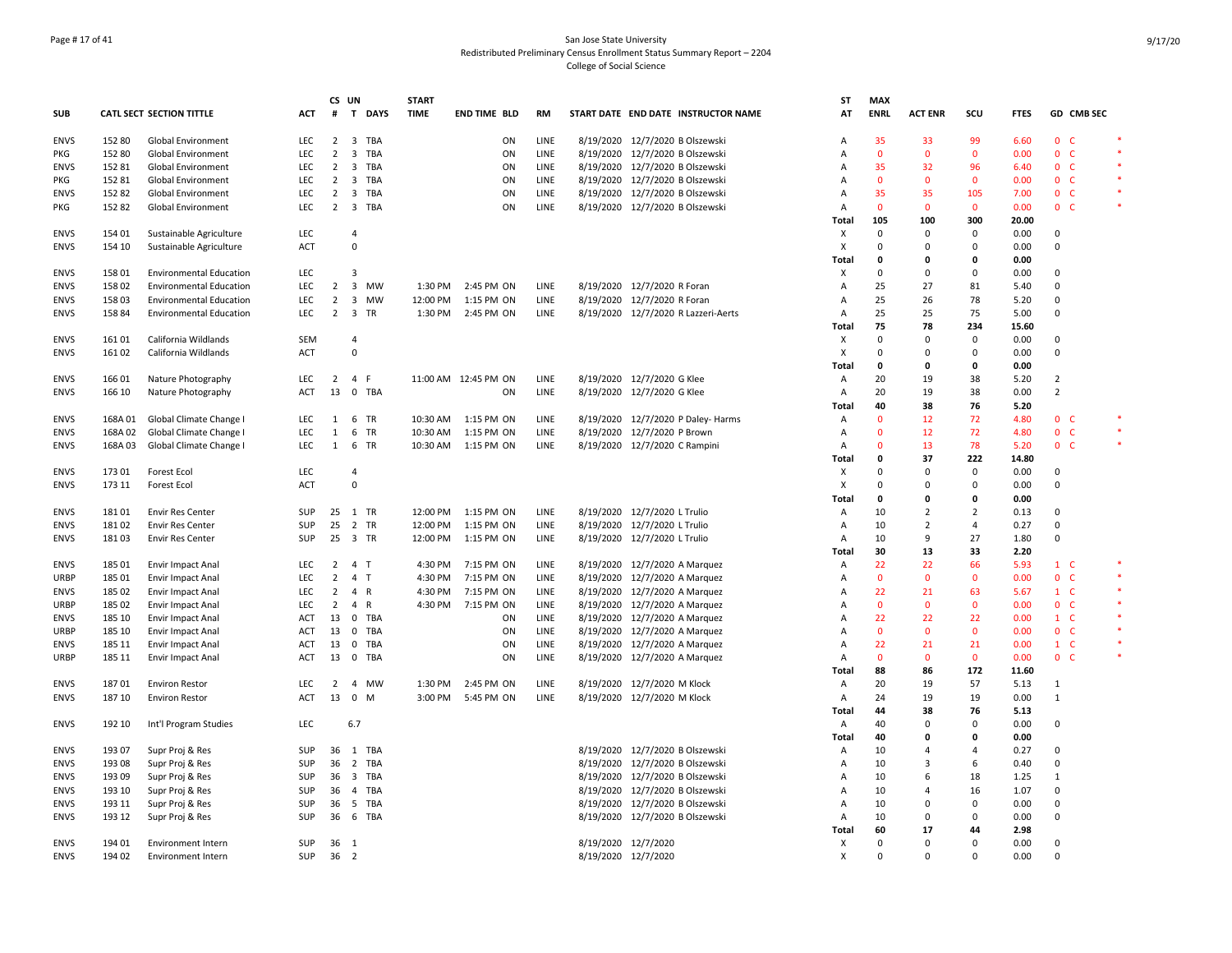## Page # 17 of 41 San Jose State University Redistributed Preliminary Census Enrollment Status Summary Report – 2204 College of Social Science

|             |        |                                 |            | CS UN          |                |        | <b>START</b> |                      |      |           |                                 |                                     | ST             | <b>MAX</b>   |                |                |             |                |            |            |
|-------------|--------|---------------------------------|------------|----------------|----------------|--------|--------------|----------------------|------|-----------|---------------------------------|-------------------------------------|----------------|--------------|----------------|----------------|-------------|----------------|------------|------------|
| <b>SUB</b>  |        | <b>CATL SECT SECTION TITTLE</b> | ACT        | #              |                | T DAYS | <b>TIME</b>  | <b>END TIME BLD</b>  | RM   |           |                                 | START DATE END DATE INSTRUCTOR NAME | AT             | <b>ENRL</b>  | <b>ACT ENR</b> | SCU            | <b>FTES</b> |                | GD CMB SEC |            |
| <b>ENVS</b> | 152 80 | <b>Global Environment</b>       | <b>LEC</b> | 2              |                | 3 TBA  |              | ON                   | LINE |           | 8/19/2020 12/7/2020 B Olszewski |                                     | Α              | 35           | 33             | 99             | 6.60        | 0 <sup>o</sup> |            |            |
| <b>PKG</b>  | 152 80 | <b>Global Environment</b>       | LEC        | 2              | $\overline{3}$ | TBA    |              | ON                   | LINE |           |                                 | 8/19/2020 12/7/2020 B Olszewski     | A              | $\mathbf{0}$ | $\mathbf{0}$   | $\mathbf{0}$   | 0.00        | 0 <sup>o</sup> |            | $\ast$     |
| <b>ENVS</b> | 152 81 | <b>Global Environment</b>       | <b>LEC</b> | $\overline{2}$ |                | 3 TBA  |              | ON                   | LINE |           | 8/19/2020 12/7/2020 B Olszewski |                                     | A              | 35           | 32             | 96             | 6.40        | 0 <sup>o</sup> |            | <b>Ski</b> |
| <b>PKG</b>  | 152 81 | Global Environment              | <b>LEC</b> | $\overline{2}$ |                | 3 TBA  |              | ON                   | LINE |           |                                 | 8/19/2020 12/7/2020 B Olszewski     | A              | $\mathbf{0}$ | $\overline{0}$ | $\mathbf 0$    | 0.00        | 0 <sub>c</sub> |            | $\ast$     |
| <b>ENVS</b> | 152 82 | Global Environment              | LEC        | $\overline{2}$ |                | 3 TBA  |              | ON                   | LINE |           |                                 | 8/19/2020 12/7/2020 B Olszewski     | Α              | 35           | 35             | 105            | 7.00        | 0 <sup>o</sup> |            |            |
| PKG         | 152 82 | Global Environment              | LEC        | $\overline{2}$ |                | 3 TBA  |              | ON                   | LINE |           |                                 | 8/19/2020 12/7/2020 B Olszewski     | Α              | 0            | $\mathbf 0$    | $\mathbf 0$    | 0.00        | 0 <sub>c</sub> |            |            |
|             |        |                                 |            |                |                |        |              |                      |      |           |                                 |                                     | Total          | 105          | 100            | 300            | 20.00       |                |            |            |
| <b>ENVS</b> | 154 01 | Sustainable Agriculture         | LEC        |                | $\overline{4}$ |        |              |                      |      |           |                                 |                                     | X              | $\Omega$     | 0              | 0              | 0.00        | 0              |            |            |
| <b>ENVS</b> | 154 10 | Sustainable Agriculture         | <b>ACT</b> |                | $\mathbf 0$    |        |              |                      |      |           |                                 |                                     | х              | $\Omega$     | $\Omega$       | $\Omega$       | 0.00        | $\Omega$       |            |            |
|             |        |                                 |            |                |                |        |              |                      |      |           |                                 |                                     | <b>Total</b>   | 0            | 0              | 0              | 0.00        |                |            |            |
| <b>ENVS</b> | 158 01 | <b>Environmental Education</b>  | LEC        |                | $\overline{3}$ |        |              |                      |      |           |                                 |                                     | Χ              | 0            | $\mathbf 0$    | $\mathbf 0$    | 0.00        | $\mathbf 0$    |            |            |
| <b>ENVS</b> | 158 02 | <b>Environmental Education</b>  | LEC        | $\overline{2}$ |                | 3 MW   | 1:30 PM      | 2:45 PM ON           | LINE |           | 8/19/2020 12/7/2020 R Foran     |                                     | Α              | 25           | 27             | 81             | 5.40        | $\mathbf 0$    |            |            |
| <b>ENVS</b> | 15803  | <b>Environmental Education</b>  | LEC        | $\overline{2}$ |                | 3 MW   | 12:00 PM     | 1:15 PM ON           | LINE |           | 8/19/2020 12/7/2020 R Foran     |                                     | A              | 25           | 26             | 78             | 5.20        | $\Omega$       |            |            |
| <b>ENVS</b> | 158 84 | <b>Environmental Education</b>  | LEC        | $\overline{2}$ |                | 3 TR   | 1:30 PM      | 2:45 PM ON           | LINE |           |                                 | 8/19/2020 12/7/2020 R Lazzeri-Aerts | Α              | 25           | 25             | 75             | 5.00        | $\Omega$       |            |            |
|             |        |                                 |            |                |                |        |              |                      |      |           |                                 |                                     | Total          | 75           | 78             | 234            | 15.60       |                |            |            |
| <b>ENVS</b> | 16101  | California Wildlands            | <b>SEM</b> |                | $\overline{4}$ |        |              |                      |      |           |                                 |                                     | X              | $\Omega$     | $\Omega$       | 0              | 0.00        | $\Omega$       |            |            |
| <b>ENVS</b> | 16102  | California Wildlands            | ACT        |                | $\overline{0}$ |        |              |                      |      |           |                                 |                                     | X              | 0            | $\Omega$       | 0              | 0.00        | $\Omega$       |            |            |
|             |        |                                 |            |                |                |        |              |                      |      |           |                                 |                                     | Total          | 0            | $\mathbf 0$    | 0              | 0.00        |                |            |            |
|             |        |                                 |            |                |                |        |              |                      |      |           | 8/19/2020 12/7/2020 G Klee      |                                     |                |              |                |                |             | $\overline{2}$ |            |            |
| <b>ENVS</b> | 166 01 | Nature Photography              | LEC        | 2              | 4 F            |        |              | 11:00 AM 12:45 PM ON | LINE |           |                                 |                                     | A              | 20           | 19             | 38             | 5.20        | $\overline{2}$ |            |            |
| <b>ENVS</b> | 166 10 | Nature Photography              | <b>ACT</b> | 13             |                | 0 TBA  |              | ON                   | LINE |           | 8/19/2020 12/7/2020 G Klee      |                                     | A              | 20           | 19             | 38             | 0.00        |                |            |            |
|             |        |                                 |            |                |                |        |              |                      |      |           |                                 |                                     | Total          | 40           | 38             | 76             | 5.20        |                |            |            |
| <b>ENVS</b> | 168A01 | Global Climate Change I         | LEC        | $\mathbf{1}$   |                | 6 TR   | 10:30 AM     | 1:15 PM ON           | LINE |           |                                 | 8/19/2020 12/7/2020 P Daley- Harms  | Α              | $\mathbf{0}$ | 12             | 72             | 4.80        | 0 <sub>c</sub> |            |            |
| <b>ENVS</b> | 168A02 | Global Climate Change I         | <b>LEC</b> | 1              |                | 6 TR   | 10:30 AM     | 1:15 PM ON           | LINE |           | 8/19/2020 12/7/2020 P Brown     |                                     | A              | $\Omega$     | 12             | 72             | 4.80        | 0 <sup>o</sup> |            | $\star$    |
| <b>ENVS</b> | 168A03 | Global Climate Change I         | LEC        | $\mathbf{1}$   |                | 6 TR   | 10:30 AM     | 1:15 PM ON           | LINE |           | 8/19/2020 12/7/2020 C Rampini   |                                     | Α              | $\mathbf{0}$ | 13             | 78             | 5.20        | 0 <sub>c</sub> |            | $\ast$     |
|             |        |                                 |            |                |                |        |              |                      |      |           |                                 |                                     | Total          | 0            | 37             | 222            | 14.80       |                |            |            |
| <b>ENVS</b> | 173 01 | <b>Forest Ecol</b>              | LEC        |                | $\overline{4}$ |        |              |                      |      |           |                                 |                                     | X              | $\Omega$     | 0              | 0              | 0.00        | 0              |            |            |
| <b>ENVS</b> | 173 11 | <b>Forest Ecol</b>              | <b>ACT</b> |                | $\overline{0}$ |        |              |                      |      |           |                                 |                                     | X              | 0            | $\Omega$       | $\Omega$       | 0.00        | $\Omega$       |            |            |
|             |        |                                 |            |                |                |        |              |                      |      |           |                                 |                                     | Total          | 0            | 0              | 0              | 0.00        |                |            |            |
| <b>ENVS</b> | 18101  | <b>Envir Res Center</b>         | <b>SUP</b> |                | 25 1 TR        |        | 12:00 PM     | 1:15 PM ON           | LINE |           | 8/19/2020 12/7/2020 L Trulio    |                                     | Α              | 10           | $\overline{2}$ | $\overline{2}$ | 0.13        | $\Omega$       |            |            |
| <b>ENVS</b> | 18102  | Envir Res Center                | SUP        | 25             |                | 2 TR   | 12:00 PM     | 1:15 PM ON           | LINE |           | 8/19/2020 12/7/2020 L Trulio    |                                     | A              | 10           | $\overline{2}$ | 4              | 0.27        | $\Omega$       |            |            |
| <b>ENVS</b> | 18103  | <b>Envir Res Center</b>         | SUP        |                | 25 3 TR        |        | 12:00 PM     | 1:15 PM ON           | LINE |           | 8/19/2020 12/7/2020 L Trulio    |                                     | Α              | 10           | 9              | 27             | 1.80        | $\Omega$       |            |            |
|             |        |                                 |            |                |                |        |              |                      |      |           |                                 |                                     | Total          | 30           | 13             | 33             | 2.20        |                |            |            |
| <b>ENVS</b> | 185 01 | Envir Impact Anal               | LEC        | 2              | 4 T            |        | 4:30 PM      | 7:15 PM ON           | LINE | 8/19/2020 | 12/7/2020 A Marquez             |                                     | Α              | 22           | 22             | 66             | 5.93        | $1\quad$ C     |            |            |
| <b>URBP</b> | 185 01 | Envir Impact Anal               | LEC        | $\overline{2}$ | 4 T            |        | 4:30 PM      | 7:15 PM ON           | LINE |           | 8/19/2020 12/7/2020 A Marquez   |                                     | Α              | $\mathbf{0}$ | $\mathbf{0}$   | $\mathbf{0}$   | 0.00        | 0 <sup>o</sup> |            | $\ast$     |
| <b>ENVS</b> | 185 02 | Envir Impact Anal               | LEC        | 2              | 4 R            |        | 4:30 PM      | 7:15 PM ON           | LINE |           | 8/19/2020 12/7/2020 A Marquez   |                                     | Α              | 22           | 21             | 63             | 5.67        | $1\quad$ C     |            |            |
| <b>URBP</b> | 185 02 | Envir Impact Anal               | LEC        | $\overline{2}$ | 4 R            |        | 4:30 PM      | 7:15 PM ON           | LINE |           | 8/19/2020 12/7/2020 A Marquez   |                                     | A              | $\Omega$     | $\mathbf{0}$   | $\mathbf{0}$   | 0.00        | 0 <sup>o</sup> |            | $\star$    |
| <b>ENVS</b> | 185 10 | Envir Impact Anal               | <b>ACT</b> | 13             |                | 0 TBA  |              | ON                   | LINE |           | 8/19/2020 12/7/2020 A Marquez   |                                     | Α              | 22           | 22             | 22             | 0.00        | $1\quad C$     |            |            |
| URBP        | 185 10 | Envir Impact Anal               | ACT        | 13             |                | 0 TBA  |              | ON                   | LINE |           | 8/19/2020 12/7/2020 A Marquez   |                                     | А              | $\mathbf 0$  | $\mathbf 0$    | $\mathbf 0$    | 0.00        | 0 <sub>c</sub> |            |            |
| <b>ENVS</b> | 185 11 | Envir Impact Anal               | ACT        | 13             |                | 0 TBA  |              | ON                   | LINE |           | 8/19/2020 12/7/2020 A Marquez   |                                     | Α              | 22           | 21             | 21             | 0.00        | $1\quad C$     |            |            |
| <b>URBP</b> | 185 11 | Envir Impact Anal               | ACT        | 13             |                | 0 TBA  |              | ON                   | LINE |           | 8/19/2020 12/7/2020 A Marquez   |                                     | Α              | 0            | $\mathbf 0$    | $\mathbf 0$    | 0.00        | 0 <sup>o</sup> |            |            |
|             |        |                                 |            |                |                |        |              |                      |      |           |                                 |                                     | Total          | 88           | 86             | 172            | 11.60       |                |            |            |
| <b>ENVS</b> | 18701  | <b>Environ Restor</b>           | <b>LEC</b> | $\overline{2}$ |                | 4 MW   | 1:30 PM      | 2:45 PM ON           | LINE |           | 8/19/2020 12/7/2020 M Klock     |                                     |                | 20           | 19             | 57             | 5.13        | 1              |            |            |
|             |        |                                 | <b>ACT</b> | 13             |                |        |              | 5:45 PM ON           | LINE |           |                                 |                                     | A              | 24           |                | 19             | 0.00        |                |            |            |
| <b>ENVS</b> | 187 10 | <b>Environ Restor</b>           |            |                | $0$ M          |        | 3:00 PM      |                      |      |           | 8/19/2020 12/7/2020 M Klock     |                                     | $\overline{A}$ |              | 19             |                |             | 1              |            |            |
|             |        |                                 |            |                |                |        |              |                      |      |           |                                 |                                     | <b>Total</b>   | 44           | 38             | 76             | 5.13        |                |            |            |
| <b>ENVS</b> | 192 10 | Int'l Program Studies           | LEC        |                | 6.7            |        |              |                      |      |           |                                 |                                     | Α              | 40           | 0              | 0              | 0.00        | 0              |            |            |
|             |        |                                 |            |                |                |        |              |                      |      |           |                                 |                                     | Total          | 40           | 0              | 0              | 0.00        |                |            |            |
| <b>ENVS</b> | 193 07 | Supr Proj & Res                 | <b>SUP</b> | 36             |                | 1 TBA  |              |                      |      |           |                                 | 8/19/2020 12/7/2020 B Olszewski     | Α              | 10           | 4              | 4              | 0.27        | 0              |            |            |
| <b>ENVS</b> | 193 08 | Supr Proj & Res                 | <b>SUP</b> | 36             |                | 2 TBA  |              |                      |      |           | 8/19/2020 12/7/2020 B Olszewski |                                     | Α              | 10           | 3              | 6              | 0.40        | $\Omega$       |            |            |
| <b>ENVS</b> | 193 09 | Supr Proj & Res                 | SUP        | 36             |                | 3 TBA  |              |                      |      |           |                                 | 8/19/2020 12/7/2020 B Olszewski     | A              | 10           | 6              | 18             | 1.25        | 1              |            |            |
| <b>ENVS</b> | 193 10 | Supr Proj & Res                 | <b>SUP</b> | 36             |                | 4 TBA  |              |                      |      |           | 8/19/2020 12/7/2020 B Olszewski |                                     | Α              | 10           | $\overline{4}$ | 16             | 1.07        | $\Omega$       |            |            |
| <b>ENVS</b> | 193 11 | Supr Proj & Res                 | <b>SUP</b> | 36             |                | 5 TBA  |              |                      |      |           |                                 | 8/19/2020 12/7/2020 B Olszewski     | Α              | 10           | $\mathbf 0$    | $\mathbf 0$    | 0.00        | 0              |            |            |
| <b>ENVS</b> | 193 12 | Supr Proj & Res                 | SUP        | 36             |                | 6 TBA  |              |                      |      |           |                                 | 8/19/2020 12/7/2020 B Olszewski     | Α              | 10           | $\mathbf 0$    | 0              | 0.00        | $\mathbf 0$    |            |            |
|             |        |                                 |            |                |                |        |              |                      |      |           |                                 |                                     | Total          | 60           | 17             | 44             | 2.98        |                |            |            |
| <b>ENVS</b> | 194 01 | <b>Environment Intern</b>       | SUP        | 36 1           |                |        |              |                      |      |           | 8/19/2020 12/7/2020             |                                     | X              | 0            | $\mathbf 0$    | 0              | 0.00        | 0              |            |            |
| <b>ENVS</b> | 194 02 | <b>Environment Intern</b>       | SUP        | 36             | $\overline{2}$ |        |              |                      |      |           | 8/19/2020 12/7/2020             |                                     | X              | 0            | $\Omega$       | $\Omega$       | 0.00        | $\Omega$       |            |            |
|             |        |                                 |            |                |                |        |              |                      |      |           |                                 |                                     |                |              |                |                |             |                |            |            |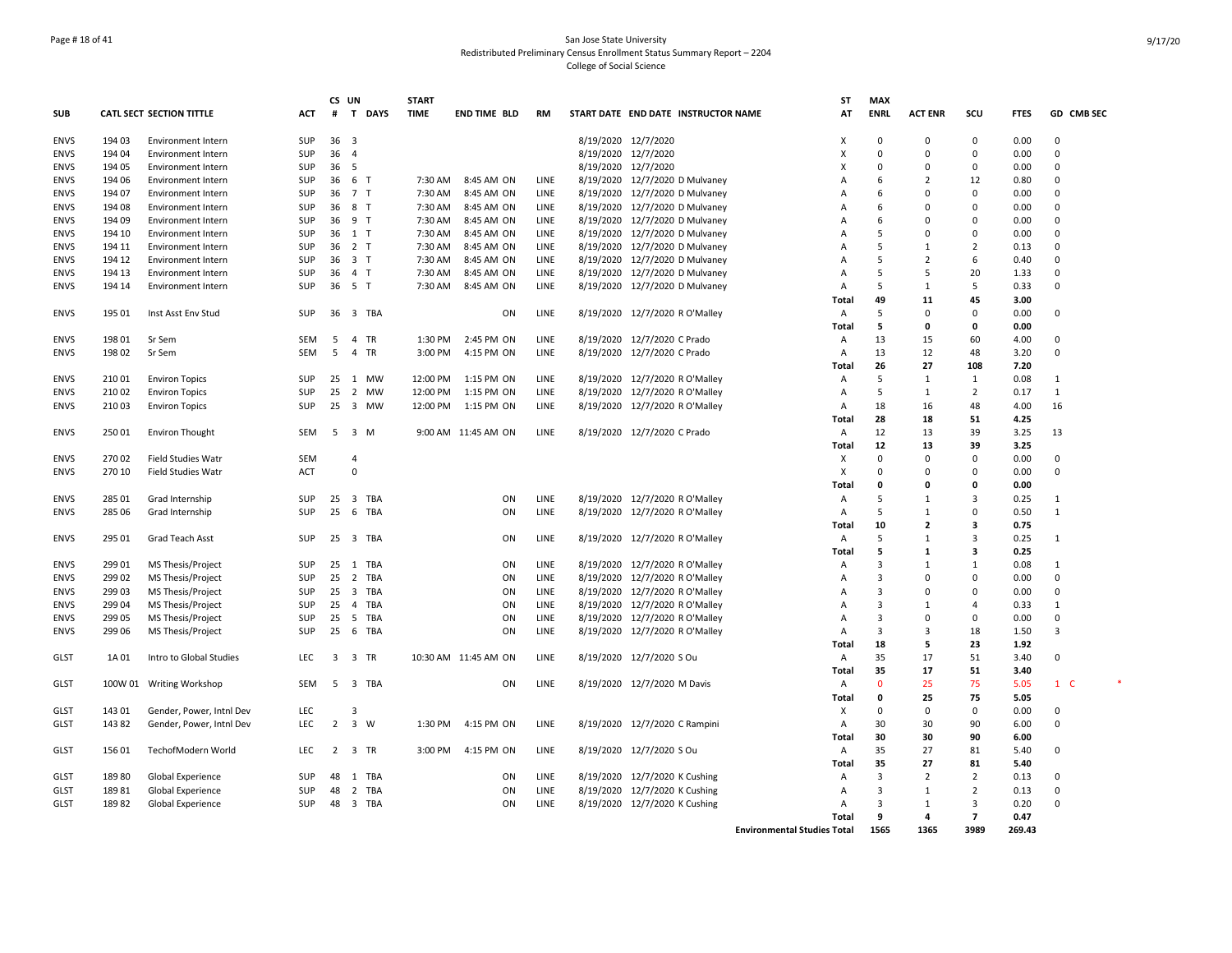## Page # 18 of 41 San Jose State University Redistributed Preliminary Census Enrollment Status Summary Report – 2204 College of Social Science

|             |        |                                 |                   | CS UN           |                     |          | <b>START</b> |                      |              |                     |                                     | ST             | <b>MAX</b>     |                          |                                  |             |              |
|-------------|--------|---------------------------------|-------------------|-----------------|---------------------|----------|--------------|----------------------|--------------|---------------------|-------------------------------------|----------------|----------------|--------------------------|----------------------------------|-------------|--------------|
| <b>SUB</b>  |        | <b>CATL SECT SECTION TITTLE</b> | ACT               | #               |                     | T DAYS   | <b>TIME</b>  | END TIME BLD         | <b>RM</b>    |                     | START DATE END DATE INSTRUCTOR NAME | AT             | <b>ENRL</b>    | <b>ACT ENR</b>           | scu                              | <b>FTES</b> | GD CMB SEC   |
| <b>ENVS</b> | 194 03 | <b>Environment Intern</b>       | SUP               | 36 <sup>3</sup> |                     |          |              |                      |              | 8/19/2020 12/7/2020 |                                     | X              | $\Omega$       | $\Omega$                 | 0                                | 0.00        | $\mathbf 0$  |
| <b>ENVS</b> | 194 04 | <b>Environment Intern</b>       | <b>SUP</b>        | 36              | $\overline{4}$      |          |              |                      |              | 8/19/2020 12/7/2020 |                                     | x              | $\Omega$       | $\Omega$                 | $\Omega$                         | 0.00        | $\mathbf 0$  |
| <b>ENVS</b> | 194 05 | Environment Intern              | SUP               | 36              | 5                   |          |              |                      |              | 8/19/2020           | 12/7/2020                           | x              | $\Omega$       | O                        | $\Omega$                         | 0.00        | $\Omega$     |
| <b>ENVS</b> | 194 06 | <b>Environment Intern</b>       | SUP               | 36 6 T          |                     |          | 7:30 AM      | 8:45 AM ON           | LINE         |                     | 8/19/2020 12/7/2020 D Mulvaney      | A              | 6              | $\overline{\mathbf{z}}$  | 12                               | 0.80        | $\Omega$     |
| <b>ENVS</b> | 194 07 | <b>Environment Intern</b>       | <b>SUP</b>        | 36 7 T          |                     |          | 7:30 AM      | 8:45 AM ON           | LINE         | 8/19/2020           | 12/7/2020 D Mulvaney                | A              | 6              | O                        | $\Omega$                         | 0.00        | $\Omega$     |
| ENVS        | 194 08 | Environment Intern              | <b>SUP</b>        | 36              | 8 T                 |          | 7:30 AM      | 8:45 AM ON           | LINE         | 8/19/2020           | 12/7/2020 D Mulvaney                | A              | 6              | C                        | $\Omega$                         | 0.00        | $\Omega$     |
| <b>ENVS</b> | 194 09 | <b>Environment Intern</b>       | <b>SUP</b>        | 36 9 T          |                     |          | 7:30 AM      | 8:45 AM ON           | LINE         | 8/19/2020           | 12/7/2020 D Mulvaney                | $\Delta$       | 6              | C                        | 0                                | 0.00        | 0            |
| <b>ENVS</b> | 194 10 | <b>Environment Intern</b>       | <b>SUP</b>        | 36 1 T          |                     |          | 7:30 AM      | 8:45 AM ON           | LINE         |                     | 8/19/2020 12/7/2020 D Mulvaney      | А              | 5              | O                        | $\mathbf 0$                      | 0.00        | 0            |
| <b>ENVS</b> | 194 11 | <b>Environment Intern</b>       | <b>SUP</b>        | 36              | 2 <sub>T</sub>      |          | 7:30 AM      | 8:45 AM ON           | LINE         | 8/19/2020           | 12/7/2020 D Mulvaney                | A              | 5              | $\mathbf{1}$             | $\overline{2}$                   | 0.13        | 0            |
| <b>ENVS</b> | 194 12 | <b>Environment Intern</b>       | SUP               | 36 3 T          |                     |          | 7:30 AM      | 8:45 AM ON           | LINE         | 8/19/2020           | 12/7/2020 D Mulvaney                | A              | 5              | $\overline{\phantom{a}}$ | 6                                | 0.40        | $\Omega$     |
| <b>ENVS</b> | 194 13 | <b>Environment Intern</b>       | SUP               | 36              | 4 T                 |          | 7:30 AM      | 8:45 AM ON           | LINE         |                     | 8/19/2020 12/7/2020 D Mulvaney      | Α              | 5              | 5                        | 20                               | 1.33        | $\mathbf 0$  |
| <b>ENVS</b> | 194 14 | <b>Environment Intern</b>       | SUP               | 36 5 T          |                     |          | 7:30 AM      | 8:45 AM ON           | LINE         |                     | 8/19/2020 12/7/2020 D Mulvaney      | A              | 5              | 1                        | 5                                | 0.33        | $\Omega$     |
|             |        |                                 |                   |                 |                     |          |              |                      |              |                     |                                     | Total          | 49             | 11                       | 45                               | 3.00        |              |
| <b>ENVS</b> | 195 01 | Inst Asst Env Stud              | <b>SUP</b>        |                 |                     | 36 3 TBA |              | ON                   | LINE         |                     | 8/19/2020 12/7/2020 R O'Malley      | A              | 5              | 0                        | $\Omega$                         | 0.00        | 0            |
|             |        |                                 |                   |                 |                     |          |              |                      |              |                     |                                     | <b>Total</b>   | 5              | O                        | $\Omega$                         | 0.00        |              |
| <b>ENVS</b> | 19801  | Sr Sem                          | <b>SEM</b>        | 5               | 4 TR                |          | 1:30 PM      | 2:45 PM ON           | LINE         |                     | 8/19/2020 12/7/2020 C Prado         | A              | 13             | 15                       | 60                               | 4.00        | 0            |
| <b>ENVS</b> | 198 02 | Sr Sem                          | <b>SEM</b>        | 5               | 4 TR                |          | 3:00 PM      | 4:15 PM ON           | LINE         |                     | 8/19/2020 12/7/2020 C Prado         | Α              | 13             | 12                       | 48                               | 3.20        | 0            |
|             |        |                                 |                   |                 |                     |          |              |                      |              |                     |                                     | <b>Total</b>   | 26             | 27                       | 108                              | 7.20        |              |
| <b>ENVS</b> | 210 01 | <b>Environ Topics</b>           | <b>SUP</b>        |                 |                     | 25 1 MW  | 12:00 PM     | 1:15 PM ON           | LINE         |                     | 8/19/2020 12/7/2020 R O'Malley      | Α              | 5              | 1                        | 1                                | 0.08        | $\mathbf{1}$ |
| <b>ENVS</b> | 210 02 | <b>Environ Topics</b>           | <b>SUP</b>        | 25              |                     | 2 MW     | 12:00 PM     | 1:15 PM ON           | LINE         |                     | 8/19/2020 12/7/2020 R O'Malley      | Α              | 5              | 1                        | $\overline{2}$                   | 0.17        | $\mathbf{1}$ |
| <b>ENVS</b> | 210 03 | <b>Environ Topics</b>           | SUP               | 25              |                     | 3 MW     | 12:00 PM     | 1:15 PM ON           | LINE         |                     | 8/19/2020 12/7/2020 R O'Malley      | Α              | 18             | 16                       | 48                               | 4.00        | 16           |
|             |        |                                 |                   |                 |                     |          |              |                      |              |                     |                                     | <b>Total</b>   | 28             | 18                       | 51                               | 4.25        |              |
| <b>ENVS</b> | 250 01 | <b>Environ Thought</b>          | <b>SEM</b>        | 5               | 3 M                 |          |              | 9:00 AM 11:45 AM ON  | LINE         |                     | 8/19/2020 12/7/2020 C Prado         | Α              | 12             | 13                       | 39                               | 3.25        | 13           |
|             |        |                                 |                   |                 |                     |          |              |                      |              |                     |                                     | Total          | 12             | 13                       | 39                               | 3.25        |              |
| <b>ENVS</b> | 27002  | <b>Field Studies Watr</b>       | <b>SEM</b>        |                 | 4                   |          |              |                      |              |                     |                                     | х              | $\Omega$       | $\Omega$                 | $\Omega$                         | 0.00        | 0            |
| <b>ENVS</b> | 270 10 | <b>Field Studies Watr</b>       | ACT               |                 | $\Omega$            |          |              |                      |              |                     |                                     | X              | $\Omega$       | O                        | $\Omega$                         | 0.00        | $\mathbf 0$  |
|             |        |                                 |                   |                 |                     |          |              |                      |              |                     |                                     | <b>Total</b>   | $\Omega$       | O                        | 0                                | 0.00        |              |
| <b>ENVS</b> | 285 01 | Grad Internship                 | SUP               |                 |                     | 25 3 TBA |              | ON                   | LINE         |                     | 8/19/2020 12/7/2020 R O'Malley      | Α              | 5              | 1                        | 3                                | 0.25        | $\mathbf{1}$ |
| <b>ENVS</b> | 285 06 | Grad Internship                 | <b>SUP</b>        | 25              |                     | 6 TBA    |              | ON                   | LINE         |                     | 8/19/2020 12/7/2020 R O'Malley      | Α              | 5              | 1                        | $\mathbf 0$                      | 0.50        | $\mathbf{1}$ |
|             |        |                                 |                   |                 |                     |          |              |                      |              |                     |                                     | Total          | 10             | $\overline{2}$           | 3                                | 0.75        |              |
| <b>ENVS</b> | 295 01 | Grad Teach Asst                 | SUP               |                 |                     | 25 3 TBA |              | ON                   | LINE         |                     | 8/19/2020 12/7/2020 R O'Malley      | Α              | 5              | $\mathbf{1}$             | $\overline{3}$                   | 0.25        | $\mathbf{1}$ |
|             |        |                                 |                   |                 |                     |          |              |                      |              |                     |                                     | <b>Total</b>   | 5              | $\mathbf{1}$             | 3                                | 0.25        |              |
| <b>ENVS</b> | 299 01 | MS Thesis/Project               | SUP               |                 |                     | 25 1 TBA |              | ON                   | LINE         | 8/19/2020           | 12/7/2020 R O'Malley                | Α              | 3              | $\mathbf{1}$             | $\mathbf{1}$                     | 0.08        | 1            |
| <b>ENVS</b> | 299 02 | MS Thesis/Project               | <b>SUP</b>        | 25              |                     | 2 TBA    |              | ON                   | LINE         |                     | 8/19/2020 12/7/2020 R O'Malley      | A              | 3              | O                        | $\Omega$                         | 0.00        | $\Omega$     |
| ENVS        | 299 03 | MS Thesis/Project               | <b>SUP</b>        | 25              |                     | 3 TBA    |              | ON                   | LINE         |                     | 8/19/2020 12/7/2020 R O'Malley      | A              | 3              | O                        | $\Omega$                         | 0.00        | $\Omega$     |
| <b>ENVS</b> | 299 04 | MS Thesis/Project               | <b>SUP</b>        | 25              |                     | 4 TBA    |              | ON                   | LINE         |                     | 8/19/2020 12/7/2020 R O'Malley      | A              | $\overline{3}$ | $\mathbf{1}$             | 4                                | 0.33        | 1            |
| <b>ENVS</b> | 299 05 | MS Thesis/Project               | <b>SUP</b>        | 25              |                     | 5 TBA    |              | ON                   | LINE         | 8/19/2020           | 12/7/2020 R O'Malley                | A              | $\overline{3}$ | $\Omega$                 | $\mathbf 0$                      | 0.00        | 0            |
| <b>ENVS</b> | 299 06 | MS Thesis/Project               | <b>SUP</b>        | 25              |                     | 6 TBA    |              | ON                   | LINE         |                     | 8/19/2020 12/7/2020 R O'Malley      | Α              | 3              | 3                        | 18                               | 1.50        | 3            |
|             |        |                                 |                   |                 |                     |          |              |                      |              |                     |                                     | Total          | 18             | 5                        | 23                               | 1.92        |              |
| <b>GLST</b> | 1A 01  | Intro to Global Studies         | LEC               | 3               | 3 TR                |          |              | 10:30 AM 11:45 AM ON | LINE         |                     | 8/19/2020 12/7/2020 S Ou            | Α              | 35             | 17                       | 51                               | 3.40        | $\mathbf 0$  |
|             |        |                                 |                   |                 |                     |          |              |                      |              |                     |                                     | Total          | 35             | 17                       | 51                               | 3.40        |              |
| GLST        |        | 100W 01 Writing Workshop        | <b>SEM</b>        |                 |                     | 5 3 TBA  |              | ON                   | LINE         |                     | 8/19/2020 12/7/2020 M Davis         | $\overline{A}$ | $\Omega$       | 25                       | 75                               | 5.05        | $1\quad C$   |
|             |        |                                 |                   |                 |                     |          |              |                      |              |                     |                                     | Total          | 0              | 25                       | 75                               | 5.05        |              |
| GLST        | 143 01 | Gender, Power, Intnl Dev        | LEC               |                 | 3                   |          |              |                      |              |                     |                                     | X              | $\Omega$       | 0                        | $\Omega$                         | 0.00        | $\Omega$     |
| GLST        | 14382  | Gender, Power, Intnl Dev        | <b>LEC</b>        |                 | $2 \quad 3 \quad W$ |          | 1:30 PM      | 4:15 PM ON           | LINE         |                     | 8/19/2020 12/7/2020 C Rampini       | $\overline{A}$ | 30             | 30                       | 90                               | 6.00        | $\Omega$     |
|             |        |                                 |                   |                 |                     |          |              |                      |              |                     |                                     | Total          | 30             | 30                       | 90                               | 6.00        |              |
|             |        |                                 |                   |                 |                     |          |              |                      |              |                     |                                     |                |                |                          |                                  |             |              |
| <b>GLST</b> | 156 01 | TechofModern World              | <b>LEC</b>        |                 | 2 3 TR              |          | 3:00 PM      | 4:15 PM ON           | LINE         |                     | 8/19/2020 12/7/2020 S Ou            | A              | 35<br>35       | 27<br>27                 | 81<br>81                         | 5.40        | 0            |
|             |        |                                 |                   |                 |                     |          |              |                      |              |                     |                                     | Total          | 3              | $\overline{2}$           |                                  | 5.40        | $\Omega$     |
| <b>GLST</b> | 18980  | Global Experience               | <b>SUP</b><br>SUP | 48<br>48        |                     | 1 TBA    |              | ON                   | LINE<br>LINE |                     | 8/19/2020 12/7/2020 K Cushing       | A<br>A         | 3              |                          | $\overline{2}$                   | 0.13        | 0            |
| <b>GLST</b> | 18981  | Global Experience               |                   |                 |                     | 2 TBA    |              | ON                   |              | 8/19/2020           | 12/7/2020 K Cushing                 |                | 3              | 1<br>$\mathbf{1}$        | $\overline{2}$<br>$\overline{3}$ | 0.13        | $\Omega$     |
| <b>GLST</b> | 18982  | Global Experience               | SUP               |                 |                     | 48 3 TBA |              | ON                   | LINE         |                     | 8/19/2020 12/7/2020 K Cushing       | A              |                |                          |                                  | 0.20        |              |
|             |        |                                 |                   |                 |                     |          |              |                      |              |                     |                                     | <b>Total</b>   | q              | 4                        | $\overline{\phantom{a}}$         | 0.47        |              |

**Environmental Studies Total 1565 1365 3989 269.43**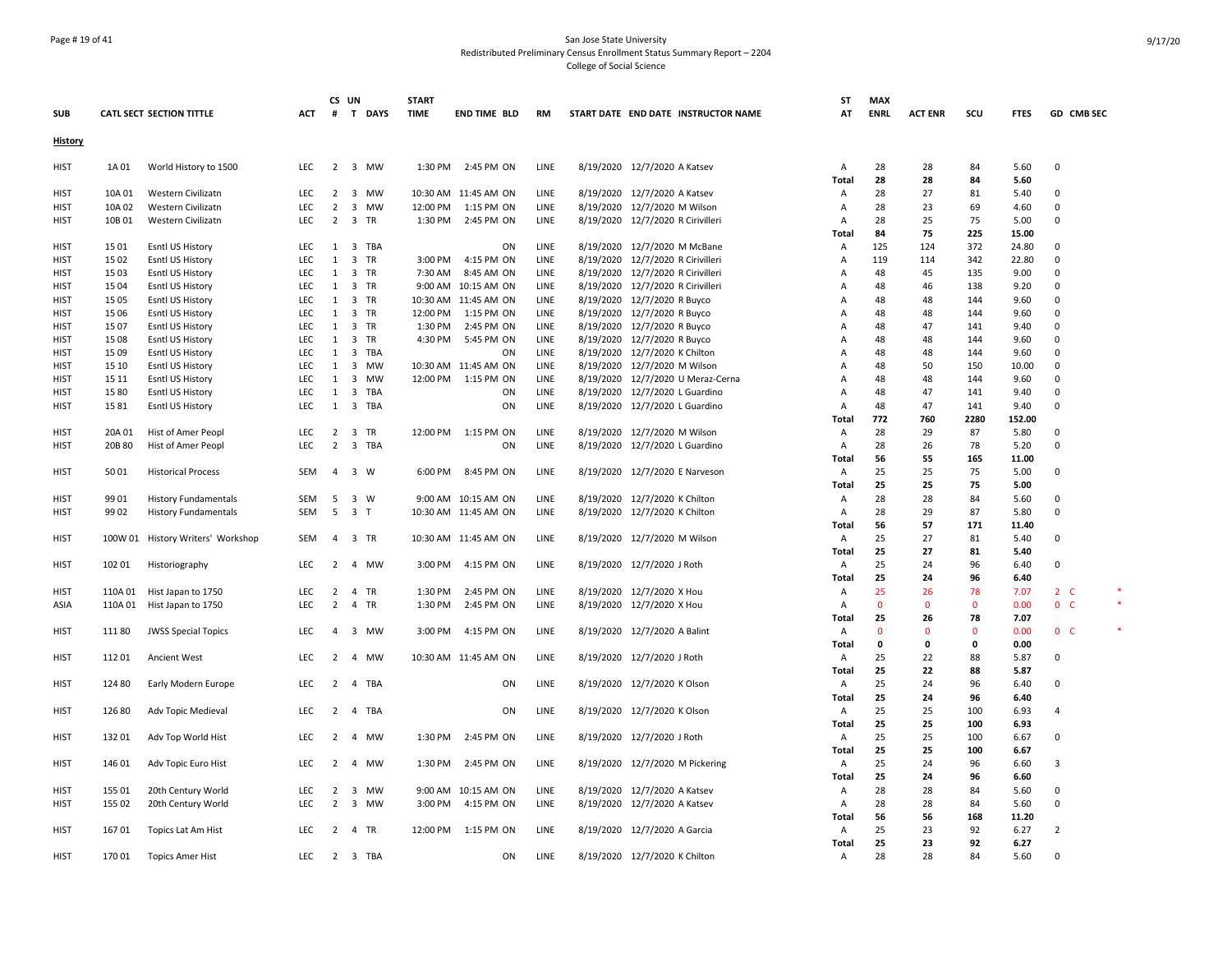## Page # 19 of 41 San Jose State University Redistributed Preliminary Census Enrollment Status Summary Report – 2204 College of Social Science

|                |         |                                   |            |                | CS UN          |         | <b>START</b> |                      |      |                                   |                                     | ST             | <b>MAX</b>   |                |             |              |                |  |
|----------------|---------|-----------------------------------|------------|----------------|----------------|---------|--------------|----------------------|------|-----------------------------------|-------------------------------------|----------------|--------------|----------------|-------------|--------------|----------------|--|
| <b>SUB</b>     |         | <b>CATL SECT SECTION TITTLE</b>   | ACT        | #              |                | T DAYS  | <b>TIME</b>  | <b>END TIME BLD</b>  | RM   |                                   | START DATE END DATE INSTRUCTOR NAME | AT             | <b>ENRL</b>  | <b>ACT ENR</b> | scu         | <b>FTES</b>  | GD CMB SEC     |  |
| <b>History</b> |         |                                   |            |                |                |         |              |                      |      |                                   |                                     |                |              |                |             |              |                |  |
| <b>HIST</b>    | 1A 01   | World History to 1500             | LEC        |                |                | 2 3 MW  |              | 1:30 PM 2:45 PM ON   | LINE | 8/19/2020 12/7/2020 A Katsev      |                                     | Α<br>Total     | 28<br>28     | 28<br>28       | 84<br>84    | 5.60<br>5.60 | $\pmb{0}$      |  |
| <b>HIST</b>    | 10A 01  | Western Civilizatn                | LEC        | $\overline{2}$ |                | 3 MW    |              | 10:30 AM 11:45 AM ON | LINE | 8/19/2020 12/7/2020 A Katsev      |                                     | A              | 28           | 27             | 81          | 5.40         | $\Omega$       |  |
| <b>HIST</b>    | 10A 02  | Western Civilizatn                | <b>LEC</b> | $\overline{2}$ |                | 3 MW    |              | 12:00 PM 1:15 PM ON  | LINE | 8/19/2020 12/7/2020 M Wilson      |                                     | $\overline{A}$ | 28           | 23             | 69          | 4.60         | $\Omega$       |  |
| <b>HIST</b>    | 10B01   | Western Civilizatn                | LEC        | $\overline{2}$ | 3 TR           |         | 1:30 PM      | 2:45 PM ON           | LINE | 8/19/2020 12/7/2020 R Cirivilleri |                                     | A              | 28           | 25             | 75          | 5.00         | $\Omega$       |  |
|                |         |                                   |            |                |                |         |              |                      |      |                                   |                                     | Total          | 84           | 75             | 225         | 15.00        |                |  |
| <b>HIST</b>    | 1501    | Esntl US History                  | <b>LEC</b> |                |                | 1 3 TBA |              | ON                   | LINE | 8/19/2020 12/7/2020 M McBane      |                                     | Α              | 125          | 124            | 372         | 24.80        | 0              |  |
| <b>HIST</b>    | 15 02   | Esntl US History                  | <b>LEC</b> | 1              | 3 TR           |         | 3:00 PM      | 4:15 PM ON           | LINE | 8/19/2020 12/7/2020 R Cirivilleri |                                     | $\overline{A}$ | 119          | 114            | 342         | 22.80        | $\mathbf 0$    |  |
| <b>HIST</b>    | 15 03   | Esntl US History                  | LEC        | 1              | 3 TR           |         | 7:30 AM      | 8:45 AM ON           | LINE | 8/19/2020 12/7/2020 R Cirivilleri |                                     | A              | 48           | 45             | 135         | 9.00         | $\mathbf 0$    |  |
| <b>HIST</b>    | 1504    | <b>Esntl US History</b>           | LEC        |                | 1 3 TR         |         |              | 9:00 AM 10:15 AM ON  | LINE | 8/19/2020 12/7/2020 R Cirivilleri |                                     | A              | 48           | 46             | 138         | 9.20         | 0              |  |
| <b>HIST</b>    | 15 05   | Esntl US History                  | LEC        | 1              | 3 TR           |         |              | 10:30 AM 11:45 AM ON | LINE | 8/19/2020 12/7/2020 R Buyco       |                                     | A              | 48           | 48             | 144         | 9.60         | $\Omega$       |  |
| <b>HIST</b>    | 15 06   | Esntl US History                  | LEC        | 1              | 3 TR           |         | 12:00 PM     | 1:15 PM ON           | LINE | 8/19/2020 12/7/2020 R Buyco       |                                     | $\overline{A}$ | 48           | 48             | 144         | 9.60         | $\Omega$       |  |
| <b>HIST</b>    | 1507    | Esntl US History                  | LEC        | 1              |                | 3 TR    | 1:30 PM      | 2:45 PM ON           | LINE | 8/19/2020 12/7/2020 R Buyco       |                                     | Α              | 48           | 47             | 141         | 9.40         | 0              |  |
| <b>HIST</b>    | 1508    | Esntl US History                  | <b>LEC</b> | 1              | 3 TR           |         | 4:30 PM      | 5:45 PM ON           | LINE | 8/19/2020 12/7/2020 R Buyco       |                                     | A              | 48           | 48             | 144         | 9.60         | $\Omega$       |  |
| <b>HIST</b>    | 15 09   | Esntl US History                  | LEC        |                |                | 1 3 TBA |              | ON                   | LINE | 8/19/2020 12/7/2020 K Chilton     |                                     | A              | 48           | 48             | 144         | 9.60         | $\Omega$       |  |
| <b>HIST</b>    | 15 10   | Esntl US History                  | LEC        | 1              |                | 3 MW    |              | 10:30 AM 11:45 AM ON | LINE | 8/19/2020 12/7/2020 M Wilson      |                                     | A              | 48           | 50             | 150         | 10.00        | 0              |  |
| <b>HIST</b>    | 15 11   | Esntl US History                  | LEC        | 1              |                | 3 MW    |              | 12:00 PM 1:15 PM ON  | LINE |                                   | 8/19/2020 12/7/2020 U Meraz-Cerna   | A              | 48           | 48             | 144         | 9.60         | $\mathbf 0$    |  |
| HIST           | 1580    | <b>Esntl US History</b>           | LEC        | 1              |                | 3 TBA   |              | ON                   | LINE | 8/19/2020 12/7/2020 L Guardino    |                                     | A              | 48           | 47             | 141         | 9.40         | 0              |  |
| HIST           | 1581    | Esntl US History                  | LEC        | 1              |                | 3 TBA   |              | ON                   | LINE | 8/19/2020 12/7/2020 L Guardino    |                                     | A              | 48           | 47             | 141         | 9.40         | $\mathbf 0$    |  |
|                |         |                                   |            |                |                |         |              |                      |      |                                   |                                     | <b>Total</b>   | 772          | 760            | 2280        | 152.00       |                |  |
| <b>HIST</b>    | 20A 01  | Hist of Amer Peopl                | <b>LEC</b> | $\overline{2}$ | 3 TR           |         |              | 12:00 PM 1:15 PM ON  | LINE | 8/19/2020 12/7/2020 M Wilson      |                                     | A              | 28           | 29             | 87          | 5.80         | $\mathbf 0$    |  |
| HIST           | 20B 80  | Hist of Amer Peopl                | <b>LEC</b> | $\overline{2}$ |                | 3 TBA   |              | ON                   | LINE | 8/19/2020 12/7/2020 L Guardino    |                                     | $\overline{A}$ | 28           | 26             | 78          | 5.20         | $\Omega$       |  |
|                |         |                                   |            |                |                |         |              |                      |      |                                   |                                     | <b>Total</b>   | 56           | 55             | 165         | 11.00        |                |  |
| <b>HIST</b>    | 5001    | <b>Historical Process</b>         | <b>SEM</b> | $\overline{4}$ | 3 W            |         |              | 6:00 PM 8:45 PM ON   | LINE | 8/19/2020 12/7/2020 E Narveson    |                                     | $\overline{A}$ | 25           | 25             | 75          | 5.00         | $\Omega$       |  |
|                |         |                                   |            |                |                |         |              |                      |      |                                   |                                     | <b>Total</b>   | 25           | 25             | 75          | 5.00         |                |  |
| HIST           | 99 01   | <b>History Fundamentals</b>       | SEM        |                | 5 3 W          |         |              | 9:00 AM 10:15 AM ON  | LINE | 8/19/2020 12/7/2020 K Chilton     |                                     | A              | 28           | 28             | 84          | 5.60         | 0              |  |
| HIST           | 99 02   | <b>History Fundamentals</b>       | SEM        | 5              | 3 <sub>1</sub> |         |              | 10:30 AM 11:45 AM ON | LINE | 8/19/2020 12/7/2020 K Chilton     |                                     | A              | 28           | 29             | 87          | 5.80         | $\mathbf 0$    |  |
|                |         |                                   |            |                |                |         |              |                      |      |                                   |                                     | <b>Total</b>   | 56           | 57             | 171         | 11.40        |                |  |
| HIST           |         | 100W 01 History Writers' Workshop | SEM        |                | 4 3 TR         |         |              | 10:30 AM 11:45 AM ON | LINE | 8/19/2020 12/7/2020 M Wilson      |                                     | A              | 25           | 27             | 81          | 5.40         | $\mathbf 0$    |  |
|                |         |                                   |            |                |                |         |              |                      |      |                                   |                                     | <b>Total</b>   | 25           | 27             | 81          | 5.40         |                |  |
| <b>HIST</b>    | 102 01  | Historiography                    | <b>LEC</b> | 2              |                | 4 MW    | 3:00 PM      | 4:15 PM ON           | LINE | 8/19/2020 12/7/2020 J Roth        |                                     | $\overline{A}$ | 25           | 24             | 96          | 6.40         | $\Omega$       |  |
|                |         |                                   |            |                |                |         |              |                      |      |                                   |                                     | <b>Total</b>   | 25           | 24             | 96          | 6.40         |                |  |
| <b>HIST</b>    | 110A 01 | Hist Japan to 1750                | <b>LEC</b> |                | 2 4 TR         |         |              | 1:30 PM 2:45 PM ON   | LINE | 8/19/2020 12/7/2020 X Hou         |                                     | A              | 25           | 26             | 78          | 7.07         | $2\degree$ C   |  |
| ASIA           | 110A 01 | Hist Japan to 1750                | LEC        | $\overline{2}$ |                | 4 TR    | 1:30 PM      | 2:45 PM ON           | LINE | 8/19/2020 12/7/2020 X Hou         |                                     | A              | $\mathbf 0$  | $\mathbf{0}$   | $\mathbf 0$ | 0.00         | 0 <sup>o</sup> |  |
|                |         |                                   |            |                |                |         |              |                      |      |                                   |                                     | Total          | 25           | 26             | 78          | 7.07         |                |  |
| <b>HIST</b>    | 11180   | <b>JWSS Special Topics</b>        | LEC        | $\overline{4}$ |                | 3 MW    | 3:00 PM      | 4:15 PM ON           | LINE | 8/19/2020 12/7/2020 A Balint      |                                     | Α              | $\mathbf{0}$ | $\Omega$       | $\Omega$    | 0.00         | 0 <sup>o</sup> |  |
|                |         |                                   |            |                |                |         |              |                      |      |                                   |                                     | <b>Total</b>   | 0            | 0              | 0           | 0.00         |                |  |
| HIST           | 112 01  | <b>Ancient West</b>               | LEC        | $\overline{2}$ |                | 4 MW    |              | 10:30 AM 11:45 AM ON | LINE | 8/19/2020 12/7/2020 J Roth        |                                     | A              | 25           | 22             | 88          | 5.87         | 0              |  |
|                |         |                                   |            |                |                |         |              |                      |      |                                   |                                     | <b>Total</b>   | 25           | 22             | 88          | 5.87         |                |  |
| <b>HIST</b>    | 124 80  | Early Modern Europe               | <b>LEC</b> |                |                | 2 4 TBA |              | ON                   | LINE | 8/19/2020 12/7/2020 K Olson       |                                     | $\overline{A}$ | 25           | 24             | 96          | 6.40         | $\Omega$       |  |
|                |         |                                   |            |                |                |         |              |                      |      |                                   |                                     | <b>Total</b>   | 25           | 24             | 96          | 6.40         |                |  |
| HIST           | 126 80  | Adv Topic Medieval                | LEC        | 2              |                | 4 TBA   |              | ON                   | LINE | 8/19/2020 12/7/2020 K Olson       |                                     | A              | 25           | 25             | 100         | 6.93         | 4              |  |
|                |         |                                   |            |                |                |         |              |                      |      |                                   |                                     | Total          | 25           | 25             | 100         | 6.93         |                |  |
| <b>HIST</b>    | 132 01  | Adv Top World Hist                | LEC        |                |                | 2 4 MW  |              | 1:30 PM 2:45 PM ON   | LINE | 8/19/2020 12/7/2020 J Roth        |                                     | Α              | 25           | 25             | 100         | 6.67         | $\Omega$       |  |
|                |         |                                   |            |                |                |         |              |                      |      |                                   |                                     | <b>Total</b>   | 25           | 25             | 100         | 6.67         |                |  |
| HIST           | 14601   | Adv Topic Euro Hist               | LEC        | $\overline{2}$ |                | 4 MW    | 1:30 PM      | 2:45 PM ON           | LINE |                                   | 8/19/2020 12/7/2020 M Pickering     | A              | 25           | 24             | 96          | 6.60         | 3              |  |
|                |         |                                   |            |                |                |         |              |                      |      |                                   |                                     | <b>Total</b>   | 25           | 24             | 96          | 6.60         |                |  |
| <b>HIST</b>    | 15501   | 20th Century World                | <b>LEC</b> | $\overline{2}$ |                | 3 MW    |              | 9:00 AM 10:15 AM ON  | LINE | 8/19/2020 12/7/2020 A Katsev      |                                     | $\overline{A}$ | 28           | 28             | 84          | 5.60         | $\Omega$       |  |
| HIST           | 155 02  | 20th Century World                | <b>LEC</b> | $\overline{2}$ |                | 3 MW    |              | 3:00 PM 4:15 PM ON   | LINE | 8/19/2020 12/7/2020 A Katsev      |                                     | A              | 28           | 28             | 84          | 5.60         | $\mathbf 0$    |  |
|                |         |                                   |            |                |                |         |              |                      |      |                                   |                                     | Total          | 56           | 56             | 168         | 11.20        |                |  |
| <b>HIST</b>    | 16701   | Topics Lat Am Hist                | <b>LEC</b> |                | 2 4 TR         |         |              | 12:00 PM 1:15 PM ON  | LINE | 8/19/2020 12/7/2020 A Garcia      |                                     | Α              | 25           | 23             | 92          | 6.27         | $\overline{2}$ |  |
|                |         |                                   |            |                |                |         |              |                      |      |                                   |                                     | Total          | 25           | 23             | 92          | 6.27         |                |  |
| <b>HIST</b>    | 170 01  | <b>Topics Amer Hist</b>           | <b>LEC</b> |                |                | 2 3 TBA |              | ON                   | LINE | 8/19/2020 12/7/2020 K Chilton     |                                     | A              | 28           | 28             | 84          | 5.60         | 0              |  |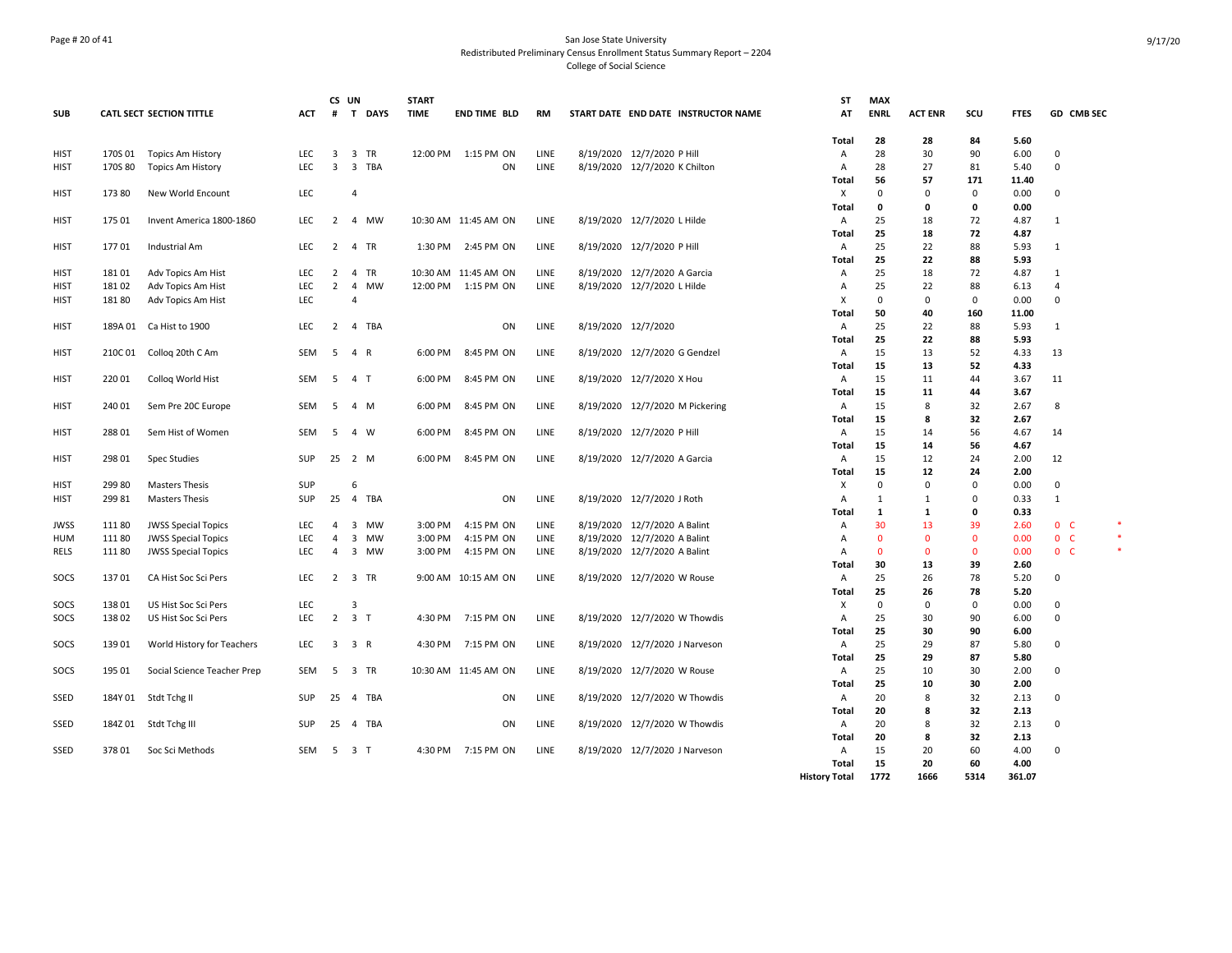## Page # 20 of 41 San Jose State University Redistributed Preliminary Census Enrollment Status Summary Report – 2204 College of Social Science

|             |         |                                 |            | CS UN                   |                | <b>START</b>          |         |                      |      |                                |                                     | <b>ST</b>            | <b>MAX</b>   |                |              |              |                |   |
|-------------|---------|---------------------------------|------------|-------------------------|----------------|-----------------------|---------|----------------------|------|--------------------------------|-------------------------------------|----------------------|--------------|----------------|--------------|--------------|----------------|---|
| <b>SUB</b>  |         | <b>CATL SECT SECTION TITTLE</b> | <b>ACT</b> | #                       |                | T DAYS<br><b>TIME</b> |         | <b>END TIME BLD</b>  | RM   |                                | START DATE END DATE INSTRUCTOR NAME | AT                   | <b>ENRL</b>  | <b>ACT ENR</b> | scu          | <b>FTES</b>  | GD CMB SEC     |   |
|             |         |                                 |            |                         |                |                       |         |                      |      |                                |                                     | <b>Total</b>         | 28           | 28             | 84           | 5.60         |                |   |
| HIST        | 170S 01 | <b>Topics Am History</b>        | <b>LEC</b> | 3                       | 3 TR           |                       |         | 12:00 PM 1:15 PM ON  | LINE | 8/19/2020 12/7/2020 P Hill     |                                     | A                    | 28           | 30             | 90           | 6.00         | 0              |   |
| <b>HIST</b> | 170S 80 | <b>Topics Am History</b>        | <b>LEC</b> | $\overline{3}$          |                | 3 TBA                 |         | ON                   | LINE | 8/19/2020 12/7/2020 K Chilton  |                                     | A                    | 28           | 27             | 81           | 5.40         | $\Omega$       |   |
|             |         |                                 |            |                         |                |                       |         |                      |      |                                |                                     | Total                | 56           | 57             | 171          | 11.40        |                |   |
| <b>HIST</b> | 173 80  | New World Encount               | <b>LEC</b> |                         | $\overline{4}$ |                       |         |                      |      |                                |                                     | Х                    | 0            | $\Omega$       | $\Omega$     | 0.00         | 0              |   |
|             |         |                                 |            |                         |                |                       |         |                      |      |                                |                                     | <b>Total</b>         | 0            | 0              | 0            | 0.00         |                |   |
| <b>HIST</b> | 175 01  | Invent America 1800-1860        | <b>LEC</b> | 2                       |                | 4 MW                  |         | 10:30 AM 11:45 AM ON | LINE | 8/19/2020 12/7/2020 L Hilde    |                                     | A                    | 25           | 18             | 72           | 4.87         | $\mathbf{1}$   |   |
| <b>HIST</b> | 17701   | Industrial Am                   | LEC        | $\overline{2}$          | 4 TR           |                       | 1:30 PM | 2:45 PM ON           | LINE | 8/19/2020 12/7/2020 P Hill     |                                     | Total<br>A           | 25<br>25     | 18<br>22       | 72<br>88     | 4.87<br>5.93 | $\mathbf{1}$   |   |
|             |         |                                 |            |                         |                |                       |         |                      |      |                                |                                     | Total                | 25           | 22             | 88           | 5.93         |                |   |
| HIST        | 18101   | Adv Topics Am Hist              | LEC        |                         | 2 4 TR         |                       |         | 10:30 AM 11:45 AM ON | LINE | 8/19/2020 12/7/2020 A Garcia   |                                     | Α                    | 25           | 18             | 72           | 4.87         | $\mathbf{1}$   |   |
| <b>HIST</b> | 18102   | Adv Topics Am Hist              | LEC        | $\overline{2}$          |                | 4 MW                  |         | 12:00 PM 1:15 PM ON  | LINE | 8/19/2020 12/7/2020 L Hilde    |                                     | $\overline{A}$       | 25           | 22             | 88           | 6.13         | 4              |   |
| <b>HIST</b> | 18180   | Adv Topics Am Hist              | <b>LEC</b> |                         | $\Delta$       |                       |         |                      |      |                                |                                     | х                    | $\mathbf 0$  | 0              | $\mathbf 0$  | 0.00         | $\Omega$       |   |
|             |         |                                 |            |                         |                |                       |         |                      |      |                                |                                     | Total                | 50           | 40             | 160          | 11.00        |                |   |
| <b>HIST</b> | 189A 01 | Ca Hist to 1900                 | <b>LEC</b> |                         | 2 4 TBA        |                       |         | ON                   | LINE | 8/19/2020 12/7/2020            |                                     | A                    | 25           | 22             | 88           | 5.93         | $\mathbf{1}$   |   |
|             |         |                                 |            |                         |                |                       |         |                      |      |                                |                                     | Total                | 25           | 22             | 88           | 5.93         |                |   |
| <b>HIST</b> | 210C01  | Collog 20th C Am                | <b>SEM</b> | 5                       | $\overline{4}$ | R                     | 6:00 PM | 8:45 PM ON           | LINE | 8/19/2020 12/7/2020 G Gendzel  |                                     | A                    | 15           | 13             | 52           | 4.33         | 13             |   |
|             |         |                                 |            |                         |                |                       |         |                      |      |                                |                                     | Total                | 15           | 13             | 52           | 4.33         |                |   |
| <b>HIST</b> | 220 01  | Collog World Hist               | SEM        | 5                       | 4 T            |                       | 6:00 PM | 8:45 PM ON           | LINE | 8/19/2020 12/7/2020 X Hou      |                                     | A                    | 15           | 11             | 44           | 3.67         | 11             |   |
|             |         |                                 |            |                         |                |                       |         |                      |      |                                |                                     | <b>Total</b>         | 15           | 11             | 44           | 3.67         |                |   |
| HIST        | 240 01  | Sem Pre 20C Europe              | SEM        | 5                       | 4 M            |                       | 6:00 PM | 8:45 PM ON           | LINE |                                | 8/19/2020 12/7/2020 M Pickering     | A                    | 15           | 8              | 32           | 2.67         | 8              |   |
|             |         |                                 |            |                         |                |                       |         |                      |      |                                |                                     | Total                | 15           | 8              | 32           | 2.67         |                |   |
| <b>HIST</b> | 288 01  | Sem Hist of Women               | SEM        | 5                       | 4 W            |                       | 6:00 PM | 8:45 PM ON           | LINE | 8/19/2020 12/7/2020 P Hill     |                                     | A                    | 15           | 14             | 56           | 4.67         | 14             |   |
|             |         |                                 |            |                         |                |                       |         |                      |      |                                |                                     | <b>Total</b>         | 15           | 14             | 56           | 4.67         |                |   |
| HIST        | 298 01  | <b>Spec Studies</b>             | SUP        |                         | 25 2 M         |                       | 6:00 PM | 8:45 PM ON           | LINE | 8/19/2020 12/7/2020 A Garcia   |                                     | A<br>Total           | 15<br>15     | 12<br>12       | 24<br>24     | 2.00<br>2.00 | 12             |   |
| <b>HIST</b> | 299 80  | <b>Masters Thesis</b>           | SUP        |                         | 6              |                       |         |                      |      |                                |                                     | X                    | 0            | 0              | $\mathbf 0$  | 0.00         | 0              |   |
| <b>HIST</b> | 29981   | <b>Masters Thesis</b>           | <b>SUP</b> |                         | 25  4  TBA     |                       |         | ON                   | LINE | 8/19/2020 12/7/2020 J Roth     |                                     | $\overline{A}$       | $\mathbf{1}$ | $\mathbf{1}$   | $\Omega$     | 0.33         | $\mathbf{1}$   |   |
|             |         |                                 |            |                         |                |                       |         |                      |      |                                |                                     | Total                | 1            | $\mathbf{1}$   | 0            | 0.33         |                |   |
| <b>JWSS</b> | 11180   | <b>JWSS Special Topics</b>      | <b>LEC</b> | 4                       |                | 3 MW                  | 3:00 PM | 4:15 PM ON           | LINE | 8/19/2020 12/7/2020 A Balint   |                                     | Α                    | 30           | 13             | 39           | 2.60         | 0 <sup>o</sup> | ۰ |
| <b>HUM</b>  | 11180   | <b>JWSS Special Topics</b>      | LEC        | $\overline{4}$          |                | 3 MW                  | 3:00 PM | 4:15 PM ON           | LINE | 8/19/2020 12/7/2020 A Balint   |                                     | A                    | $\mathbf{0}$ | $\Omega$       | $\mathbf 0$  | 0.00         | 0 <sub>c</sub> |   |
| <b>RELS</b> | 11180   | <b>JWSS Special Topics</b>      | <b>LEC</b> | $\overline{4}$          |                | 3 MW                  | 3:00 PM | 4:15 PM ON           | LINE | 8/19/2020 12/7/2020 A Balint   |                                     | $\overline{A}$       | $\mathbf{0}$ | $\Omega$       | $\mathbf{0}$ | 0.00         | 0 <sub>c</sub> |   |
|             |         |                                 |            |                         |                |                       |         |                      |      |                                |                                     | Total                | 30           | 13             | 39           | 2.60         |                |   |
| SOCS        | 13701   | CA Hist Soc Sci Pers            | <b>LEC</b> |                         | 2 3 TR         |                       |         | 9:00 AM 10:15 AM ON  | LINE | 8/19/2020 12/7/2020 W Rouse    |                                     | Α                    | 25           | 26             | 78           | 5.20         | 0              |   |
|             |         |                                 |            |                         |                |                       |         |                      |      |                                |                                     | Total                | 25           | 26             | 78           | 5.20         |                |   |
| SOCS        | 13801   | US Hist Soc Sci Pers            | LEC        |                         | 3              |                       |         |                      |      |                                |                                     | Χ                    | 0            | $\Omega$       | $\Omega$     | 0.00         | $\Omega$       |   |
| SOCS        | 13802   | US Hist Soc Sci Pers            | LEC        | $\overline{2}$          | 3 <sub>T</sub> |                       | 4:30 PM | 7:15 PM ON           | LINE | 8/19/2020 12/7/2020 W Thowdis  |                                     | A                    | 25           | 30             | 90           | 6.00         | $\mathbf 0$    |   |
|             |         |                                 |            |                         |                |                       |         |                      |      |                                |                                     | Total                | 25           | 30             | 90           | 6.00         |                |   |
| SOCS        | 13901   | World History for Teachers      | LEC        | $\overline{\mathbf{3}}$ | 3 R            |                       | 4:30 PM | 7:15 PM ON           | LINE | 8/19/2020 12/7/2020 J Narveson |                                     | A                    | 25<br>25     | 29             | 87<br>87     | 5.80         | 0              |   |
| SOCS        | 195 01  | Social Science Teacher Prep     | <b>SEM</b> |                         | 5 3 TR         |                       |         | 10:30 AM 11:45 AM ON | LINE | 8/19/2020 12/7/2020 W Rouse    |                                     | Total<br>A           | 25           | 29<br>10       | 30           | 5.80<br>2.00 | 0              |   |
|             |         |                                 |            |                         |                |                       |         |                      |      |                                |                                     | <b>Total</b>         | 25           | 10             | 30           | 2.00         |                |   |
| SSED        |         | 184Y 01 Stdt Tchg II            | <b>SUP</b> |                         | 25 4 TBA       |                       |         | ON                   | LINE | 8/19/2020 12/7/2020 W Thowdis  |                                     | A                    | 20           | 8              | 32           | 2.13         | $\Omega$       |   |
|             |         |                                 |            |                         |                |                       |         |                      |      |                                |                                     | Total                | 20           | 8              | 32           | 2.13         |                |   |
| SSED        | 184Z 01 | Stdt Tchg III                   | <b>SUP</b> | 25                      | 4 TBA          |                       |         | <b>ON</b>            | LINE | 8/19/2020 12/7/2020 W Thowdis  |                                     | A                    | 20           | 8              | 32           | 2.13         | $\Omega$       |   |
|             |         |                                 |            |                         |                |                       |         |                      |      |                                |                                     | <b>Total</b>         | 20           | 8              | 32           | 2.13         |                |   |
| SSED        | 37801   | Soc Sci Methods                 | SEM        | - 5                     | 3 T            |                       |         | 4:30 PM 7:15 PM ON   | LINE | 8/19/2020 12/7/2020 J Narveson |                                     | $\overline{A}$       | 15           | 20             | 60           | 4.00         | $\Omega$       |   |
|             |         |                                 |            |                         |                |                       |         |                      |      |                                |                                     | Total                | 15           | 20             | 60           | 4.00         |                |   |
|             |         |                                 |            |                         |                |                       |         |                      |      |                                |                                     | <b>History Total</b> | 1772         | 1666           | 5314         | 361.07       |                |   |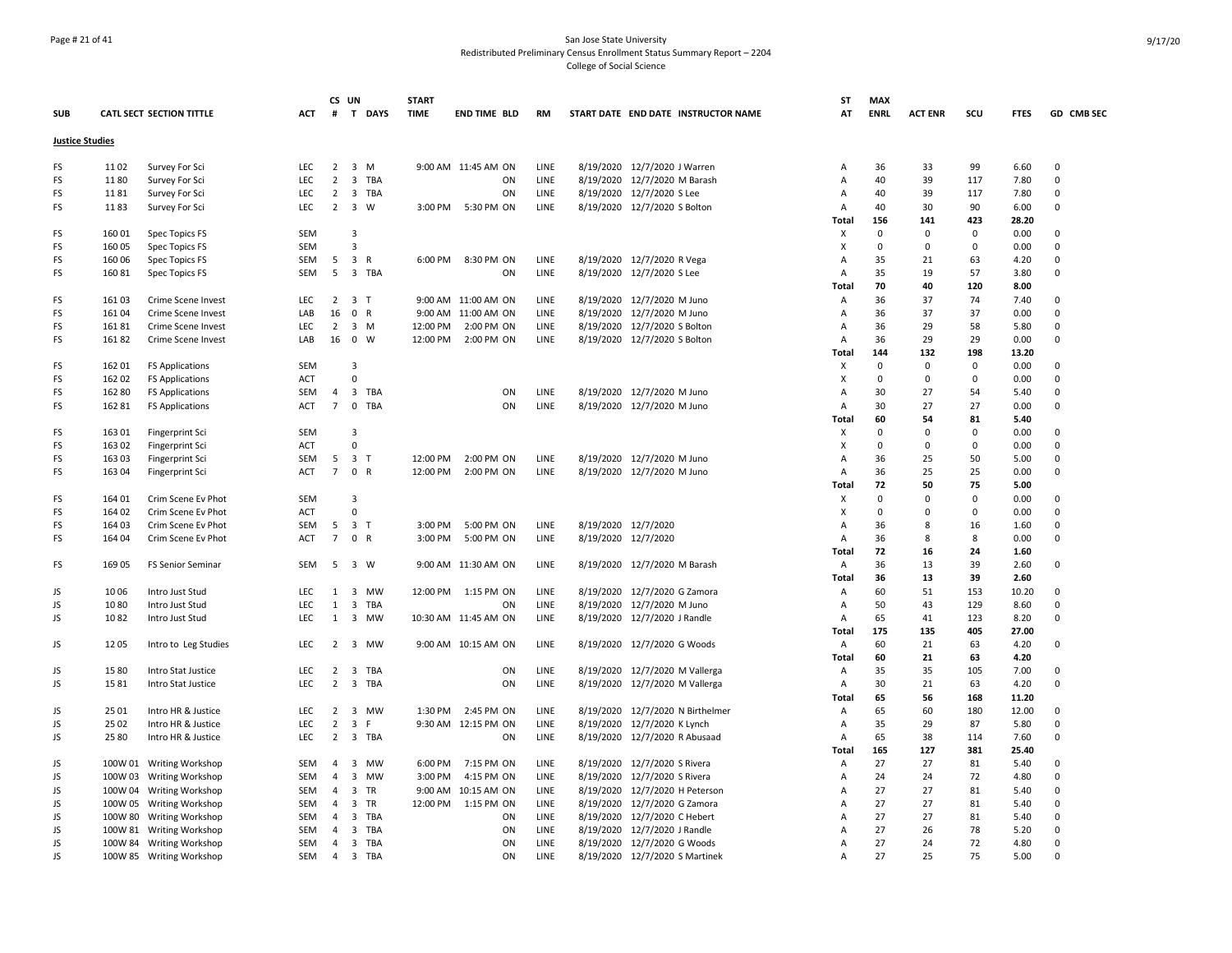## Page # 21 of 41 San Jose State University Redistributed Preliminary Census Enrollment Status Summary Report – 2204 College of Social Science

| <b>SUB</b>             |         | CATL SECT SECTION TITTLE | <b>ACT</b>               | CS UN<br>#          |                         | <b>START</b><br>T DAYS<br><b>TIME</b> | END TIME BLD         | <b>RM</b>           | START DATE END DATE INSTRUCTOR NAME | SΤ<br>AT          | <b>MAX</b><br><b>ENRL</b> | <b>ACT ENR</b> | scu         | <b>FTES</b>  | GD CMB SEC     |
|------------------------|---------|--------------------------|--------------------------|---------------------|-------------------------|---------------------------------------|----------------------|---------------------|-------------------------------------|-------------------|---------------------------|----------------|-------------|--------------|----------------|
| <b>Justice Studies</b> |         |                          |                          |                     |                         |                                       |                      |                     |                                     |                   |                           |                |             |              |                |
| FS                     | 1102    | Survey For Sci           | LEC.                     |                     | $2 \quad 3 \quad M$     |                                       | 9:00 AM 11:45 AM ON  | LINE                | 8/19/2020 12/7/2020 J Warren        | Α                 | 36                        | 33             | 99          | 6.60         | $\Omega$       |
| FS                     | 1180    | Survey For Sci           | LEC                      | $\overline{2}$      | 3 TBA                   |                                       | ON                   | LINE                | 8/19/2020 12/7/2020 M Barash        | Α                 | 40                        | 39             | 117         | 7.80         | $\mathbf 0$    |
| FS                     | 1181    | Survey For Sci           | <b>LEC</b>               | $\overline{2}$      | 3 TBA                   |                                       | ON                   | LINE                | 8/19/2020 12/7/2020 S Lee           | A                 | 40                        | 39             | 117         | 7.80         | $\mathbf 0$    |
| FS                     | 1183    | Survey For Sci           | <b>LEC</b>               |                     | 2 3 W                   | 3:00 PM                               | 5:30 PM ON           | LINE                | 8/19/2020 12/7/2020 S Bolton        | Α                 | 40                        | 30             | 90          | 6.00         | $\Omega$       |
|                        |         |                          |                          |                     |                         |                                       |                      |                     |                                     | Total             | 156                       | 141            | 423         | 28.20        |                |
| FS                     | 160 01  | Spec Topics FS           | <b>SEM</b>               |                     | 3                       |                                       |                      |                     |                                     | X                 | $\Omega$                  | 0              | 0           | 0.00         | $\Omega$       |
| FS                     | 160 05  | Spec Topics FS           | <b>SEM</b>               |                     | $\overline{\mathbf{3}}$ |                                       |                      |                     |                                     | X                 | $\mathbf 0$               | $\mathbf 0$    | $\mathbf 0$ | 0.00         | $\overline{0}$ |
| FS                     | 160 06  | Spec Topics FS           | SEM                      |                     | $5 \quad 3 \quad R$     | 6:00 PM                               | 8:30 PM ON           | LINE                | 8/19/2020 12/7/2020 R Vega          | Α                 | 35                        | 21             | 63          | 4.20         | $\Omega$       |
| FS                     | 16081   | Spec Topics FS           | SEM                      | 5                   | 3 TBA                   |                                       | ON                   | LINE                | 8/19/2020 12/7/2020 S Lee           | Α                 | 35                        | 19             | 57          | 3.80         | $\overline{0}$ |
|                        |         |                          |                          |                     |                         |                                       |                      |                     |                                     | Total             | 70                        | 40             | 120         | 8.00         |                |
| FS                     | 161 03  | Crime Scene Invest       | <b>LEC</b>               | $\overline{2}$      | 3 <sub>T</sub>          |                                       | 9:00 AM 11:00 AM ON  | LINE                | 8/19/2020 12/7/2020 M Juno          | Α                 | 36                        | 37             | 74          | 7.40         | $\Omega$       |
| FS                     | 161 04  | Crime Scene Invest       | LAB                      | 16                  | 0 R                     |                                       | 9:00 AM 11:00 AM ON  | LINE                | 8/19/2020 12/7/2020 M Juno          | A                 | 36                        | 37             | 37          | 0.00         | $\mathbf 0$    |
| FS                     | 16181   | Crime Scene Invest       | <b>LEC</b>               | $\overline{2}$      | 3 M                     | 12:00 PM                              | 2:00 PM ON           | LINE                | 8/19/2020 12/7/2020 S Bolton        | Α                 | 36                        | 29             | 58          | 5.80         | $\mathbf 0$    |
| FS                     | 16182   | Crime Scene Invest       | LAB                      |                     | 16 0 W                  | 12:00 PM                              | 2:00 PM ON           | LINE                | 8/19/2020 12/7/2020 S Bolton        | A                 | 36                        | 29             | 29          | 0.00         | $\Omega$       |
|                        |         |                          |                          |                     |                         |                                       |                      |                     |                                     | Total             | 144                       | 132            | 198         | 13.20        |                |
| FS                     | 162 01  | <b>FS Applications</b>   | SEM                      |                     | 3                       |                                       |                      |                     |                                     | X                 | $\mathbf 0$               | 0              | $\mathbf 0$ | 0.00         | $\mathbf 0$    |
| FS                     | 162 02  | <b>FS Applications</b>   | <b>ACT</b>               |                     | $\mathbf 0$             |                                       |                      |                     |                                     | $\mathsf{x}$      | $\mathbf 0$               | $\mathbf 0$    | 0           | 0.00         | $\mathbf 0$    |
| FS                     | 162 80  | <b>FS Applications</b>   | SEM                      | $\overline{4}$      | 3 TBA                   |                                       | ON                   | LINE                | 8/19/2020 12/7/2020 M Juno          | $\overline{A}$    | 30                        | 27             | 54          | 5.40         | $\mathbf 0$    |
| FS                     | 162 81  | <b>FS Applications</b>   | <b>ACT</b>               | $7\overline{ }$     | 0 TBA                   |                                       | ON                   | LINE                | 8/19/2020 12/7/2020 M Juno          | $\overline{A}$    | 30                        | 27             | 27          | 0.00         | $\mathbf 0$    |
|                        |         |                          |                          |                     |                         |                                       |                      |                     |                                     | <b>Total</b>      | 60                        | 54             | 81          | 5.40         |                |
| FS                     | 163 01  | Fingerprint Sci          | <b>SEM</b>               |                     | 3                       |                                       |                      |                     |                                     | х                 | $\mathbf 0$               | 0              | $\Omega$    | 0.00         | $\mathbf 0$    |
| FS                     | 163 02  | Fingerprint Sci          | <b>ACT</b>               |                     | $\Omega$                |                                       |                      |                     |                                     | X                 | $\mathbf 0$<br>36         | 0<br>25        | 0           | 0.00         | 0<br>$\Omega$  |
| FS                     | 163 03  | Fingerprint Sci          | <b>SEM</b><br><b>ACT</b> | 5<br>$\overline{7}$ | 3 <sub>1</sub><br>0 R   | 12:00 PM                              | 2:00 PM ON           | <b>LINE</b><br>LINE | 8/19/2020 12/7/2020 M Juno          | Α                 | 36                        | 25             | 50<br>25    | 5.00<br>0.00 | $\mathbf 0$    |
| FS                     | 163 04  | Fingerprint Sci          |                          |                     |                         | 12:00 PM                              | 2:00 PM ON           |                     | 8/19/2020 12/7/2020 M Juno          | Α                 | 72                        | 50             | 75          | 5.00         |                |
| FS                     | 164 01  | Crim Scene Ev Phot       | <b>SEM</b>               |                     | $\overline{3}$          |                                       |                      |                     |                                     | <b>Total</b><br>x | $\mathbf 0$               | $\mathbf 0$    | 0           | 0.00         | $\mathbf 0$    |
| FS                     | 164 02  | Crim Scene Ev Phot       | <b>ACT</b>               |                     | $\mathbf 0$             |                                       |                      |                     |                                     | X                 | $\mathbf 0$               | 0              | 0           | 0.00         | $\mathbf 0$    |
| FS                     | 164 03  | Crim Scene Ev Phot       | <b>SEM</b>               | 5                   | 3 <sub>1</sub>          | 3:00 PM                               | 5:00 PM ON           | LINE                | 8/19/2020 12/7/2020                 | $\overline{A}$    | 36                        | 8              | 16          | 1.60         | $\Omega$       |
| FS                     | 164 04  | Crim Scene Ev Phot       | <b>ACT</b>               | $\overline{7}$      | 0 R                     | 3:00 PM                               | 5:00 PM ON           | LINE                | 8/19/2020 12/7/2020                 | Α                 | 36                        | 8              | 8           | 0.00         | $\Omega$       |
|                        |         |                          |                          |                     |                         |                                       |                      |                     |                                     | <b>Total</b>      | 72                        | 16             | 24          | 1.60         |                |
| FS                     | 169 05  | <b>FS Senior Seminar</b> | <b>SEM</b>               | 5                   | 3 W                     |                                       | 9:00 AM 11:30 AM ON  | <b>LINE</b>         | 8/19/2020 12/7/2020 M Barash        | Α                 | 36                        | 13             | 39          | 2.60         | $\Omega$       |
|                        |         |                          |                          |                     |                         |                                       |                      |                     |                                     | Total             | 36                        | 13             | 39          | 2.60         |                |
| JS                     | 1006    | Intro Just Stud          | <b>LEC</b>               |                     | 1 3 MW                  |                                       | 12:00 PM 1:15 PM ON  | LINE                | 8/19/2020 12/7/2020 G Zamora        | Α                 | 60                        | 51             | 153         | 10.20        | $\Omega$       |
| JS                     | 1080    | Intro Just Stud          | LEC                      | $\mathbf{1}$        | 3 TBA                   |                                       | ON                   | LINE                | 8/19/2020 12/7/2020 M Juno          | Α                 | 50                        | 43             | 129         | 8.60         | $\Omega$       |
| JS                     | 1082    | Intro Just Stud          | <b>LEC</b>               | 1                   | 3 MW                    |                                       | 10:30 AM 11:45 AM ON | LINE                | 8/19/2020 12/7/2020 J Randle        | $\overline{A}$    | 65                        | 41             | 123         | 8.20         | $\mathsf 0$    |
|                        |         |                          |                          |                     |                         |                                       |                      |                     |                                     | Total             | 175                       | 135            | 405         | 27.00        |                |
| JS                     | 1205    | Intro to Leg Studies     | <b>LEC</b>               |                     | 2 3 MW                  |                                       | 9:00 AM 10:15 AM ON  | <b>LINE</b>         | 8/19/2020 12/7/2020 G Woods         | Α                 | 60                        | 21             | 63          | 4.20         | $\mathbf 0$    |
|                        |         |                          |                          |                     |                         |                                       |                      |                     |                                     | <b>Total</b>      | 60                        | 21             | 63          | 4.20         |                |
| JS                     | 1580    | Intro Stat Justice       | LEC                      | $\overline{2}$      | 3 TBA                   |                                       | ON                   | LINE                | 8/19/2020 12/7/2020 M Vallerga      | A                 | 35                        | 35             | 105         | 7.00         | $\mathbf 0$    |
| JS                     | 1581    | Intro Stat Justice       | LEC.                     | $\overline{2}$      | 3 TBA                   |                                       | ON                   | LINE                | 8/19/2020 12/7/2020 M Vallerga      | Α                 | 30                        | 21             | 63          | 4.20         | $\mathbf 0$    |
|                        |         |                          |                          |                     |                         |                                       |                      |                     |                                     | Total             | 65                        | 56             | 168         | 11.20        |                |
| JS                     | 25 01   | Intro HR & Justice       | <b>LEC</b>               |                     | 2 3 MW                  | 1:30 PM                               | 2:45 PM ON           | <b>LINE</b>         | 8/19/2020 12/7/2020 N Birthelmer    | Α                 | 65                        | 60             | 180         | 12.00        | $\Omega$       |
| JS                     | 25 02   | Intro HR & Justice       | <b>LEC</b>               | $\overline{2}$      | $\overline{\mathbf{3}}$ | F                                     | 9:30 AM 12:15 PM ON  | LINE                | 8/19/2020 12/7/2020 K Lynch         | Α                 | 35                        | 29             | 87          | 5.80         | $\mathbf 0$    |
| JS                     | 25 80   | Intro HR & Justice       | <b>LEC</b>               |                     | 2 3 TBA                 |                                       | ON                   | LINE                | 8/19/2020 12/7/2020 R Abusaad       | A                 | 65                        | 38             | 114         | 7.60         | $\mathbf 0$    |
|                        |         |                          |                          |                     |                         |                                       |                      |                     |                                     | Total             | 165                       | 127            | 381         | 25.40        |                |
| JS                     |         | 100W 01 Writing Workshop | SEM                      | $\overline{4}$      | 3 MW                    | 6:00 PM                               | 7:15 PM ON           | <b>LINE</b>         | 8/19/2020 12/7/2020 S Rivera        | A                 | 27                        | 27             | 81          | 5.40         | $\Omega$       |
| JS                     |         | 100W 03 Writing Workshop | SEM                      | $\overline{4}$      | $\overline{\mathbf{3}}$ | <b>MW</b><br>3:00 PM                  | 4:15 PM ON           | LINE                | 8/19/2020 12/7/2020 S Rivera        | Α                 | 24                        | 24             | 72          | 4.80         | $\Omega$       |
| JS                     |         | 100W 04 Writing Workshop | SEM                      | $\overline{4}$      | 3 TR                    |                                       | 9:00 AM 10:15 AM ON  | LINE                | 8/19/2020 12/7/2020 H Peterson      | Α                 | 27                        | 27             | 81          | 5.40         | $\mathbf 0$    |
| JS                     | 100W 05 | <b>Writing Workshop</b>  | SEM                      | $\overline{4}$      | 3 TR                    | 12:00 PM                              | 1:15 PM ON           | LINE                | 8/19/2020 12/7/2020 G Zamora        | A                 | 27                        | 27             | 81          | 5.40         | $\Omega$       |
| JS                     | 100W 80 | <b>Writing Workshop</b>  | SEM                      | $\overline{4}$      | 3                       | TBA                                   | ON                   | LINE                | 8/19/2020 12/7/2020 C Hebert        | $\overline{A}$    | 27                        | 27             | 81          | 5.40         | $\mathbf 0$    |
| JS                     |         | 100W 81 Writing Workshop | <b>SEM</b>               | 4                   | 3                       | TBA                                   | ON                   | LINE                | 8/19/2020 12/7/2020 J Randle        | A                 | 27                        | 26             | 78          | 5.20         | $\Omega$       |
| JS                     |         | 100W 84 Writing Workshop | SEM                      | $\overline{4}$      | $\overline{\mathbf{3}}$ | TBA                                   | ON                   | LINE                | 8/19/2020 12/7/2020 G Woods         | Α                 | 27                        | 24             | 72          | 4.80         | $\Omega$       |
| JS                     |         | 100W 85 Writing Workshop | SEM                      | $\overline{4}$      | 3 TBA                   |                                       | ON                   | LINE                | 8/19/2020 12/7/2020 S Martinek      | $\overline{A}$    | 27                        | 25             | 75          | 5.00         | $\Omega$       |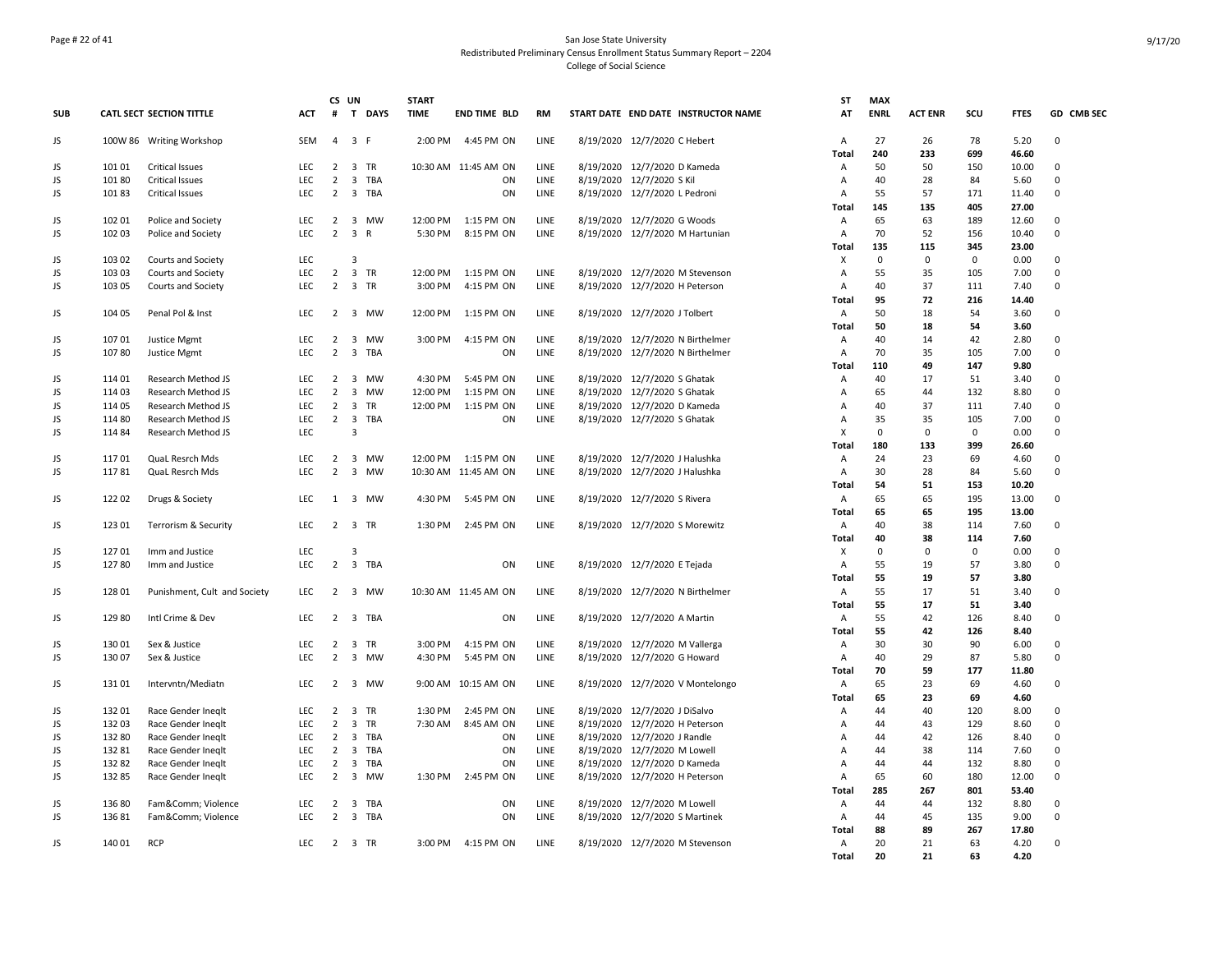## Page # 22 of 41 San Jose State University Redistributed Preliminary Census Enrollment Status Summary Report – 2204 College of Social Science

|            |                |                              |                    |                     | CS UN                   |                   | <b>START</b> |                                    |                     |                                     | ST                  | <b>MAX</b>  |                |             |                |             |
|------------|----------------|------------------------------|--------------------|---------------------|-------------------------|-------------------|--------------|------------------------------------|---------------------|-------------------------------------|---------------------|-------------|----------------|-------------|----------------|-------------|
| <b>SUB</b> |                | CATL SECT SECTION TITTLE     | ACT                | #                   | $\mathbf{T}$            | <b>DAYS</b>       | <b>TIME</b>  | <b>END TIME BLD</b>                | <b>RM</b>           | START DATE END DATE INSTRUCTOR NAME | AT                  | <b>ENRL</b> | <b>ACT ENR</b> | scu         | <b>FTES</b>    | GD CMB SEC  |
| JS         |                | 100W 86 Writing Workshop     | SEM                |                     | 4 3 F                   |                   | 2:00 PM      | 4:45 PM ON                         | LINE                | 8/19/2020 12/7/2020 C Hebert        | Α                   | 27          | 26             | 78          | 5.20           | 0           |
| JS         | 101 01         | <b>Critical Issues</b>       | <b>LEC</b>         |                     |                         | 2 3 TR            |              | 10:30 AM 11:45 AM ON               | LINE                | 8/19/2020 12/7/2020 D Kameda        | Total<br>Α          | 240<br>50   | 233<br>50      | 699<br>150  | 46.60<br>10.00 | 0           |
| JS         | 101 80         | <b>Critical Issues</b>       | <b>LEC</b>         | $\overline{2}$      |                         | 3 TBA             |              | ON                                 | LINE                | 8/19/2020 12/7/2020 S Kil           | Α                   | 40          | 28             | 84          | 5.60           | 0           |
| JS         | 10183          | <b>Critical Issues</b>       | <b>LEC</b>         | 2                   |                         | 3 TBA             |              | ON                                 | LINE                | 8/19/2020 12/7/2020 L Pedroni       | A                   | 55          | 57             | 171         | 11.40          | 0           |
|            |                |                              |                    |                     |                         |                   |              |                                    |                     |                                     | Total               | 145         | 135            | 405         | 27.00          |             |
| JS         | 102 01         | Police and Society           | LEC                |                     |                         | 2 3 MW            | 12:00 PM     | 1:15 PM ON                         | LINE                | 8/19/2020 12/7/2020 G Woods         | Α                   | 65          | 63             | 189         | 12.60          | $\Omega$    |
| JS         | 102 03         | Police and Society           | LEC                |                     | $2 \quad 3$             | $\mathsf{R}$      | 5:30 PM      | 8:15 PM ON                         | LINE                | 8/19/2020 12/7/2020 M Hartunian     | Α                   | 70          | 52             | 156         | 10.40          | 0           |
|            |                |                              |                    |                     |                         |                   |              |                                    |                     |                                     | Total               | 135         | 115            | 345         | 23.00          |             |
| JS         | 103 02         | Courts and Society           | <b>LEC</b>         |                     | 3                       |                   |              |                                    |                     |                                     | х                   | 0           | 0              | $\mathbf 0$ | 0.00           | 0           |
| JS         | 103 03         | Courts and Society           | <b>LEC</b>         |                     |                         | 2 3 TR            | 12:00 PM     | 1:15 PM ON                         | LINE                | 8/19/2020 12/7/2020 M Stevenson     | Α                   | 55          | 35             | 105         | 7.00           | 0           |
| JS         | 103 05         | Courts and Society           | <b>LEC</b>         | $\overline{2}$      |                         | 3 TR              | 3:00 PM      | 4:15 PM ON                         | <b>LINE</b>         | 8/19/2020 12/7/2020 H Peterson      | A                   | 40          | 37             | 111         | 7.40           | 0           |
|            |                |                              |                    |                     |                         |                   |              |                                    |                     |                                     | Total               | 95          | 72             | 216         | 14.40          |             |
| JS         | 104 05         | Penal Pol & Inst             | <b>LEC</b>         |                     |                         | 2 3 MW            | 12:00 PM     | 1:15 PM ON                         | LINE                | 8/19/2020 12/7/2020 J Tolbert       | A                   | 50          | 18             | 54          | 3.60           | 0           |
|            |                |                              |                    |                     |                         |                   |              |                                    |                     |                                     | Total               | 50          | 18             | 54          | 3.60           |             |
| JS         | 107 01         | Justice Mgmt                 | <b>LEC</b>         | $\overline{2}$      | $\overline{\mathbf{3}}$ | <b>MW</b>         | 3:00 PM      | 4:15 PM ON                         | LINE                | 8/19/2020 12/7/2020 N Birthelmer    | Α                   | 40          | 14             | 42          | 2.80           | 0           |
| JS         | 10780          | Justice Mgmt                 | <b>LEC</b>         | $\overline{2}$      |                         | 3 TBA             |              | ON                                 | LINE                | 8/19/2020 12/7/2020 N Birthelmer    | Α                   | 70          | 35             | 105         | 7.00           | 0           |
|            |                |                              |                    |                     |                         |                   |              |                                    |                     |                                     | Total               | 110         | 49             | 147         | 9.80           |             |
| JS         | 11401          | Research Method JS           | <b>LEC</b>         | 2                   | $\overline{\mathbf{3}}$ | <b>MW</b>         | 4:30 PM      | 5:45 PM ON                         | LINE                | 8/19/2020 12/7/2020 S Ghatak        | Α                   | 40          | 17             | 51          | 3.40           | $\Omega$    |
| JS         | 114 03         | Research Method JS           | LEC                | $\overline{2}$      | $\overline{\mathbf{3}}$ | <b>MW</b>         | 12:00 PM     | 1:15 PM ON                         | LINE                | 8/19/2020 12/7/2020 S Ghatak        | Α                   | 65          | 44             | 132         | 8.80           | 0           |
| JS         | 114 05         | Research Method JS           | <b>LEC</b>         |                     | $2 \quad 3$             | TR                | 12:00 PM     | 1:15 PM ON                         | LINE                | 8/19/2020 12/7/2020 D Kameda        | A                   | 40          | 37             | 111         | 7.40           | 0           |
| JS         | 114 80         | Research Method JS           | <b>LEC</b>         | $\overline{2}$      | $\overline{\mathbf{3}}$ | TBA               |              | ON                                 | LINE                | 8/19/2020 12/7/2020 S Ghatak        | Α                   | 35          | 35             | 105         | 7.00           | 0           |
| JS         | 114 84         | Research Method JS           | <b>LEC</b>         |                     | 3                       |                   |              |                                    |                     |                                     | X                   | $\mathbf 0$ | 0              | $^{\circ}$  | 0.00           | 0           |
|            |                |                              |                    |                     |                         |                   |              |                                    |                     |                                     | Total               | 180<br>24   | 133<br>23      | 399<br>69   | 26.60          | 0           |
| JS         | 11701<br>11781 | QuaL Resrch Mds              | <b>LEC</b><br>LEC. | $\overline{2}$<br>2 | $\overline{\mathbf{3}}$ | 3 MW<br><b>MW</b> | 12:00 PM     | 1:15 PM ON<br>10:30 AM 11:45 AM ON | <b>LINE</b><br>LINE | 8/19/2020 12/7/2020 J Halushka      | A<br>$\overline{A}$ | 30          | 28             | 84          | 4.60           | 0           |
| JS         |                | QuaL Resrch Mds              |                    |                     |                         |                   |              |                                    |                     | 8/19/2020 12/7/2020 J Halushka      | Total               | 54          | 51             | 153         | 5.60<br>10.20  |             |
| JS         | 122 02         | Drugs & Society              | LEC                |                     |                         | 1 3 MW            | 4:30 PM      | 5:45 PM ON                         | LINE                | 8/19/2020 12/7/2020 S Rivera        | Α                   | 65          | 65             | 195         | 13.00          | 0           |
|            |                |                              |                    |                     |                         |                   |              |                                    |                     |                                     | Total               | 65          | 65             | 195         | 13.00          |             |
| JS         | 123 01         | Terrorism & Security         | <b>LEC</b>         |                     |                         | 2 3 TR            | 1:30 PM      | 2:45 PM ON                         | LINE                | 8/19/2020 12/7/2020 S Morewitz      | A                   | 40          | 38             | 114         | 7.60           | 0           |
|            |                |                              |                    |                     |                         |                   |              |                                    |                     |                                     | Total               | 40          | 38             | 114         | 7.60           |             |
| JS         | 12701          | Imm and Justice              | <b>LEC</b>         |                     | $\overline{3}$          |                   |              |                                    |                     |                                     | Х                   | $\mathbf 0$ | 0              | $^{\circ}$  | 0.00           | $\Omega$    |
| JS         | 12780          | Imm and Justice              | LEC                | $\overline{2}$      |                         | 3 TBA             |              | ON                                 | LINE                | 8/19/2020 12/7/2020 E Tejada        | Α                   | 55          | 19             | 57          | 3.80           | 0           |
|            |                |                              |                    |                     |                         |                   |              |                                    |                     |                                     | Total               | 55          | 19             | 57          | 3.80           |             |
| JS         | 128 01         | Punishment, Cult and Society | <b>LEC</b>         |                     |                         | 2 3 MW            |              | 10:30 AM 11:45 AM ON               | LINE                | 8/19/2020 12/7/2020 N Birthelmer    | A                   | 55          | 17             | 51          | 3.40           | 0           |
|            |                |                              |                    |                     |                         |                   |              |                                    |                     |                                     | Total               | 55          | 17             | 51          | 3.40           |             |
| JS         | 12980          | Intl Crime & Dev             | <b>LEC</b>         | 2                   |                         | 3 TBA             |              | ON                                 | LINE                | 8/19/2020 12/7/2020 A Martin        | $\overline{A}$      | 55          | 42             | 126         | 8.40           | $\Omega$    |
|            |                |                              |                    |                     |                         |                   |              |                                    |                     |                                     | Total               | 55          | 42             | 126         | 8.40           |             |
| JS         | 130 01         | Sex & Justice                | LEC                | $\overline{2}$      | $\overline{\mathbf{3}}$ | TR                | 3:00 PM      | 4:15 PM ON                         | LINE                | 8/19/2020 12/7/2020 M Vallerga      | Α                   | 30          | 30             | 90          | 6.00           | $\mathbf 0$ |
| JS         | 130 07         | Sex & Justice                | LEC                | $\overline{2}$      | $\overline{3}$          | MW                | 4:30 PM      | 5:45 PM ON                         | LINE                | 8/19/2020 12/7/2020 G Howard        | Α                   | 40          | 29             | 87          | 5.80           | 0           |
|            |                |                              |                    |                     |                         |                   |              |                                    |                     |                                     | Total               | 70          | 59             | 177         | 11.80          |             |
| JS         | 13101          | Intervntn/Mediatn            | <b>LEC</b>         |                     |                         | 2 3 MW            |              | 9:00 AM 10:15 AM ON                | LINE                | 8/19/2020 12/7/2020 V Montelongo    | Α                   | 65          | 23             | 69          | 4.60           | 0           |
|            |                |                              |                    |                     |                         |                   |              |                                    |                     |                                     | Total               | 65          | 23             | 69          | 4.60           |             |
| JS         | 13201          | Race Gender Ineglt           | <b>LEC</b>         | $\overline{2}$      |                         | 3 TR              | 1:30 PM      | 2:45 PM ON                         | <b>LINE</b>         | 8/19/2020 12/7/2020 J DiSalvo       | Α                   | 44          | 40             | 120         | 8.00           | $\Omega$    |
| JS         | 13203          | Race Gender Ineglt           | <b>LEC</b>         | $\overline{2}$      |                         | 3 TR              | 7:30 AM      | 8:45 AM ON                         | LINE                | 8/19/2020 12/7/2020 H Peterson      | Α                   | 44          | 43             | 129         | 8.60           | $\Omega$    |
| JS         | 132 80         | Race Gender Ineglt           | <b>LEC</b>         | $\overline{2}$      |                         | 3 TBA             |              | ON                                 | LINE                | 8/19/2020 12/7/2020 J Randle        | Α                   | 44          | 42             | 126         | 8.40           | 0           |
| JS         | 132 81         | Race Gender Ineglt           | <b>LEC</b>         | 2                   | $\overline{\mathbf{3}}$ | <b>TBA</b>        |              | ON                                 | LINE                | 8/19/2020 12/7/2020 M Lowell        | Α                   | 44          | 38             | 114         | 7.60           | $\Omega$    |
| JS         | 132 82         | Race Gender Ineglt           | LEC                | $\overline{2}$      | $\overline{\mathbf{3}}$ | TBA               |              | ON                                 | LINE                | 8/19/2020 12/7/2020 D Kameda        | Α                   | 44          | 44             | 132         | 8.80           | 0           |
| JS         | 13285          | Race Gender Ineglt           | LEC                | $\overline{2}$      |                         | 3 MW              | 1:30 PM      | 2:45 PM ON                         | LINE                | 8/19/2020 12/7/2020 H Peterson      | Α<br>Total          | 65<br>285   | 60<br>267      | 180<br>801  | 12.00<br>53.40 | 0           |
| JS         | 13680          | Fam&Comm Violence            | <b>LEC</b>         | $\overline{2}$      |                         | 3 TBA             |              | ON                                 | LINE                | 8/19/2020 12/7/2020 M Lowell        | A                   | 44          | 44             | 132         | 8.80           | 0           |
| JS         | 13681          | Fam&Comm Violence            | <b>LEC</b>         | $\overline{2}$      |                         | 3 TBA             |              | ON                                 | LINE                | 8/19/2020 12/7/2020 S Martinek      | Α                   | 44          | 45             | 135         | 9.00           | 0           |
|            |                |                              |                    |                     |                         |                   |              |                                    |                     |                                     | Total               | 88          | 89             | 267         | 17.80          |             |
| JS         | 140 01         | <b>RCP</b>                   | <b>LEC</b>         |                     |                         | 2 3 TR            | 3:00 PM      | 4:15 PM ON                         | LINE                | 8/19/2020 12/7/2020 M Stevenson     | Α                   | 20          | 21             | 63          | 4.20           | 0           |
|            |                |                              |                    |                     |                         |                   |              |                                    |                     |                                     | <b>Total</b>        | 20          | 21             | 63          | 4.20           |             |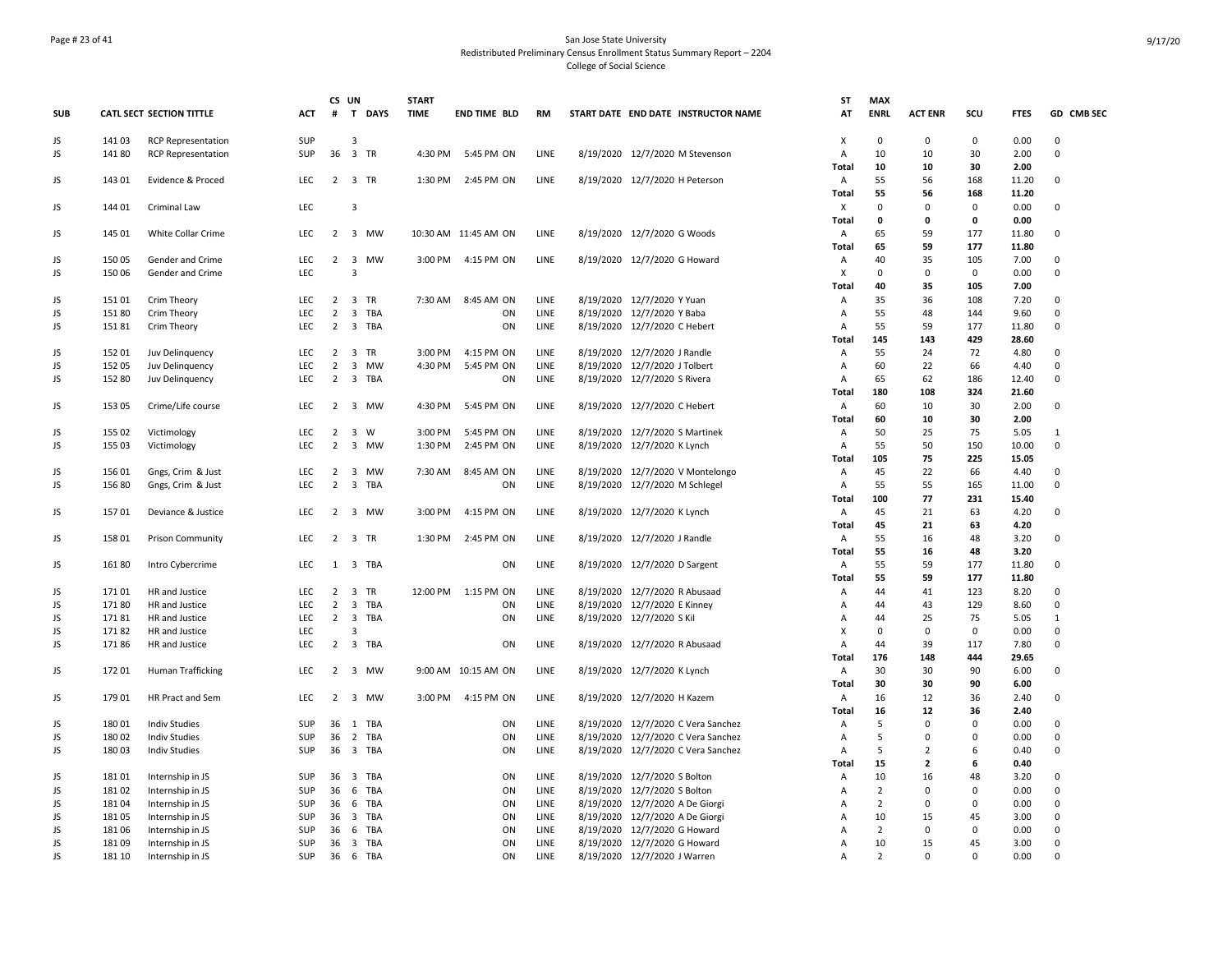## Page # 23 of 41 San Jose State University Redistributed Preliminary Census Enrollment Status Summary Report – 2204 College of Social Science

|            |        |                                 |            |                | CS UN                   |           | <b>START</b> |                      |             |                                     | SΤ                | <b>MAX</b>       |                                  |                  |               |              |
|------------|--------|---------------------------------|------------|----------------|-------------------------|-----------|--------------|----------------------|-------------|-------------------------------------|-------------------|------------------|----------------------------------|------------------|---------------|--------------|
| <b>SUB</b> |        | <b>CATL SECT SECTION TITTLE</b> | <b>ACT</b> | #              |                         | T DAYS    | <b>TIME</b>  | <b>END TIME BLD</b>  | <b>RM</b>   | START DATE END DATE INSTRUCTOR NAME | AT                | <b>ENRL</b>      | <b>ACT ENR</b>                   | scu              | <b>FTES</b>   | GD CMB SEC   |
| JS         | 141 03 | <b>RCP Representation</b>       | SUP        |                | 3                       |           |              |                      |             |                                     | X                 | $\mathsf 0$      | $\Omega$                         | $\mathbf 0$      | 0.00          | 0            |
| JS         | 14180  | <b>RCP Representation</b>       | SUP        |                |                         | 36 3 TR   | 4:30 PM      | 5:45 PM ON           | LINE        | 8/19/2020 12/7/2020 M Stevenson     | Α                 | 10               | 10                               | 30               | 2.00          | 0            |
|            |        |                                 |            |                |                         |           |              |                      |             |                                     | Total             | 10               | 10                               | 30               | 2.00          |              |
| JS         | 143 01 | Evidence & Proced               | <b>LEC</b> |                |                         | 2 3 TR    | 1:30 PM      | 2:45 PM ON           | LINE        | 8/19/2020 12/7/2020 H Peterson      | A                 | 55               | 56                               | 168              | 11.20         | 0            |
|            |        |                                 |            |                |                         |           |              |                      |             |                                     | Total             | 55               | 56                               | 168              | 11.20         |              |
| JS         | 144 01 | Criminal Law                    | LEC        |                | $\overline{3}$          |           |              |                      |             |                                     | X                 | $\mathbf 0$<br>0 | $\mathbf 0$<br>0                 | 0<br>$\mathbf 0$ | 0.00          | $\Omega$     |
| JS         | 145 01 | White Collar Crime              | <b>LEC</b> |                |                         | 2 3 MW    |              | 10:30 AM 11:45 AM ON | LINE        | 8/19/2020 12/7/2020 G Woods         | Total<br>Α        | 65               | 59                               | 177              | 0.00<br>11.80 | 0            |
|            |        |                                 |            |                |                         |           |              |                      |             |                                     | Total             | 65               | 59                               | 177              | 11.80         |              |
| JS         | 15005  | Gender and Crime                | LEC        | $\overline{2}$ | $\overline{\mathbf{3}}$ | MW        | 3:00 PM      | 4:15 PM ON           | LINE        | 8/19/2020 12/7/2020 G Howard        | Α                 | 40               | 35                               | 105              | 7.00          | 0            |
| JS         | 15006  | Gender and Crime                | LEC        |                | $\overline{3}$          |           |              |                      |             |                                     | Χ                 | $\mathsf 0$      | 0                                | $\mathbf 0$      | 0.00          | 0            |
|            |        |                                 |            |                |                         |           |              |                      |             |                                     | Total             | 40               | 35                               | 105              | 7.00          |              |
| JS         | 15101  | Crim Theory                     | <b>LEC</b> | $\overline{2}$ |                         | 3 TR      | 7:30 AM      | 8:45 AM ON           | <b>LINE</b> | 8/19/2020 12/7/2020 Y Yuan          | A                 | 35               | 36                               | 108              | 7.20          | $\Omega$     |
| JS         | 151 80 | Crim Theory                     | <b>LEC</b> | 2              |                         | 3 TBA     |              | ON                   | LINE        | 8/19/2020 12/7/2020 Y Baba          | A                 | 55               | 48                               | 144              | 9.60          | 0            |
| JS         | 15181  | Crim Theory                     | LEC        | $\overline{2}$ |                         | 3 TBA     |              | ON                   | LINE        | 8/19/2020 12/7/2020 C Hebert        | А                 | 55               | 59                               | 177              | 11.80         | $\mathbf 0$  |
|            |        |                                 |            |                |                         |           |              |                      |             |                                     | Total             | 145              | 143                              | 429              | 28.60         |              |
| JS         | 152 01 | Juv Delinquency                 | LEC        |                |                         | 2 3 TR    | 3:00 PM      | 4:15 PM ON           | LINE        | 8/19/2020 12/7/2020 J Randle        | Α                 | 55               | 24                               | 72               | 4.80          | $\Omega$     |
| JS         | 152 05 | Juv Delinquency                 | <b>LEC</b> | $\overline{2}$ | $\overline{\mathbf{3}}$ | <b>MW</b> | 4:30 PM      | 5:45 PM ON           | LINE        | 8/19/2020 12/7/2020 J Tolbert       | Α                 | 60               | 22                               | 66               | 4.40          | 0            |
| JS         | 152 80 | Juv Delinquency                 | LEC        | $\overline{2}$ |                         | 3 TBA     |              | ON                   | LINE        | 8/19/2020 12/7/2020 S Rivera        | Α                 | 65               | 62                               | 186              | 12.40         | 0            |
|            |        |                                 |            |                |                         |           |              |                      |             |                                     | Total             | 180              | 108                              | 324              | 21.60         | 0            |
| JS         | 153 05 | Crime/Life course               | <b>LEC</b> |                |                         | 2 3 MW    | 4:30 PM      | 5:45 PM ON           | LINE        | 8/19/2020 12/7/2020 C Hebert        | A<br><b>Total</b> | 60<br>60         | 10<br>10                         | 30<br>30         | 2.00<br>2.00  |              |
| JS         | 155 02 | Victimology                     | <b>LEC</b> | $\overline{2}$ |                         | 3 W       | 3:00 PM      | 5:45 PM ON           | LINE        | 8/19/2020 12/7/2020 S Martinek      | Α                 | 50               | 25                               | 75               | 5.05          | $\mathbf{1}$ |
| JS         | 155 03 | Victimology                     | LEC        | $\overline{2}$ |                         | 3 MW      | 1:30 PM      | 2:45 PM ON           | LINE        | 8/19/2020 12/7/2020 K Lynch         | Α                 | 55               | 50                               | 150              | 10.00         | 0            |
|            |        |                                 |            |                |                         |           |              |                      |             |                                     | Total             | 105              | 75                               | 225              | 15.05         |              |
| JS         | 15601  | Gngs, Crim & Just               | <b>LEC</b> | $\overline{2}$ | $\overline{\mathbf{3}}$ | MW        | 7:30 AM      | 8:45 AM ON           | LINE        | 8/19/2020 12/7/2020 V Montelongo    | A                 | 45               | 22                               | 66               | 4.40          | 0            |
| JS         | 15680  | Gngs, Crim & Just               | LEC        | $\overline{2}$ |                         | 3 TBA     |              | ON                   | LINE        | 8/19/2020 12/7/2020 M Schlegel      | A                 | 55               | 55                               | 165              | 11.00         | 0            |
|            |        |                                 |            |                |                         |           |              |                      |             |                                     | Total             | 100              | 77                               | 231              | 15.40         |              |
| JS         | 15701  | Deviance & Justice              | LEC        |                |                         | 2 3 MW    | 3:00 PM      | 4:15 PM ON           | LINE        | 8/19/2020 12/7/2020 K Lynch         | A                 | 45               | 21                               | 63               | 4.20          | 0            |
|            |        |                                 |            |                |                         |           |              |                      |             |                                     | <b>Total</b>      | 45               | 21                               | 63               | 4.20          |              |
| JS         | 158 01 | Prison Community                | <b>LEC</b> |                |                         | 2 3 TR    | 1:30 PM      | 2:45 PM ON           | LINE        | 8/19/2020 12/7/2020 J Randle        | Α                 | 55               | 16                               | 48               | 3.20          | 0            |
|            |        |                                 |            |                |                         |           |              |                      |             |                                     | Total             | 55               | 16                               | 48               | 3.20          |              |
| JS         | 16180  | Intro Cybercrime                | LEC        | 1              |                         | 3 TBA     |              | ON                   | LINE        | 8/19/2020 12/7/2020 D Sargent       | Α                 | 55               | 59                               | 177              | 11.80         | 0            |
| JS         | 17101  | HR and Justice                  | <b>LEC</b> |                |                         | 2 3 TR    | 12:00 PM     | 1:15 PM ON           | LINE        | 8/19/2020 12/7/2020 R Abusaad       | Total<br>Α        | 55<br>44         | 59<br>41                         | 177<br>123       | 11.80<br>8.20 | $\mathsf 0$  |
| JS         | 17180  | HR and Justice                  | <b>LEC</b> | $\overline{2}$ |                         | 3 TBA     |              | ON                   | LINE        | 8/19/2020 12/7/2020 E Kinney        | Α                 | 44               | 43                               | 129              | 8.60          | 0            |
| JS         | 17181  | HR and Justice                  | LEC        |                | $2 \quad 3$             | TBA       |              | ON                   | LINE        | 8/19/2020 12/7/2020 S Kil           | Α                 | 44               | 25                               | 75               | 5.05          | $\mathbf{1}$ |
| JS         | 17182  | HR and Justice                  | <b>LEC</b> |                | 3                       |           |              |                      |             |                                     | X                 | 0                | 0                                | $^{\circ}$       | 0.00          | 0            |
| JS         | 17186  | HR and Justice                  | <b>LEC</b> |                |                         | 2 3 TBA   |              | ON                   | LINE        | 8/19/2020 12/7/2020 R Abusaad       | A                 | 44               | 39                               | 117              | 7.80          | 0            |
|            |        |                                 |            |                |                         |           |              |                      |             |                                     | Total             | 176              | 148                              | 444              | 29.65         |              |
| JS         | 17201  | Human Trafficking               | <b>LEC</b> | 2              |                         | 3 MW      |              | 9:00 AM 10:15 AM ON  | LINE        | 8/19/2020 12/7/2020 K Lynch         | Α                 | 30               | 30                               | 90               | 6.00          | 0            |
|            |        |                                 |            |                |                         |           |              |                      |             |                                     | Total             | 30               | 30                               | 90               | 6.00          |              |
| JS         | 179 01 | HR Pract and Sem                | <b>LEC</b> |                |                         | 2 3 MW    | 3:00 PM      | 4:15 PM ON           | LINE        | 8/19/2020 12/7/2020 H Kazem         | A                 | 16               | 12                               | 36               | 2.40          | 0            |
|            |        |                                 |            |                |                         |           |              |                      |             |                                     | Total             | 16               | 12                               | 36               | 2.40          |              |
| JS         | 18001  | Indiv Studies                   | <b>SUP</b> |                |                         | 36 1 TBA  |              | ON                   | LINE        | 8/19/2020 12/7/2020 C Vera Sanchez  | $\overline{A}$    | 5                | $\mathbf 0$                      | $\mathbf 0$      | 0.00          | $\Omega$     |
| JS         | 180 02 | Indiv Studies                   | SUP        | 36             |                         | 2 TBA     |              | ON                   | LINE        | 8/19/2020 12/7/2020 C Vera Sanchez  | A                 | 5                | $\mathbf 0$                      | $\mathbf 0$      | 0.00          | 0            |
| JS         | 18003  | <b>Indiv Studies</b>            | SUP        |                |                         | 36 3 TBA  |              | ON                   | LINE        | 8/19/2020 12/7/2020 C Vera Sanchez  | Α<br>Total        | 5<br>15          | $\overline{2}$<br>$\overline{2}$ | 6<br>6           | 0.40<br>0.40  | $\mathbf 0$  |
| JS         | 18101  | Internship in JS                | SUP        |                |                         | 36 3 TBA  |              | ON                   | LINE        | 8/19/2020 12/7/2020 S Bolton        | Α                 | 10               | 16                               | 48               | 3.20          | 0            |
| JS         | 18102  | Internship in JS                | SUP        | 36             |                         | 6 TBA     |              | ON                   | LINE        | 8/19/2020 12/7/2020 S Bolton        | Α                 | $\overline{2}$   | $\Omega$                         | $\mathbf 0$      | 0.00          | 0            |
| JS         | 18104  | Internship in JS                | SUP        | 36             | 6                       | TBA       |              | ON                   | LINE        | 8/19/2020 12/7/2020 A De Giorgi     | Α                 | $\overline{2}$   | $\mathbf 0$                      | $\mathbf 0$      | 0.00          | 0            |
| JS         | 18105  | Internship in JS                | <b>SUP</b> |                |                         | 36 3 TBA  |              | ON                   | LINE        | 8/19/2020 12/7/2020 A De Giorgi     | Α                 | 10               | 15                               | 45               | 3.00          | 0            |
| JS         | 18106  | Internship in JS                | <b>SUP</b> | 36             | 6                       | TBA       |              | ON                   | LINE        | 8/19/2020 12/7/2020 G Howard        | Α                 | $\overline{2}$   | 0                                | 0                | 0.00          | 0            |
| JS         | 18109  | Internship in JS                | <b>SUP</b> |                |                         | 36 3 TBA  |              | ON                   | <b>LINE</b> | 8/19/2020 12/7/2020 G Howard        | A                 | 10               | 15                               | 45               | 3.00          | $\Omega$     |
| JS         | 181 10 | Internship in JS                | SUP        |                |                         | 36 6 TBA  |              | ON                   | LINE        | 8/19/2020 12/7/2020 J Warren        | А                 | $\overline{2}$   | $\Omega$                         | $\Omega$         | 0.00          | $\Omega$     |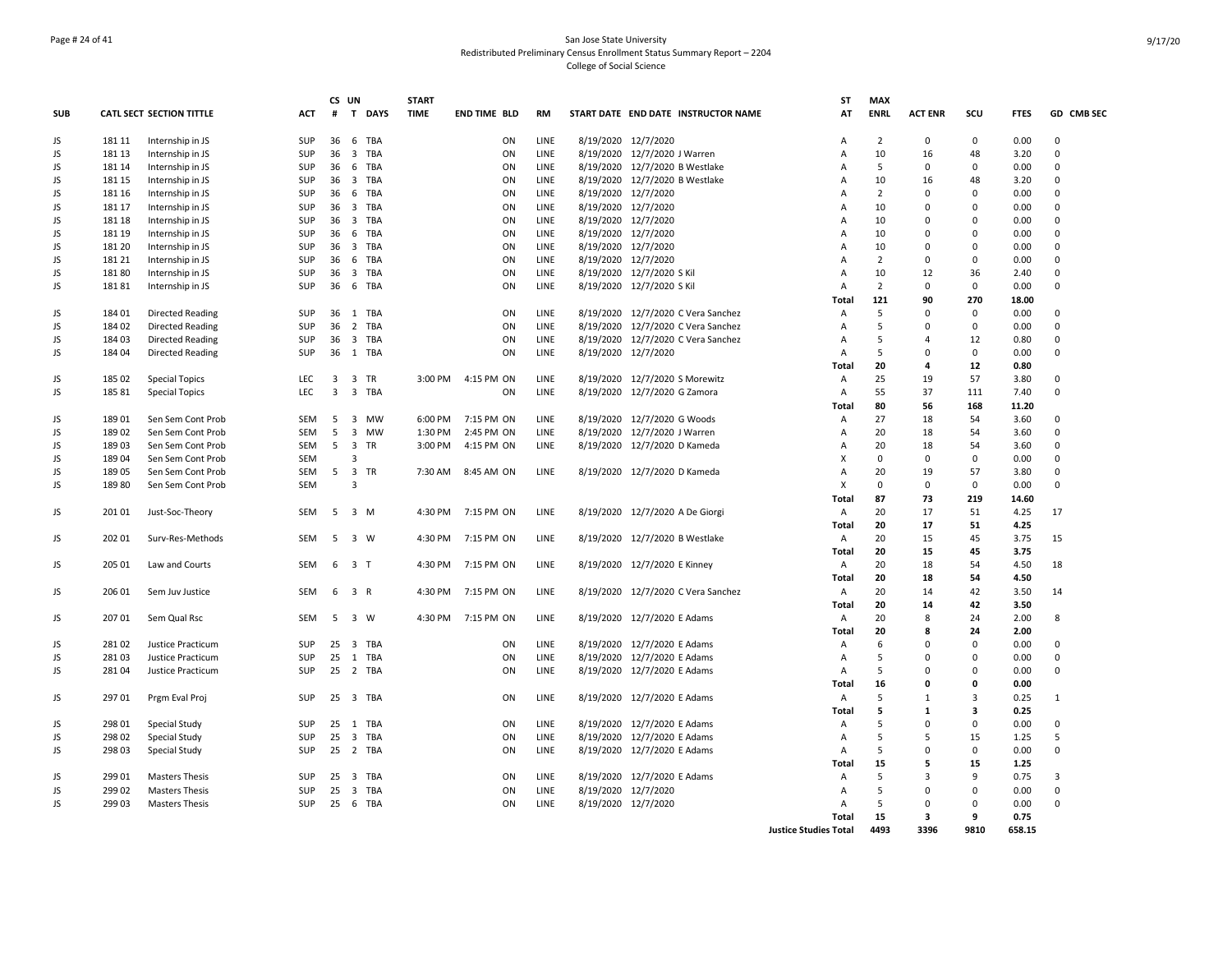## Page # 24 of 41 San Jose State University Redistributed Preliminary Census Enrollment Status Summary Report – 2204 College of Social Science

|            |        |                                 |            |                | CS UN                   |            | <b>START</b> |                     |             |                                     | <b>ST</b>                    | <b>MAX</b>     |                |                         |             |             |
|------------|--------|---------------------------------|------------|----------------|-------------------------|------------|--------------|---------------------|-------------|-------------------------------------|------------------------------|----------------|----------------|-------------------------|-------------|-------------|
| <b>SUB</b> |        | <b>CATL SECT SECTION TITTLE</b> | <b>ACT</b> | #              |                         | T DAYS     | <b>TIME</b>  | <b>END TIME BLD</b> | <b>RM</b>   | START DATE END DATE INSTRUCTOR NAME | AT                           | <b>ENRL</b>    | <b>ACT ENR</b> | SCU                     | <b>FTES</b> | GD CMB SEC  |
| JS         | 181 11 | Internship in JS                | SUP        | 36             |                         | 6 TBA      |              | ON                  | LINE        | 8/19/2020 12/7/2020                 | Α                            | $\overline{2}$ | $\Omega$       | $\mathbf 0$             | 0.00        | $\Omega$    |
| JS         | 181 13 | Internship in JS                | <b>SUP</b> | 36             | $\overline{\mathbf{3}}$ | TBA        |              | ON                  | LINE        | 8/19/2020 12/7/2020 J Warren        | Α                            | 10             | 16             | 48                      | 3.20        | $\mathbf 0$ |
| JS         | 181 14 | Internship in JS                | SUP        | 36             | - 6                     | TBA        |              | ON                  | LINE        | 8/19/2020 12/7/2020 B Westlake      | $\overline{A}$               | 5              | $\Omega$       | $\mathbf 0$             | 0.00        | $\Omega$    |
| JS         | 181 15 | Internship in JS                | SUP        | 36             |                         | 3 TBA      |              | ON                  | LINE        | 8/19/2020 12/7/2020 B Westlake      | A                            | 10             | 16             | 48                      | 3.20        | $\mathbf 0$ |
| JS         | 181 16 | Internship in JS                | SUP        | 36             | 6                       | TBA        |              | ON                  | LINE        | 8/19/2020 12/7/2020                 | A                            | $\overline{2}$ | $\Omega$       | $\mathbf 0$             | 0.00        | $\Omega$    |
| JS         | 181 17 | Internship in JS                | SUP        | 36             | $\overline{\mathbf{3}}$ | <b>TBA</b> |              | ON                  | LINE        | 8/19/2020 12/7/2020                 | А                            | 10             | $\Omega$       | $\Omega$                | 0.00        | $\Omega$    |
| JS         | 181 18 | Internship in JS                | SUP        | 36             |                         | 3 TBA      |              | ON                  | LINE        | 8/19/2020 12/7/2020                 | Α                            | 10             | $\Omega$       | $\Omega$                | 0.00        | 0           |
| JS         | 181 19 | Internship in JS                | SUP        | 36             | 6                       | TBA        |              | ON                  | LINE        | 8/19/2020 12/7/2020                 | A                            | 10             | $\Omega$       | $\mathbf 0$             | 0.00        | $\Omega$    |
| JS         | 181 20 | Internship in JS                | <b>SUP</b> | 36             | $\overline{\mathbf{3}}$ | TBA        |              | ON                  | LINE        | 8/19/2020 12/7/2020                 | $\overline{A}$               | 10             | $\Omega$       | $\Omega$                | 0.00        | $\Omega$    |
| JS         | 181 21 | Internship in JS                | SUP        | 36             |                         | 6 TBA      |              | ON                  | LINE        | 8/19/2020 12/7/2020                 | Α                            | $\overline{2}$ | $\Omega$       | $\mathbf 0$             | 0.00        | $\mathbf 0$ |
| JS         | 18180  | Internship in JS                | <b>SUP</b> | 36             | $\overline{\mathbf{3}}$ | TBA        |              | ON                  | LINE        | 8/19/2020 12/7/2020 S Kil           | $\overline{A}$               | 10             | 12             | 36                      | 2.40        | $\Omega$    |
| JS         | 18181  | Internship in JS                | <b>SUP</b> | 36             |                         | 6 TBA      |              | ON                  | <b>LINE</b> | 8/19/2020 12/7/2020 S Kil           | $\overline{A}$               | $\overline{2}$ | $\Omega$       | $\Omega$                | 0.00        | 0           |
|            |        |                                 |            |                |                         |            |              |                     |             |                                     | Total                        | 121            | 90             | 270                     | 18.00       |             |
| JS         | 184 01 | Directed Reading                | SUP        |                |                         | 36 1 TBA   |              | ON                  | LINE        | 8/19/2020 12/7/2020 C Vera Sanchez  | A                            | 5              | $\Omega$       | 0                       | 0.00        | $\Omega$    |
| JS         | 184 02 | <b>Directed Reading</b>         | SUP        | 36             |                         | 2 TBA      |              | ON                  | LINE        | 8/19/2020 12/7/2020 C Vera Sanchez  | Α                            | 5              | $\Omega$       | $\mathbf 0$             | 0.00        | 0           |
| JS         | 184 03 | <b>Directed Reading</b>         | SUP        | 36             |                         | 3 TBA      |              | ON                  | LINE        | 8/19/2020 12/7/2020 C Vera Sanchez  | Α                            | 5              | $\Delta$       | 12                      | 0.80        | $\mathbf 0$ |
| JS         | 184 04 | Directed Reading                | <b>SUP</b> |                |                         | 36 1 TBA   |              | ON                  | LINE        | 8/19/2020 12/7/2020                 | A                            | 5              | $\Omega$       | $\mathbf 0$             | 0.00        | $\mathbf 0$ |
|            |        |                                 |            |                |                         |            |              |                     |             |                                     | Total                        | 20             | 4              | 12                      | 0.80        |             |
| JS         | 185 02 | <b>Special Topics</b>           | <b>LEC</b> | $\overline{3}$ |                         | 3 TR       | 3:00 PM      | 4:15 PM ON          | LINE        | 8/19/2020 12/7/2020 S Morewitz      | Α                            | 25             | 19             | 57                      | 3.80        | $\mathbf 0$ |
| JS         | 185 81 | <b>Special Topics</b>           | <b>LEC</b> | $\overline{3}$ |                         | 3 TBA      |              | ON                  | LINE        | 8/19/2020 12/7/2020 G Zamora        | Α                            | 55             | 37             | 111                     | 7.40        | 0           |
|            |        |                                 |            |                |                         |            |              |                     |             |                                     | Total                        | 80             | 56             | 168                     | 11.20       |             |
| JS         | 18901  | Sen Sem Cont Prob               | SEM        | 5              |                         | 3 MW       | 6:00 PM      | 7:15 PM ON          | LINE        | 8/19/2020 12/7/2020 G Woods         | A                            | 27             | 18             | 54                      | 3.60        | $\Omega$    |
| JS         | 18902  | Sen Sem Cont Prob               | SEM        | 5              | $\overline{3}$          | MW         | 1:30 PM      | 2:45 PM ON          | LINE        | 8/19/2020 12/7/2020 J Warren        | Α                            | 20             | 18             | 54                      | 3.60        | $\Omega$    |
| JS         | 18903  | Sen Sem Cont Prob               | <b>SEM</b> | 5              | $\overline{\mathbf{3}}$ | TR         | 3:00 PM      | 4:15 PM ON          | LINE        | 8/19/2020 12/7/2020 D Kameda        | А                            | 20             | 18             | 54                      | 3.60        | $\mathbf 0$ |
| JS         | 18904  | Sen Sem Cont Prob               | <b>SEM</b> |                | 3                       |            |              |                     |             |                                     | X                            | $\Omega$       | $\Omega$       | $\Omega$                | 0.00        | $\Omega$    |
| JS         | 18905  | Sen Sem Cont Prob               | SEM        | 5              |                         | 3 TR       | 7:30 AM      | 8:45 AM ON          | LINE        | 8/19/2020 12/7/2020 D Kameda        | Α                            | 20             | 19             | 57                      | 3.80        | $\mathbf 0$ |
| JS         | 18980  | Sen Sem Cont Prob               | <b>SEM</b> |                | 3                       |            |              |                     |             |                                     | X                            | $\Omega$       | $\Omega$       | $\Omega$                | 0.00        | 0           |
|            |        |                                 |            |                |                         |            |              |                     |             |                                     | Total                        | 87             | 73             | 219                     | 14.60       |             |
| JS         | 201 01 | Just-Soc-Theory                 | SEM        |                | 5 3 M                   |            | 4:30 PM      | 7:15 PM ON          | LINE        | 8/19/2020 12/7/2020 A De Giorgi     | Α                            | 20             | 17             | 51                      | 4.25        | 17          |
|            |        |                                 |            |                |                         |            |              |                     |             |                                     | <b>Total</b>                 | 20             | 17             | 51                      | 4.25        |             |
| JS         | 202 01 | Surv-Res-Methods                | SEM        | 5              | 3 W                     |            | 4:30 PM      | 7:15 PM ON          | LINE        | 8/19/2020 12/7/2020 B Westlake      | Α                            | 20             | 15             | 45                      | 3.75        | 15          |
|            |        |                                 |            |                |                         |            |              |                     |             |                                     | Total                        | 20             | 15             | 45                      | 3.75        |             |
| JS         | 205 01 | Law and Courts                  | SEM        | 6              | 3 <sub>1</sub>          |            | 4:30 PM      | 7:15 PM ON          | LINE        | 8/19/2020 12/7/2020 E Kinney        | Α                            | 20             | 18             | 54                      | 4.50        | 18          |
|            |        |                                 |            |                |                         |            |              |                     |             |                                     | Total                        | 20             | 18             | 54                      | 4.50        |             |
| JS         | 206 01 | Sem Juv Justice                 | SEM        | 6              | 3 R                     |            | 4:30 PM      | 7:15 PM ON          | LINE        | 8/19/2020 12/7/2020 C Vera Sanchez  | A                            | 20             | 14             | 42                      | 3.50        | 14          |
|            |        |                                 |            |                |                         |            |              |                     |             |                                     | Total                        | 20             | 14             | 42                      | 3.50        |             |
| JS         | 207 01 | Sem Qual Rsc                    | SEM        | 5              |                         | 3 W        | 4:30 PM      | 7:15 PM ON          | LINE        | 8/19/2020 12/7/2020 E Adams         | Α                            | 20             | 8              | 24                      | 2.00        | 8           |
|            |        |                                 |            |                |                         |            |              |                     |             |                                     | Total                        | 20             | 8              | 24                      | 2.00        |             |
| JS         | 28102  | Justice Practicum               | <b>SUP</b> | 25             |                         | 3 TBA      |              | ON                  | LINE        | 8/19/2020 12/7/2020 E Adams         | Α                            | 6              | $\Omega$       | $\mathbf 0$             | 0.00        | $\mathbf 0$ |
| JS         | 28103  | Justice Practicum               | SUP        | 25             |                         | 1 TBA      |              | ON                  | LINE        | 8/19/2020 12/7/2020 E Adams         | Α                            | 5              | $\Omega$       | $\Omega$                | 0.00        | $\mathbf 0$ |
| JS         | 281 04 | Justice Practicum               | <b>SUP</b> |                |                         | 25 2 TBA   |              | ON                  | LINE        | 8/19/2020 12/7/2020 E Adams         | Α                            | 5              | $\Omega$       | $\mathbf 0$             | 0.00        | 0           |
|            |        |                                 |            |                |                         |            |              |                     |             |                                     | Total                        | 16             | 0              | $\mathbf 0$             | 0.00        |             |
| JS         | 297 01 | Prgm Eval Proj                  | <b>SUP</b> | 25             |                         | 3 TBA      |              | ON                  | LINE        | 8/19/2020 12/7/2020 E Adams         | Α                            | 5              | $\mathbf{1}$   | $\overline{3}$          | 0.25        | 1           |
|            |        |                                 |            |                |                         |            |              |                     |             |                                     | Total                        | 5              | $\mathbf{1}$   | $\overline{\mathbf{3}}$ | 0.25        |             |
| JS         | 298 01 | Special Study                   | SUP        | 25             |                         | 1 TBA      |              | ON                  | LINE        | 8/19/2020 12/7/2020 E Adams         | Α                            | 5              | $\Omega$       | $\Omega$                | 0.00        | $\mathbf 0$ |
| JS         | 298 02 | Special Study                   | SUP        | 25             |                         | 3 TBA      |              | ON                  | LINE        | 8/19/2020 12/7/2020 E Adams         | Α                            | 5              | 5              | 15                      | 1.25        | 5           |
| JS         | 298 03 | Special Study                   | SUP        | 25             |                         | 2 TBA      |              | ON                  | LINE        | 8/19/2020 12/7/2020 E Adams         | Α                            | 5              | $\Omega$       | 0                       | 0.00        | $\mathbf 0$ |
|            |        |                                 |            |                |                         |            |              |                     |             |                                     | Total                        | 15             | 5              | 15                      | 1.25        |             |
| JS         | 299 01 | <b>Masters Thesis</b>           | SUP        | 25             | $\overline{\mathbf{3}}$ | TBA        |              | ON                  | LINE        | 8/19/2020 12/7/2020 E Adams         | Α                            | 5              | 3              | 9                       | 0.75        | 3           |
| JS         | 299 02 | <b>Masters Thesis</b>           | SUP        | 25             | $\overline{\mathbf{3}}$ | TBA        |              | ON                  | LINE        | 8/19/2020 12/7/2020                 | Α                            | 5              | $\Omega$       | $\mathbf 0$             | 0.00        | $\mathbf 0$ |
| JS         | 299 03 | <b>Masters Thesis</b>           | SUP        | 25             | 6                       | TBA        |              | ON                  | LINE        | 8/19/2020 12/7/2020                 | A                            | 5              | $\Omega$       | $\mathbf 0$             | 0.00        | $\Omega$    |
|            |        |                                 |            |                |                         |            |              |                     |             |                                     | <b>Total</b>                 | 15             | 3              | 9                       | 0.75        |             |
|            |        |                                 |            |                |                         |            |              |                     |             |                                     | <b>Justice Studies Total</b> | 4493           | 3396           | 9810                    | 658.15      |             |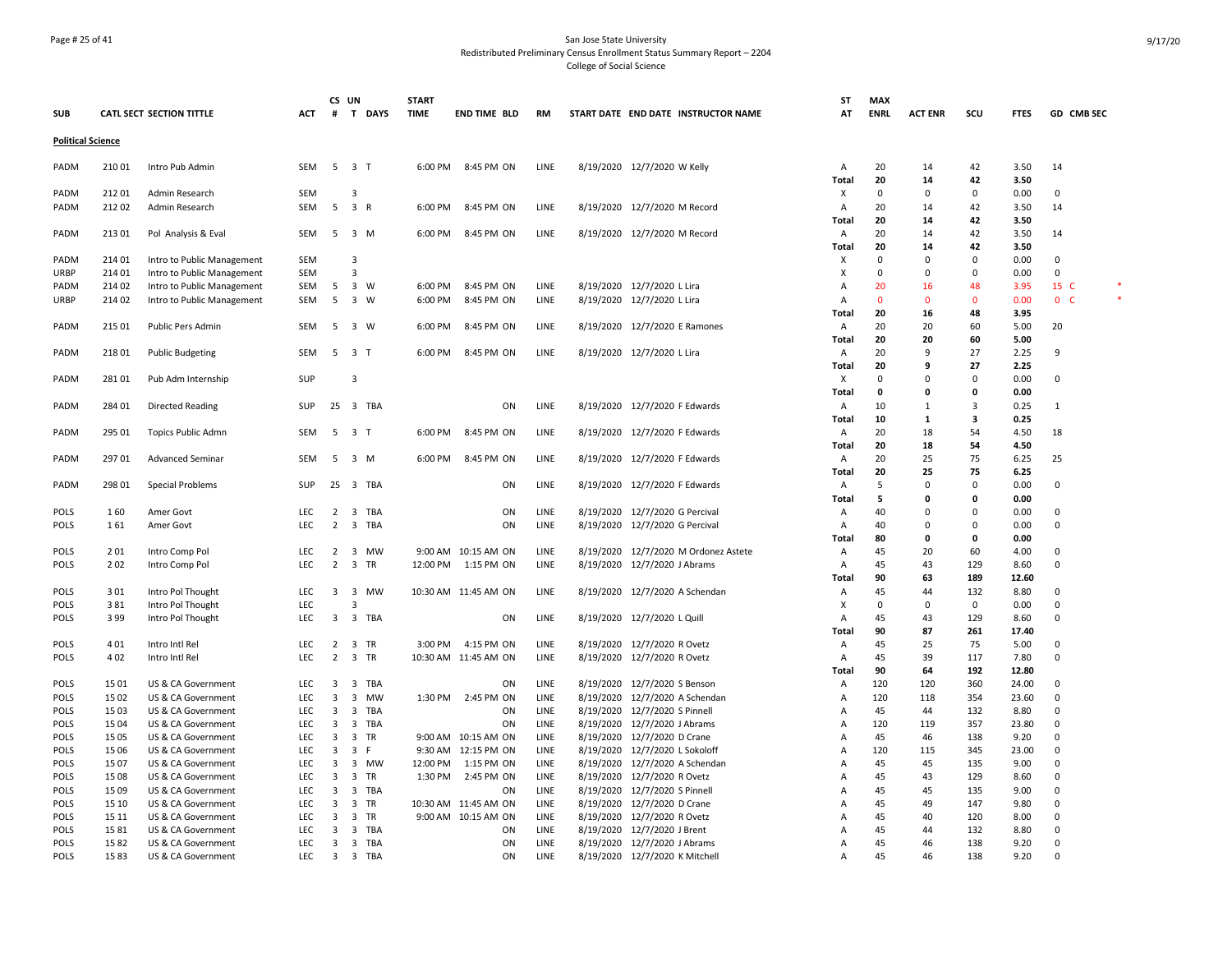## Page # 25 of 41 San Jose State University Redistributed Preliminary Census Enrollment Status Summary Report – 2204 College of Social Science

| <b>SUB</b>                 |               | CATL SECT SECTION TITTLE                 | ACT               | CS UN                   |                | # T DAYS      | <b>START</b><br><b>TIME</b> | <b>END TIME BLD</b>  | RM           |           | START DATE END DATE INSTRUCTOR NAME                   | SΤ<br>AT          | <b>MAX</b><br><b>ENRL</b> | <b>ACT ENR</b> | scu         | <b>FTES</b>   | GD CMB SEC     |  |
|----------------------------|---------------|------------------------------------------|-------------------|-------------------------|----------------|---------------|-----------------------------|----------------------|--------------|-----------|-------------------------------------------------------|-------------------|---------------------------|----------------|-------------|---------------|----------------|--|
| <b>Political Science</b>   |               |                                          |                   |                         |                |               |                             |                      |              |           |                                                       |                   |                           |                |             |               |                |  |
|                            |               |                                          |                   |                         |                |               |                             |                      |              |           |                                                       |                   |                           |                |             |               |                |  |
| PADM                       | 210 01        | Intro Pub Admin                          | SEM               |                         | 5 3 T          |               | 6:00 PM                     | 8:45 PM ON           | LINE         |           | 8/19/2020 12/7/2020 W Kelly                           | Α                 | 20                        | 14             | 42          | 3.50          | 14             |  |
|                            |               |                                          |                   |                         |                |               |                             |                      |              |           |                                                       | <b>Total</b>      | 20                        | 14             | 42          | 3.50          |                |  |
| PADM                       | 21201         | Admin Research                           | <b>SEM</b>        |                         | 3              |               |                             |                      |              |           |                                                       | х                 | $\mathbf 0$               | 0              | $\mathbf 0$ | 0.00          | 0              |  |
| PADM                       | 21202         | Admin Research                           | <b>SEM</b>        | 5                       | 3 R            |               | 6:00 PM                     | 8:45 PM ON           | LINE         |           | 8/19/2020 12/7/2020 M Record                          | Α                 | 20                        | 14             | 42          | 3.50          | 14             |  |
|                            |               |                                          |                   |                         |                |               |                             |                      |              |           |                                                       | <b>Total</b>      | 20                        | 14             | 42          | 3.50          |                |  |
| PADM                       | 213 01        | Pol Analysis & Eval                      | <b>SEM</b>        |                         | 5 3 M          |               | 6:00 PM                     | 8:45 PM ON           | LINE         |           | 8/19/2020 12/7/2020 M Record                          | Α                 | 20                        | 14             | 42<br>42    | 3.50          | 14             |  |
| PADM                       | 214 01        | Intro to Public Management               | SEM               |                         | 3              |               |                             |                      |              |           |                                                       | <b>Total</b><br>x | 20<br>$\Omega$            | 14<br>0        | $\Omega$    | 3.50<br>0.00  | 0              |  |
| URBP                       | 214 01        | Intro to Public Management               | <b>SEM</b>        |                         | 3              |               |                             |                      |              |           |                                                       | Х                 | $\Omega$                  | $\Omega$       | $\Omega$    | 0.00          | $\mathbf 0$    |  |
| PADM                       | 214 02        | Intro to Public Management               | <b>SEM</b>        | 5                       | 3 W            |               | 6:00 PM                     | 8:45 PM ON           | LINE         |           | 8/19/2020 12/7/2020 L Lira                            | Α                 | 20                        | 16             | 48          | 3.95          | 15 C           |  |
| URBP                       | 214 02        | Intro to Public Management               | <b>SEM</b>        | 5                       | 3 W            |               | 6:00 PM                     | 8:45 PM ON           | LINE         |           | 8/19/2020 12/7/2020 L Lira                            | $\overline{A}$    | $\mathbf{0}$              | $\Omega$       | $\Omega$    | 0.00          | 0 <sub>c</sub> |  |
|                            |               |                                          |                   |                         |                |               |                             |                      |              |           |                                                       | Total             | 20                        | 16             | 48          | 3.95          |                |  |
| PADM                       | 215 01        | Public Pers Admin                        | <b>SEM</b>        | 5                       | 3 W            |               | 6:00 PM                     | 8:45 PM ON           | LINE         |           | 8/19/2020 12/7/2020 E Ramones                         | Α                 | 20                        | 20             | 60          | 5.00          | 20             |  |
|                            |               |                                          |                   |                         |                |               |                             |                      |              |           |                                                       | <b>Total</b>      | 20                        | 20             | 60          | 5.00          |                |  |
| PADM                       | 21801         | <b>Public Budgeting</b>                  | <b>SEM</b>        |                         | 5 3 T          |               | 6:00 PM                     | 8:45 PM ON           | LINE         |           | 8/19/2020 12/7/2020 L Lira                            | $\overline{A}$    | 20                        | 9              | 27          | 2.25          | 9              |  |
|                            |               |                                          |                   |                         |                |               |                             |                      |              |           |                                                       | <b>Total</b>      | 20                        | 9              | 27          | 2.25          |                |  |
| PADM                       | 28101         | Pub Adm Internship                       | <b>SUP</b>        |                         | $\overline{3}$ |               |                             |                      |              |           |                                                       | Х                 | $\Omega$                  | O              | $\Omega$    | 0.00          | 0              |  |
|                            |               |                                          |                   |                         |                |               |                             |                      |              |           |                                                       | <b>Total</b>      | 0                         | 0              | 0           | 0.00          |                |  |
| PADM                       | 284 01        | Directed Reading                         | SUP               |                         |                | 25 3 TBA      |                             | ON                   | LINE         |           | 8/19/2020 12/7/2020 F Edwards                         | Α                 | 10                        | -1             | 3           | 0.25          | $\mathbf{1}$   |  |
|                            |               |                                          |                   |                         |                |               |                             |                      |              |           |                                                       | Total             | 10                        | 1              | 3           | 0.25          |                |  |
| PADM                       | 295 01        | <b>Topics Public Admn</b>                | <b>SEM</b>        | 5                       | 3 <sub>1</sub> |               | 6:00 PM                     | 8:45 PM ON           | LINE         |           | 8/19/2020 12/7/2020 F Edwards                         | Α                 | 20                        | 18             | 54          | 4.50          | 18             |  |
|                            |               |                                          |                   |                         |                |               |                             |                      |              |           |                                                       | <b>Total</b>      | 20                        | 18             | 54          | 4.50          |                |  |
| PADM                       | 297 01        | <b>Advanced Seminar</b>                  | <b>SEM</b>        | 5                       | 3 M            |               | 6:00 PM                     | 8:45 PM ON           | LINE         |           | 8/19/2020 12/7/2020 F Edwards                         | Α                 | 20                        | 25             | 75          | 6.25          | 25             |  |
|                            |               |                                          |                   |                         |                |               |                             |                      |              |           |                                                       | <b>Total</b>      | 20                        | 25             | 75          | 6.25          |                |  |
| PADM                       | 298 01        | Special Problems                         | SUP               |                         |                | 25 3 TBA      |                             | ON                   | LINE         |           | 8/19/2020 12/7/2020 F Edwards                         | Α                 | 5                         | 0              | $\mathbf 0$ | 0.00          | 0              |  |
|                            |               |                                          |                   |                         |                |               |                             |                      |              |           |                                                       | Total             | 5                         | 0              | 0           | 0.00          |                |  |
| <b>POLS</b>                | 160           | Amer Govt                                | LEC               | 2                       |                | 3 TBA         |                             | ON                   | LINE         |           | 8/19/2020 12/7/2020 G Percival                        | Α                 | 40                        | 0              | 0           | 0.00          | 0              |  |
| <b>POLS</b>                | 161           | Amer Govt                                | <b>LEC</b>        | $\overline{2}$          |                | 3 TBA         |                             | ON                   | LINE         |           | 8/19/2020 12/7/2020 G Percival                        | $\overline{A}$    | 40                        | O              | $\Omega$    | 0.00          | $\Omega$       |  |
|                            |               |                                          |                   |                         |                |               |                             |                      |              |           |                                                       | Total             | 80                        | O              | 0           | 0.00          |                |  |
| <b>POLS</b>                | 201           | Intro Comp Pol                           | <b>LEC</b>        | $\overline{2}$          |                | 3 MW          |                             | 9:00 AM 10:15 AM ON  | LINE         |           | 8/19/2020 12/7/2020 M Ordonez Astete                  | Α                 | 45                        | 20             | 60          | 4.00          | $\mathbf 0$    |  |
| POLS                       | 202           | Intro Comp Pol                           | LEC               | $\overline{2}$          | 3 TR           |               | 12:00 PM                    | 1:15 PM ON           | LINE         |           | 8/19/2020 12/7/2020 J Abrams                          | Α                 | 45                        | 43             | 129         | 8.60          | $\Omega$       |  |
|                            |               |                                          |                   |                         |                |               |                             |                      |              |           |                                                       | Total             | 90                        | 63             | 189         | 12.60         |                |  |
| POLS                       | 301           | Intro Pol Thought                        | LEC               | $\overline{\mathbf{3}}$ |                | 3 MW          |                             | 10:30 AM 11:45 AM ON | LINE         |           | 8/19/2020 12/7/2020 A Schendan                        | Α                 | 45                        | 44             | 132         | 8.80          | 0              |  |
| POLS                       | 381           | Intro Pol Thought                        | LEC               |                         | 3              |               |                             |                      |              |           |                                                       | x                 | $\Omega$                  | $\Omega$       | 0           | 0.00          | $\Omega$       |  |
| <b>POLS</b>                | 399           | Intro Pol Thought                        | <b>LEC</b>        | $\overline{3}$          |                | 3 TBA         |                             | ON                   | LINE         |           | 8/19/2020 12/7/2020 L Quill                           | A                 | 45                        | 43             | 129         | 8.60          | $\Omega$       |  |
|                            |               |                                          |                   |                         |                |               |                             |                      |              |           |                                                       | <b>Total</b>      | 90                        | 87             | 261         | 17.40         |                |  |
| <b>POLS</b>                | 401           | Intro Intl Rel                           | LEC               | $\overline{2}$          | 3 TR           |               | 3:00 PM                     | 4:15 PM ON           | LINE         |           | 8/19/2020 12/7/2020 R Ovetz                           | Α                 | 45                        | 25             | 75          | 5.00          | 0              |  |
| POLS                       | 402           | Intro Intl Rel                           | LEC               | $\overline{2}$          | 3 TR           |               |                             | 10:30 AM 11:45 AM ON | LINE         |           | 8/19/2020 12/7/2020 R Ovetz                           | Α                 | 45                        | 39             | 117         | 7.80          | $\mathbf 0$    |  |
|                            |               |                                          |                   |                         |                |               |                             |                      |              |           |                                                       | Total             | 90                        | 64             | 192         | 12.80         |                |  |
| POLS                       | 1501          | US & CA Government                       | LEC<br><b>LEC</b> | 3                       |                | 3 TBA         |                             | ON                   | LINE         |           | 8/19/2020 12/7/2020 S Benson                          | Α                 | 120                       | 120            | 360         | 24.00         | 0              |  |
| <b>POLS</b><br><b>POLS</b> | 15 02<br>1503 | US & CA Government<br>US & CA Government | <b>LEC</b>        | 3<br>$\overline{3}$     |                | 3 MW<br>3 TBA | 1:30 PM                     | 2:45 PM ON<br>ON     | LINE<br>LINE | 8/19/2020 | 12/7/2020 A Schendan<br>8/19/2020 12/7/2020 S Pinnell | Α<br>A            | 120<br>45                 | 118<br>44      | 354<br>132  | 23.60<br>8.80 | 0<br>$\Omega$  |  |
| POLS                       | 15 04         |                                          | LEC               | $\overline{\mathbf{3}}$ |                | 3 TBA         |                             | ON                   | LINE         |           | 8/19/2020 12/7/2020 J Abrams                          | $\Delta$          | 120                       | 119            | 357         | 23.80         | $\Omega$       |  |
| POLS                       | 15 05         | US & CA Government<br>US & CA Government | LEC               | $\overline{3}$          | 3 TR           |               |                             | 9:00 AM 10:15 AM ON  | LINE         | 8/19/2020 | 12/7/2020 D Crane                                     | $\Delta$          | 45                        | 46             | 138         | 9.20          | 0              |  |
| <b>POLS</b>                | 15 06         | US & CA Government                       | LEC               | $\overline{\mathbf{3}}$ | 3 F            |               |                             | 9:30 AM 12:15 PM ON  | LINE         | 8/19/2020 | 12/7/2020 L Sokoloff                                  | A                 | 120                       | 115            | 345         | 23.00         | 0              |  |
| <b>POLS</b>                | 15 07         | US & CA Government                       | LEC               | 3                       |                | 3 MW          | 12:00 PM                    | 1:15 PM ON           | LINE         | 8/19/2020 | 12/7/2020 A Schendan                                  | A                 | 45                        | 45             | 135         | 9.00          | 0              |  |
| POLS                       | 15 08         | US & CA Government                       | LEC               | $\overline{\mathbf{3}}$ | 3 TR           |               | 1:30 PM                     | 2:45 PM ON           | LINE         |           | 8/19/2020 12/7/2020 R Ovetz                           | A                 | 45                        | 43             | 129         | 8.60          | $\Omega$       |  |
| <b>POLS</b>                | 15 09         | US & CA Government                       | LEC               | 3                       |                | 3 TBA         |                             | ON                   | LINE         |           | 8/19/2020 12/7/2020 S Pinnell                         | A                 | 45                        | 45             | 135         | 9.00          | $\Omega$       |  |
| <b>POLS</b>                | 15 10         | US & CA Government                       | <b>LEC</b>        | $\overline{3}$          | 3 TR           |               |                             | 10:30 AM 11:45 AM ON | LINE         |           | 8/19/2020 12/7/2020 D Crane                           | A                 | 45                        | 49             | 147         | 9.80          | $\Omega$       |  |
| POLS                       | 15 11         | US & CA Government                       | <b>LEC</b>        | $\overline{3}$          | 3 TR           |               |                             | 9:00 AM 10:15 AM ON  | LINE         |           | 8/19/2020 12/7/2020 R Ovetz                           | A                 | 45                        | 40             | 120         | 8.00          | $\Omega$       |  |
| <b>POLS</b>                | 1581          | US & CA Government                       | <b>LEC</b>        | 3                       |                | 3 TBA         |                             | ON                   | LINE         | 8/19/2020 | 12/7/2020 J Brent                                     | A                 | 45                        | 44             | 132         | 8.80          | $\Omega$       |  |
| <b>POLS</b>                | 1582          | US & CA Government                       | <b>LEC</b>        | $\overline{3}$          |                | 3 TBA         |                             | ON                   | LINE         |           | 8/19/2020 12/7/2020 J Abrams                          | A                 | 45                        | 46             | 138         | 9.20          | $\Omega$       |  |
| POLS                       | 1583          | US & CA Government                       | LEC               | $\overline{3}$          |                | 3 TBA         |                             | ON                   | LINE         |           | 8/19/2020 12/7/2020 K Mitchell                        | A                 | 45                        | 46             | 138         | 9.20          | $\Omega$       |  |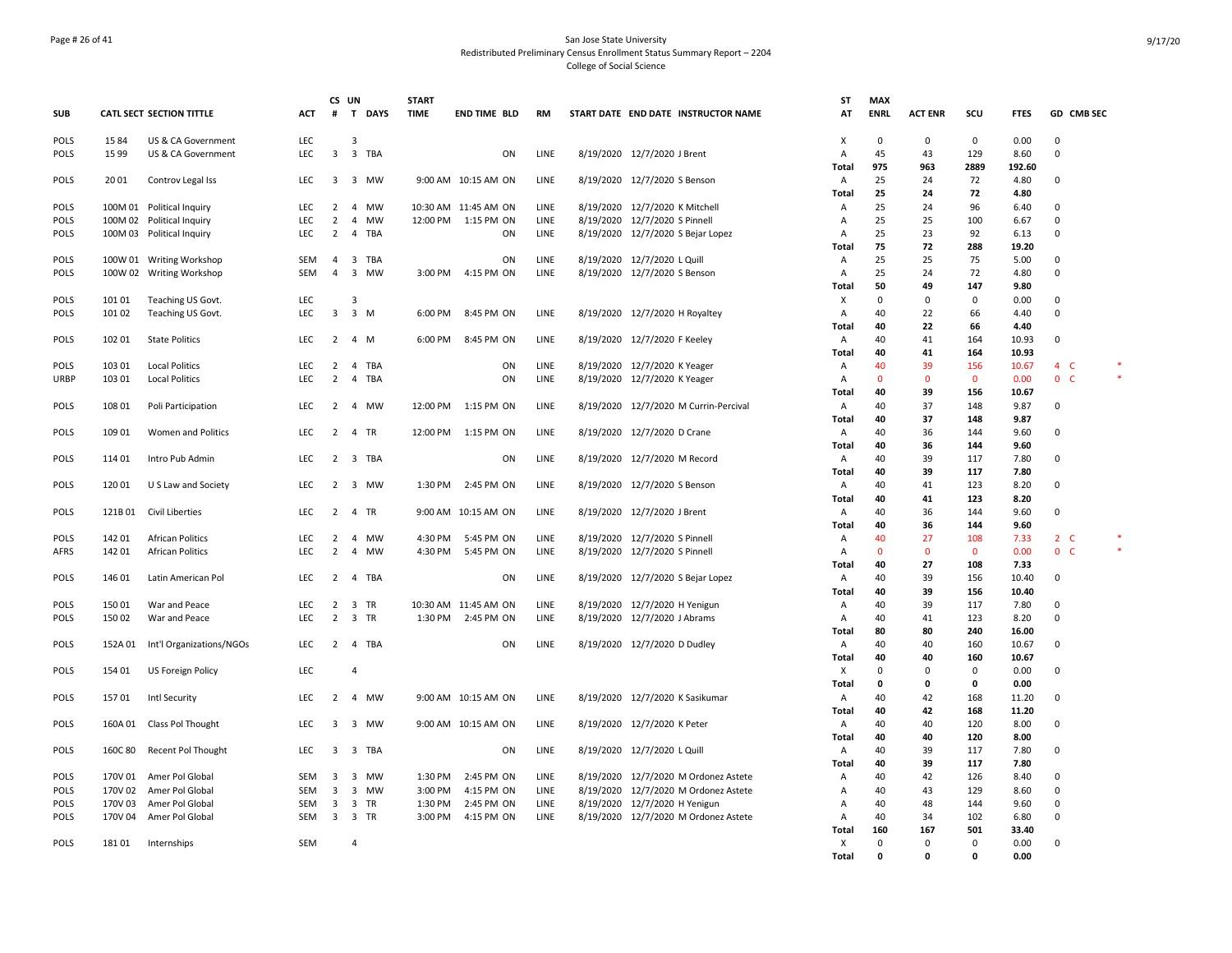## Page # 26 of 41 San Jose State University Redistributed Preliminary Census Enrollment Status Summary Report – 2204 College of Social Science

|             |         |                                 |            |                         | CS UN          |             | <b>START</b> |                      |      |           |                                       | <b>ST</b>      | <b>MAX</b>   |                |                |                |             |                |  |
|-------------|---------|---------------------------------|------------|-------------------------|----------------|-------------|--------------|----------------------|------|-----------|---------------------------------------|----------------|--------------|----------------|----------------|----------------|-------------|----------------|--|
| <b>SUB</b>  |         | <b>CATL SECT SECTION TITTLE</b> | ACT        | $\#$                    | T              | <b>DAYS</b> | <b>TIME</b>  | END TIME BLD         | RM   |           | START DATE END DATE INSTRUCTOR NAME   | AT             | <b>ENRL</b>  | <b>ACT ENR</b> | scu            | <b>FTES</b>    |             | GD CMB SEC     |  |
| <b>POLS</b> | 1584    | US & CA Government              | <b>LEC</b> |                         | 3              |             |              |                      |      |           |                                       | X              | 0            | 0              | 0              | 0.00           | 0           |                |  |
| <b>POLS</b> | 15 99   | US & CA Government              | LEC        | $\overline{\mathbf{3}}$ |                | 3 TBA       |              | ON                   | LINE |           | 8/19/2020 12/7/2020 J Brent           | Α              | 45           | 43             | 129            | 8.60           | $\mathbf 0$ |                |  |
|             |         |                                 |            |                         |                |             |              |                      |      |           |                                       | Total          | 975          | 963            | 2889           | 192.60         |             |                |  |
| <b>POLS</b> | 2001    | Controv Legal Iss               | LEC        |                         |                | 3 3 MW      |              | 9:00 AM 10:15 AM ON  | LINE |           | 8/19/2020 12/7/2020 S Benson          | A              | 25           | 24             | 72             | 4.80           | 0           |                |  |
|             |         |                                 |            |                         |                |             |              |                      |      |           |                                       | Total          | 25           | 24             | 72             | 4.80           |             |                |  |
| POLS        |         | 100M 01 Political Inquiry       | <b>LEC</b> | $\overline{2}$          |                | 4 MW        |              | 10:30 AM 11:45 AM ON | LINE |           | 8/19/2020 12/7/2020 K Mitchell        | $\overline{A}$ | 25           | 24             | 96             | 6.40           | $\Omega$    |                |  |
| <b>POLS</b> |         | 100M 02 Political Inquiry       | <b>LEC</b> | $\overline{2}$          | $\overline{4}$ | <b>MW</b>   |              | 12:00 PM 1:15 PM ON  | LINE |           | 8/19/2020 12/7/2020 S Pinnell         | $\overline{A}$ | 25           | 25             | 100            | 6.67           | $\Omega$    |                |  |
| POLS        |         | 100M 03 Political Inquiry       | <b>LEC</b> | 2                       |                | 4 TBA       |              | ON                   | LINE |           | 8/19/2020 12/7/2020 S Bejar Lopez     | Α              | 25<br>75     | 23<br>72       | 92<br>288      | 6.13           | $\Omega$    |                |  |
| POLS        |         | 100W 01 Writing Workshop        | SEM        | 4                       |                | 3 TBA       |              | ON                   | LINE |           | 8/19/2020 12/7/2020 L Quill           | Total<br>Α     | 25           | 25             | 75             | 19.20<br>5.00  | 0           |                |  |
| POLS        |         | 100W 02 Writing Workshop        | SEM        | $\overline{4}$          |                | 3 MW        |              | 3:00 PM 4:15 PM ON   | LINE |           | 8/19/2020 12/7/2020 S Benson          | A              | 25           | 24             | 72             | 4.80           | $\mathbf 0$ |                |  |
|             |         |                                 |            |                         |                |             |              |                      |      |           |                                       | Total          | 50           | 49             | 147            | 9.80           |             |                |  |
| <b>POLS</b> | 101 01  | Teaching US Govt.               | <b>LEC</b> |                         | 3              |             |              |                      |      |           |                                       | Х              | 0            | $\mathbf 0$    | $\mathbf 0$    | 0.00           | 0           |                |  |
| <b>POLS</b> | 101 02  | Teaching US Govt.               | <b>LEC</b> |                         | 3 3 M          |             |              | 6:00 PM 8:45 PM ON   | LINE |           | 8/19/2020 12/7/2020 H Royaltey        | $\overline{A}$ | 40           | 22             | 66             | 4.40           | $\Omega$    |                |  |
|             |         |                                 |            |                         |                |             |              |                      |      |           |                                       | Total          | 40           | 22             | 66             | 4.40           |             |                |  |
| <b>POLS</b> | 102 01  | <b>State Politics</b>           | LEC        | $\overline{2}$          | 4 M            |             | 6:00 PM      | 8:45 PM ON           | LINE |           | 8/19/2020 12/7/2020 F Keeley          | A              | 40           | 41             | 164            | 10.93          | 0           |                |  |
|             |         |                                 |            |                         |                |             |              |                      |      |           |                                       | Total          | 40           | 41             | 164            | 10.93          |             |                |  |
| <b>POLS</b> | 103 01  | <b>Local Politics</b>           | <b>LEC</b> | $\overline{2}$          |                | 4 TBA       |              | ON                   | LINE |           | 8/19/2020 12/7/2020 K Yeager          | A              | 40           | 39             | 156            | 10.67          |             | $4\quad C$     |  |
| <b>URBP</b> | 103 01  | <b>Local Politics</b>           | <b>LEC</b> | $\overline{2}$          |                | 4 TBA       |              | ON                   | LINE |           | 8/19/2020 12/7/2020 K Yeager          | $\overline{A}$ | $\mathbf{0}$ | $\mathbf{0}$   | $\mathbf{0}$   | 0.00           |             | 0 <sub>c</sub> |  |
|             |         |                                 |            |                         |                |             |              |                      |      |           |                                       | Total          | 40           | 39             | 156            | 10.67          |             |                |  |
| POLS        | 108 01  | Poli Participation              | LEC        | $\overline{2}$          |                | 4 MW        |              | 12:00 PM 1:15 PM ON  | LINE |           | 8/19/2020 12/7/2020 M Currin-Percival | A              | 40           | 37             | 148            | 9.87           | $\mathsf 0$ |                |  |
|             |         |                                 |            |                         |                |             |              |                      |      |           |                                       | Total          | 40           | 37             | 148            | 9.87           |             |                |  |
| <b>POLS</b> | 109 01  | Women and Politics              | LEC        | $2^{\circ}$             |                | 4 TR        |              | 12:00 PM 1:15 PM ON  | LINE |           | 8/19/2020 12/7/2020 D Crane           | A              | 40           | 36             | 144            | 9.60           | $\mathbf 0$ |                |  |
|             |         |                                 |            |                         |                |             |              |                      |      |           |                                       | Total          | 40           | 36             | 144            | 9.60           |             |                |  |
| <b>POLS</b> | 114 01  | Intro Pub Admin                 | LEC        |                         |                | 2 3 TBA     |              | ON                   | LINE |           | 8/19/2020 12/7/2020 M Record          | A              | 40           | 39             | 117            | 7.80           | 0           |                |  |
|             |         |                                 |            |                         |                |             |              |                      |      |           |                                       | <b>Total</b>   | 40           | 39             | 117            | 7.80           |             |                |  |
| <b>POLS</b> | 12001   | U S Law and Society             | LEC        |                         |                | 2 3 MW      | 1:30 PM      | 2:45 PM ON           | LINE |           | 8/19/2020 12/7/2020 S Benson          | A<br>Total     | 40<br>40     | 41<br>41       | 123<br>123     | 8.20<br>8.20   | 0           |                |  |
| <b>POLS</b> | 121B01  | Civil Liberties                 | LEC        | $\overline{2}$          |                | 4 TR        |              | 9:00 AM 10:15 AM ON  | LINE |           | 8/19/2020 12/7/2020 J Brent           | A              | 40           | 36             | 144            | 9.60           | $\mathbf 0$ |                |  |
|             |         |                                 |            |                         |                |             |              |                      |      |           |                                       | Total          | 40           | 36             | 144            | 9.60           |             |                |  |
| <b>POLS</b> | 142 01  | <b>African Politics</b>         | <b>LEC</b> | $\overline{2}$          |                | 4 MW        | 4:30 PM      | 5:45 PM ON           | LINE |           | 8/19/2020 12/7/2020 S Pinnell         | $\overline{A}$ | 40           | 27             | 108            | 7.33           |             | $2\degree$ C   |  |
| AFRS        | 142 01  | <b>African Politics</b>         | <b>LEC</b> | $\overline{2}$          |                | 4 MW        | 4:30 PM      | 5:45 PM ON           | LINE |           | 8/19/2020 12/7/2020 S Pinnell         | $\overline{A}$ | $\mathbf{0}$ | $\mathbf{0}$   | $\overline{0}$ | 0.00           |             | 0 <sub>c</sub> |  |
|             |         |                                 |            |                         |                |             |              |                      |      |           |                                       | Total          | 40           | 27             | 108            | 7.33           |             |                |  |
| POLS        | 146 01  | Latin American Pol              | LEC        | $2^{\circ}$             |                | 4 TBA       |              | ON                   | LINE |           | 8/19/2020 12/7/2020 S Bejar Lopez     | A              | 40           | 39             | 156            | 10.40          | $\Omega$    |                |  |
|             |         |                                 |            |                         |                |             |              |                      |      |           |                                       | Total          | 40           | 39             | 156            | 10.40          |             |                |  |
| <b>POLS</b> | 15001   | War and Peace                   | LEC        | 2                       |                | 3 TR        |              | 10:30 AM 11:45 AM ON | LINE |           | 8/19/2020 12/7/2020 H Yenigun         | A              | 40           | 39             | 117            | 7.80           | $\mathbf 0$ |                |  |
| <b>POLS</b> | 15002   | War and Peace                   | LEC        | $\overline{2}$          | 3 TR           |             |              | 1:30 PM 2:45 PM ON   | LINE |           | 8/19/2020 12/7/2020 J Abrams          | A              | 40           | 41             | 123            | 8.20           | 0           |                |  |
|             |         |                                 |            |                         |                |             |              |                      |      |           |                                       | Total          | 80           | 80             | 240            | 16.00          |             |                |  |
| <b>POLS</b> | 152A 01 | Int'l Organizations/NGOs        | <b>LEC</b> | $\overline{2}$          |                | 4 TBA       |              | ON                   | LINE |           | 8/19/2020 12/7/2020 D Dudley          | A              | 40           | 40             | 160            | 10.67          | 0           |                |  |
|             |         |                                 |            |                         |                |             |              |                      |      |           |                                       | <b>Total</b>   | 40           | 40             | 160            | 10.67          |             |                |  |
| <b>POLS</b> | 154 01  | US Foreign Policy               | LEC        |                         | $\overline{4}$ |             |              |                      |      |           |                                       | X              | 0            | 0              | $\mathsf 0$    | 0.00           | $\mathbf 0$ |                |  |
|             |         |                                 |            | $\overline{2}$          |                |             |              |                      |      |           |                                       | Total          | 0<br>40      | 0              | 0              | 0.00           | 0           |                |  |
| <b>POLS</b> | 15701   | Intl Security                   | LEC        |                         |                | 4 MW        |              | 9:00 AM 10:15 AM ON  | LINE |           | 8/19/2020 12/7/2020 K Sasikumar       | A<br>Total     | 40           | 42<br>42       | 168<br>168     | 11.20<br>11.20 |             |                |  |
| POLS        |         | 160A 01 Class Pol Thought       | <b>LEC</b> |                         |                | 3 3 MW      |              | 9:00 AM 10:15 AM ON  | LINE |           | 8/19/2020 12/7/2020 K Peter           | A              | 40           | 40             | 120            | 8.00           | $\mathbf 0$ |                |  |
|             |         |                                 |            |                         |                |             |              |                      |      |           |                                       | <b>Total</b>   | 40           | 40             | 120            | 8.00           |             |                |  |
| POLS        | 160C 80 | Recent Pol Thought              | LEC        | $\overline{3}$          |                | 3 TBA       |              | ON                   | LINE |           | 8/19/2020 12/7/2020 L Quill           | Α              | 40           | 39             | 117            | 7.80           | $\Omega$    |                |  |
|             |         |                                 |            |                         |                |             |              |                      |      |           |                                       | Total          | 40           | 39             | 117            | 7.80           |             |                |  |
| <b>POLS</b> |         | 170V 01 Amer Pol Global         | SEM        | $\overline{3}$          |                | 3 MW        | 1:30 PM      | 2:45 PM ON           | LINE |           | 8/19/2020 12/7/2020 M Ordonez Astete  | A              | 40           | 42             | 126            | 8.40           | 0           |                |  |
| <b>POLS</b> | 170V 02 | Amer Pol Global                 | SEM        | 3                       |                | 3 MW        | 3:00 PM      | 4:15 PM ON           | LINE | 8/19/2020 | 12/7/2020 M Ordonez Astete            | A              | 40           | 43             | 129            | 8.60           | 0           |                |  |
| <b>POLS</b> | 170V 03 | Amer Pol Global                 | SEM        | $\overline{\mathbf{3}}$ | 3 TR           |             | 1:30 PM      | 2:45 PM ON           | LINE |           | 8/19/2020 12/7/2020 H Yenigun         | Α              | 40           | 48             | 144            | 9.60           | 0           |                |  |
| <b>POLS</b> | 170V 04 | Amer Pol Global                 | SEM        |                         | 3 3 TR         |             | 3:00 PM      | 4:15 PM ON           | LINE |           | 8/19/2020 12/7/2020 M Ordonez Astete  | A              | 40           | 34             | 102            | 6.80           | $\Omega$    |                |  |
|             |         |                                 |            |                         |                |             |              |                      |      |           |                                       | Total          | 160          | 167            | 501            | 33.40          |             |                |  |
| POLS        | 18101   | Internships                     | <b>SEM</b> |                         | $\overline{4}$ |             |              |                      |      |           |                                       | X              | 0            | $\mathbf 0$    | $\mathbf 0$    | 0.00           | $\mathbf 0$ |                |  |
|             |         |                                 |            |                         |                |             |              |                      |      |           |                                       | <b>Total</b>   | 0            | 0              | $\mathbf{0}$   | 0.00           |             |                |  |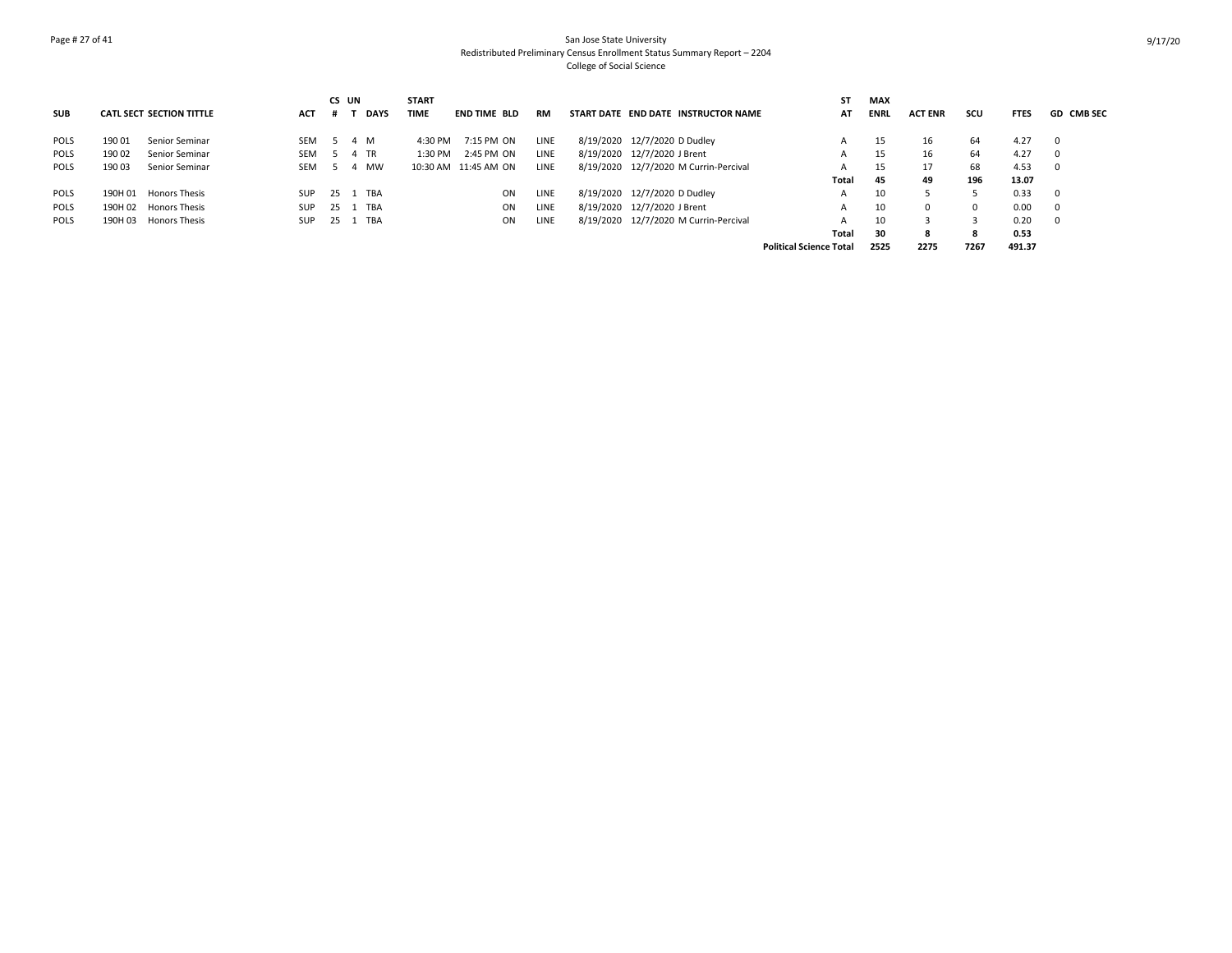# Page # 27 of 41 San Jose State University Redistributed Preliminary Census Enrollment Status Summary Report – 2204 College of Social Science

|             |         |                                 |            |              | CS UN |             | <b>START</b> |                      |      |                                       | SΤ                             | <b>MAX</b>  |                |          |             |                   |
|-------------|---------|---------------------------------|------------|--------------|-------|-------------|--------------|----------------------|------|---------------------------------------|--------------------------------|-------------|----------------|----------|-------------|-------------------|
| <b>SUB</b>  |         | <b>CATL SECT SECTION TITTLE</b> | <b>ACT</b> |              |       | <b>DAYS</b> | <b>TIME</b>  | <b>END TIME BLD</b>  | RM   | START DATE END DATE INSTRUCTOR NAME   | AT                             | <b>ENRL</b> | <b>ACT ENR</b> | scu      | <b>FTES</b> | <b>GD CMB SEC</b> |
| POLS        | 190 01  | Senior Seminar                  | <b>SEM</b> |              |       | 4 M         | 4:30 PM      | 7:15 PM ON           | LINE | 8/19/2020 12/7/2020 D Dudley          | A                              | 15          | 16             | 64       | 4.27        |                   |
| POLS        | 190 02  | Senior Seminar                  | <b>SEM</b> |              |       | 4 TR        | $1:30$ PM    | 2:45 PM ON           | LINE | 8/19/2020 12/7/2020 J Brent           | A                              | 15          | 16             | 64       | 4.27        |                   |
| <b>POLS</b> | 190 03  | Senior Seminar                  | <b>SEM</b> |              | -4    | <b>MW</b>   |              | 10:30 AM 11:45 AM ON | LINE | 8/19/2020 12/7/2020 M Currin-Percival | A                              | 15          | 17             | 68       | 4.53        |                   |
|             |         |                                 |            |              |       |             |              |                      |      |                                       | Total                          | 45          | 49             | 196      | 13.07       |                   |
| POLS        | 190H 01 | <b>Honors Thesis</b>            | <b>SUP</b> | 25 1         |       | TBA         |              | ON                   | LINE | 8/19/2020 12/7/2020 D Dudley          | A                              | 10          |                |          | 0.33        |                   |
| POLS        |         | 190H 02 Honors Thesis           | <b>SUP</b> | $25 \quad 1$ |       | TBA         |              | ON                   | LINE | 8/19/2020 12/7/2020 J Brent           | A                              | 10          | $\Omega$       | $\Omega$ | 0.00        |                   |
| <b>POLS</b> | 190H 03 | <b>Honors Thesis</b>            | <b>SUP</b> | 25 1         |       | TBA         |              | ON                   | LINE | 8/19/2020 12/7/2020 M Currin-Percival | A                              | 10          |                |          | 0.20        |                   |
|             |         |                                 |            |              |       |             |              |                      |      |                                       | Total                          | 30          | 8              |          | 0.53        |                   |
|             |         |                                 |            |              |       |             |              |                      |      |                                       | <b>Political Science Total</b> | 2525        | 2275           | 7267     | 491.37      |                   |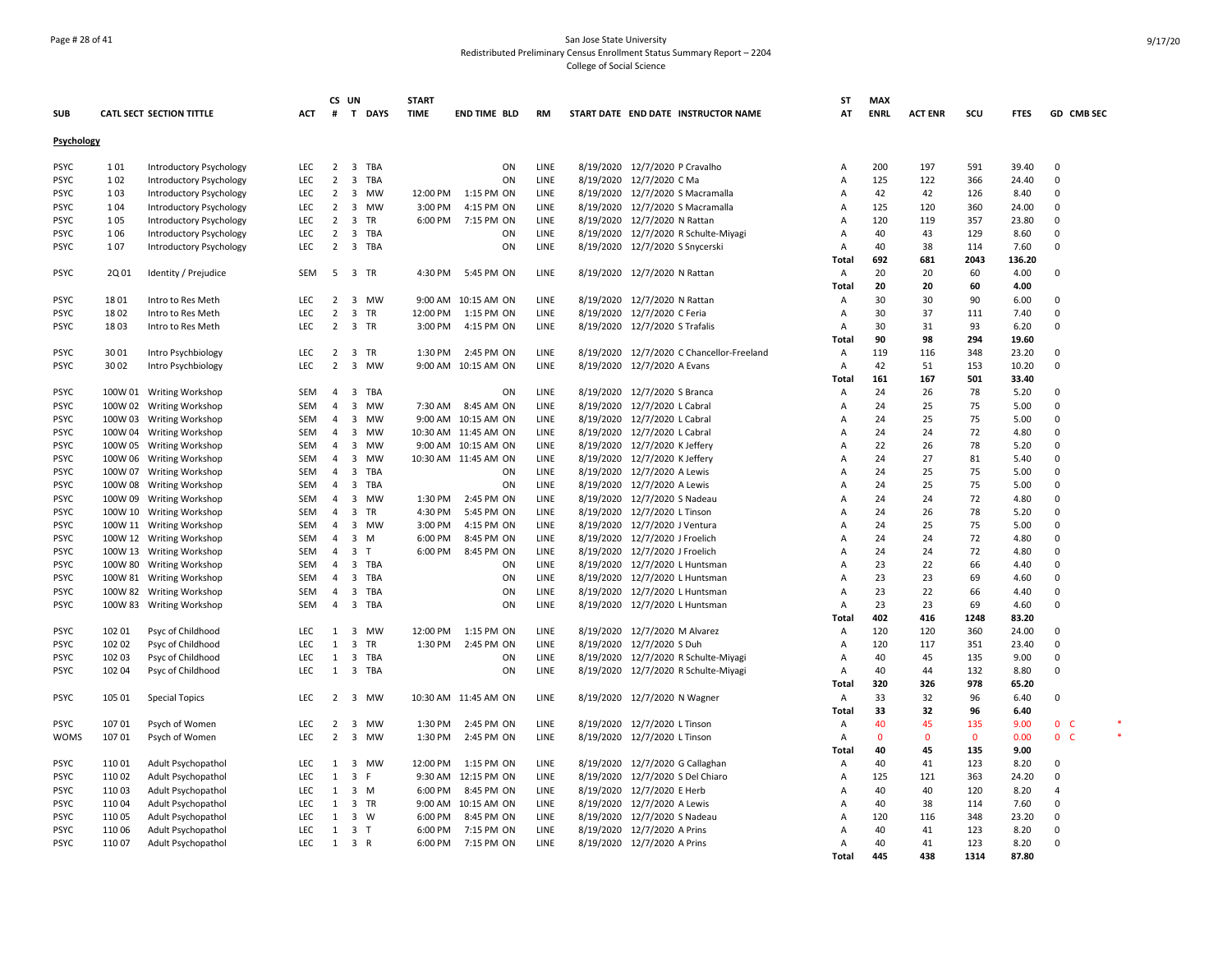## Page # 28 of 41 San Jose State University Redistributed Preliminary Census Enrollment Status Summary Report – 2204 College of Social Science

|             |        |                                        |            |                | CS UN          |          | <b>START</b> |                      |      |                                 |                      |                                           | <b>ST</b>      | <b>MAX</b>   |                |              |             |                |  |
|-------------|--------|----------------------------------------|------------|----------------|----------------|----------|--------------|----------------------|------|---------------------------------|----------------------|-------------------------------------------|----------------|--------------|----------------|--------------|-------------|----------------|--|
| <b>SUB</b>  |        | <b>CATL SECT SECTION TITTLE</b>        | ACT        |                |                | # T DAYS | <b>TIME</b>  | <b>END TIME BLD</b>  | RM   |                                 |                      | START DATE END DATE INSTRUCTOR NAME       | AT             | <b>ENRL</b>  | <b>ACT ENR</b> | scu          | <b>FTES</b> | GD CMB SEC     |  |
| Psychology  |        |                                        |            |                |                |          |              |                      |      |                                 |                      |                                           |                |              |                |              |             |                |  |
|             |        |                                        |            |                |                |          |              |                      |      |                                 |                      |                                           |                |              |                |              |             |                |  |
| PSYC        | 101    | Introductory Psychology                | <b>LEC</b> |                |                | 2 3 TBA  |              | ON                   | LINE | 8/19/2020 12/7/2020 P Cravalho  |                      |                                           | Α              | 200          | 197            | 591          | 39.40       | 0              |  |
| <b>PSYC</b> | 102    | Introductory Psychology                | <b>LEC</b> | $\overline{2}$ |                | 3 TBA    |              | ON                   | LINE | 8/19/2020 12/7/2020 C Ma        |                      |                                           | A              | 125          | 122            | 366          | 24.40       | 0              |  |
| <b>PSYC</b> | 103    | Introductory Psychology                | LEC        | $\overline{2}$ |                | 3 MW     | 12:00 PM     | 1:15 PM ON           | LINE |                                 |                      | 8/19/2020 12/7/2020 S Macramalla          | A              | 42           | 42             | 126          | 8.40        | $\Omega$       |  |
| <b>PSYC</b> | 104    | Introductory Psychology                | LEC        |                |                | 2 3 MW   | 3:00 PM      | 4:15 PM ON           | LINE |                                 |                      | 8/19/2020 12/7/2020 S Macramalla          | A              | 125          | 120            | 360          | 24.00       | 0              |  |
| <b>PSYC</b> | 105    | Introductory Psychology                | <b>LEC</b> | $\overline{2}$ | 3 TR           |          | 6:00 PM      | 7:15 PM ON           | LINE | 8/19/2020 12/7/2020 N Rattan    |                      |                                           | A              | 120          | 119            | 357          | 23.80       | 0              |  |
| <b>PSYC</b> | 106    | Introductory Psychology                | LEC        | $\overline{2}$ |                | 3 TBA    |              | ON                   | LINE |                                 |                      | 8/19/2020 12/7/2020 R Schulte-Miyagi      | A              | 40           | 43             | 129          | 8.60        | $\Omega$       |  |
| <b>PSYC</b> | 107    | Introductory Psychology                | LEC        | $\overline{2}$ |                | 3 TBA    |              | ON                   | LINE | 8/19/2020 12/7/2020 S Snycerski |                      |                                           | Α              | 40           | 38             | 114          | 7.60        | $\Omega$       |  |
|             |        |                                        |            |                |                |          |              |                      |      |                                 |                      |                                           | Total          | 692          | 681            | 2043         | 136.20      |                |  |
| <b>PSYC</b> | 2Q 01  | Identity / Prejudice                   | <b>SEM</b> | 5              | 3 TR           |          | 4:30 PM      | 5:45 PM ON           | LINE | 8/19/2020 12/7/2020 N Rattan    |                      |                                           | Α              | 20           | 20             | 60           | 4.00        | 0              |  |
|             |        |                                        |            |                |                |          |              |                      |      |                                 |                      |                                           | Total          | 20           | 20             | 60           | 4.00        |                |  |
| <b>PSYC</b> | 1801   | Intro to Res Meth                      | LEC        | $\overline{2}$ |                | 3 MW     |              | 9:00 AM 10:15 AM ON  | LINE | 8/19/2020 12/7/2020 N Rattan    |                      |                                           | Α              | 30           | 30             | 90           | 6.00        | $\mathbf 0$    |  |
| <b>PSYC</b> | 1802   | Intro to Res Meth                      | <b>LEC</b> | $\overline{2}$ | 3 TR           |          | 12:00 PM     | 1:15 PM ON           | LINE | 8/19/2020 12/7/2020 C Feria     |                      |                                           | Α              | 30           | 37             | 111          | 7.40        | $\Omega$       |  |
| <b>PSYC</b> | 1803   | Intro to Res Meth                      | LEC        | 2              | 3 TR           |          | 3:00 PM      | 4:15 PM ON           | LINE | 8/19/2020 12/7/2020 S Trafalis  |                      |                                           | Α              | 30           | 31             | 93           | 6.20        | $\Omega$       |  |
|             |        |                                        |            |                |                |          |              |                      |      |                                 |                      |                                           | <b>Total</b>   | 90           | 98             | 294          | 19.60       |                |  |
| <b>PSYC</b> | 3001   | Intro Psychbiology                     | LEC        |                | 2 3 TR         |          | 1:30 PM      | 2:45 PM ON           | LINE |                                 |                      | 8/19/2020 12/7/2020 C Chancellor-Freeland | Α              | 119          | 116            | 348          | 23.20       | 0              |  |
| PSYC        | 3002   | Intro Psychbiology                     | LEC        | $\overline{2}$ |                | 3 MW     |              | 9:00 AM 10:15 AM ON  | LINE | 8/19/2020                       | 12/7/2020 A Evans    |                                           | Α              | 42           | 51             | 153          | 10.20       | 0              |  |
|             |        |                                        |            |                |                |          |              |                      |      |                                 |                      |                                           | Total          | 161          | 167            | 501          | 33.40       |                |  |
| <b>PSYC</b> |        | 100W 01 Writing Workshop               | SEM        | $\overline{4}$ |                | 3 TBA    |              | ON                   | LINE | 8/19/2020 12/7/2020 S Branca    |                      |                                           | A              | 24           | 26             | 78           | 5.20        | $\Omega$       |  |
| <b>PSYC</b> |        | 100W 02 Writing Workshop               | <b>SEM</b> | $\overline{4}$ |                | 3 MW     | 7:30 AM      | 8:45 AM ON           | LINE | 8/19/2020 12/7/2020 L Cabral    |                      |                                           | Α              | 24           | 25             | 75           | 5.00        | $\mathbf 0$    |  |
| <b>PSYC</b> |        | 100W 03 Writing Workshop               | <b>SEM</b> | $\overline{4}$ |                | 3 MW     |              | 9:00 AM 10:15 AM ON  | LINE | 8/19/2020 12/7/2020 L Cabral    |                      |                                           | A              | 24           | 25             | 75           | 5.00        | $\Omega$       |  |
| <b>PSYC</b> |        | 100W 04 Writing Workshop               | SEM        | $\overline{4}$ |                | 3 MW     |              | 10:30 AM 11:45 AM ON | LINE | 8/19/2020                       | 12/7/2020 L Cabral   |                                           | A              | 24           | 24             | 72           | 4.80        | $\Omega$       |  |
| <b>PSYC</b> |        | 100W 05 Writing Workshop               | <b>SEM</b> | $\overline{4}$ |                | 3 MW     |              | 9:00 AM 10:15 AM ON  | LINE | 8/19/2020 12/7/2020 K Jeffery   |                      |                                           | A              | 22           | 26             | 78           | 5.20        | $\Omega$       |  |
| PSYC        |        | 100W 06 Writing Workshop               | <b>SEM</b> | 4              |                | 3 MW     |              | 10:30 AM 11:45 AM ON | LINE | 8/19/2020                       | 12/7/2020 K Jeffery  |                                           | A              | 24           | 27             | 81           | 5.40        | $\mathbf 0$    |  |
| <b>PSYC</b> |        | 100W 07 Writing Workshop               | <b>SEM</b> | $\overline{4}$ |                | 3 TBA    |              | ON                   | LINE | 8/19/2020 12/7/2020 A Lewis     |                      |                                           | A              | 24           | 25             | 75           | 5.00        | $\mathbf 0$    |  |
| <b>PSYC</b> |        | 100W 08 Writing Workshop               | SEM        | $\overline{4}$ |                | 3 TBA    |              | ON                   | LINE | 8/19/2020 12/7/2020 A Lewis     |                      |                                           | A              | 24           | 25             | 75           | 5.00        | $\Omega$       |  |
| <b>PSYC</b> |        | 100W 09 Writing Workshop               | <b>SEM</b> | $\overline{4}$ |                | 3 MW     | 1:30 PM      | 2:45 PM ON           | LINE | 8/19/2020 12/7/2020 S Nadeau    |                      |                                           | Α              | 24           | 24             | 72           | 4.80        | $\Omega$       |  |
| PSYC        |        | 100W 10 Writing Workshop               | SEM        | $\overline{4}$ | 3 TR           |          | 4:30 PM      | 5:45 PM ON           | LINE | 8/19/2020 12/7/2020 L Tinson    |                      |                                           | Α              | 24           | 26             | 78           | 5.20        | 0              |  |
| <b>PSYC</b> |        | 100W 11 Writing Workshop               | <b>SEM</b> | $\overline{4}$ |                | 3 MW     | 3:00 PM      | 4:15 PM ON           | LINE | 8/19/2020 12/7/2020 J Ventura   |                      |                                           | A              | 24           | 25             | 75           | 5.00        | $\Omega$       |  |
| <b>PSYC</b> |        | 100W 12 Writing Workshop               | <b>SEM</b> | $\overline{4}$ | 3 M            |          | 6:00 PM      | 8:45 PM ON           | LINE | 8/19/2020 12/7/2020 J Froelich  |                      |                                           | $\Delta$       | 24           | 24             | 72           | 4.80        | $\Omega$       |  |
| <b>PSYC</b> |        | 100W 13 Writing Workshop               | SEM        | $\overline{4}$ | 3 <sub>T</sub> |          | 6:00 PM      | 8:45 PM ON           | LINE | 8/19/2020                       | 12/7/2020 J Froelich |                                           | Α              | 24           | 24             | 72           | 4.80        | 0              |  |
| <b>PSYC</b> |        | 100W 80 Writing Workshop               | <b>SEM</b> | $\overline{4}$ |                | 3 TBA    |              | ON                   | LINE |                                 |                      | 8/19/2020 12/7/2020 L Huntsman            | A              | 23           | 22             | 66           | 4.40        | $\Omega$       |  |
| <b>PSYC</b> |        | 100W 81 Writing Workshop               | SEM        | $\overline{4}$ |                | 3 TBA    |              | ON                   | LINE | 8/19/2020                       |                      | 12/7/2020 L Huntsman                      | A              | 23           | 23             | 69           | 4.60        | 0              |  |
| <b>PSYC</b> |        | 100W 82 Writing Workshop               | <b>SEM</b> | $\overline{4}$ |                | 3 TBA    |              | ON                   | LINE |                                 |                      | 8/19/2020 12/7/2020 L Huntsman            | A              | 23           | 22             | 66           | 4.40        | $\Omega$       |  |
|             |        |                                        | <b>SEM</b> | 4              |                | 3 TBA    |              | ON                   | LINE | 8/19/2020                       |                      | 12/7/2020 L Huntsman                      | Α              | 23           | 23             | 69           | 4.60        | $\mathbf 0$    |  |
| PSYC        |        | 100W 83 Writing Workshop               |            |                |                |          |              |                      |      |                                 |                      |                                           | Total          | 402          | 416            | 1248         | 83.20       |                |  |
| <b>PSYC</b> | 102 01 |                                        | <b>LEC</b> | 1              |                | 3 MW     | 12:00 PM     | 1:15 PM ON           | LINE | 8/19/2020 12/7/2020 M Alvarez   |                      |                                           | A              | 120          | 120            | 360          | 24.00       | $\mathbf 0$    |  |
| <b>PSYC</b> | 102 02 | Psyc of Childhood<br>Psyc of Childhood | LEC        | 1              | 3 TR           |          | 1:30 PM      | 2:45 PM ON           | LINE | 8/19/2020 12/7/2020 S Duh       |                      |                                           | A              | 120          | 117            | 351          | 23.40       | $\Omega$       |  |
|             | 102 03 |                                        | LEC        | 1              |                | 3 TBA    |              | ON                   | LINE |                                 |                      |                                           | A              | 40           | 45             | 135          | 9.00        | $\Omega$       |  |
| PSYC        |        | Psyc of Childhood                      |            |                |                |          |              |                      |      |                                 |                      | 8/19/2020 12/7/2020 R Schulte-Miyagi      |                |              |                |              |             | $\Omega$       |  |
| <b>PSYC</b> | 102 04 | Psyc of Childhood                      | LEC        | 1              |                | 3 TBA    |              | ON                   | LINE |                                 |                      | 8/19/2020 12/7/2020 R Schulte-Miyagi      | Α              | 40           | 44             | 132          | 8.80        |                |  |
|             |        |                                        |            |                |                |          |              |                      |      |                                 |                      |                                           | <b>Total</b>   | 320          | 326            | 978          | 65.20       |                |  |
| <b>PSYC</b> | 105 01 | <b>Special Topics</b>                  | LEC        | $\overline{2}$ |                | 3 MW     |              | 10:30 AM 11:45 AM ON | LINE | 8/19/2020 12/7/2020 N Wagner    |                      |                                           | Α              | 33           | 32             | 96           | 6.40        | $\Omega$       |  |
|             |        |                                        |            |                |                |          |              |                      |      |                                 |                      |                                           | Total          | 33           | 32             | 96           | 6.40        |                |  |
| <b>PSYC</b> | 107 01 | Psych of Women                         | <b>LEC</b> | $\overline{2}$ |                | 3 MW     | 1:30 PM      | 2:45 PM ON           | LINE | 8/19/2020 12/7/2020 L Tinson    |                      |                                           | Α              | 40           | 45             | 135          | 9.00        | 0 <sup>o</sup> |  |
| <b>WOMS</b> | 10701  | Psych of Women                         | LEC        | $\overline{2}$ |                | 3 MW     | 1:30 PM      | 2:45 PM ON           | LINE | 8/19/2020 12/7/2020 L Tinson    |                      |                                           | $\overline{A}$ | $\mathbf{0}$ | $\mathbf{0}$   | $\mathbf{0}$ | 0.00        | 0 <sub>c</sub> |  |
|             |        |                                        |            |                |                |          |              |                      |      |                                 |                      |                                           | <b>Total</b>   | 40           | 45             | 135          | 9.00        |                |  |
| <b>PSYC</b> | 11001  | Adult Psychopathol                     | LEC        | 1              |                | 3 MW     | 12:00 PM     | 1:15 PM ON           | LINE | 8/19/2020                       |                      | 12/7/2020 G Callaghan                     | Α              | 40           | 41             | 123          | 8.20        | $\Omega$       |  |
| <b>PSYC</b> | 110 02 | Adult Psychopathol                     | <b>LEC</b> | 1              | $\overline{3}$ | - F      |              | 9:30 AM 12:15 PM ON  | LINE | 8/19/2020                       |                      | 12/7/2020 S Del Chiaro                    | A              | 125          | 121            | 363          | 24.20       | $\mathbf 0$    |  |
| <b>PSYC</b> | 110 03 | Adult Psychopathol                     | LEC        | $\mathbf{1}$   | 3 M            |          | 6:00 PM      | 8:45 PM ON           | LINE | 8/19/2020 12/7/2020 E Herb      |                      |                                           | $\overline{A}$ | 40           | 40             | 120          | 8.20        | 4              |  |
| PSYC        | 11004  | Adult Psychopathol                     | LEC        | 1              | 3 TR           |          | 9:00 AM      | 10:15 AM ON          | LINE | 8/19/2020 12/7/2020 A Lewis     |                      |                                           | A              | 40           | 38             | 114          | 7.60        | $\mathbf 0$    |  |
| <b>PSYC</b> | 11005  | Adult Psychopathol                     | LEC        | 1              | 3 W            |          | 6:00 PM      | 8:45 PM ON           | LINE | 8/19/2020                       | 12/7/2020 S Nadeau   |                                           | A              | 120          | 116            | 348          | 23.20       | 0              |  |
| <b>PSYC</b> | 11006  | Adult Psychopathol                     | LEC        | 1              | 3 <sub>1</sub> |          | 6:00 PM      | 7:15 PM ON           | LINE | 8/19/2020                       | 12/7/2020 A Prins    |                                           | A              | 40           | 41             | 123          | 8.20        | $\Omega$       |  |
| <b>PSYC</b> | 11007  | Adult Psychopathol                     | LEC        |                | 1 3 R          |          | 6:00 PM      | 7:15 PM ON           | LINE | 8/19/2020 12/7/2020 A Prins     |                      |                                           | A              | 40           | 41             | 123          | 8.20        | $\Omega$       |  |
|             |        |                                        |            |                |                |          |              |                      |      |                                 |                      |                                           | <b>Total</b>   | 445          | 438            | 1314         | 87.80       |                |  |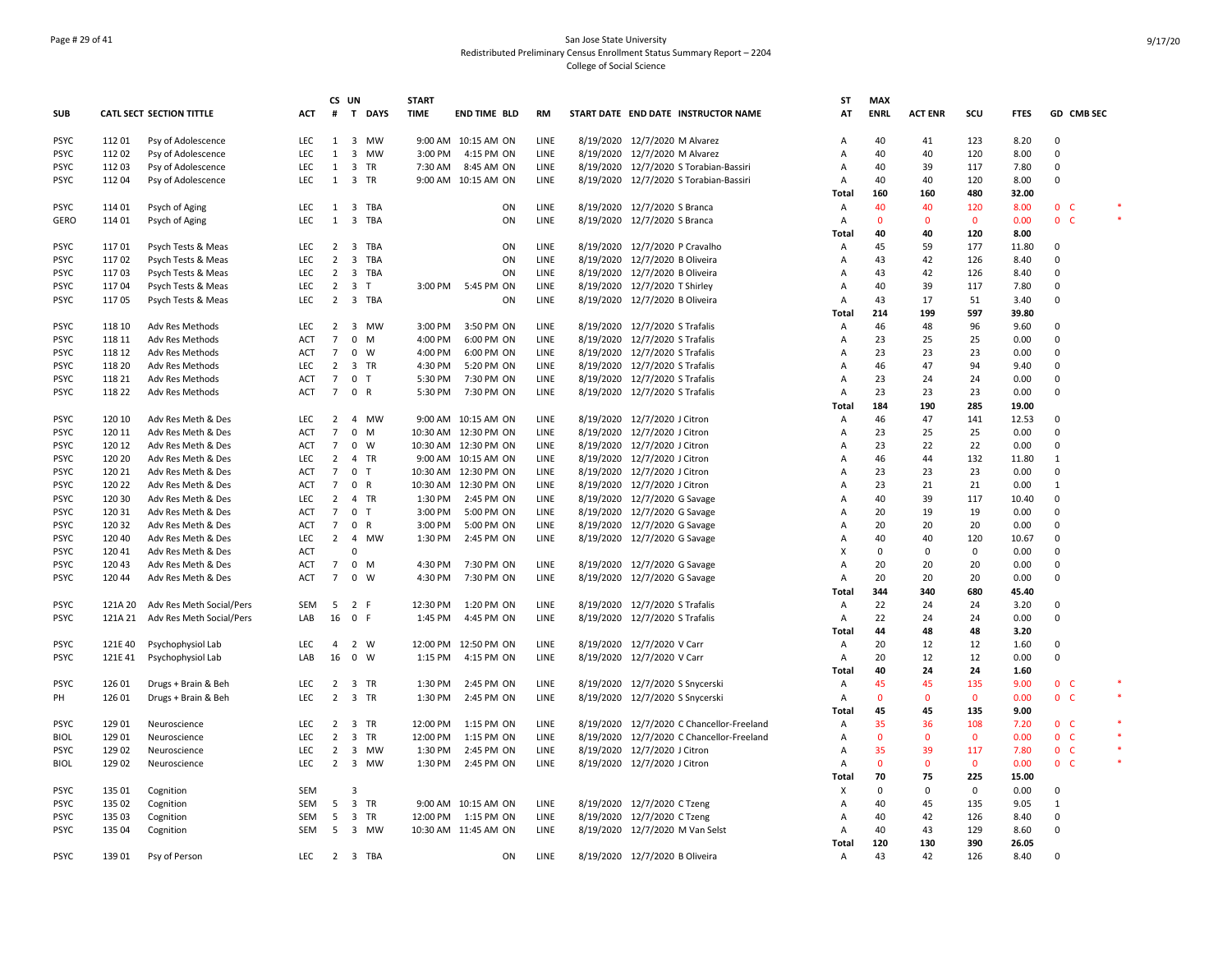## Page # 29 of 41 San Jose State University Redistributed Preliminary Census Enrollment Status Summary Report – 2204 College of Social Science

|             |         |                          |            | CS UN           |                |             | <b>START</b> |                      |             |                                           | <b>ST</b>      | <b>MAX</b>   |                |              |             |                |        |
|-------------|---------|--------------------------|------------|-----------------|----------------|-------------|--------------|----------------------|-------------|-------------------------------------------|----------------|--------------|----------------|--------------|-------------|----------------|--------|
| <b>SUB</b>  |         | CATL SECT SECTION TITTLE | ACT        |                 |                | # T DAYS    | <b>TIME</b>  | <b>END TIME BLD</b>  | <b>RM</b>   | START DATE END DATE INSTRUCTOR NAME       | AT             | <b>ENRL</b>  | <b>ACT ENR</b> | scu          | <b>FTES</b> | GD CMB SEC     |        |
|             |         |                          |            |                 |                |             |              |                      |             |                                           |                |              |                |              |             |                |        |
| <b>PSYC</b> | 112 01  | Psy of Adolescence       | <b>LEC</b> | 1               |                | 3 MW        |              | 9:00 AM 10:15 AM ON  | LINE        | 8/19/2020 12/7/2020 M Alvarez             | A              | 40           | 41             | 123          | 8.20        | $\Omega$       |        |
| <b>PSYC</b> | 11202   | Psy of Adolescence       | LEC        | 1               |                | 3 MW        | 3:00 PM      | 4:15 PM ON           | LINE        | 8/19/2020 12/7/2020 M Alvarez             | A              | 40           | 40             | 120          | 8.00        | $\mathbf 0$    |        |
| <b>PSYC</b> | 11203   | Psy of Adolescence       | <b>LEC</b> | 1               |                | 3 TR        | 7:30 AM      | 8:45 AM ON           | LINE        | 8/19/2020 12/7/2020 S Torabian-Bassiri    | Α              | 40           | 39             | 117          | 7.80        | 0              |        |
| <b>PSYC</b> | 112 04  | Psy of Adolescence       | LEC        | 1               |                | 3 TR        |              | 9:00 AM 10:15 AM ON  | LINE        | 8/19/2020 12/7/2020 S Torabian-Bassiri    | A              | 40           | 40             | 120          | 8.00        | 0              |        |
|             |         |                          |            |                 |                |             |              |                      |             |                                           | <b>Total</b>   | 160          | 160            | 480          | 32.00       |                |        |
| <b>PSYC</b> | 114 01  | Psych of Aging           | LEC        | 1               |                | 3 TBA       |              | ON                   | LINE        | 8/19/2020 12/7/2020 S Branca              | Α              | 40           | 40             | 120          | 8.00        | 0 <sup>o</sup> |        |
| <b>GERO</b> | 11401   | Psych of Aging           | LEC        | $\mathbf{1}$    |                | 3 TBA       |              | ON                   | LINE        | 8/19/2020 12/7/2020 S Branca              | Α              | $\mathbf{0}$ | $\mathbf 0$    | $\mathbf 0$  | 0.00        | 0 <sub>c</sub> |        |
|             |         |                          |            |                 |                |             |              |                      |             |                                           | Total          | 40           | 40             | 120          | 8.00        |                |        |
| <b>PSYC</b> | 11701   | Psych Tests & Meas       | <b>LEC</b> | $\overline{2}$  |                | 3 TBA       |              | ON                   | LINE        | 8/19/2020 12/7/2020 P Cravalho            | A              | 45           | 59             | 177          | 11.80       | 0              |        |
| <b>PSYC</b> | 11702   | Psych Tests & Meas       | LEC        | $\overline{2}$  |                | 3 TBA       |              | ON                   | LINE        | 8/19/2020 12/7/2020 B Oliveira            | Α              | 43           | 42             | 126          | 8.40        | 0              |        |
| <b>PSYC</b> | 11703   | Psych Tests & Meas       | LEC        | $\overline{2}$  |                | 3 TBA       |              | ON                   | LINE        | 8/19/2020 12/7/2020 B Oliveira            | A              | 43           | 42             | 126          | 8.40        | $\Omega$       |        |
| <b>PSYC</b> | 11704   | Psych Tests & Meas       | LEC        | $\overline{2}$  | 3 T            |             | 3:00 PM      | 5:45 PM ON           | LINE        | 8/19/2020 12/7/2020 T Shirley             | A              | 40           | 39             | 117          | 7.80        | 0              |        |
| <b>PSYC</b> | 11705   | Psych Tests & Meas       | LEC        |                 |                | 2 3 TBA     |              | ON                   | LINE        | 8/19/2020 12/7/2020 B Oliveira            | $\overline{A}$ | 43           | 17             | 51           | 3.40        | $\mathbf 0$    |        |
|             |         |                          |            |                 |                |             |              |                      |             |                                           | <b>Total</b>   | 214          | 199            | 597          | 39.80       |                |        |
| <b>PSYC</b> | 118 10  | Adv Res Methods          | LEC        | $\overline{2}$  |                | 3 MW        | 3:00 PM      | 3:50 PM ON           | LINE        | 8/19/2020 12/7/2020 S Trafalis            | Α              | 46           | 48             | 96           | 9.60        | 0              |        |
| <b>PSYC</b> | 118 11  | Adv Res Methods          | <b>ACT</b> | $\overline{7}$  | $\mathbf 0$    | M           | 4:00 PM      | 6:00 PM ON           | LINE        | 8/19/2020 12/7/2020 S Trafalis            | A              | 23           | 25             | 25           | 0.00        | $\mathbf 0$    |        |
| <b>PSYC</b> | 118 12  | Adv Res Methods          | ACT        | $\overline{7}$  |                | $0 \quad W$ | 4:00 PM      | 6:00 PM ON           | LINE        | 8/19/2020 12/7/2020 S Trafalis            | Α              | 23           | 23             | 23           | 0.00        | 0              |        |
| <b>PSYC</b> | 118 20  | Adv Res Methods          | <b>LEC</b> | $\overline{2}$  |                | 3 TR        | 4:30 PM      | 5:20 PM ON           | LINE        | 8/19/2020 12/7/2020 S Trafalis            | A              | 46           | 47             | 94           | 9.40        | 0              |        |
| <b>PSYC</b> | 118 21  | Adv Res Methods          | ACT        | $\overline{7}$  | 0 <sub>T</sub> |             | 5:30 PM      | 7:30 PM ON           | LINE        | 8/19/2020 12/7/2020 S Trafalis            | A              | 23           | 24             | 24           | 0.00        | 0              |        |
| <b>PSYC</b> | 118 22  | Adv Res Methods          | <b>ACT</b> | $7^{\circ}$     | 0 R            |             | 5:30 PM      | 7:30 PM ON           | LINE        | 8/19/2020 12/7/2020 S Trafalis            | A              | 23           | 23             | 23           | 0.00        | $\Omega$       |        |
|             |         |                          |            |                 |                |             |              |                      |             |                                           | Total          | 184          | 190            | 285          | 19.00       |                |        |
| <b>PSYC</b> | 120 10  | Adv Res Meth & Des       | <b>LEC</b> | $\overline{2}$  |                | 4 MW        |              | 9:00 AM 10:15 AM ON  | LINE        | 8/19/2020 12/7/2020 J Citron              | A              | 46           | 47             | 141          | 12.53       | 0              |        |
| <b>PSYC</b> | 120 11  | Adv Res Meth & Des       | <b>ACT</b> | $\overline{7}$  |                | $0$ M       |              | 10:30 AM 12:30 PM ON | LINE        | 8/19/2020 12/7/2020 J Citron              | A              | 23           | 25             | 25           | 0.00        | $\mathbf 0$    |        |
| <b>PSYC</b> | 120 12  | Adv Res Meth & Des       | ACT        | $7\overline{ }$ | $0 \quad W$    |             |              | 10:30 AM 12:30 PM ON | LINE        | 8/19/2020 12/7/2020 J Citron              | Α              | 23           | 22             | 22           | 0.00        | 0              |        |
| <b>PSYC</b> | 120 20  | Adv Res Meth & Des       | LEC        | $\overline{2}$  |                | 4 TR        |              | 9:00 AM 10:15 AM ON  | LINE        | 8/19/2020 12/7/2020 J Citron              | Α              | 46           | 44             | 132          | 11.80       | $\mathbf{1}$   |        |
| <b>PSYC</b> | 120 21  | Adv Res Meth & Des       | <b>ACT</b> | $\overline{7}$  | 0 <sub>T</sub> |             | 10:30 AM     | 12:30 PM ON          | LINE        | 8/19/2020 12/7/2020 J Citron              | A              | 23           | 23             | 23           | 0.00        | 0              |        |
| <b>PSYC</b> | 120 22  | Adv Res Meth & Des       | <b>ACT</b> | $\overline{7}$  | 0 R            |             | 10:30 AM     | 12:30 PM ON          | LINE        | 8/19/2020 12/7/2020 J Citron              | A              | 23           | 21             | 21           | 0.00        | $\mathbf{1}$   |        |
| <b>PSYC</b> | 120 30  | Adv Res Meth & Des       | <b>LEC</b> | $\overline{2}$  |                | 4 TR        | 1:30 PM      | 2:45 PM ON           | LINE        |                                           | A              | 40           | 39             | 117          | 10.40       | 0              |        |
|             |         |                          |            |                 |                |             |              |                      |             | 8/19/2020 12/7/2020 G Savage              |                |              |                |              |             | 0              |        |
| <b>PSYC</b> | 12031   | Adv Res Meth & Des       | <b>ACT</b> | $7\overline{ }$ | 0 <sub>T</sub> |             | 3:00 PM      | 5:00 PM ON           | LINE        | 8/19/2020 12/7/2020 G Savage              | A              | 20           | 19             | 19           | 0.00        |                |        |
| <b>PSYC</b> | 12032   | Adv Res Meth & Des       | <b>ACT</b> | $7^{\circ}$     | 0 R            |             | 3:00 PM      | 5:00 PM ON           | <b>LINE</b> | 8/19/2020 12/7/2020 G Savage              | A              | 20           | 20             | 20           | 0.00        | $\mathbf 0$    |        |
| <b>PSYC</b> | 120 40  | Adv Res Meth & Des       | <b>LEC</b> | $\overline{2}$  |                | 4 MW        | 1:30 PM      | 2:45 PM ON           | LINE        | 8/19/2020 12/7/2020 G Savage              | $\overline{A}$ | 40           | 40             | 120          | 10.67       | 0              |        |
| <b>PSYC</b> | 120 41  | Adv Res Meth & Des       | <b>ACT</b> |                 | $\mathbf 0$    |             |              |                      |             |                                           | X              | $\Omega$     | 0              | $\mathbf 0$  | 0.00        | $\mathbf 0$    |        |
| <b>PSYC</b> | 120 43  | Adv Res Meth & Des       | ACT        | $7\overline{ }$ | $\mathbf 0$    | M           | 4:30 PM      | 7:30 PM ON           | LINE        | 8/19/2020 12/7/2020 G Savage              | A              | 20           | 20             | 20           | 0.00        | $\mathbf 0$    |        |
| <b>PSYC</b> | 120 44  | Adv Res Meth & Des       | <b>ACT</b> | $7^{\circ}$     | 0 W            |             | 4:30 PM      | 7:30 PM ON           | LINE        | 8/19/2020 12/7/2020 G Savage              | A              | 20           | 20             | 20           | 0.00        | $\Omega$       |        |
|             |         |                          |            |                 |                |             |              |                      |             |                                           | <b>Total</b>   | 344          | 340            | 680          | 45.40       |                |        |
| <b>PSYC</b> | 121A 20 | Adv Res Meth Social/Pers | SEM        |                 | 5 2 F          |             | 12:30 PM     | 1:20 PM ON           | LINE        | 8/19/2020 12/7/2020 S Trafalis            | A              | 22           | 24             | 24           | 3.20        | $\Omega$       |        |
| <b>PSYC</b> | 121A 21 | Adv Res Meth Social/Pers | LAB        | 16              | 0 F            |             | 1:45 PM      | 4:45 PM ON           | LINE        | 8/19/2020 12/7/2020 S Trafalis            | Α              | 22           | 24             | 24           | 0.00        | 0              |        |
|             |         |                          |            |                 |                |             |              |                      |             |                                           | <b>Total</b>   | 44           | 48             | 48           | 3.20        |                |        |
| <b>PSYC</b> | 121E 40 | Psychophysiol Lab        | LEC        | $\overline{4}$  | 2 W            |             |              | 12:00 PM 12:50 PM ON | LINE        | 8/19/2020 12/7/2020 V Carr                | Α              | 20           | 12             | 12           | 1.60        | 0              |        |
| <b>PSYC</b> | 121E 41 | Psychophysiol Lab        | LAB        | 16              | 0 W            |             | 1:15 PM      | 4:15 PM ON           | LINE        | 8/19/2020 12/7/2020 V Carr                | Α              | 20           | 12             | 12           | 0.00        | 0              |        |
|             |         |                          |            |                 |                |             |              |                      |             |                                           | <b>Total</b>   | 40           | 24             | 24           | 1.60        |                |        |
| <b>PSYC</b> | 126 01  | Drugs + Brain & Beh      | LEC        | $\overline{2}$  |                | 3 TR        | 1:30 PM      | 2:45 PM ON           | LINE        | 8/19/2020 12/7/2020 S Snycerski           | Α              | 45           | 45             | 135          | 9.00        | 0 <sup>o</sup> |        |
| PH          | 126 01  | Drugs + Brain & Beh      | <b>LEC</b> | $\overline{2}$  |                | 3 TR        | 1:30 PM      | 2:45 PM ON           | LINE        | 8/19/2020 12/7/2020 S Snycerski           | Α              | $\mathbf 0$  | $\mathbf 0$    | $\mathbf 0$  | 0.00        | $0-$           | $\ast$ |
|             |         |                          |            |                 |                |             |              |                      |             |                                           | <b>Total</b>   | 45           | 45             | 135          | 9.00        |                |        |
| <b>PSYC</b> | 129 01  | Neuroscience             | <b>LEC</b> | $\overline{2}$  |                | 3 TR        | 12:00 PM     | 1:15 PM ON           | LINE        | 8/19/2020 12/7/2020 C Chancellor-Freeland | A              | 35           | 36             | 108          | 7.20        | 0 <sup>o</sup> | $\ast$ |
| <b>BIOL</b> | 129 01  | Neuroscience             | LEC        | $\overline{2}$  |                | 3 TR        | 12:00 PM     | 1:15 PM ON           | LINE        | 8/19/2020 12/7/2020 C Chancellor-Freeland | Α              | $\mathbf{0}$ | $\mathbf 0$    | $\mathbf 0$  | 0.00        | 0 <sub>c</sub> |        |
| <b>PSYC</b> | 129 02  | Neuroscience             | LEC        | $\overline{2}$  |                | 3 MW        | 1:30 PM      | 2:45 PM ON           | LINE        | 8/19/2020 12/7/2020 J Citron              | Α              | 35           | 39             | 117          | 7.80        | 0 <sup>o</sup> | $\ast$ |
| <b>BIOL</b> | 129 02  | Neuroscience             | <b>LEC</b> |                 |                | 2 3 MW      | 1:30 PM      | 2:45 PM ON           | LINE        | 8/19/2020 12/7/2020 J Citron              | A              | $\Omega$     | $\mathbf{0}$   | $\mathbf{0}$ | 0.00        | 0 <sup>o</sup> | $\ast$ |
|             |         |                          |            |                 |                |             |              |                      |             |                                           | <b>Total</b>   | 70           | 75             | 225          | 15.00       |                |        |
| <b>PSYC</b> | 135 01  | Cognition                | <b>SEM</b> |                 | 3              |             |              |                      |             |                                           | Х              | 0            | 0              | $\mathbf 0$  | 0.00        | 0              |        |
| <b>PSYC</b> | 135 02  | Cognition                | <b>SEM</b> |                 |                | 5 3 TR      |              | 9:00 AM 10:15 AM ON  | LINE        | 8/19/2020 12/7/2020 C Tzeng               | Α              | 40           | 45             | 135          | 9.05        | $\mathbf{1}$   |        |
| <b>PSYC</b> | 135 03  | Cognition                | <b>SEM</b> | 5               |                | 3 TR        | 12:00 PM     | 1:15 PM ON           | LINE        | 8/19/2020 12/7/2020 C Tzeng               | Α              | 40           | 42             | 126          | 8.40        | $\mathbf 0$    |        |
| <b>PSYC</b> | 135 04  | Cognition                | SEM        |                 |                | 5 3 MW      |              | 10:30 AM 11:45 AM ON | LINE        | 8/19/2020 12/7/2020 M Van Selst           | Α              | 40           | 43             | 129          | 8.60        | 0              |        |
|             |         |                          |            |                 |                |             |              |                      |             |                                           | Total          | 120          | 130            | 390          | 26.05       |                |        |
| <b>PSYC</b> | 139 01  | Psy of Person            | LEC        |                 |                | 2 3 TBA     |              | ON                   | LINE        | 8/19/2020 12/7/2020 B Oliveira            | Α              | 43           | 42             | 126          | 8.40        | 0              |        |
|             |         |                          |            |                 |                |             |              |                      |             |                                           |                |              |                |              |             |                |        |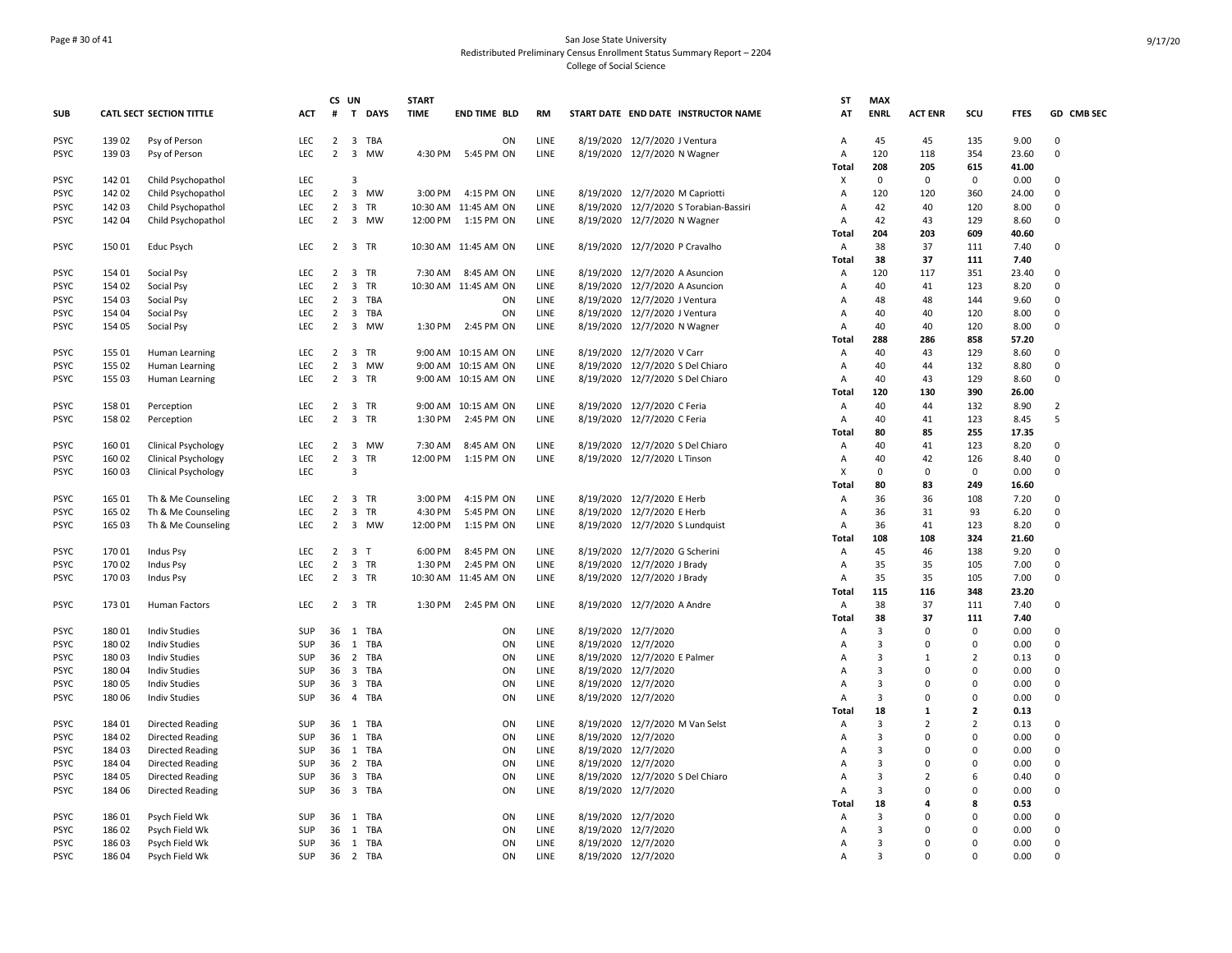## Page # 30 of 41 San Jose State University Redistributed Preliminary Census Enrollment Status Summary Report – 2204 College of Social Science

|                            |                  |                                                    |                   | CS UN                            |                         |                      | <b>START</b> |                                             |              |                                            |                                                                           | ST                  | <b>MAX</b>                       |                            |                    |               |                      |
|----------------------------|------------------|----------------------------------------------------|-------------------|----------------------------------|-------------------------|----------------------|--------------|---------------------------------------------|--------------|--------------------------------------------|---------------------------------------------------------------------------|---------------------|----------------------------------|----------------------------|--------------------|---------------|----------------------|
| <b>SUB</b>                 |                  | <b>CATL SECT SECTION TITTLE</b>                    | <b>ACT</b>        | #                                |                         | T DAYS               | <b>TIME</b>  | <b>END TIME BLD</b>                         | <b>RM</b>    |                                            | START DATE END DATE INSTRUCTOR NAME                                       | AT                  | <b>ENRL</b>                      | <b>ACT ENR</b>             | scu                | <b>FTES</b>   | GD CMB SEC           |
| <b>PSYC</b>                | 139 02           | Psy of Person                                      | LEC               | $\overline{2}$                   |                         | 3 TBA                |              | ON                                          | LINE         |                                            | 8/19/2020 12/7/2020 J Ventura                                             | A                   | 45                               | 45                         | 135                | 9.00          | 0                    |
| <b>PSYC</b>                | 139 03           | Psy of Person                                      | <b>LEC</b>        | $\overline{2}$                   |                         | 3 MW                 | 4:30 PM      | 5:45 PM ON                                  | LINE         |                                            | 8/19/2020 12/7/2020 N Wagner                                              | Α                   | 120                              | 118                        | 354                | 23.60         | $\Omega$             |
|                            |                  |                                                    |                   |                                  |                         |                      |              |                                             |              |                                            |                                                                           | <b>Total</b>        | 208                              | 205                        | 615                | 41.00         |                      |
| <b>PSYC</b>                | 142 01           | Child Psychopathol                                 | LEC.              |                                  | 3                       |                      |              |                                             |              |                                            |                                                                           | X                   | $\mathbf 0$                      | $\mathbf 0$                | $\Omega$           | 0.00          | $\Omega$             |
| <b>PSYC</b><br><b>PSYC</b> | 142 02<br>142 03 | Child Psychopathol                                 | LEC               | $\overline{2}$<br>$\overline{2}$ |                         | 3 MW                 |              | 3:00 PM 4:15 PM ON                          | LINE<br>LINE |                                            | 8/19/2020 12/7/2020 M Capriotti<br>8/19/2020 12/7/2020 S Torabian-Bassiri | A<br>A              | 120<br>42                        | 120<br>40                  | 360<br>120         | 24.00<br>8.00 | $\Omega$<br>0        |
| <b>PSYC</b>                | 142 04           | Child Psychopathol<br>Child Psychopathol           | LEC<br>LEC        |                                  |                         | 3 TR<br>2 3 MW       |              | 10:30 AM 11:45 AM ON<br>12:00 PM 1:15 PM ON | LINE         |                                            | 8/19/2020 12/7/2020 N Wagner                                              | A                   | 42                               | 43                         | 129                | 8.60          | $\Omega$             |
|                            |                  |                                                    |                   |                                  |                         |                      |              |                                             |              |                                            |                                                                           | Total               | 204                              | 203                        | 609                | 40.60         |                      |
| <b>PSYC</b>                | 150 01           | Educ Psych                                         | LEC.              |                                  |                         | 2 3 TR               |              | 10:30 AM 11:45 AM ON                        | LINE         |                                            | 8/19/2020 12/7/2020 P Cravalho                                            | $\overline{A}$      | 38                               | 37                         | 111                | 7.40          | $\Omega$             |
|                            |                  |                                                    |                   |                                  |                         |                      |              |                                             |              |                                            |                                                                           | <b>Total</b>        | 38                               | 37                         | 111                | 7.40          |                      |
| <b>PSYC</b>                | 154 01           | Social Psy                                         | <b>LEC</b>        | $\overline{2}$                   |                         | 3 TR                 |              | 7:30 AM 8:45 AM ON                          | LINE         |                                            | 8/19/2020 12/7/2020 A Asuncion                                            | A                   | 120                              | 117                        | 351                | 23.40         | 0                    |
| <b>PSYC</b>                | 154 02           | Social Psy                                         | <b>LEC</b>        | $\overline{2}$                   |                         | 3 TR                 |              | 10:30 AM 11:45 AM ON                        | LINE         |                                            | 8/19/2020 12/7/2020 A Asuncion                                            | A                   | 40                               | 41                         | 123                | 8.20          | $\Omega$             |
| <b>PSYC</b>                | 154 03           | Social Psy                                         | <b>LEC</b>        | $\overline{2}$                   |                         | 3 TBA                |              | ON                                          | LINE         |                                            | 8/19/2020 12/7/2020 J Ventura                                             | A                   | 48                               | 48                         | 144                | 9.60          | $\Omega$             |
| <b>PSYC</b>                | 154 04           | Social Psy                                         | LEC               | $\overline{2}$                   | $\overline{\mathbf{3}}$ | TBA                  |              | ON                                          | LINE         |                                            | 8/19/2020 12/7/2020 J Ventura                                             | A                   | 40                               | 40                         | 120                | 8.00          | $\Omega$             |
| <b>PSYC</b>                | 154 05           | Social Psy                                         | <b>LEC</b>        | $\overline{2}$                   |                         | 3 MW                 |              | 1:30 PM 2:45 PM ON                          | LINE         |                                            | 8/19/2020 12/7/2020 N Wagner                                              | Α                   | 40                               | 40                         | 120                | 8.00          | 0                    |
| <b>PSYC</b>                | 155 01           | Human Learning                                     | LEC               | $\overline{2}$                   |                         | 3 TR                 |              | 9:00 AM 10:15 AM ON                         | LINE         |                                            | 8/19/2020 12/7/2020 V Carr                                                | Total<br>A          | 288<br>40                        | 286<br>43                  | 858<br>129         | 57.20<br>8.60 | 0                    |
| <b>PSYC</b>                | 155 02           | Human Learning                                     | LEC               | $\overline{2}$                   |                         | 3 MW                 |              | 9:00 AM 10:15 AM ON                         | LINE         |                                            | 8/19/2020 12/7/2020 S Del Chiaro                                          | A                   | 40                               | 44                         | 132                | 8.80          | $\Omega$             |
| <b>PSYC</b>                | 155 03           | Human Learning                                     | LEC               | $\overline{2}$                   |                         | 3 TR                 |              | 9:00 AM 10:15 AM ON                         | LINE         |                                            | 8/19/2020 12/7/2020 S Del Chiaro                                          | A                   | 40                               | 43                         | 129                | 8.60          | $\mathbf 0$          |
|                            |                  |                                                    |                   |                                  |                         |                      |              |                                             |              |                                            |                                                                           | <b>Total</b>        | 120                              | 130                        | 390                | 26.00         |                      |
| <b>PSYC</b>                | 158 01           | Perception                                         | LEC               | 2 3 TR                           |                         |                      |              | 9:00 AM 10:15 AM ON                         | LINE         |                                            | 8/19/2020 12/7/2020 C Feria                                               | A                   | 40                               | 44                         | 132                | 8.90          | $\overline{2}$       |
| <b>PSYC</b>                | 158 02           | Perception                                         | <b>LEC</b>        | $\overline{2}$                   |                         | 3 TR                 | 1:30 PM      | 2:45 PM ON                                  | LINE         |                                            | 8/19/2020 12/7/2020 C Feria                                               | A                   | 40                               | 41                         | 123                | 8.45          | 5                    |
|                            |                  |                                                    |                   |                                  |                         |                      |              |                                             |              |                                            |                                                                           | Total               | 80                               | 85                         | 255                | 17.35         |                      |
| <b>PSYC</b>                | 16001            | <b>Clinical Psychology</b>                         | LEC               | $\overline{2}$                   |                         | 3 MW                 | 7:30 AM      | 8:45 AM ON                                  | LINE         |                                            | 8/19/2020 12/7/2020 S Del Chiaro                                          | A                   | 40                               | 41                         | 123                | 8.20          | 0                    |
| <b>PSYC</b>                | 160 02           | <b>Clinical Psychology</b>                         | LEC               | 2 3 TR                           |                         |                      | 12:00 PM     | 1:15 PM ON                                  | LINE         |                                            | 8/19/2020 12/7/2020 L Tinson                                              | A                   | 40                               | 42                         | 126                | 8.40          | $\Omega$             |
| <b>PSYC</b>                | 160 03           | <b>Clinical Psychology</b>                         | <b>LEC</b>        |                                  | 3                       |                      |              |                                             |              |                                            |                                                                           | X                   | 0                                | $\mathbf 0$                | $\Omega$           | 0.00          | $\Omega$             |
| <b>PSYC</b>                | 165 01           | Th & Me Counseling                                 | <b>LEC</b>        |                                  |                         | 2 3 TR               | 3:00 PM      | 4:15 PM ON                                  | LINE         |                                            | 8/19/2020 12/7/2020 E Herb                                                | <b>Total</b><br>A   | 80<br>36                         | 83<br>36                   | 249<br>108         | 16.60<br>7.20 | $\mathbf 0$          |
| <b>PSYC</b>                | 165 02           | Th & Me Counseling                                 | LEC.              | $\overline{2}$                   |                         | 3 TR                 | 4:30 PM      | 5:45 PM ON                                  | LINE         |                                            | 8/19/2020 12/7/2020 E Herb                                                | Α                   | 36                               | 31                         | 93                 | 6.20          | $\Omega$             |
| <b>PSYC</b>                | 165 03           | Th & Me Counseling                                 | LEC               | $\overline{2}$                   |                         | 3 MW                 | 12:00 PM     | 1:15 PM ON                                  | LINE         |                                            | 8/19/2020 12/7/2020 S Lundquist                                           | A                   | 36                               | 41                         | 123                | 8.20          | $\Omega$             |
|                            |                  |                                                    |                   |                                  |                         |                      |              |                                             |              |                                            |                                                                           | Total               | 108                              | 108                        | 324                | 21.60         |                      |
| <b>PSYC</b>                | 170 01           | <b>Indus Psy</b>                                   | LEC               | $2 \quad 3 \quad T$              |                         |                      | 6:00 PM      | 8:45 PM ON                                  | LINE         |                                            | 8/19/2020 12/7/2020 G Scherini                                            | Α                   | 45                               | 46                         | 138                | 9.20          | $\Omega$             |
| <b>PSYC</b>                | 17002            | Indus Psy                                          | LEC               | $\overline{2}$                   |                         | 3 TR                 | 1:30 PM      | 2:45 PM ON                                  | LINE         |                                            | 8/19/2020 12/7/2020 J Brady                                               | A                   | 35                               | 35                         | 105                | 7.00          | $\mathbf 0$          |
| <b>PSYC</b>                | 170 03           | <b>Indus Psy</b>                                   | <b>LEC</b>        | $\overline{2}$                   |                         | 3 TR                 |              | 10:30 AM 11:45 AM ON                        | LINE         |                                            | 8/19/2020 12/7/2020 J Brady                                               | A                   | 35                               | 35                         | 105                | 7.00          | $\Omega$             |
|                            |                  |                                                    |                   |                                  |                         |                      |              |                                             |              |                                            |                                                                           | <b>Total</b>        | 115                              | 116                        | 348                | 23.20         |                      |
| <b>PSYC</b>                | 173 01           | <b>Human Factors</b>                               | LEC.              |                                  |                         | 2 3 TR               | 1:30 PM      | 2:45 PM ON                                  | LINE         |                                            | 8/19/2020 12/7/2020 A Andre                                               | $\overline{A}$      | 38                               | 37                         | 111                | 7.40          | $\Omega$             |
|                            |                  |                                                    |                   |                                  |                         |                      |              |                                             |              |                                            |                                                                           | <b>Total</b>        | 38                               | 37<br>$\mathbf 0$          | 111<br>$\mathbf 0$ | 7.40          |                      |
| <b>PSYC</b><br><b>PSYC</b> | 180 01<br>180 02 | <b>Indiv Studies</b><br><b>Indiv Studies</b>       | SUP<br>SUP        |                                  |                         | 36 1 TBA<br>36 1 TBA |              | ON<br>ON                                    | LINE<br>LINE | 8/19/2020 12/7/2020<br>8/19/2020 12/7/2020 |                                                                           | Α<br>A              | 3<br>3                           | $\mathbf 0$                | $\Omega$           | 0.00<br>0.00  | 0<br>$\Omega$        |
| <b>PSYC</b>                | 18003            | <b>Indiv Studies</b>                               | SUP               | 36                               |                         | 2 TBA                |              | ON                                          | LINE         |                                            | 8/19/2020 12/7/2020 E Palmer                                              | A                   | 3                                | 1                          | $\overline{2}$     | 0.13          | 0                    |
| <b>PSYC</b>                | 180 04           | <b>Indiv Studies</b>                               | SUP               | 36                               |                         | 3 TBA                |              | ON                                          | LINE         | 8/19/2020 12/7/2020                        |                                                                           | A                   | 3                                | $\Omega$                   | $\Omega$           | 0.00          | $\Omega$             |
| <b>PSYC</b>                | 18005            | <b>Indiv Studies</b>                               | SUP               | 36                               | $\overline{\mathbf{3}}$ | TBA                  |              | ON                                          | LINE         | 8/19/2020 12/7/2020                        |                                                                           | A                   | 3                                | 0                          | $\mathbf 0$        | 0.00          | 0                    |
| <b>PSYC</b>                | 180 06           | <b>Indiv Studies</b>                               | SUP               | 36                               |                         | 4 TBA                |              | ON                                          | LINE         | 8/19/2020 12/7/2020                        |                                                                           | A                   | $\overline{3}$                   | $\Omega$                   | $\mathbf 0$        | 0.00          | $\Omega$             |
|                            |                  |                                                    |                   |                                  |                         |                      |              |                                             |              |                                            |                                                                           | <b>Total</b>        | 18                               | $\mathbf{1}$               | $\overline{2}$     | 0.13          |                      |
| <b>PSYC</b>                | 184 01           | Directed Reading                                   | SUP               |                                  |                         | 36 1 TBA             |              | ON                                          | LINE         |                                            | 8/19/2020 12/7/2020 M Van Selst                                           | A                   | 3                                | $\overline{2}$             | $\overline{2}$     | 0.13          | $\Omega$             |
| <b>PSYC</b>                | 184 02           | <b>Directed Reading</b>                            | SUP               |                                  |                         | 36 1 TBA             |              | ON                                          | LINE         | 8/19/2020 12/7/2020                        |                                                                           | A                   | $\overline{3}$                   | $\Omega$                   | $\Omega$           | 0.00          | $\Omega$             |
| <b>PSYC</b>                | 184 03           | <b>Directed Reading</b>                            | SUP               | 36                               |                         | 1 TBA                |              | ON                                          | LINE         | 8/19/2020 12/7/2020                        |                                                                           | A                   | $\overline{\mathbf{3}}$          | $\Omega$                   | $\mathbf 0$        | 0.00          | 0                    |
| <b>PSYC</b>                | 184 04           | <b>Directed Reading</b>                            | SUP               | 36                               |                         | 2 TBA                |              | ON                                          | LINE         | 8/19/2020 12/7/2020                        |                                                                           | A                   | 3                                | $\Omega$                   | $\mathbf 0$        | 0.00          | $\Omega$             |
| <b>PSYC</b><br><b>PSYC</b> | 184 05<br>184 06 | <b>Directed Reading</b><br><b>Directed Reading</b> | SUP<br><b>SUP</b> | 36<br>36                         | $\overline{\mathbf{3}}$ | TBA<br>3 TBA         |              | ON<br>ON                                    | LINE<br>LINE | 8/19/2020 12/7/2020                        | 8/19/2020 12/7/2020 S Del Chiaro                                          | $\overline{A}$<br>A | $\overline{3}$<br>$\overline{3}$ | $\overline{2}$<br>$\Omega$ | 6<br>$\Omega$      | 0.40<br>0.00  | $\Omega$<br>$\Omega$ |
|                            |                  |                                                    |                   |                                  |                         |                      |              |                                             |              |                                            |                                                                           | Total               | 18                               | 4                          | 8                  | 0.53          |                      |
| <b>PSYC</b>                | 186 01           | Psych Field Wk                                     | SUP               | 36                               |                         | 1 TBA                |              | ON                                          | LINE         | 8/19/2020 12/7/2020                        |                                                                           | $\overline{A}$      | 3                                | $\Omega$                   | $\Omega$           | 0.00          | $\Omega$             |
| <b>PSYC</b>                | 186 02           | Psych Field Wk                                     | SUP               | 36                               | 1                       | TBA                  |              | ON                                          | <b>LINE</b>  | 8/19/2020 12/7/2020                        |                                                                           | A                   | 3                                | $\Omega$                   | $\Omega$           | 0.00          | $\Omega$             |
| <b>PSYC</b>                | 186 03           | Psych Field Wk                                     | SUP               |                                  |                         | 36 1 TBA             |              | ON                                          | LINE         | 8/19/2020 12/7/2020                        |                                                                           | A                   | 3                                | $\Omega$                   | $\Omega$           | 0.00          | $\Omega$             |
| <b>PSYC</b>                | 186 04           | Psych Field Wk                                     | SUP               |                                  |                         | 36 2 TBA             |              | ON                                          | LINE         | 8/19/2020 12/7/2020                        |                                                                           | А                   | $\overline{3}$                   | $\Omega$                   | $\Omega$           | 0.00          | $\Omega$             |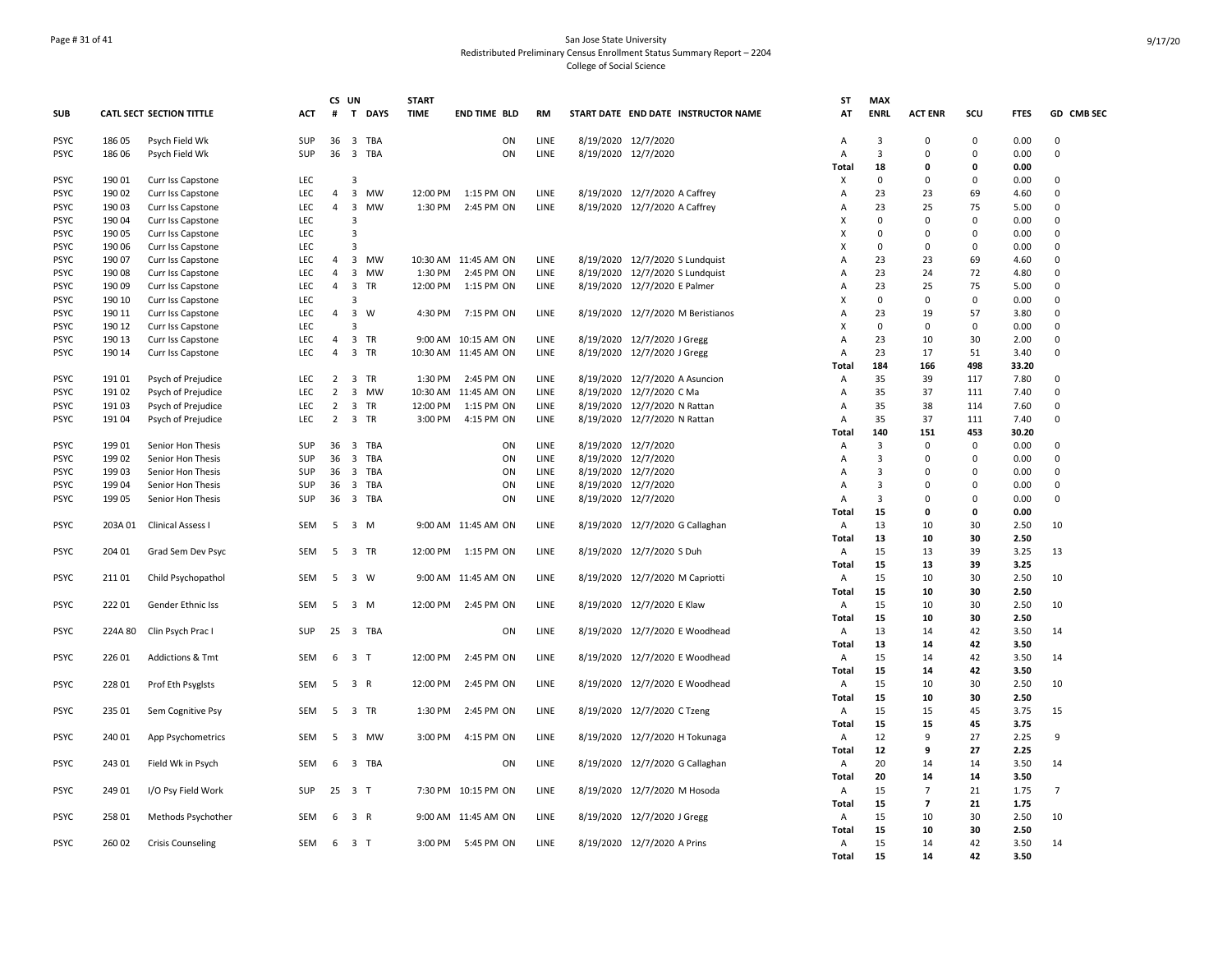## Page # 31 of 41 San Jose State University Redistributed Preliminary Census Enrollment Status Summary Report – 2204 College of Social Science

|             |         |                                 |            | CS              | UN                             | <b>START</b> |                      |           |                     |                                     | ST           | <b>MAX</b>              |                          |                |             |                |
|-------------|---------|---------------------------------|------------|-----------------|--------------------------------|--------------|----------------------|-----------|---------------------|-------------------------------------|--------------|-------------------------|--------------------------|----------------|-------------|----------------|
| <b>SUB</b>  |         | <b>CATL SECT SECTION TITTLE</b> | <b>ACT</b> | #               | T DAYS                         | <b>TIME</b>  | <b>END TIME BLD</b>  | <b>RM</b> |                     | START DATE END DATE INSTRUCTOR NAME | AT           | <b>ENRL</b>             | <b>ACT ENR</b>           | scu            | <b>FTES</b> | GD CMB SEC     |
| <b>PSYC</b> | 186 05  | Psych Field Wk                  | <b>SUP</b> | 36              | $\overline{\mathbf{3}}$<br>TBA |              | ON                   | LINE      | 8/19/2020 12/7/2020 |                                     | A            | 3                       | $\Omega$                 | $\mathbf 0$    | 0.00        | $\Omega$       |
| <b>PSYC</b> | 186 06  | Psych Field Wk                  | SUP        | 36              | 3 TBA                          |              | ON                   | LINE      | 8/19/2020 12/7/2020 |                                     | A            | $\overline{3}$          | $\Omega$                 | $\mathbf 0$    | 0.00        | $\Omega$       |
|             |         |                                 |            |                 |                                |              |                      |           |                     |                                     | Total        | 18                      | 0                        | $\mathbf{0}$   | 0.00        |                |
| <b>PSYC</b> | 190 01  | Curr Iss Capstone               | <b>LEC</b> |                 | 3                              |              |                      |           |                     |                                     | X            | 0                       | $\Omega$                 | $\mathbf 0$    | 0.00        | $\mathbf 0$    |
| <b>PSYC</b> | 190 02  | Curr Iss Capstone               | LEC        | $\overline{4}$  | $\overline{\mathbf{3}}$<br>MW  |              | 12:00 PM 1:15 PM ON  | LINE      |                     | 8/19/2020 12/7/2020 A Caffrey       | A            | 23                      | 23                       | 69             | 4.60        | $\Omega$       |
| <b>PSYC</b> | 190 03  | Curr Iss Capstone               | <b>LEC</b> | $\overline{4}$  | $\overline{\mathbf{3}}$<br>MW  | 1:30 PM      | 2:45 PM ON           | LINE      |                     | 8/19/2020 12/7/2020 A Caffrey       | A            | 23                      | 25                       | 75             | 5.00        | $\mathbf 0$    |
| <b>PSYC</b> | 190 04  | Curr Iss Capstone               | LEC        |                 | 3                              |              |                      |           |                     |                                     | x            | $\mathbf 0$             | $\mathbf 0$              | $\mathbf 0$    | 0.00        | $\Omega$       |
| <b>PSYC</b> | 190 05  | Curr Iss Capstone               | LEC        |                 | 3                              |              |                      |           |                     |                                     | X            | $\mathbf 0$             | 0                        | $\Omega$       | 0.00        | $\mathbf 0$    |
| <b>PSYC</b> | 190 06  | Curr Iss Capstone               | <b>LEC</b> |                 | 3                              |              |                      |           |                     |                                     | X            | 0                       | $\Omega$                 | $\mathbf 0$    | 0.00        | $\Omega$       |
| <b>PSYC</b> | 190 07  | Curr Iss Capstone               | <b>LEC</b> | $\overline{4}$  | 3 MW                           |              | 10:30 AM 11:45 AM ON | LINE      |                     | 8/19/2020 12/7/2020 S Lundquist     | A            | 23                      | 23                       | 69             | 4.60        | $\Omega$       |
| <b>PSYC</b> | 190 08  | Curr Iss Capstone               | LEC        | $\overline{4}$  | $\overline{\mathbf{3}}$<br>MW  | 1:30 PM      | 2:45 PM ON           | LINE      |                     | 8/19/2020 12/7/2020 S Lundquist     | A            | 23                      | 24                       | 72             | 4.80        | $\Omega$       |
| <b>PSYC</b> | 190 09  | Curr Iss Capstone               | LEC        | $\overline{4}$  | $\overline{\mathbf{3}}$<br>TR  |              | 12:00 PM 1:15 PM ON  | LINE      |                     | 8/19/2020 12/7/2020 E Palmer        | A            | 23                      | 25                       | 75             | 5.00        | $\mathbf 0$    |
| <b>PSYC</b> | 190 10  | Curr Iss Capstone               | LEC        |                 | 3                              |              |                      |           |                     |                                     | х            | 0                       | $\mathbf 0$              | 0              | 0.00        | $\mathbf 0$    |
| <b>PSYC</b> | 190 11  | Curr Iss Capstone               | <b>LEC</b> | $\overline{4}$  | $\overline{\mathbf{3}}$<br>W   |              | 4:30 PM 7:15 PM ON   | LINE      |                     | 8/19/2020 12/7/2020 M Beristianos   | A            | 23                      | 19                       | 57             | 3.80        | $\Omega$       |
| <b>PSYC</b> | 190 12  | Curr Iss Capstone               | <b>LEC</b> |                 | 3                              |              |                      |           |                     |                                     | X            | $\mathbf 0$             | $\mathbf 0$              | $\mathbf 0$    | 0.00        | $\mathbf 0$    |
| <b>PSYC</b> | 190 13  | Curr Iss Capstone               | <b>LEC</b> | $\overline{4}$  | 3 TR                           |              | 9:00 AM 10:15 AM ON  | LINE      |                     | 8/19/2020 12/7/2020 J Gregg         | A            | 23                      | 10                       | 30             | 2.00        | $\Omega$       |
| <b>PSYC</b> | 190 14  | Curr Iss Capstone               | <b>LEC</b> | $\overline{4}$  | 3 TR                           |              | 10:30 AM 11:45 AM ON | LINE      |                     | 8/19/2020 12/7/2020 J Gregg         | A            | 23                      | 17                       | 51             | 3.40        | $\Omega$       |
|             |         |                                 |            |                 |                                |              |                      |           |                     |                                     | Total        | 184                     | 166                      | 498            | 33.20       |                |
| <b>PSYC</b> | 191 01  | Psych of Prejudice              | LEC        | $\overline{2}$  | 3 TR                           |              | 1:30 PM 2:45 PM ON   | LINE      |                     | 8/19/2020 12/7/2020 A Asuncion      | Α            | 35                      | 39                       | 117            | 7.80        | $\Omega$       |
| <b>PSYC</b> | 191 02  | Psych of Prejudice              | LEC        | $\overline{2}$  | 3 MW                           |              | 10:30 AM 11:45 AM ON | LINE      |                     | 8/19/2020 12/7/2020 C Ma            | A            | 35                      | 37                       | 111            | 7.40        | $\mathbf 0$    |
| <b>PSYC</b> | 19103   | Psych of Prejudice              | <b>LEC</b> |                 | 2 3 TR                         |              | 12:00 PM 1:15 PM ON  | LINE      |                     | 8/19/2020 12/7/2020 N Rattan        | Α            | 35                      | 38                       | 114            | 7.60        | $\mathbf 0$    |
| <b>PSYC</b> | 191 04  | Psych of Prejudice              | <b>LEC</b> | $\overline{2}$  | 3 TR                           | 3:00 PM      | 4:15 PM ON           | LINE      |                     | 8/19/2020 12/7/2020 N Rattan        | Α            | 35                      | 37                       | 111            | 7.40        | $\mathbf 0$    |
|             |         |                                 |            |                 |                                |              |                      |           |                     |                                     | Total        | 140                     | 151                      | 453            | 30.20       |                |
| <b>PSYC</b> | 19901   | Senior Hon Thesis               | SUP        | 36 <sub>3</sub> | TBA                            |              | ON                   | LINE      | 8/19/2020 12/7/2020 |                                     | A            | $\overline{3}$          | $\mathbf 0$              | $\mathbf 0$    | 0.00        | $\Omega$       |
| <b>PSYC</b> | 199 02  | Senior Hon Thesis               | SUP        | 36              | 3 TBA                          |              | ON                   | LINE      | 8/19/2020 12/7/2020 |                                     | Α            | 3                       | $\mathbf 0$              | $\mathbf 0$    | 0.00        | $\Omega$       |
| <b>PSYC</b> | 199 03  | Senior Hon Thesis               | SUP        |                 | 36 3 TBA                       |              | ON                   | LINE      | 8/19/2020 12/7/2020 |                                     | A            | $\overline{\mathbf{3}}$ | $\Omega$                 | $\Omega$       | 0.00        | $\Omega$       |
| <b>PSYC</b> | 199 04  | Senior Hon Thesis               | SUP        | 36              | $\overline{\mathbf{3}}$<br>TBA |              | ON                   | LINE      | 8/19/2020 12/7/2020 |                                     | Α            | 3                       | 0                        | $\overline{0}$ | 0.00        | $\mathbf 0$    |
| <b>PSYC</b> | 199 05  | Senior Hon Thesis               | SUP        | 36              | 3 TBA                          |              | ON                   | LINE      | 8/19/2020 12/7/2020 |                                     | Α            | 3                       | $\mathbf 0$              | $\Omega$       | 0.00        | $\mathsf 0$    |
|             |         |                                 |            |                 |                                |              |                      |           |                     |                                     | <b>Total</b> | 15                      | 0                        | $\mathbf{0}$   | 0.00        |                |
| <b>PSYC</b> | 203A 01 | Clinical Assess I               | <b>SEM</b> | 5               | 3 M                            |              | 9:00 AM 11:45 AM ON  | LINE      |                     | 8/19/2020 12/7/2020 G Callaghan     | Α            | 13                      | 10                       | 30             | 2.50        | 10             |
|             |         |                                 |            |                 |                                |              |                      |           |                     |                                     | Total        | 13                      | 10                       | 30             | 2.50        |                |
| <b>PSYC</b> | 204 01  | Grad Sem Dev Psyc               | SEM        | 5               | 3 TR                           |              | 12:00 PM 1:15 PM ON  | LINE      |                     | 8/19/2020 12/7/2020 S Duh           | Α            | 15                      | 13                       | 39             | 3.25        | 13             |
|             |         |                                 |            |                 |                                |              |                      |           |                     |                                     | Total        | 15                      | 13                       | 39             | 3.25        |                |
| <b>PSYC</b> | 21101   | Child Psychopathol              | SEM        | 5               | 3 W                            |              | 9:00 AM 11:45 AM ON  | LINE      |                     | 8/19/2020 12/7/2020 M Capriotti     | Α            | 15                      | 10                       | 30             | 2.50        | 10             |
|             |         |                                 |            |                 |                                |              |                      |           |                     |                                     | Total        | 15                      | 10                       | 30             | 2.50        |                |
| <b>PSYC</b> | 22201   | Gender Ethnic Iss               | <b>SEM</b> | 5               | 3 M                            | 12:00 PM     | 2:45 PM ON           | LINE      |                     | 8/19/2020 12/7/2020 E Klaw          | Α            | 15                      | 10                       | 30             | 2.50        | 10             |
|             |         |                                 |            |                 |                                |              |                      |           |                     |                                     | Total        | 15                      | 10                       | 30             | 2.50        |                |
| <b>PSYC</b> | 224A 80 | Clin Psych Prac I               | SUP        |                 | 25 3 TBA                       |              | ON                   | LINE      |                     | 8/19/2020 12/7/2020 E Woodhead      | Α            | 13                      | 14                       | 42             | 3.50        | 14             |
|             |         |                                 |            |                 |                                |              |                      |           |                     |                                     | Total        | 13                      | 14                       | 42             | 3.50        |                |
| <b>PSYC</b> | 226 01  | <b>Addictions &amp; Tmt</b>     | <b>SEM</b> | 6               | 3 <sub>1</sub>                 | 12:00 PM     | 2:45 PM ON           | LINE      |                     | 8/19/2020 12/7/2020 E Woodhead      | Α            | 15                      | 14                       | 42             | 3.50        | 14             |
|             |         |                                 |            |                 |                                |              |                      |           |                     |                                     | Total        | 15                      | 14                       | 42             | 3.50        |                |
| <b>PSYC</b> | 228 01  | Prof Eth Psyglsts               | <b>SEM</b> | 5               | 3 R                            | 12:00 PM     | 2:45 PM ON           | LINE      |                     | 8/19/2020 12/7/2020 E Woodhead      | Α            | 15                      | 10                       | 30             | 2.50        | 10             |
|             |         |                                 |            |                 |                                |              |                      |           |                     |                                     | <b>Total</b> | 15                      | 10                       | 30             | 2.50        |                |
| <b>PSYC</b> | 235 01  | Sem Cognitive Psy               | SEM        | 5               | 3 TR                           | 1:30 PM      | 2:45 PM ON           | LINE      |                     | 8/19/2020 12/7/2020 C Tzeng         | Α            | 15                      | 15                       | 45             | 3.75        | 15             |
|             |         |                                 |            |                 |                                |              |                      |           |                     |                                     | Total        | 15                      | 15                       | 45             | 3.75        |                |
| <b>PSYC</b> | 240 01  | App Psychometrics               | SEM        | 5               | 3 MW                           | 3:00 PM      | 4:15 PM ON           | LINE      |                     | 8/19/2020 12/7/2020 H Tokunaga      | Α            | 12                      | 9                        | 27             | 2.25        | 9              |
|             |         |                                 |            |                 |                                |              |                      |           |                     |                                     | Total        | 12                      | 9                        | 27             | 2.25        |                |
| <b>PSYC</b> | 243 01  | Field Wk in Psych               | <b>SEM</b> | 6               | 3 TBA                          |              | ON                   | LINE      |                     | 8/19/2020 12/7/2020 G Callaghan     | Α            | 20                      | 14                       | 14             | 3.50        | 14             |
|             |         |                                 |            |                 |                                |              |                      |           |                     |                                     | <b>Total</b> | 20                      | 14                       | 14             | 3.50        |                |
| <b>PSYC</b> | 249 01  | I/O Psy Field Work              | SUP        | 25              | 3 <sub>T</sub>                 |              | 7:30 PM 10:15 PM ON  | LINE      |                     | 8/19/2020 12/7/2020 M Hosoda        | Α            | 15                      | $\overline{7}$           | 21             | 1.75        | $\overline{7}$ |
|             |         |                                 |            |                 |                                |              |                      |           |                     |                                     | Total        | 15                      | $\overline{\phantom{a}}$ | 21             | 1.75        |                |
| <b>PSYC</b> | 258 01  | Methods Psychother              | SEM        | 6               | 3 R                            |              | 9:00 AM 11:45 AM ON  | LINE      |                     | 8/19/2020 12/7/2020 J Gregg         | Α            | 15                      | 10                       | 30             | 2.50        | 10             |
|             |         |                                 |            |                 |                                |              |                      |           |                     |                                     | Total        | 15                      | 10                       | 30             | 2.50        |                |
| <b>PSYC</b> | 260 02  | <b>Crisis Counseling</b>        | SEM        | 6               | 3 T                            |              | 3:00 PM 5:45 PM ON   | LINE      |                     | 8/19/2020 12/7/2020 A Prins         | Α            | 15                      | 14                       | 42             | 3.50        | 14             |
|             |         |                                 |            |                 |                                |              |                      |           |                     |                                     | <b>Total</b> | 15                      | 14                       | 42             | 3.50        |                |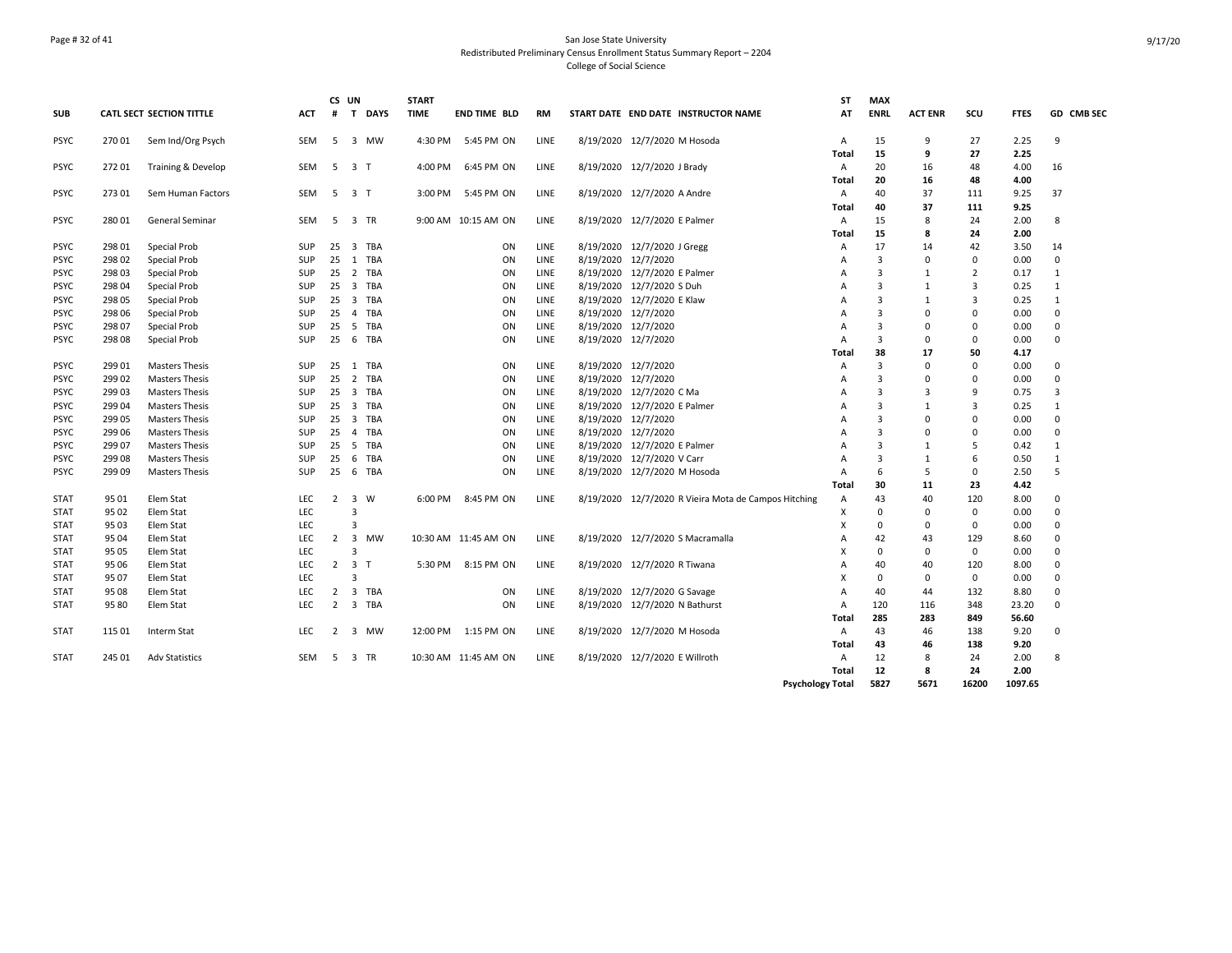## Page # 32 of 41 San Jose State University Redistributed Preliminary Census Enrollment Status Summary Report – 2204 College of Social Science

| <b>SUB</b>  |        | <b>CATL SECT SECTION TITTLE</b> | <b>ACT</b> | #              | CS UN<br>$\mathbf{T}$   | <b>DAYS</b> | <b>START</b><br><b>TIME</b> | END TIME BLD         | RM   |                     | START DATE END DATE INSTRUCTOR NAME                  | SΤ<br>AT       | <b>MAX</b><br><b>ENRL</b> | <b>ACT ENR</b> | scu            | <b>FTES</b> | GD CMB SEC   |
|-------------|--------|---------------------------------|------------|----------------|-------------------------|-------------|-----------------------------|----------------------|------|---------------------|------------------------------------------------------|----------------|---------------------------|----------------|----------------|-------------|--------------|
| <b>PSYC</b> | 270 01 | Sem Ind/Org Psych               | SEM        | 5              |                         | 3 MW        | 4:30 PM                     | 5:45 PM ON           | LINE |                     | 8/19/2020 12/7/2020 M Hosoda                         | Α              | 15                        | 9              | 27             | 2.25        | 9            |
|             |        |                                 |            |                |                         |             |                             |                      |      |                     |                                                      | Total          | 15                        | 9              | 27             | 2.25        |              |
| <b>PSYC</b> | 27201  | Training & Develop              | SEM        |                | 5 3 T                   |             | 4:00 PM                     | 6:45 PM ON           | LINE |                     | 8/19/2020 12/7/2020 J Brady                          | Α              | 20                        | 16             | 48             | 4.00        | 16           |
|             |        |                                 |            |                |                         |             |                             |                      |      |                     |                                                      | Total          | 20                        | 16             | 48             | 4.00        |              |
| <b>PSYC</b> | 27301  | Sem Human Factors               | SEM        | -5             | 3 T                     |             | 3:00 PM                     | 5:45 PM ON           | LINE |                     | 8/19/2020 12/7/2020 A Andre                          | Α              | 40                        | 37             | 111            | 9.25        | 37           |
|             |        |                                 |            |                |                         |             |                             |                      |      |                     |                                                      | Total          | 40                        | 37             | 111            | 9.25        |              |
| <b>PSYC</b> | 280 01 | General Seminar                 | SEM        | 5              |                         | 3 TR        |                             | 9:00 AM 10:15 AM ON  | LINE |                     | 8/19/2020 12/7/2020 E Palmer                         | Α              | 15                        | 8              | 24             | 2.00        | 8            |
|             |        |                                 |            |                |                         |             |                             |                      |      |                     |                                                      | Total          | 15                        | 8              | 24             | 2.00        |              |
| <b>PSYC</b> | 298 01 | Special Prob                    | <b>SUP</b> |                |                         | 25 3 TBA    |                             | ON                   | LINE |                     | 8/19/2020 12/7/2020 J Gregg                          | Α              | 17                        | 14             | 42             | 3.50        | 14           |
| <b>PSYC</b> | 298 02 | Special Prob                    | SUP        |                |                         | 25 1 TBA    |                             | ON                   | LINE | 8/19/2020 12/7/2020 |                                                      | A              | $\overline{\mathbf{3}}$   | $\Omega$       | $^{\circ}$     | 0.00        | $\mathbf 0$  |
| <b>PSYC</b> | 298 03 | Special Prob                    | <b>SUP</b> | 25             |                         | 2 TBA       |                             | ON                   | LINE |                     | 8/19/2020 12/7/2020 E Palmer                         | A              | $\overline{3}$            | $\mathbf{1}$   | $\overline{2}$ | 0.17        | $\mathbf{1}$ |
| <b>PSYC</b> | 298 04 | Special Prob                    | <b>SUP</b> |                |                         | 25 3 TBA    |                             | ON                   | LINE |                     | 8/19/2020 12/7/2020 S Duh                            | A              | 3                         | $\mathbf{1}$   | 3              | 0.25        | 1            |
| <b>PSYC</b> | 298 05 | Special Prob                    | <b>SUP</b> |                | $25 \quad 3$            | TBA         |                             | ON                   | LINE |                     | 8/19/2020 12/7/2020 E Klaw                           | A              | $\overline{3}$            | $\mathbf{1}$   | 3              | 0.25        | 1            |
| PSYC        | 298 06 | Special Prob                    | SUP        | 25             | $\overline{4}$          | TBA         |                             | ON                   | LINE | 8/19/2020 12/7/2020 |                                                      | A              | 3                         | $\Omega$       | $\Omega$       | 0.00        | $\Omega$     |
| <b>PSYC</b> | 298 07 | Special Prob                    | SUP        |                | 25 5                    | TBA         |                             | ON                   | LINE | 8/19/2020 12/7/2020 |                                                      | $\overline{A}$ | 3                         | $\Omega$       | $\Omega$       | 0.00        | $\Omega$     |
| <b>PSYC</b> | 298 08 | Special Prob                    | <b>SUP</b> | 25             |                         | 6 TBA       |                             | ON                   | LINE | 8/19/2020 12/7/2020 |                                                      | A              | 3                         | 0              | 0              | 0.00        | 0            |
|             |        |                                 |            |                |                         |             |                             |                      |      |                     |                                                      | Total          | 38                        | 17             | 50             | 4.17        |              |
| <b>PSYC</b> | 299 01 | <b>Masters Thesis</b>           | <b>SUP</b> |                |                         | 25 1 TBA    |                             | ON                   | LINE | 8/19/2020 12/7/2020 |                                                      | A              | $\overline{3}$            | $\Omega$       | 0              | 0.00        | $\Omega$     |
| <b>PSYC</b> | 299 02 | <b>Masters Thesis</b>           | SUP        |                |                         | 25 2 TBA    |                             | ON                   | LINE | 8/19/2020 12/7/2020 |                                                      | A              | $\overline{3}$            | $\Omega$       | $\Omega$       | 0.00        | $\Omega$     |
| <b>PSYC</b> | 299 03 | <b>Masters Thesis</b>           | <b>SUP</b> | 25             |                         | 3 TBA       |                             | ON                   | LINE |                     | 8/19/2020 12/7/2020 C Ma                             | A              | $\overline{3}$            | 3              | 9              | 0.75        | 3            |
| <b>PSYC</b> | 299 04 | <b>Masters Thesis</b>           | SUP        |                | $25 \quad 3$            | TBA         |                             | ON                   | LINE |                     | 8/19/2020 12/7/2020 E Palmer                         | A              | 3                         | 1              | 3              | 0.25        | 1            |
| <b>PSYC</b> | 299 05 | <b>Masters Thesis</b>           | SUP        |                | $25 \quad 3$            | TBA         |                             | ON                   | LINE | 8/19/2020 12/7/2020 |                                                      | A              | $\overline{3}$            | $\Omega$       | $\Omega$       | 0.00        | $\Omega$     |
| <b>PSYC</b> | 299 06 | <b>Masters Thesis</b>           | SUP        | 25             | 4                       | TBA         |                             | ON                   | LINE | 8/19/2020 12/7/2020 |                                                      | A              | 3                         | $\Omega$       | $\Omega$       | 0.00        | $\Omega$     |
| <b>PSYC</b> | 299 07 | <b>Masters Thesis</b>           | SUP        |                | 25 5                    | TBA         |                             | ON                   | LINE |                     | 8/19/2020 12/7/2020 E Palmer                         | A              | $\overline{3}$            | $\mathbf{1}$   | 5              | 0.42        | $\mathbf{1}$ |
| <b>PSYC</b> | 29908  | <b>Masters Thesis</b>           | <b>SUP</b> | 25             | -6                      | TBA         |                             | ON                   | LINE |                     | 8/19/2020 12/7/2020 V Carr                           | A              | $\overline{3}$            | $\mathbf{1}$   | 6              | 0.50        | 1            |
| <b>PSYC</b> | 29909  | <b>Masters Thesis</b>           | SUP        | 25             |                         | 6 TBA       |                             | ON                   | LINE |                     | 8/19/2020 12/7/2020 M Hosoda                         | A              | -6                        | 5              | 0              | 2.50        | 5            |
|             |        |                                 |            |                |                         |             |                             |                      |      |                     |                                                      | Total          | 30                        | 11             | 23             | 4.42        |              |
| <b>STAT</b> | 9501   | Elem Stat                       | LEC.       | $\overline{2}$ |                         | 3 W         | 6:00 PM                     | 8:45 PM ON           | LINE |                     | 8/19/2020 12/7/2020 R Vieira Mota de Campos Hitching | Α              | 43                        | 40             | 120            | 8.00        | $\Omega$     |
| <b>STAT</b> | 95 02  | Elem Stat                       | <b>LEC</b> |                | 3                       |             |                             |                      |      |                     |                                                      | Х              | $\mathbf 0$               | 0              | $^{\circ}$     | 0.00        | 0            |
| <b>STAT</b> | 95 03  | Elem Stat                       | <b>LEC</b> |                | 3                       |             |                             |                      |      |                     |                                                      | Х              | 0                         | 0              | 0              | 0.00        | $\Omega$     |
| <b>STAT</b> | 95 04  | Elem Stat                       | <b>LEC</b> | 2              | $\overline{\mathbf{3}}$ | MW          |                             | 10:30 AM 11:45 AM ON | LINE |                     | 8/19/2020 12/7/2020 S Macramalla                     | A              | 42                        | 43             | 129            | 8.60        | $\Omega$     |
| <b>STAT</b> | 95 05  | Elem Stat                       | LEC        |                | 3                       |             |                             |                      |      |                     |                                                      | X              | $\mathbf 0$               | $\Omega$       | $^{\circ}$     | 0.00        | $\Omega$     |
| <b>STAT</b> | 95 06  | Elem Stat                       | <b>LEC</b> |                | $2 \quad 3 \quad T$     |             | 5:30 PM                     | 8:15 PM ON           | LINE |                     | 8/19/2020 12/7/2020 R Tiwana                         | A              | 40                        | 40             | 120            | 8.00        | $\Omega$     |
| <b>STAT</b> | 95 07  | Elem Stat                       | <b>LEC</b> |                | 3                       |             |                             |                      |      |                     |                                                      | X              | $\mathbf 0$               | 0              | $^{\circ}$     | 0.00        | $\Omega$     |
| <b>STAT</b> | 95 08  | Elem Stat                       | <b>LEC</b> |                |                         | 2 3 TBA     |                             | ON                   | LINE |                     | 8/19/2020 12/7/2020 G Savage                         | A              | 40                        | 44             | 132            | 8.80        | 0            |
| STAT        | 95 80  | Elem Stat                       | LEC.       | 2              |                         | 3 TBA       |                             | ON                   | LINE |                     | 8/19/2020 12/7/2020 N Bathurst                       | Α              | 120                       | 116            | 348            | 23.20       | $\Omega$     |
|             |        |                                 |            |                |                         |             |                             |                      |      |                     |                                                      | Total          | 285                       | 283            | 849            | 56.60       |              |
| <b>STAT</b> | 115 01 | Interm Stat                     | LEC.       | 2              |                         | 3 MW        |                             | 12:00 PM 1:15 PM ON  | LINE |                     | 8/19/2020 12/7/2020 M Hosoda                         | A              | 43                        | 46             | 138            | 9.20        | $\Omega$     |
|             |        |                                 |            |                |                         |             |                             |                      |      |                     |                                                      | Total          | 43                        | 46             | 138            | 9.20        |              |
| <b>STAT</b> | 245 01 | <b>Adv Statistics</b>           | SEM        | -5             |                         | 3 TR        |                             | 10:30 AM 11:45 AM ON | LINE |                     | 8/19/2020 12/7/2020 E Willroth                       | Α              | 12                        | 8              | 24             | 2.00        | 8            |
|             |        |                                 |            |                |                         |             |                             |                      |      |                     |                                                      | Total          | 12                        | 8              | 24             | 2.00        |              |
|             |        |                                 |            |                |                         |             |                             |                      |      |                     | <b>Psychology Total</b>                              |                | 5827                      | 5671           | 16200          | 1097.65     |              |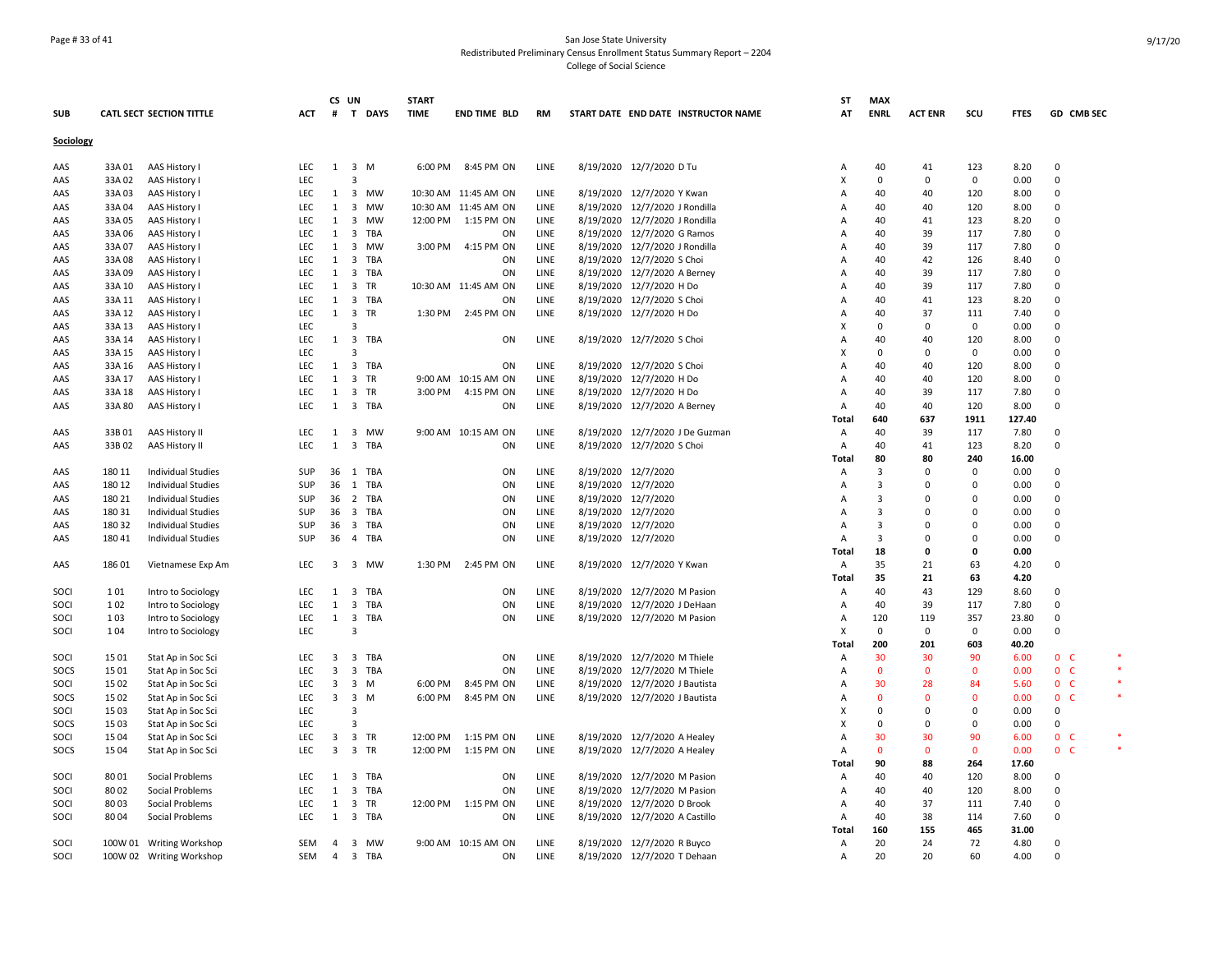## Page # 33 of 41 San Jose State University Redistributed Preliminary Census Enrollment Status Summary Report – 2204 College of Social Science

|            |        |                                 |            |                         | CS UN               |          | <b>START</b> |                      |      |           |                                     | SΤ           | <b>MAX</b>     |                |                |             |                                  |  |
|------------|--------|---------------------------------|------------|-------------------------|---------------------|----------|--------------|----------------------|------|-----------|-------------------------------------|--------------|----------------|----------------|----------------|-------------|----------------------------------|--|
| <b>SUB</b> |        | <b>CATL SECT SECTION TITTLE</b> | ACT        |                         |                     | # T DAYS | <b>TIME</b>  | <b>END TIME BLD</b>  | RM   |           | START DATE END DATE INSTRUCTOR NAME | AT           | <b>ENRL</b>    | <b>ACT ENR</b> | scu            | <b>FTES</b> | GD CMB SEC                       |  |
| Sociology  |        |                                 |            |                         |                     |          |              |                      |      |           |                                     |              |                |                |                |             |                                  |  |
| AAS        | 33A01  | AAS History I                   | <b>LEC</b> |                         | $1 \quad 3 \quad M$ |          | 6:00 PM      | 8:45 PM ON           | LINE |           | 8/19/2020 12/7/2020 D Tu            | A            | 40             | 41             | 123            | 8.20        | $\mathbf 0$                      |  |
| AAS        | 33A 02 | AAS History I                   | LEC        |                         | $\overline{3}$      |          |              |                      |      |           |                                     | X            | $\mathbf 0$    | $\Omega$       | 0              | 0.00        | 0                                |  |
| AAS        | 33A03  | AAS History I                   | LEC        | 1                       |                     | 3 MW     |              | 10:30 AM 11:45 AM ON | LINE |           | 8/19/2020 12/7/2020 Y Kwan          | A            | 40             | 40             | 120            | 8.00        | $\Omega$                         |  |
| AAS        | 33A 04 | <b>AAS History I</b>            | LEC        | 1                       |                     | 3 MW     |              | 10:30 AM 11:45 AM ON | LINE | 8/19/2020 | 12/7/2020 J Rondilla                | A            | 40             | 40             | 120            | 8.00        | 0                                |  |
| AAS        | 33A05  | AAS History I                   | LEC        | $\mathbf{1}$            |                     | 3 MW     | 12:00 PM     | 1:15 PM ON           | LINE |           | 8/19/2020 12/7/2020 J Rondilla      | A            | 40             | 41             | 123            | 8.20        | $\Omega$                         |  |
| AAS        | 33A 06 | AAS History I                   | LEC        | 1                       |                     | 3 TBA    |              | ON                   | LINE |           | 8/19/2020 12/7/2020 G Ramos         | A            | 40             | 39             | 117            | 7.80        | $\mathbf 0$                      |  |
| AAS        | 33A 07 | AAS History I                   | LEC        | 1                       |                     | 3 MW     | 3:00 PM      | 4:15 PM ON           | LINE |           | 8/19/2020 12/7/2020 J Rondilla      | A            | 40             | 39             | 117            | 7.80        | 0                                |  |
| AAS        | 33A08  | AAS History I                   | <b>LEC</b> | 1                       |                     | 3 TBA    |              | ON                   | LINE |           | 8/19/2020 12/7/2020 S Choi          | A            | 40             | 42             | 126            | 8.40        | $\Omega$                         |  |
| AAS        | 33A09  | AAS History I                   | <b>LEC</b> | 1                       |                     | 3 TBA    |              | ON                   | LINE |           | 8/19/2020 12/7/2020 A Berney        | A            | 40             | 39             | 117            | 7.80        | $\Omega$                         |  |
| AAS        | 33A 10 | AAS History I                   | <b>LEC</b> |                         | 1 3 TR              |          |              | 10:30 AM 11:45 AM ON | LINE |           | 8/19/2020 12/7/2020 H Do            | $\Delta$     | 40             | 39             | 117            | 7.80        | $\Omega$                         |  |
| AAS        | 33A 11 | AAS History I                   | <b>LEC</b> | 1                       |                     | 3 TBA    |              | ON                   | LINE |           | 8/19/2020 12/7/2020 S Choi          | A            | 40             | 41             | 123            | 8.20        | $\Omega$                         |  |
| AAS        | 33A 12 | AAS History I                   | <b>LEC</b> |                         | 1 3 TR              |          |              | 1:30 PM 2:45 PM ON   | LINE |           | 8/19/2020 12/7/2020 H Do            | A            | 40             | 37             | 111            | 7.40        | $\Omega$                         |  |
| AAS        | 33A 13 | AAS History I                   | <b>LEC</b> |                         | 3                   |          |              |                      |      |           |                                     | X            | $\mathbf 0$    | $\Omega$       | $\mathsf 0$    | 0.00        | 0                                |  |
| AAS        | 33A 14 | AAS History I                   | LEC        |                         |                     | 1 3 TBA  |              | ON                   | LINE |           | 8/19/2020 12/7/2020 S Choi          | A            | 40             | 40             | 120            | 8.00        | $\mathbf 0$                      |  |
| AAS        | 33A 15 | AAS History I                   | LEC        |                         | 3                   |          |              |                      |      |           |                                     | х            | 0              | 0              | 0              | 0.00        | 0                                |  |
| AAS        | 33A 16 | AAS History I                   | LEC        | $\mathbf{1}$            |                     | 3 TBA    |              | ON                   | LINE |           | 8/19/2020 12/7/2020 S Choi          | A            | 40             | 40             | 120            | 8.00        | $\Omega$                         |  |
| AAS        | 33A 17 | AAS History I                   | LEC        | 1                       |                     | 3 TR     |              | 9:00 AM 10:15 AM ON  | LINE |           | 8/19/2020 12/7/2020 H Do            | A            | 40             | 40             | 120            | 8.00        | $\Omega$                         |  |
| AAS        | 33A 18 | AAS History I                   | LEC        | 1                       |                     | 3 TR     | 3:00 PM      | 4:15 PM ON           | LINE |           | 8/19/2020 12/7/2020 H Do            | Α            | 40             | 39             | 117            | 7.80        | $\Omega$                         |  |
| AAS        | 33A 80 | AAS History I                   | <b>LEC</b> |                         |                     | 1 3 TBA  |              | ON                   | LINE |           | 8/19/2020 12/7/2020 A Berney        | A            | 40             | 40             | 120            | 8.00        | $\Omega$                         |  |
|            |        |                                 |            |                         |                     |          |              |                      |      |           |                                     | Total        | 640            | 637            | 1911           | 127.40      |                                  |  |
| AAS        | 33B01  | AAS History II                  | LEC        |                         |                     | 1 3 MW   |              | 9:00 AM 10:15 AM ON  | LINE |           | 8/19/2020 12/7/2020 J De Guzman     | Α            | 40             | 39             | 117            | 7.80        | $\Omega$                         |  |
| AAS        | 33B02  | AAS History II                  | LEC        | $\mathbf{1}$            |                     | 3 TBA    |              | ON                   | LINE |           | 8/19/2020 12/7/2020 S Choi          | Α            | 40             | 41             | 123            | 8.20        | $\mathbf 0$                      |  |
|            |        |                                 |            |                         |                     |          |              |                      |      |           |                                     | Total        | 80             | 80             | 240            | 16.00       |                                  |  |
| AAS        | 180 11 | <b>Individual Studies</b>       | SUP        | 36                      |                     | 1 TBA    |              | ON                   | LINE |           | 8/19/2020 12/7/2020                 | A            | 3              | $\Omega$       | 0              | 0.00        | $\Omega$                         |  |
| AAS        | 180 12 | <b>Individual Studies</b>       | SUP        |                         |                     | 36 1 TBA |              | ON                   | LINE |           | 8/19/2020 12/7/2020                 | A            | 3              | $\Omega$       | $\Omega$       | 0.00        | $\Omega$                         |  |
| AAS        | 180 21 | <b>Individual Studies</b>       | SUP        | 36                      |                     | 2 TBA    |              | ON                   | LINE |           | 8/19/2020 12/7/2020                 | A            | $\overline{3}$ | $\Omega$       | $\mathbf 0$    | 0.00        | 0                                |  |
| AAS        | 180 31 | <b>Individual Studies</b>       | SUP        |                         |                     | 36 3 TBA |              | ON                   | LINE |           | 8/19/2020 12/7/2020                 | A            | 3              | 0              | $\Omega$       | 0.00        | $\Omega$                         |  |
| AAS        | 180 32 | Individual Studies              | SUP        | 36                      |                     | 3 TBA    |              | ON                   | LINE |           | 8/19/2020 12/7/2020                 | A            | $\overline{3}$ | O              | $\Omega$       | 0.00        | $\Omega$                         |  |
| AAS        | 180 41 | <b>Individual Studies</b>       | SUP        | 36                      |                     | 4 TBA    |              | ON                   | LINE |           | 8/19/2020 12/7/2020                 | Α            | 3              | $\Omega$       | 0              | 0.00        | $\Omega$                         |  |
|            |        |                                 |            |                         |                     |          |              |                      |      |           |                                     | Total        | 18             | n              | $\Omega$       | 0.00        |                                  |  |
| AAS        | 186 01 | Vietnamese Exp Am               | LEC        | 3                       |                     | 3 MW     | 1:30 PM      | 2:45 PM ON           | LINE |           | 8/19/2020 12/7/2020 Y Kwan          | Α            | 35             | 21             | 63             | 4.20        | 0                                |  |
|            |        |                                 |            |                         |                     |          |              |                      |      |           |                                     | Total        | 35             | 21             | 63             | 4.20        |                                  |  |
| SOCI       | 101    | Intro to Sociology              | <b>LEC</b> | 1                       |                     | 3 TBA    |              | ON                   | LINE |           | 8/19/2020 12/7/2020 M Pasion        | Α            | 40             | 43             | 129            | 8.60        | $\Omega$                         |  |
| SOCI       | 102    | Intro to Sociology              | LEC        | $\mathbf{1}$            |                     | 3 TBA    |              | ON                   | LINE |           | 8/19/2020 12/7/2020 J DeHaan        | Α            | 40             | 39             | 117            | 7.80        | $\mathbf 0$                      |  |
| SOCI       | 103    | Intro to Sociology              | LEC        |                         |                     | 1 3 TBA  |              | ON                   | LINE |           | 8/19/2020 12/7/2020 M Pasion        | A            | 120            | 119            | 357            | 23.80       | $\Omega$                         |  |
| SOCI       | 104    | Intro to Sociology              | <b>LEC</b> |                         | 3                   |          |              |                      |      |           |                                     | X            | 0              | $\Omega$       | $\mathbf 0$    | 0.00        | $\Omega$                         |  |
|            |        |                                 |            |                         |                     |          |              |                      |      |           |                                     | <b>Total</b> | 200            | 201            | 603            | 40.20       |                                  |  |
| SOCI       | 15 01  | Stat Ap in Soc Sci              | LEC        | 3                       |                     | 3 TBA    |              | ON                   | LINE |           | 8/19/2020 12/7/2020 M Thiele        | Α            | 30             | 30             | 90             | 6.00        | 0 <sup>o</sup>                   |  |
| SOCS       | 15 01  | Stat Ap in Soc Sci              | LEC        | $\overline{\mathbf{3}}$ |                     | 3 TBA    |              | ON                   | LINE |           | 8/19/2020 12/7/2020 M Thiele        | Α            | $\mathbf{0}$   | $\Omega$       | $\mathbf 0$    | 0.00        | 0 <sup>o</sup>                   |  |
| SOCI       | 15 02  | Stat Ap in Soc Sci              | <b>LEC</b> | $\overline{3}$          | 3 M                 |          | 6:00 PM      | 8:45 PM ON           | LINE |           | 8/19/2020 12/7/2020 J Bautista      | A            | 30             | 28             | 84             | 5.60        | 0 <sup>o</sup>                   |  |
| SOCS       | 15 02  | Stat Ap in Soc Sci              | LEC        |                         | 3 3 M               |          | 6:00 PM      | 8:45 PM ON           | LINE |           | 8/19/2020 12/7/2020 J Bautista      | A            | $\Omega$       | $\Omega$       | $\mathbf{0}$   | 0.00        | 0 <sub>c</sub>                   |  |
| SOCI       | 1503   | Stat Ap in Soc Sci              | LEC        |                         | 3                   |          |              |                      |      |           |                                     | x            | 0              | $\Omega$       | $\mathbf 0$    | 0.00        | $\mathbf 0$                      |  |
| SOCS       | 15 03  | Stat Ap in Soc Sci              | LEC        |                         | 3                   |          |              |                      |      |           |                                     | X            | $\Omega$       | $\Omega$       | $\Omega$       | 0.00        | $\Omega$                         |  |
| SOCI       | 15 04  | Stat Ap in Soc Sci              | <b>LEC</b> | $\overline{3}$          |                     | 3 TR     | 12:00 PM     | 1:15 PM ON           | LINE |           | 8/19/2020 12/7/2020 A Healey        | A            | 30             | 30<br>$\Omega$ | 90<br>$\Omega$ | 6.00        | 0 <sup>o</sup><br>0 <sub>c</sub> |  |
| SOCS       | 15 04  | Stat Ap in Soc Sci              | <b>LEC</b> | $\overline{3}$          |                     | 3 TR     | 12:00 PM     | 1:15 PM ON           | LINE |           | 8/19/2020 12/7/2020 A Healey        | A            | $\mathbf{0}$   |                |                | 0.00        |                                  |  |
|            |        |                                 |            |                         |                     |          |              |                      |      |           |                                     | Total        | 90             | 88             | 264            | 17.60       |                                  |  |
| SOCI       | 8001   | Social Problems                 | LEC        | 1                       |                     | 3 TBA    |              | ON                   | LINE | 8/19/2020 | 12/7/2020 M Pasion                  | Α            | 40             | 40             | 120            | 8.00        | 0                                |  |
| SOCI       | 8002   | Social Problems                 | LEC        | $\mathbf{1}$            |                     | 3 TBA    |              | ON                   | LINE |           | 8/19/2020 12/7/2020 M Pasion        | A            | 40             | 40             | 120            | 8.00        | $\Omega$                         |  |
| SOCI       | 8003   | Social Problems                 | LEC        | 1                       |                     | 3 TR     | 12:00 PM     | 1:15 PM ON           | LINE |           | 8/19/2020 12/7/2020 D Brook         | A            | 40             | 37             | 111            | 7.40        | $\Omega$                         |  |
| SOCI       | 8004   | <b>Social Problems</b>          | LEC        | $\mathbf{1}$            |                     | 3 TBA    |              | ON                   | LINE |           | 8/19/2020 12/7/2020 A Castillo      | Α            | 40             | 38             | 114            | 7.60        | $\mathbf 0$                      |  |
|            |        |                                 |            |                         |                     |          |              |                      |      |           |                                     | Total        | 160            | 155            | 465            | 31.00       |                                  |  |
| SOCI       |        | 100W 01 Writing Workshop        | <b>SEM</b> |                         |                     | 4 3 MW   |              | 9:00 AM 10:15 AM ON  | LINE |           | 8/19/2020 12/7/2020 R Buyco         | A            | 20             | 24             | 72             | 4.80        | $\Omega$                         |  |
| SOCI       |        | 100W 02 Writing Workshop        | SEM        | $\overline{4}$          |                     | 3 TBA    |              | ON                   | LINE |           | 8/19/2020 12/7/2020 T Dehaan        | Α            | 20             | 20             | 60             | 4.00        | $\Omega$                         |  |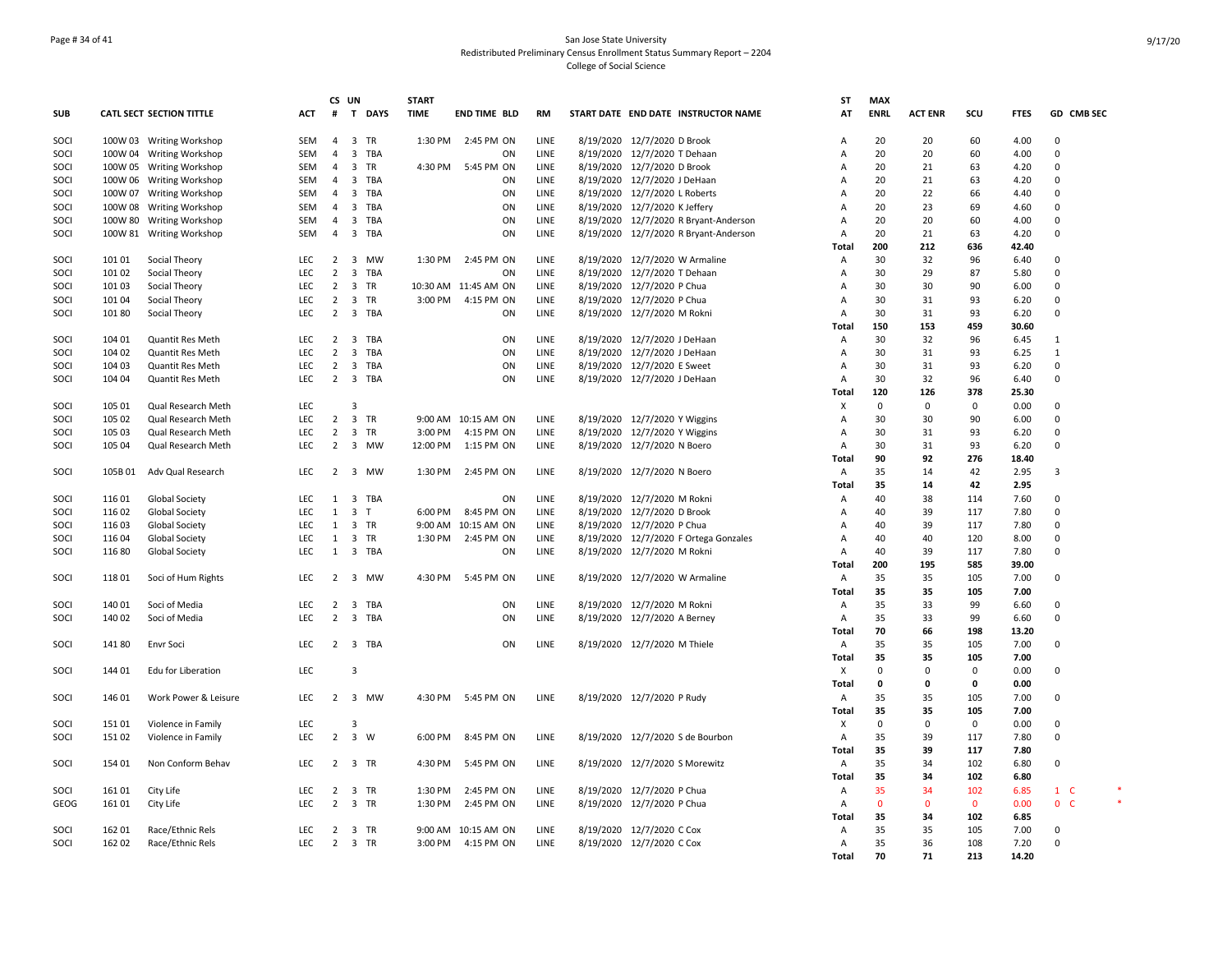## Page # 34 of 41 San Jose State University Redistributed Preliminary Census Enrollment Status Summary Report – 2204 College of Social Science

|             |        |                          |            |                | CS UN                   | <b>START</b>          |         |                      |           |           |                                       | ST             | <b>MAX</b>   |                |              |             |                |  |
|-------------|--------|--------------------------|------------|----------------|-------------------------|-----------------------|---------|----------------------|-----------|-----------|---------------------------------------|----------------|--------------|----------------|--------------|-------------|----------------|--|
| <b>SUB</b>  |        | CATL SECT SECTION TITTLE | <b>ACT</b> | #              |                         | T DAYS<br><b>TIME</b> |         | <b>END TIME BLD</b>  | <b>RM</b> |           | START DATE END DATE INSTRUCTOR NAME   | AT             | <b>ENRL</b>  | <b>ACT ENR</b> | scu          | <b>FTES</b> | GD CMB SEC     |  |
| SOCI        |        | 100W 03 Writing Workshop | SEM        | $\overline{4}$ |                         | 3 TR                  | 1:30 PM | 2:45 PM ON           | LINE      |           | 8/19/2020 12/7/2020 D Brook           | Α              | 20           | 20             | 60           | 4.00        | $\mathbf 0$    |  |
| SOCI        |        | 100W 04 Writing Workshop | <b>SEM</b> | $\overline{4}$ |                         | 3 TBA                 |         | ON                   | LINE      |           | 8/19/2020 12/7/2020 T Dehaan          | A              | 20           | 20             | 60           | 4.00        | $\mathbf 0$    |  |
| SOCI        |        | 100W 05 Writing Workshop | SEM        | $\overline{4}$ |                         | 3 TR                  | 4:30 PM | 5:45 PM ON           | LINE      |           | 8/19/2020 12/7/2020 D Brook           | A              | 20           | 21             | 63           | 4.20        | $\Omega$       |  |
| SOCI        |        | 100W 06 Writing Workshop | <b>SEM</b> | $\overline{4}$ |                         | 3 TBA                 |         | ON                   | LINE      |           | 8/19/2020 12/7/2020 J DeHaan          | A              | 20           | 21             | 63           | 4.20        | $\Omega$       |  |
| SOCI        |        | 100W 07 Writing Workshop | SEM        | $\overline{4}$ |                         | 3 TBA                 |         | ON                   | LINE      |           | 8/19/2020 12/7/2020 L Roberts         | $\Delta$       | 20           | 22             | 66           | 4.40        | $\mathbf 0$    |  |
| SOCI        |        | 100W 08 Writing Workshop | SEM        | $\overline{4}$ |                         | 3 TBA                 |         | ON                   | LINE      |           | 8/19/2020 12/7/2020 K Jeffery         | A              | 20           | 23             | 69           | 4.60        | 0              |  |
| SOCI        |        | 100W 80 Writing Workshop | <b>SEM</b> | $\overline{4}$ |                         | 3 TBA                 |         | ON                   | LINE      |           | 8/19/2020 12/7/2020 R Bryant-Anderson | A              | 20           | 20             | 60           | 4.00        | $\Omega$       |  |
| SOCI        |        | 100W 81 Writing Workshop | <b>SEM</b> | $\overline{4}$ |                         | 3 TBA                 |         | ON                   | LINE      | 8/19/2020 | 12/7/2020 R Bryant-Anderson           | A              | 20           | 21             | 63           | 4.20        | 0              |  |
|             |        |                          |            |                |                         |                       |         |                      |           |           |                                       | Total          | 200          | 212            | 636          | 42.40       |                |  |
| SOCI        | 101 01 | Social Theory            | <b>LEC</b> | $\overline{2}$ |                         | 3 MW                  | 1:30 PM | 2:45 PM ON           | LINE      |           | 8/19/2020 12/7/2020 W Armaline        | Α              | 30           | 32             | 96           | 6.40        | 0              |  |
| SOCI        | 101 02 | Social Theory            | <b>LEC</b> | 2              |                         | 3 TBA                 |         | ON                   | LINE      |           | 8/19/2020 12/7/2020 T Dehaan          | A              | 30           | 29             | 87           | 5.80        | $\Omega$       |  |
| SOCI        | 101 03 | Social Theory            | <b>LEC</b> | $\overline{2}$ | 3 TR                    |                       |         | 10:30 AM 11:45 AM ON | LINE      |           | 8/19/2020 12/7/2020 P Chua            | A              | 30           | 30             | 90           | 6.00        | $\Omega$       |  |
| SOCI        | 101 04 | Social Theory            | <b>LEC</b> | $\overline{2}$ | 3 TR                    |                       | 3:00 PM | 4:15 PM ON           | LINE      |           | 8/19/2020 12/7/2020 P Chua            | $\overline{A}$ | 30           | 31             | 93           | 6.20        | $\Omega$       |  |
| SOCI        | 101 80 | Social Theory            | LEC        |                |                         | 2 3 TBA               |         | ON                   | LINE      |           | 8/19/2020 12/7/2020 M Rokni           | Α              | 30           | 31             | 93           | 6.20        | $\mathsf 0$    |  |
|             |        |                          |            |                |                         |                       |         |                      |           |           |                                       | Total          | 150          | 153            | 459          | 30.60       |                |  |
| SOCI        | 104 01 | <b>Quantit Res Meth</b>  | LEC        | $\overline{2}$ | $\overline{\mathbf{3}}$ | TBA                   |         | ON                   | LINE      |           | 8/19/2020 12/7/2020 J DeHaan          | Α              | 30           | 32             | 96           | 6.45        | $\mathbf{1}$   |  |
| SOCI        | 104 02 | <b>Quantit Res Meth</b>  | LEC        | $\overline{2}$ |                         | 3 TBA                 |         | ON                   | LINE      |           | 8/19/2020 12/7/2020 J DeHaan          | Α              | 30           | 31             | 93           | 6.25        | $\mathbf{1}$   |  |
| SOCI        | 104 03 | Quantit Res Meth         | <b>LEC</b> |                |                         | 2 3 TBA               |         | ON                   | LINE      |           | 8/19/2020 12/7/2020 E Sweet           | A              | 30           | 31             | 93           | 6.20        | 0              |  |
| SOCI        | 104 04 | <b>Quantit Res Meth</b>  | <b>LEC</b> |                |                         | 2 3 TBA               |         | ON                   | LINE      |           | 8/19/2020 12/7/2020 J DeHaan          | $\overline{A}$ | 30           | 32             | 96           | 6.40        | $\mathbf 0$    |  |
|             |        |                          |            |                |                         |                       |         |                      |           |           |                                       | <b>Total</b>   | 120          | 126            | 378          | 25.30       |                |  |
| SOCI        | 105 01 | Qual Research Meth       | <b>LEC</b> |                | 3                       |                       |         |                      |           |           |                                       | Х              | $\mathbf 0$  | 0              | $\mathbf 0$  | 0.00        | 0              |  |
| SOCI        | 105 02 | Qual Research Meth       | LEC        | 2              | 3 TR                    |                       |         | 9:00 AM 10:15 AM ON  | LINE      |           | 8/19/2020 12/7/2020 Y Wiggins         | A              | 30           | 30             | 90           | 6.00        | $\Omega$       |  |
| SOCI        | 105 03 | Qual Research Meth       | LEC        | $\overline{2}$ | 3 TR                    |                       | 3:00 PM | 4:15 PM ON           | LINE      |           | 8/19/2020 12/7/2020 Y Wiggins         | Α              | 30           | 31             | 93           | 6.20        | $\mathbf 0$    |  |
| SOCI        | 105 04 | Qual Research Meth       | <b>LEC</b> |                |                         | 2 3 MW<br>12:00 PM    |         | 1:15 PM ON           | LINE      |           | 8/19/2020 12/7/2020 N Boero           | $\overline{A}$ | 30           | 31             | 93           | 6.20        | $\Omega$       |  |
|             |        |                          |            |                |                         |                       |         |                      |           |           |                                       | <b>Total</b>   | 90           | 92             | 276          | 18.40       |                |  |
| SOCI        | 105B01 | Adv Qual Research        | LEC        | $\overline{2}$ |                         | 3 MW                  | 1:30 PM | 2:45 PM ON           | LINE      |           | 8/19/2020 12/7/2020 N Boero           | A              | 35           | 14             | 42           | 2.95        | 3              |  |
|             |        |                          |            |                |                         |                       |         |                      |           |           |                                       | <b>Total</b>   | 35           | 14             | 42           | 2.95        |                |  |
| SOCI        | 116 01 | <b>Global Society</b>    | <b>LEC</b> |                |                         | 1 3 TBA               |         | ON                   | LINE      |           | 8/19/2020 12/7/2020 M Rokni           | Α              | 40           | 38             | 114          | 7.60        | 0              |  |
| SOCI        | 116 02 | <b>Global Society</b>    | LEC        | 1              | 3 <sub>T</sub>          |                       | 6:00 PM | 8:45 PM ON           | LINE      |           | 8/19/2020 12/7/2020 D Brook           | A              | 40           | 39             | 117          | 7.80        | $\Omega$       |  |
| SOCI        |        |                          | <b>LEC</b> | 1              | 3 TR                    |                       |         | 9:00 AM 10:15 AM ON  | LINE      |           |                                       |                | 40           | 39             | 117          | 7.80        | $\Omega$       |  |
|             | 11603  | <b>Global Society</b>    |            |                |                         |                       |         |                      |           |           | 8/19/2020 12/7/2020 P Chua            | A              |              |                |              |             | $\Omega$       |  |
| SOCI        | 11604  | <b>Global Society</b>    | LEC        | $\mathbf{1}$   | 3 TR                    |                       | 1:30 PM | 2:45 PM ON           | LINE      |           | 8/19/2020 12/7/2020 F Ortega Gonzales | А<br>$\Delta$  | 40           | 40             | 120          | 8.00        |                |  |
| SOCI        | 11680  | Global Society           | LEC        | $\mathbf{1}$   |                         | 3 TBA                 |         | ON                   | LINE      |           | 8/19/2020 12/7/2020 M Rokni           |                | 40           | 39             | 117          | 7.80        | 0              |  |
|             |        |                          |            |                |                         |                       |         |                      |           |           |                                       | <b>Total</b>   | 200          | 195            | 585          | 39.00       |                |  |
| SOCI        | 11801  | Soci of Hum Rights       | LEC        |                |                         | 2 3 MW                | 4:30 PM | 5:45 PM ON           | LINE      |           | 8/19/2020 12/7/2020 W Armaline        | Α              | 35           | 35             | 105          | 7.00        | 0              |  |
|             |        |                          |            |                |                         |                       |         |                      |           |           |                                       | Total          | 35           | 35             | 105          | 7.00        |                |  |
| SOCI        | 140 01 | Soci of Media            | LEC        | 2              | $\overline{\mathbf{3}}$ | TBA                   |         | ON                   | LINE      |           | 8/19/2020 12/7/2020 M Rokni           | $\overline{A}$ | 35           | 33             | 99           | 6.60        | $\Omega$       |  |
| SOCI        | 140 02 | Soci of Media            | <b>LEC</b> | $\overline{2}$ |                         | 3 TBA                 |         | ON                   | LINE      |           | 8/19/2020 12/7/2020 A Berney          | $\mathsf{A}$   | 35           | 33             | 99           | 6.60        | $\Omega$       |  |
|             |        |                          |            |                |                         |                       |         |                      |           |           |                                       | <b>Total</b>   | 70           | 66             | 198          | 13.20       |                |  |
| SOCI        | 14180  | <b>Envr Soci</b>         | <b>LEC</b> | $\overline{2}$ |                         | 3 TBA                 |         | ON                   | LINE      |           | 8/19/2020 12/7/2020 M Thiele          | $\overline{A}$ | 35           | 35             | 105          | 7.00        | $\mathbf 0$    |  |
|             |        |                          |            |                |                         |                       |         |                      |           |           |                                       | <b>Total</b>   | 35           | 35             | 105          | 7.00        |                |  |
| SOCI        | 144 01 | Edu for Liberation       | LEC        |                | 3                       |                       |         |                      |           |           |                                       | X              | 0            | 0              | $\mathsf 0$  | 0.00        | $\mathbf 0$    |  |
|             |        |                          |            |                |                         |                       |         |                      |           |           |                                       | Total          | $\mathbf 0$  | 0              | 0            | 0.00        |                |  |
| SOCI        | 146 01 | Work Power & Leisure     | <b>LEC</b> |                |                         | 2 3 MW                | 4:30 PM | 5:45 PM ON           | LINE      |           | 8/19/2020 12/7/2020 P Rudy            | Α              | 35           | 35             | 105          | 7.00        | 0              |  |
|             |        |                          |            |                |                         |                       |         |                      |           |           |                                       | <b>Total</b>   | 35           | 35             | 105          | 7.00        |                |  |
| SOCI        | 151 01 | Violence in Family       | LEC        |                | 3                       |                       |         |                      |           |           |                                       | х              | $\mathbf 0$  | $\Omega$       | $\mathbf 0$  | 0.00        | $\mathbf 0$    |  |
| SOCI        | 151 02 | Violence in Family       | <b>LEC</b> | $\overline{2}$ | 3 W                     |                       | 6:00 PM | 8:45 PM ON           | LINE      |           | 8/19/2020 12/7/2020 S de Bourbon      | $\mathsf{A}$   | 35           | 39             | 117          | 7.80        | $\mathbf 0$    |  |
|             |        |                          |            |                |                         |                       |         |                      |           |           |                                       | <b>Total</b>   | 35           | 39             | 117          | 7.80        |                |  |
| SOCI        | 154 01 | Non Conform Behav        | <b>LEC</b> |                | 2 3 TR                  |                       | 4:30 PM | 5:45 PM ON           | LINE      |           | 8/19/2020 12/7/2020 S Morewitz        | Α              | 35           | 34             | 102          | 6.80        | $\Omega$       |  |
|             |        |                          |            |                |                         |                       |         |                      |           |           |                                       | <b>Total</b>   | 35           | 34             | 102          | 6.80        |                |  |
| SOCI        | 16101  | City Life                | LEC        | $\overline{2}$ |                         | 3 TR                  | 1:30 PM | 2:45 PM ON           | LINE      |           | 8/19/2020 12/7/2020 P Chua            | Α              | 35           | 34             | 102          | 6.85        | $1\quad C$     |  |
| <b>GEOG</b> | 16101  | City Life                | <b>LEC</b> | $\overline{2}$ | 3 TR                    |                       | 1:30 PM | 2:45 PM ON           | LINE      |           | 8/19/2020 12/7/2020 P Chua            | A              | $\mathbf{0}$ | $\mathbf{0}$   | $\mathbf{0}$ | 0.00        | 0 <sup>o</sup> |  |
|             |        |                          |            |                |                         |                       |         |                      |           |           |                                       | <b>Total</b>   | 35           | 34             | 102          | 6.85        |                |  |
| SOCI        | 162 01 | Race/Ethnic Rels         | LEC        | 2              |                         | 3 TR                  | 9:00 AM | 10:15 AM ON          | LINE      |           | 8/19/2020 12/7/2020 C Cox             | Α              | 35           | 35             | 105          | 7.00        | $\Omega$       |  |
| SOCI        | 162 02 | Race/Ethnic Rels         | <b>LEC</b> | $\overline{2}$ | 3 TR                    |                       | 3:00 PM | 4:15 PM ON           | LINE      |           | 8/19/2020 12/7/2020 C Cox             | Α              | 35           | 36             | 108          | 7.20        | $\Omega$       |  |
|             |        |                          |            |                |                         |                       |         |                      |           |           |                                       | <b>Total</b>   | 70           | 71             | 213          | 14.20       |                |  |
|             |        |                          |            |                |                         |                       |         |                      |           |           |                                       |                |              |                |              |             |                |  |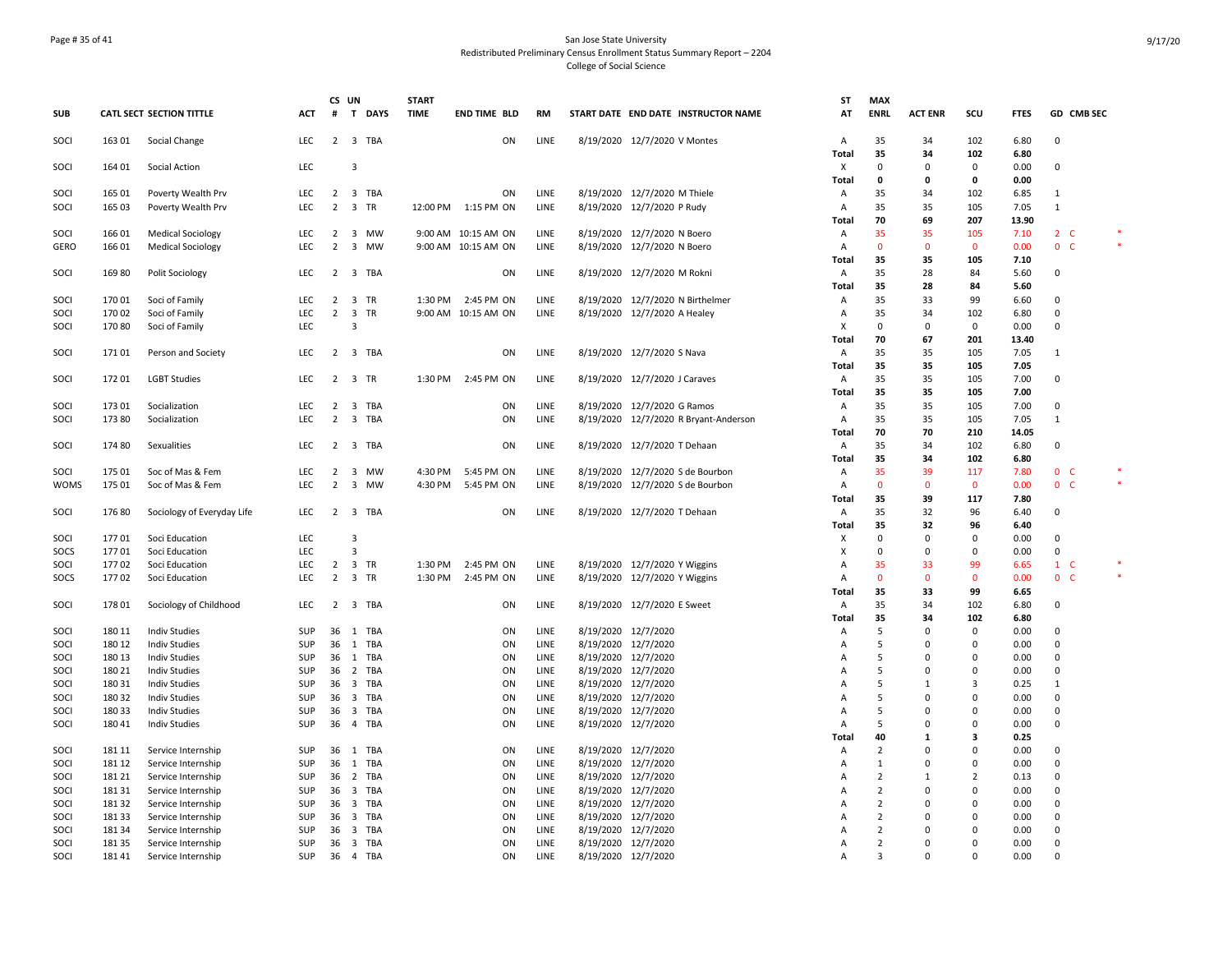## Page # 35 of 41 San Jose State University Redistributed Preliminary Census Enrollment Status Summary Report – 2204 College of Social Science

|             |        |                                 |            |                | CS UN          | <b>START</b>        |                     |      |                     |                                       | ST                | <b>MAX</b>         |                |                   |              |                    |  |
|-------------|--------|---------------------------------|------------|----------------|----------------|---------------------|---------------------|------|---------------------|---------------------------------------|-------------------|--------------------|----------------|-------------------|--------------|--------------------|--|
| <b>SUB</b>  |        | <b>CATL SECT SECTION TITTLE</b> | <b>ACT</b> | #              | T DAYS         | <b>TIME</b>         | <b>END TIME BLD</b> | RM   |                     | START DATE END DATE INSTRUCTOR NAME   | AT                | <b>ENRL</b>        | <b>ACT ENR</b> | SCU               | <b>FTES</b>  | GD CMB SEC         |  |
| SOCI        | 163 01 | Social Change                   | <b>LEC</b> | $\overline{2}$ | 3 TBA          |                     | ON                  | LINE |                     | 8/19/2020 12/7/2020 V Montes          | Α                 | 35                 | 34             | 102               | 6.80         | $\Omega$           |  |
|             |        |                                 |            |                |                |                     |                     |      |                     |                                       | <b>Total</b>      | 35                 | 34             | 102               | 6.80         |                    |  |
| SOCI        | 164 01 | Social Action                   | LEC        |                | 3              |                     |                     |      |                     |                                       | x                 | 0<br>0             | 0<br>0         | 0<br>0            | 0.00<br>0.00 | $\mathbf 0$        |  |
| SOCI        | 165 01 | Poverty Wealth Prv              | LEC        | $\overline{2}$ | 3 TBA          |                     | ON                  | LINE |                     | 8/19/2020 12/7/2020 M Thiele          | <b>Total</b><br>Α | 35                 | 34             | 102               | 6.85         | 1                  |  |
| SOCI        | 165 03 | Poverty Wealth Prv              | LEC        |                | 2 3 TR         | 12:00 PM 1:15 PM ON |                     | LINE |                     | 8/19/2020 12/7/2020 P Rudy            | Α                 | 35                 | 35             | 105               | 7.05         | $\mathbf{1}$       |  |
|             |        |                                 |            |                |                |                     |                     |      |                     |                                       | Total             | 70                 | 69             | 207               | 13.90        |                    |  |
| SOCI        | 166 01 | <b>Medical Sociology</b>        | LEC        | 2              | 3 MW           |                     | 9:00 AM 10:15 AM ON | LINE |                     | 8/19/2020 12/7/2020 N Boero           | Α                 | 35                 | 35             | 105               | 7.10         | $2\degree$ C       |  |
| <b>GERO</b> | 16601  | <b>Medical Sociology</b>        | LEC        | $\overline{2}$ | 3 MW           |                     | 9:00 AM 10:15 AM ON | LINE |                     | 8/19/2020 12/7/2020 N Boero           | Α                 | $\mathbf{0}$       | $\overline{0}$ | $\mathbf{0}$      | 0.00         | 0 <sub>c</sub>     |  |
|             |        |                                 |            |                |                |                     |                     |      |                     |                                       | Total             | 35                 | 35             | 105               | 7.10         |                    |  |
| SOCI        | 16980  | Polit Sociology                 | <b>LEC</b> | 2              | 3 TBA          |                     | ON                  | LINE |                     | 8/19/2020 12/7/2020 M Rokni           | $\overline{A}$    | 35                 | 28             | 84                | 5.60         | $\mathsf 0$        |  |
|             |        |                                 |            |                |                |                     |                     |      |                     |                                       | Total             | 35                 | 28             | 84                | 5.60         |                    |  |
| SOCI        | 17001  | Soci of Family                  | LEC        | 2              | 3 TR           |                     | 1:30 PM 2:45 PM ON  | LINE |                     | 8/19/2020 12/7/2020 N Birthelmer      | Α                 | 35                 | 33             | 99                | 6.60         | $\mathbf 0$        |  |
| SOCI        | 17002  | Soci of Family                  | LEC        | $\overline{2}$ | 3 TR           |                     | 9:00 AM 10:15 AM ON | LINE |                     | 8/19/2020 12/7/2020 A Healey          | Α                 | 35                 | 34             | 102               | 6.80         | 0                  |  |
| SOCI        | 17080  | Soci of Family                  | LEC        |                | $\overline{3}$ |                     |                     |      |                     |                                       | Х                 | 0                  | $\mathbf 0$    | 0                 | 0.00         | 0                  |  |
|             |        |                                 |            |                |                |                     |                     |      |                     |                                       | <b>Total</b>      | 70                 | 67             | 201               | 13.40        |                    |  |
| SOCI        | 17101  | Person and Society              | <b>LEC</b> |                | 2 3 TBA        |                     | ON                  | LINE |                     | 8/19/2020 12/7/2020 S Nava            | Α                 | 35                 | 35             | 105               | 7.05         | $\mathbf{1}$       |  |
|             |        |                                 |            |                |                |                     |                     |      |                     |                                       | Total             | 35                 | 35             | 105               | 7.05         |                    |  |
| SOCI        | 17201  | <b>LGBT Studies</b>             | <b>LEC</b> | $\overline{2}$ | 3 TR           | 1:30 PM             | 2:45 PM ON          | LINE |                     | 8/19/2020 12/7/2020 J Caraves         | Α                 | 35                 | 35             | 105               | 7.00         | $\mathbf 0$        |  |
|             |        |                                 |            |                |                |                     |                     |      |                     |                                       | <b>Total</b>      | 35                 | 35             | 105               | 7.00         |                    |  |
| SOCI        | 173 01 | Socialization                   | LEC        | $\overline{2}$ | 3 TBA          |                     | ON                  | LINE |                     | 8/19/2020 12/7/2020 G Ramos           | Α                 | 35                 | 35             | 105               | 7.00         | $\mathbf 0$        |  |
| SOCI        | 173 80 | Socialization                   | LEC        | $\overline{2}$ | 3 TBA          |                     | ON                  | LINE |                     | 8/19/2020 12/7/2020 R Bryant-Anderson | Α                 | 35                 | 35             | 105               | 7.05         | $\mathbf{1}$       |  |
|             |        |                                 |            |                |                |                     |                     |      |                     |                                       | Total             | 70                 | 70             | 210               | 14.05        |                    |  |
| SOCI        | 174 80 | Sexualities                     | <b>LEC</b> |                | 2 3 TBA        |                     | ON                  | LINE |                     | 8/19/2020 12/7/2020 T Dehaan          | A                 | 35                 | 34             | 102               | 6.80         | $\mathbf 0$        |  |
|             |        |                                 |            |                |                |                     |                     |      |                     |                                       | Total             | 35                 | 34             | 102               | 6.80         |                    |  |
| SOCI        | 17501  | Soc of Mas & Fem                | <b>LEC</b> | 2              | 3 MW           | 4:30 PM             | 5:45 PM ON          | LINE |                     | 8/19/2020 12/7/2020 S de Bourbon      | $\overline{A}$    | 35                 | 39             | 117               | 7.80         | 0 <sup>o</sup>     |  |
| <b>WOMS</b> | 175 01 | Soc of Mas & Fem                | LEC        | $\overline{2}$ | 3 MW           | 4:30 PM             | 5:45 PM ON          | LINE |                     | 8/19/2020 12/7/2020 S de Bourbon      | Α                 | $\Omega$           | $\mathbf 0$    | $\mathbf 0$       | 0.00         | 0 <sub>c</sub>     |  |
|             |        |                                 |            |                |                |                     |                     |      |                     |                                       | <b>Total</b>      | 35                 | 39             | 117               | 7.80         |                    |  |
| SOCI        | 17680  | Sociology of Everyday Life      | LEC        |                | 2 3 TBA        |                     | ON                  | LINE |                     | 8/19/2020 12/7/2020 T Dehaan          | Α                 | 35                 | 32             | 96                | 6.40         | 0                  |  |
|             |        |                                 |            |                |                |                     |                     |      |                     |                                       | Total             | 35                 | 32             | 96                | 6.40         |                    |  |
| SOCI        | 17701  | Soci Education                  | LEC        |                | $\overline{3}$ |                     |                     |      |                     |                                       | х                 | $\Omega$           | $\mathbf 0$    | $\Omega$          | 0.00         | $\mathbf 0$        |  |
| SOCS        | 17701  | Soci Education                  | LEC        |                | $\mathsf 3$    |                     |                     |      |                     |                                       | х                 | $\Omega$           | $\mathbf 0$    | 0                 | 0.00         | $\mathbf 0$        |  |
| SOCI        | 17702  | Soci Education                  | LEC        | $\overline{2}$ | 3 TR           | 1:30 PM             | 2:45 PM ON          | LINE |                     | 8/19/2020 12/7/2020 Y Wiggins         | Α                 | 35                 | 33             | 99                | 6.65         | $\mathbf{1}$<br>-C |  |
| SOCS        | 17702  | Soci Education                  | <b>LEC</b> |                | 2 3 TR         | 1:30 PM             | 2:45 PM ON          | LINE |                     | 8/19/2020 12/7/2020 Y Wiggins         | $\overline{A}$    | $\mathbf{0}$<br>35 | $\overline{0}$ | $\mathbf 0$<br>99 | 0.00         | $\mathbf{0}$<br>-C |  |
| SOCI        | 178 01 | Sociology of Childhood          | LEC        | 2              | 3 TBA          |                     | ON                  | LINE |                     | 8/19/2020 12/7/2020 E Sweet           | <b>Total</b><br>Α | 35                 | 33<br>34       | 102               | 6.65<br>6.80 | $\mathbf 0$        |  |
|             |        |                                 |            |                |                |                     |                     |      |                     |                                       |                   | 35                 | 34             | 102               | 6.80         |                    |  |
| SOCI        | 180 11 | <b>Indiv Studies</b>            | SUP        |                | 36 1 TBA       |                     | ON                  | LINE | 8/19/2020 12/7/2020 |                                       | Total<br>Α        | 5                  | $\mathbf 0$    | 0                 | 0.00         | $\overline{0}$     |  |
| SOCI        | 180 12 | <b>Indiv Studies</b>            | SUP        |                | 36 1 TBA       |                     | ON                  | LINE | 8/19/2020 12/7/2020 |                                       | Α                 | 5                  | $\mathbf 0$    | $\mathbf 0$       | 0.00         | $\mathsf 0$        |  |
| SOCI        | 180 13 | <b>Indiv Studies</b>            | SUP        | 36             | 1 TBA          |                     | ON                  | LINE | 8/19/2020 12/7/2020 |                                       | Α                 | 5                  | 0              | 0                 | 0.00         | 0                  |  |
| SOCI        | 180 21 | <b>Indiv Studies</b>            | SUP        |                | 36 2 TBA       |                     | ON                  | LINE | 8/19/2020 12/7/2020 |                                       | $\overline{A}$    | .5                 | $\mathbf 0$    | $\Omega$          | 0.00         | $\mathbf 0$        |  |
| SOCI        | 180 31 | <b>Indiv Studies</b>            | SUP        |                | 36 3 TBA       |                     | ON                  | LINE | 8/19/2020 12/7/2020 |                                       | $\overline{A}$    | .5                 | 1              | 3                 | 0.25         | 1                  |  |
| SOCI        | 180 32 | <b>Indiv Studies</b>            | SUP        | 36             | 3 TBA          |                     | ON                  | LINE | 8/19/2020 12/7/2020 |                                       | Α                 | .5                 | $\mathbf 0$    | 0                 | 0.00         | $\mathsf 0$        |  |
| SOCI        | 18033  | <b>Indiv Studies</b>            | SUP        | 36             | 3 TBA          |                     | ON                  | LINE | 8/19/2020 12/7/2020 |                                       | A                 | 5                  | $\mathbf 0$    | $\mathbf 0$       | 0.00         | $\mathsf 0$        |  |
| SOCI        | 18041  | <b>Indiv Studies</b>            | SUP        |                | 36  4  TBA     |                     | ON                  | LINE | 8/19/2020 12/7/2020 |                                       | A                 | 5                  | 0              | $\mathbf 0$       | 0.00         | 0                  |  |
|             |        |                                 |            |                |                |                     |                     |      |                     |                                       | Total             | 40                 | 1              | 3                 | 0.25         |                    |  |
| SOCI        | 181 11 | Service Internship              | <b>SUP</b> | 36             | 1 TBA          |                     | ON                  | LINE | 8/19/2020 12/7/2020 |                                       | Α                 | $\overline{2}$     | $\mathbf 0$    | $\Omega$          | 0.00         | $\overline{0}$     |  |
| SOCI        | 181 12 | Service Internship              | SUP        | 36             | 1 TBA          |                     | ON                  | LINE |                     | 8/19/2020 12/7/2020                   | Α                 | $\mathbf{1}$       | $\Omega$       | $\Omega$          | 0.00         | 0                  |  |
| SOCI        | 181 21 | Service Internship              | SUP        |                | 36 2 TBA       |                     | ON                  | LINE | 8/19/2020 12/7/2020 |                                       | $\overline{A}$    | $\overline{2}$     | 1              | $\overline{2}$    | 0.13         | $\mathbf 0$        |  |
| SOCI        | 18131  | Service Internship              | <b>SUP</b> | 36             | 3 TBA          |                     | ON                  | LINE | 8/19/2020 12/7/2020 |                                       | Α                 | $\overline{2}$     | 0              | 0                 | 0.00         | 0                  |  |
| SOCI        | 18132  | Service Internship              | SUP        | 36             | 3 TBA          |                     | ON                  | LINE | 8/19/2020 12/7/2020 |                                       | $\overline{A}$    | $\overline{2}$     | $\mathbf 0$    | 0                 | 0.00         | $\mathbf 0$        |  |
| SOCI        | 181 33 | Service Internship              | SUP        | 36             | 3 TBA          |                     | ON                  | LINE | 8/19/2020 12/7/2020 |                                       | A                 | $\overline{2}$     | $\mathbf 0$    | $\mathbf 0$       | 0.00         | $\mathbf 0$        |  |
| SOCI        | 181 34 | Service Internship              | <b>SUP</b> | 36             | 3 TBA          |                     | ON                  | LINE | 8/19/2020 12/7/2020 |                                       | A                 | $\overline{2}$     | $\mathbf 0$    | $\Omega$          | 0.00         | $\mathbf 0$        |  |
| SOCI        | 18135  | Service Internship              | SUP        | 36             | 3 TBA          |                     | ON                  | LINE | 8/19/2020 12/7/2020 |                                       | Α                 | $\overline{2}$     | $\mathbf 0$    | $\mathbf 0$       | 0.00         | $\mathsf 0$        |  |
| SOCI        | 18141  | Service Internship              | SUP        |                | 36  4  TBA     |                     | ON                  | LINE | 8/19/2020 12/7/2020 |                                       | $\overline{A}$    | 3                  | $\Omega$       | $\Omega$          | 0.00         | $\Omega$           |  |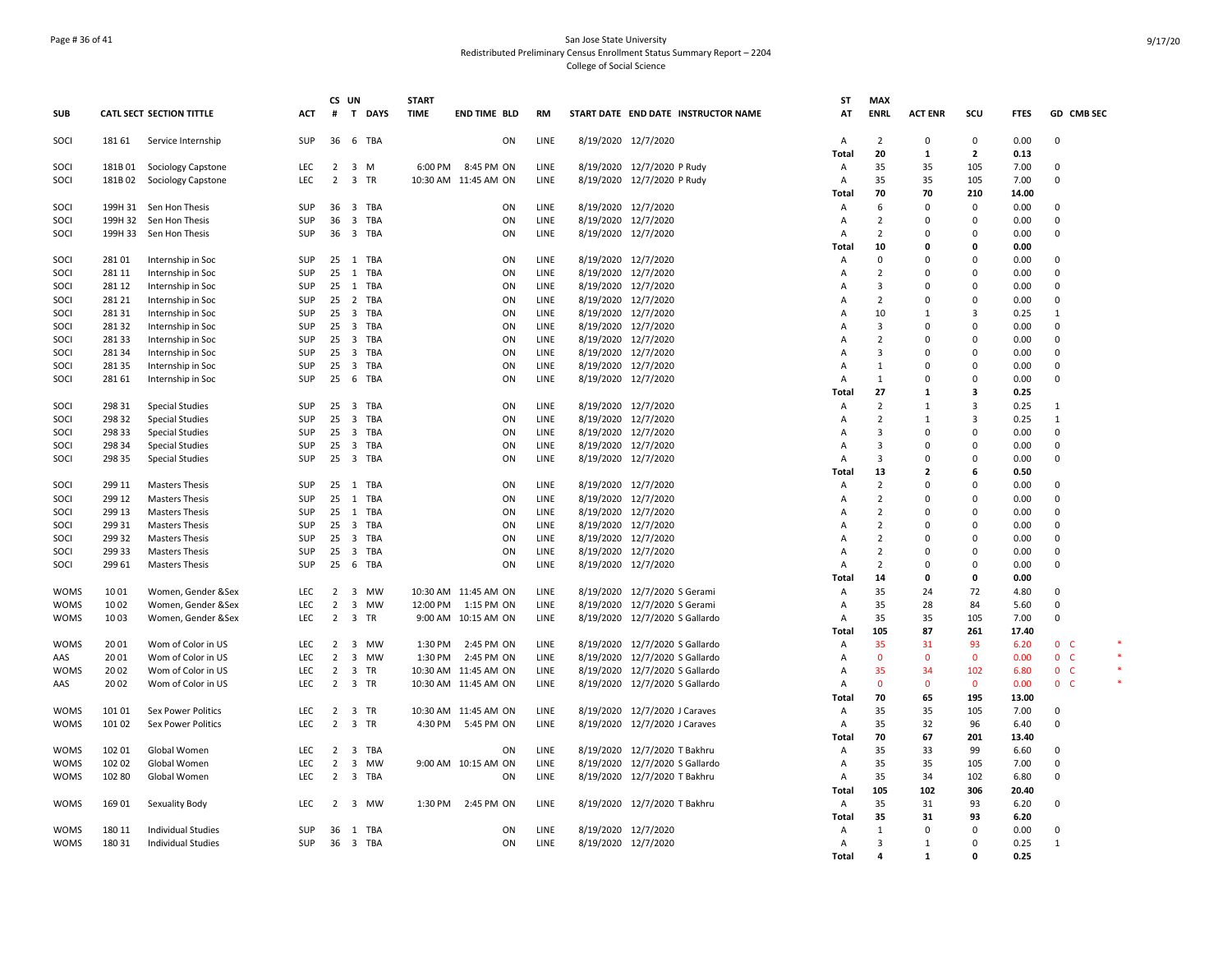## Page # 36 of 41 San Jose State University Redistributed Preliminary Census Enrollment Status Summary Report – 2204 College of Social Science

|              |                  |                                                |            | CS UN          |                         |                   | <b>START</b> |                      |              |                                            |                                     | ST                      | <b>MAX</b>                       |                      |                      |              |                      |  |
|--------------|------------------|------------------------------------------------|------------|----------------|-------------------------|-------------------|--------------|----------------------|--------------|--------------------------------------------|-------------------------------------|-------------------------|----------------------------------|----------------------|----------------------|--------------|----------------------|--|
| <b>SUB</b>   |                  | <b>CATL SECT SECTION TITTLE</b>                | <b>ACT</b> | #              |                         | T DAYS            | <b>TIME</b>  | <b>END TIME BLD</b>  | RM           |                                            | START DATE END DATE INSTRUCTOR NAME | AT                      | <b>ENRL</b>                      | <b>ACT ENR</b>       | scu                  | <b>FTES</b>  | GD CMB SEC           |  |
| SOCI         | 181 61           | Service Internship                             | SUP        | 36             |                         | 6 TBA             |              | ON                   | LINE         | 8/19/2020 12/7/2020                        |                                     | Α                       | $\overline{2}$                   | $\Omega$             | $\mathbf 0$          | 0.00         | $\mathbf 0$          |  |
|              |                  |                                                |            |                |                         |                   |              |                      |              |                                            |                                     | <b>Total</b>            | 20                               | $\mathbf{1}$         | $\overline{2}$       | 0.13         |                      |  |
| SOCI         | 181B01           | Sociology Capstone                             | <b>LEC</b> | $\overline{2}$ | 3 M                     |                   | 6:00 PM      | 8:45 PM ON           | LINE         |                                            | 8/19/2020 12/7/2020 P Rudy          | Α                       | 35                               | 35                   | 105                  | 7.00         | $\Omega$             |  |
| SOCI         | 181B02           | Sociology Capstone                             | LEC        | $\overline{2}$ | 3 TR                    |                   |              | 10:30 AM 11:45 AM ON | LINE         |                                            | 8/19/2020 12/7/2020 P Rudy          | A                       | 35                               | 35                   | 105                  | 7.00         | $\mathbf 0$          |  |
|              |                  |                                                |            |                |                         |                   |              |                      |              |                                            |                                     | Total                   | 70                               | 70                   | 210                  | 14.00        |                      |  |
| SOCI         |                  | 199H 31 Sen Hon Thesis                         | SUP        | 36             |                         | 3 TBA             |              | ON                   | LINE         | 8/19/2020 12/7/2020                        |                                     | A                       | 6                                | $\Omega$             | $\mathbf 0$          | 0.00         | 0                    |  |
| SOCI         |                  | 199H 32 Sen Hon Thesis                         | <b>SUP</b> | 36             |                         | 3 TBA             |              | ON                   | LINE         | 8/19/2020 12/7/2020                        |                                     | A                       | $\overline{2}$<br>$\overline{2}$ | $\Omega$             | $\mathbf 0$          | 0.00         | $\Omega$             |  |
| SOCI         | 199H 33          | Sen Hon Thesis                                 | <b>SUP</b> | 36             |                         | 3 TBA             |              | ON                   | LINE         | 8/19/2020 12/7/2020                        |                                     | $\overline{A}$<br>Total | 10                               | 0<br>n               | $\Omega$<br>0        | 0.00<br>0.00 | $\Omega$             |  |
| SOCI         | 28101            | Internship in Soc                              | SUP        |                |                         | 25 1 TBA          |              | ON                   | LINE         | 8/19/2020 12/7/2020                        |                                     | $\overline{A}$          | 0                                | ŋ                    | $\Omega$             | 0.00         | $\Omega$             |  |
| SOCI         | 281 11           | Internship in Soc                              | SUP        | 25             |                         | 1 TBA             |              | ON                   | LINE         | 8/19/2020 12/7/2020                        |                                     | Α                       | $\overline{2}$                   | $\Omega$             | $\Omega$             | 0.00         | 0                    |  |
| SOCI         | 281 12           | Internship in Soc                              | <b>SUP</b> |                |                         | 25 1 TBA          |              | ON                   | LINE         | 8/19/2020 12/7/2020                        |                                     | A                       | $\overline{3}$                   | $\Omega$             | $\mathbf 0$          | 0.00         | $\Omega$             |  |
| SOCI         | 281 21           | Internship in Soc                              | SUP        | 25             |                         | 2 TBA             |              | ON                   | LINE         | 8/19/2020 12/7/2020                        |                                     | A                       | $\overline{2}$                   | 0                    | $\mathbf 0$          | 0.00         | 0                    |  |
| SOCI         | 281 31           | Internship in Soc                              | SUP        | 25 3 TBA       |                         |                   |              | ON                   | LINE         | 8/19/2020 12/7/2020                        |                                     | A                       | 10                               | 1                    | 3                    | 0.25         | 1                    |  |
| SOCI         | 281 32           | Internship in Soc                              | SUP        | 25             |                         | 3 TBA             |              | ON                   | LINE         | 8/19/2020 12/7/2020                        |                                     | A                       | 3                                | 0                    | 0                    | 0.00         | 0                    |  |
| SOCI         | 281 33           | Internship in Soc                              | <b>SUP</b> | 25 3 TBA       |                         |                   |              | ON                   | LINE         | 8/19/2020 12/7/2020                        |                                     | A                       | $\overline{2}$                   | C                    | $\Omega$             | 0.00         | $\Omega$             |  |
| SOCI         | 281 34           | Internship in Soc                              | <b>SUP</b> |                |                         | 25 3 TBA          |              | ON                   | LINE         | 8/19/2020 12/7/2020                        |                                     | A                       | 3                                | $\Omega$             | $\Omega$             | 0.00         | $\Omega$             |  |
| SOCI         | 28135            | Internship in Soc                              | SUP        | 25             |                         | 3 TBA             |              | ON                   | LINE         | 8/19/2020 12/7/2020                        |                                     | A                       | 1                                | $\Omega$             | $\Omega$             | 0.00         | $\Omega$             |  |
| SOCI         | 281 61           | Internship in Soc                              | SUP        | 25             | 6                       | TBA               |              | ON                   | LINE         | 8/19/2020 12/7/2020                        |                                     | $\overline{A}$          | $\mathbf{1}$                     | $\Omega$             | $\mathbf 0$          | 0.00         | $\mathbf 0$          |  |
|              |                  |                                                |            |                |                         |                   |              |                      |              |                                            |                                     | Total                   | 27                               | 1                    | 3                    | 0.25         |                      |  |
| SOCI         | 298 31           | <b>Special Studies</b>                         | SUP        | 25 3 TBA       |                         |                   |              | ON                   | LINE         | 8/19/2020 12/7/2020                        |                                     | A                       | $\overline{2}$                   | 1                    | 3                    | 0.25         | 1                    |  |
| SOCI         | 298 32           | <b>Special Studies</b>                         | SUP        | 25             | $\overline{\mathbf{3}}$ | TBA               |              | ON                   | LINE         | 8/19/2020 12/7/2020                        |                                     | Α                       | $\overline{2}$                   | $\mathbf{1}$         | 3                    | 0.25         | 1                    |  |
| SOCI         | 298 33           | <b>Special Studies</b>                         | <b>SUP</b> |                |                         | 25 3 TBA          |              | ON                   | LINE         | 8/19/2020 12/7/2020                        |                                     | $\overline{A}$          | 3                                | $\Omega$             | $\Omega$             | 0.00         | $\Omega$             |  |
| SOCI         | 298 34           | <b>Special Studies</b>                         | SUP        | 25             |                         | 3 TBA             |              | ON                   | LINE         | 8/19/2020 12/7/2020                        |                                     | A                       | 3                                | $\Omega$             | $\Omega$             | 0.00         | $\Omega$             |  |
| SOCI         | 298 35           | <b>Special Studies</b>                         | SUP        | 25             |                         | 3 TBA             |              | ON                   | LINE         | 8/19/2020 12/7/2020                        |                                     | A                       | 3                                | $\Omega$             | $\Omega$             | 0.00         | $\Omega$             |  |
|              |                  |                                                |            |                |                         |                   |              |                      |              |                                            |                                     | Total                   | 13                               | $\overline{2}$       | 6                    | 0.50         |                      |  |
| SOCI         | 299 11           | <b>Masters Thesis</b>                          | SUP        | 25 1 TBA       |                         |                   |              | ON                   | LINE         | 8/19/2020 12/7/2020                        |                                     | Α                       | $\overline{2}$                   | ŋ                    | $\mathbf 0$          | 0.00         | 0                    |  |
| SOCI         | 299 12           | <b>Masters Thesis</b>                          | SUP        | 25 1 TBA       |                         |                   |              | ON                   | LINE         | 8/19/2020 12/7/2020                        |                                     | A                       | $\overline{2}$                   | 0                    | $\mathbf 0$          | 0.00         | $\mathbf 0$          |  |
| SOCI         | 299 13           | <b>Masters Thesis</b>                          | <b>SUP</b> | 25             |                         | 1 TBA             |              | ON                   | LINE         | 8/19/2020 12/7/2020                        |                                     | A                       | $\overline{2}$                   | 0                    | 0                    | 0.00         | 0                    |  |
| SOCI         | 299 31<br>299 32 | <b>Masters Thesis</b>                          | SUP<br>SUP | 25 3 TBA       |                         |                   |              | ON                   | LINE         | 8/19/2020 12/7/2020                        |                                     | $\overline{A}$          | $\overline{2}$<br>$\overline{2}$ | $\Omega$<br>$\Omega$ | $\Omega$<br>$\Omega$ | 0.00         | $\Omega$<br>$\Omega$ |  |
| SOCI<br>SOCI | 299 33           | <b>Masters Thesis</b><br><b>Masters Thesis</b> | SUP        | 25             |                         | 25 3 TBA<br>3 TBA |              | ON<br>ON             | LINE<br>LINE | 8/19/2020 12/7/2020<br>8/19/2020 12/7/2020 |                                     | A<br>A                  | $\overline{2}$                   | $\Omega$             | $\mathbf 0$          | 0.00<br>0.00 | $\mathbf 0$          |  |
| SOCI         | 299 61           | <b>Masters Thesis</b>                          | SUP        | 25             | - 6                     | TBA               |              | ON                   | LINE         | 8/19/2020 12/7/2020                        |                                     | A                       | $\overline{2}$                   | $\Omega$             | $\Omega$             | 0.00         | $\Omega$             |  |
|              |                  |                                                |            |                |                         |                   |              |                      |              |                                            |                                     | <b>Total</b>            | 14                               | 0                    | 0                    | 0.00         |                      |  |
| <b>WOMS</b>  | 1001             | Women, Gender &Sex                             | LEC        |                |                         | 2 3 MW            |              | 10:30 AM 11:45 AM ON | LINE         |                                            | 8/19/2020 12/7/2020 S Gerami        | Α                       | 35                               | 24                   | 72                   | 4.80         | $\mathbf 0$          |  |
| <b>WOMS</b>  | 1002             | Women, Gender &Sex                             | LEC        | $\overline{2}$ |                         | 3 MW              |              | 12:00 PM 1:15 PM ON  | LINE         |                                            | 8/19/2020 12/7/2020 S Gerami        | A                       | 35                               | 28                   | 84                   | 5.60         | 0                    |  |
| <b>WOMS</b>  | 1003             | Women, Gender &Sex                             | LEC        | $\overline{2}$ | 3 TR                    |                   |              | 9:00 AM 10:15 AM ON  | LINE         |                                            | 8/19/2020 12/7/2020 S Gallardo      | $\overline{A}$          | 35                               | 35                   | 105                  | 7.00         | $\Omega$             |  |
|              |                  |                                                |            |                |                         |                   |              |                      |              |                                            |                                     | <b>Total</b>            | 105                              | 87                   | 261                  | 17.40        |                      |  |
| <b>WOMS</b>  | 2001             | Wom of Color in US                             | <b>LEC</b> | 2              |                         | 3 MW              | 1:30 PM      | 2:45 PM ON           | LINE         |                                            | 8/19/2020 12/7/2020 S Gallardo      | Α                       | 35                               | 31                   | 93                   | 6.20         | 0 <sub>c</sub>       |  |
| AAS          | 2001             | Wom of Color in US                             | <b>LEC</b> | $\overline{2}$ |                         | 3 MW              | 1:30 PM      | 2:45 PM ON           | LINE         |                                            | 8/19/2020 12/7/2020 S Gallardo      | $\overline{A}$          | $\mathbf{0}$                     | $\mathbf{0}$         | $\mathbf 0$          | 0.00         | 0 <sub>c</sub>       |  |
| <b>WOMS</b>  | 2002             | Wom of Color in US                             | LEC        | $\overline{2}$ | 3 TR                    |                   |              | 10:30 AM 11:45 AM ON | LINE         |                                            | 8/19/2020 12/7/2020 S Gallardo      | A                       | 35                               | 34                   | 102                  | 6.80         | 0 <sub>c</sub>       |  |
| AAS          | 2002             | Wom of Color in US                             | <b>LEC</b> | $\overline{2}$ | 3 TR                    |                   |              | 10:30 AM 11:45 AM ON | LINE         |                                            | 8/19/2020 12/7/2020 S Gallardo      | $\overline{A}$          | $\mathbf{0}$                     | $\Omega$             | $\mathbf{0}$         | 0.00         | 0 <sub>c</sub>       |  |
|              |                  |                                                |            |                |                         |                   |              |                      |              |                                            |                                     | Total                   | 70                               | 65                   | 195                  | 13.00        |                      |  |
| <b>WOMS</b>  | 101 01           | <b>Sex Power Politics</b>                      | LEC        | $\overline{2}$ | 3 TR                    |                   |              | 10:30 AM 11:45 AM ON | LINE         |                                            | 8/19/2020 12/7/2020 J Caraves       | A                       | 35                               | 35                   | 105                  | 7.00         | $\Omega$             |  |
| <b>WOMS</b>  | 101 02           | Sex Power Politics                             | LEC        | 2 3 TR         |                         |                   |              | 4:30 PM 5:45 PM ON   | LINE         |                                            | 8/19/2020 12/7/2020 J Caraves       | Α                       | 35                               | 32                   | 96                   | 6.40         | $\Omega$             |  |
|              |                  |                                                |            |                |                         |                   |              |                      |              |                                            |                                     | Total                   | 70                               | 67                   | 201                  | 13.40        |                      |  |
| <b>WOMS</b>  | 102 01           | Global Women                                   | LEC        |                |                         | 2 3 TBA           |              | ON                   | LINE         |                                            | 8/19/2020 12/7/2020 T Bakhru        | Α                       | 35                               | 33                   | 99                   | 6.60         | 0                    |  |
| <b>WOMS</b>  | 102 02           | Global Women                                   | LEC        | $\overline{2}$ |                         | 3 MW              |              | 9:00 AM 10:15 AM ON  | LINE         |                                            | 8/19/2020 12/7/2020 S Gallardo      | Α                       | 35                               | 35                   | 105                  | 7.00         | $\Omega$             |  |
| <b>WOMS</b>  | 102 80           | Global Women                                   | <b>LEC</b> | $\overline{2}$ |                         | 3 TBA             |              | ON                   | LINE         |                                            | 8/19/2020 12/7/2020 T Bakhru        | $\overline{A}$          | 35                               | 34                   | 102                  | 6.80         | $\Omega$             |  |
|              |                  |                                                |            |                |                         |                   |              |                      |              |                                            |                                     | <b>Total</b>            | 105                              | 102                  | 306                  | 20.40        | $\Omega$             |  |
| <b>WOMS</b>  | 169 01           | Sexuality Body                                 | <b>LEC</b> |                |                         | 2 3 MW            |              | 1:30 PM 2:45 PM ON   | LINE         |                                            | 8/19/2020 12/7/2020 T Bakhru        | A                       | 35                               | 31                   | 93                   | 6.20         |                      |  |
| <b>WOMS</b>  | 180 11           | Individual Studies                             | SUP        | 36             | 1                       | TBA               |              | ON                   | LINE         | 8/19/2020 12/7/2020                        |                                     | <b>Total</b><br>Α       | 35<br>$\mathbf{1}$               | 31<br>$\Omega$       | 93<br>$\mathbf 0$    | 6.20<br>0.00 | $\Omega$             |  |
| <b>WOMS</b>  | 180 31           | <b>Individual Studies</b>                      | SUP        |                |                         | 36 3 TBA          |              | ON                   | LINE         | 8/19/2020 12/7/2020                        |                                     | Α                       | 3                                | $\mathbf{1}$         | $\Omega$             | 0.25         | 1                    |  |
|              |                  |                                                |            |                |                         |                   |              |                      |              |                                            |                                     | <b>Total</b>            | 4                                | $\mathbf{1}$         | $\Omega$             | 0.25         |                      |  |
|              |                  |                                                |            |                |                         |                   |              |                      |              |                                            |                                     |                         |                                  |                      |                      |              |                      |  |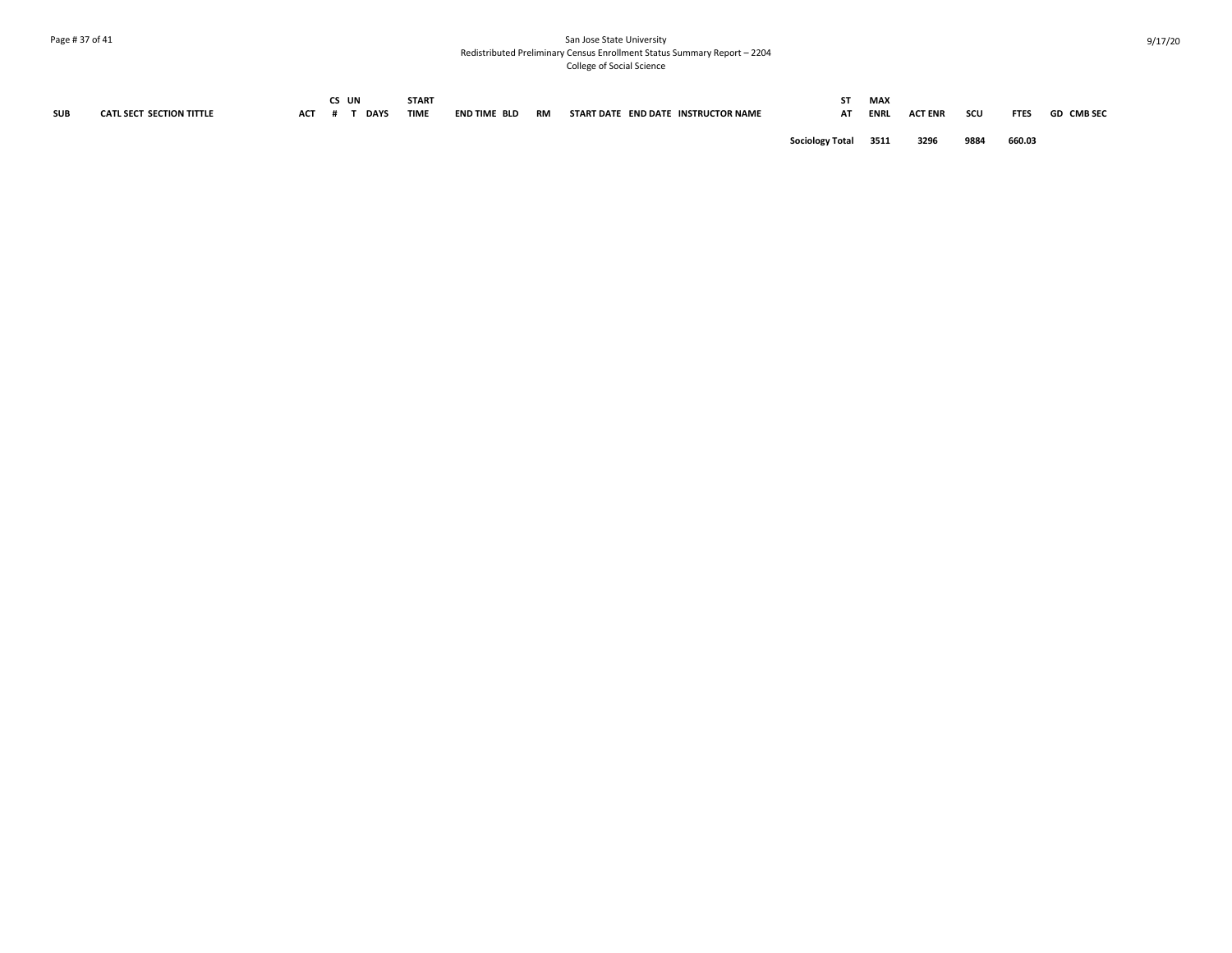## Page # 37 of 41 San Jose State University Redistributed Preliminary Census Enrollment Status Summary Report – 2204 College of Social Science

| <b>SUB</b> | <b>CATL SECT SECTION TITTLE</b> | <b>ACT</b> | CS UN | <b>DAYS</b> | <b>START</b><br><b>TIME</b> | END TIME BLD | RM | START DATE END DATE INSTRUCTOR NAME | SТ<br>АT               | <b>MAX</b><br><b>ENRL</b> | <b>ACT ENR</b> | scu  | <b>FTES</b> | <b>GD CMB SEC</b> |
|------------|---------------------------------|------------|-------|-------------|-----------------------------|--------------|----|-------------------------------------|------------------------|---------------------------|----------------|------|-------------|-------------------|
|            |                                 |            |       |             |                             |              |    |                                     | <b>Sociology Total</b> | 3511                      | 3296           | 9884 | 660.03      |                   |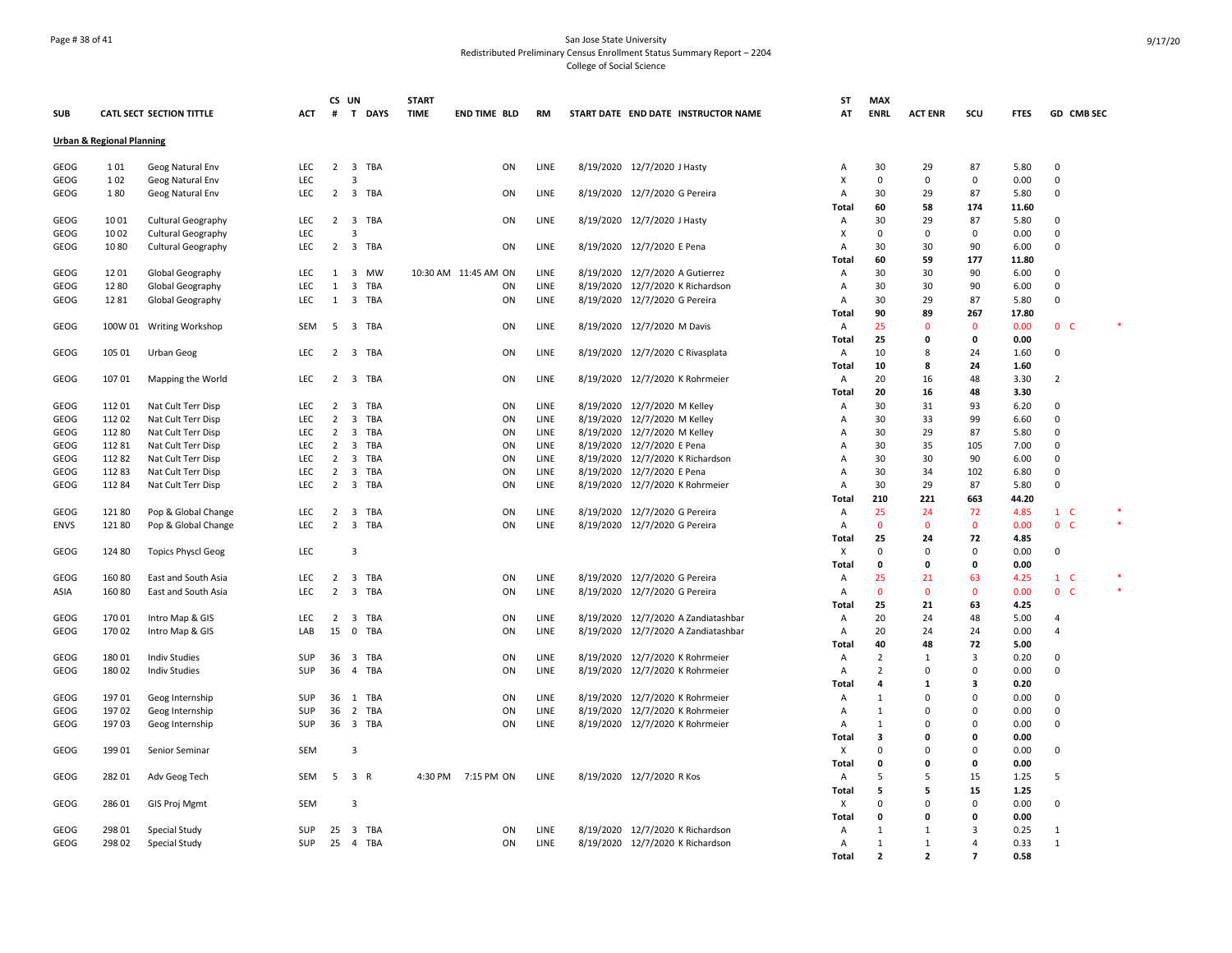## Page # 38 of 41 San Jose State University Redistributed Preliminary Census Enrollment Status Summary Report – 2204 College of Social Science

|              |                                      |                                 |            |                | CS UN                   |          | <b>START</b> |                      |           |                                     | SΤ                | <b>MAX</b>        |                   |                   |              |                   |  |
|--------------|--------------------------------------|---------------------------------|------------|----------------|-------------------------|----------|--------------|----------------------|-----------|-------------------------------------|-------------------|-------------------|-------------------|-------------------|--------------|-------------------|--|
| <b>SUB</b>   |                                      | <b>CATL SECT SECTION TITTLE</b> | <b>ACT</b> | #              |                         | T DAYS   | <b>TIME</b>  | <b>END TIME BLD</b>  | <b>RM</b> | START DATE END DATE INSTRUCTOR NAME | AT                | <b>ENRL</b>       | <b>ACT ENR</b>    | scu               | <b>FTES</b>  | <b>GD CMB SEC</b> |  |
|              | <b>Urban &amp; Regional Planning</b> |                                 |            |                |                         |          |              |                      |           |                                     |                   |                   |                   |                   |              |                   |  |
|              |                                      |                                 |            |                |                         |          |              |                      |           |                                     |                   |                   |                   |                   |              |                   |  |
| GEOG<br>GEOG | 101<br>102                           | Geog Natural Env                | LEC<br>LEC |                | $\overline{\mathbf{3}}$ | 2 3 TBA  |              | ON                   | LINE      | 8/19/2020 12/7/2020 J Hasty         | Α<br>X            | 30<br>$\mathbf 0$ | 29<br>$\mathbf 0$ | 87<br>$\mathsf 0$ | 5.80<br>0.00 | 0<br>$\pmb{0}$    |  |
|              |                                      | Geog Natural Env                |            |                |                         | 3 TBA    |              |                      |           |                                     |                   | 30                | 29                | 87                |              | $\pmb{0}$         |  |
| GEOG         | 180                                  | Geog Natural Env                | LEC        | $\overline{2}$ |                         |          |              | ON                   | LINE      | 8/19/2020 12/7/2020 G Pereira       | Α                 |                   |                   |                   | 5.80         |                   |  |
|              |                                      |                                 |            |                |                         |          |              |                      |           |                                     | Total             | 60<br>30          | 58                | 174               | 11.60        |                   |  |
| <b>GEOG</b>  | 1001                                 | <b>Cultural Geography</b>       | LEC<br>LEC | $\overline{2}$ | 3                       | 3 TBA    |              | ON                   | LINE      | 8/19/2020 12/7/2020 J Hasty         | Α<br>X            | $\mathbf 0$       | 29<br>$\Omega$    | 87<br>$^{\circ}$  | 5.80<br>0.00 | 0<br>$\mathbf 0$  |  |
| GEOG         | 1002                                 | <b>Cultural Geography</b>       |            |                |                         |          |              |                      |           |                                     |                   |                   |                   |                   |              | $\Omega$          |  |
| GEOG         | 1080                                 | <b>Cultural Geography</b>       | LEC        |                |                         | 2 3 TBA  |              | ON                   | LINE      | 8/19/2020 12/7/2020 E Pena          | А<br><b>Total</b> | 30<br>60          | 30<br>59          | 90                | 6.00         |                   |  |
|              |                                      |                                 |            |                |                         |          |              |                      |           |                                     |                   |                   |                   | 177               | 11.80        |                   |  |
| GEOG         | 1201                                 | Global Geography                | LEC        | 1              |                         | 3 MW     |              | 10:30 AM 11:45 AM ON | LINE      | 8/19/2020 12/7/2020 A Gutierrez     | Α                 | 30                | 30                | 90                | 6.00         | $\mathbf 0$       |  |
| GEOG         | 1280                                 | Global Geography                | LEC        | $\mathbf{1}$   |                         | 3 TBA    |              | ON                   | LINE      | 8/19/2020 12/7/2020 K Richardson    | Α                 | 30                | 30                | 90                | 6.00         | 0                 |  |
| <b>GEOG</b>  | 1281                                 | Global Geography                | LEC        |                |                         | 1 3 TBA  |              | ON                   | LINE      | 8/19/2020 12/7/2020 G Pereira       | Α                 | 30                | 29                | 87                | 5.80         | 0                 |  |
|              |                                      |                                 |            |                |                         |          |              |                      |           |                                     | <b>Total</b>      | 90                | 89<br>$\Omega$    | 267               | 17.80        |                   |  |
| GEOG         |                                      | 100W 01 Writing Workshop        | <b>SEM</b> | -5             |                         | 3 TBA    |              | ON                   | LINE      | 8/19/2020 12/7/2020 M Davis         | $\overline{A}$    | 25                | $\Omega$          | $\overline{0}$    | 0.00         | 0 <sub>c</sub>    |  |
|              |                                      |                                 |            |                |                         |          |              |                      |           |                                     | Total             | 25                |                   | $\mathbf 0$       | 0.00         |                   |  |
| GEOG         | 105 01                               | <b>Urban Geog</b>               | LEC        |                |                         | 2 3 TBA  |              | ON                   | LINE      | 8/19/2020 12/7/2020 C Rivasplata    | Α                 | 10                | 8                 | 24                | 1.60         | $\mathbf 0$       |  |
|              |                                      |                                 |            |                |                         |          |              |                      |           |                                     | Total             | 10                | 8                 | 24                | 1.60         |                   |  |
| GEOG         | 10701                                | Mapping the World               | LEC        | $\overline{2}$ |                         | 3 TBA    |              | ON                   | LINE      | 8/19/2020 12/7/2020 K Rohrmeier     | Α                 | 20                | 16                | 48                | 3.30         | $\overline{2}$    |  |
|              |                                      |                                 |            |                |                         |          |              |                      |           |                                     | <b>Total</b>      | 20                | 16                | 48                | 3.30         |                   |  |
| GEOG         | 11201                                | Nat Cult Terr Disp              | LEC        | $\overline{2}$ |                         | 3 TBA    |              | ON                   | LINE      | 8/19/2020 12/7/2020 M Kelley        | A                 | 30                | 31                | 93                | 6.20         | 0                 |  |
| GEOG         | 112 02                               | Nat Cult Terr Disp              | LEC        | $\overline{2}$ | $\overline{3}$          | TBA      |              | ON                   | LINE      | 8/19/2020 12/7/2020 M Kelley        | А                 | 30                | 33                | 99                | 6.60         | 0                 |  |
| <b>GEOG</b>  | 112 80                               | Nat Cult Terr Disp              | LEC        | $\overline{2}$ |                         | 3 TBA    |              | ON                   | LINE      | 8/19/2020 12/7/2020 M Kelley        | Α                 | 30                | 29                | 87                | 5.80         | 0                 |  |
| <b>GEOG</b>  | 112 81                               | Nat Cult Terr Disp              | LEC        | $\overline{2}$ |                         | 3 TBA    |              | ON                   | LINE      | 8/19/2020 12/7/2020 E Pena          | $\overline{A}$    | 30                | 35                | 105               | 7.00         | $\mathbf 0$       |  |
| GEOG         | 11282                                | Nat Cult Terr Disp              | LEC        | 2              |                         | 3 TBA    |              | ON                   | LINE      | 8/19/2020 12/7/2020 K Richardson    | А                 | 30                | 30                | 90                | 6.00         | 0                 |  |
| GEOG         | 11283                                | Nat Cult Terr Disp              | LEC        | $\overline{2}$ |                         | 3 TBA    |              | ON                   | LINE      | 8/19/2020 12/7/2020 E Pena          | A                 | 30                | 34                | 102               | 6.80         | $\mathbf 0$       |  |
| GEOG         | 112 84                               | Nat Cult Terr Disp              | LEC        | $\overline{2}$ |                         | 3 TBA    |              | ON                   | LINE      | 8/19/2020 12/7/2020 K Rohrmeier     | Α                 | 30                | 29                | 87                | 5.80         | $\pmb{0}$         |  |
|              |                                      |                                 |            |                |                         |          |              |                      |           |                                     | Total             | 210               | 221               | 663               | 44.20        |                   |  |
| <b>GEOG</b>  | 12180                                | Pop & Global Change             | LEC        | 2              |                         | 3 TBA    |              | ON                   | LINE      | 8/19/2020 12/7/2020 G Pereira       | Α                 | 25                | 24                | 72                | 4.85         | $1\quad$ C        |  |
| <b>ENVS</b>  | 12180                                | Pop & Global Change             | <b>LEC</b> | $\overline{2}$ |                         | 3 TBA    |              | ON                   | LINE      | 8/19/2020 12/7/2020 G Pereira       | $\overline{A}$    | $\mathbf{0}$      | $\Omega$          | $\overline{0}$    | 0.00         | 0 <sup>o</sup>    |  |
|              |                                      |                                 |            |                |                         |          |              |                      |           |                                     | <b>Total</b>      | 25                | 24                | 72                | 4.85         |                   |  |
| GEOG         | 124 80                               | <b>Topics Physcl Geog</b>       | LEC        |                | 3                       |          |              |                      |           |                                     | X                 | $\mathbf 0$       | $\mathbf 0$       | 0                 | 0.00         | $\mathbf 0$       |  |
|              |                                      |                                 |            |                |                         |          |              |                      |           |                                     | <b>Total</b>      | $\mathbf 0$       | $\mathbf 0$       | $\pmb{0}$         | 0.00         |                   |  |
| GEOG         | 160 80                               | East and South Asia             | LEC        | 2              |                         | 3 TBA    |              | ON                   | LINE      | 8/19/2020 12/7/2020 G Pereira       | Α                 | 25                | 21                | 63                | 4.25         | $1\quad$ C        |  |
| ASIA         | 160 80                               | East and South Asia             | <b>LEC</b> | $\overline{2}$ |                         | 3 TBA    |              | ON                   | LINE      | 8/19/2020 12/7/2020 G Pereira       | Α                 | $\mathbf{0}$      | $\mathbf{0}$      | $\overline{0}$    | 0.00         | 0 <sub>c</sub>    |  |
|              |                                      |                                 |            |                |                         |          |              |                      |           |                                     | <b>Total</b>      | 25                | 21                | 63                | 4.25         |                   |  |
| GEOG         | 170 01                               | Intro Map & GIS                 | LEC        | $\overline{2}$ |                         | 3 TBA    |              | ON                   | LINE      | 8/19/2020 12/7/2020 A Zandiatashbar | Α                 | 20                | 24                | 48                | 5.00         | $\overline{4}$    |  |
| GEOG         | 17002                                | Intro Map & GIS                 | LAB        |                |                         | 15 0 TBA |              | ON                   | LINE      | 8/19/2020 12/7/2020 A Zandiatashbar | Α                 | 20                | 24                | 24                | 0.00         | $\overline{4}$    |  |
|              |                                      |                                 |            |                |                         |          |              |                      |           |                                     | Total             | 40                | 48                | 72                | 5.00         |                   |  |
| <b>GEOG</b>  | 180 01                               | <b>Indiv Studies</b>            | SUP        | 36             |                         | 3 TBA    |              | ON                   | LINE      | 8/19/2020 12/7/2020 K Rohrmeier     | Α                 | $\overline{2}$    | 1                 | $\overline{3}$    | 0.20         | 0                 |  |
| <b>GEOG</b>  | 180 02                               | <b>Indiv Studies</b>            | SUP        | 36             |                         | 4 TBA    |              | ON                   | LINE      | 8/19/2020 12/7/2020 K Rohrmeier     | А                 | $\overline{2}$    | $\Omega$          | $\mathbf 0$       | 0.00         | 0                 |  |
|              |                                      |                                 |            |                |                         |          |              |                      |           |                                     | <b>Total</b>      | $\overline{a}$    | 1                 | 3                 | 0.20         |                   |  |
| GEOG         | 19701                                | Geog Internship                 | SUP        | 36             |                         | 1 TBA    |              | ON                   | LINE      | 8/19/2020 12/7/2020 K Rohrmeier     | Α                 | $\mathbf{1}$      | $\mathbf 0$       | 0                 | 0.00         | $\mathbf 0$       |  |
| <b>GEOG</b>  | 19702                                | Geog Internship                 | SUP        | 36             |                         | 2 TBA    |              | ON                   | LINE      | 8/19/2020 12/7/2020 K Rohrmeier     | Α                 | $\mathbf{1}$      | 0                 | $^{\circ}$        | 0.00         | $\mathbf 0$       |  |
| <b>GEOG</b>  | 19703                                | Geog Internship                 | <b>SUP</b> |                |                         | 36 3 TBA |              | ON                   | LINE      | 8/19/2020 12/7/2020 K Rohrmeier     | A                 | 1                 | $\Omega$          | $\mathbf 0$       | 0.00         | $\mathbf 0$       |  |
|              |                                      |                                 |            |                |                         |          |              |                      |           |                                     | <b>Total</b>      | 3                 | 0                 | $\mathbf 0$       | 0.00         |                   |  |
| GEOG         | 19901                                | Senior Seminar                  | <b>SEM</b> |                | $\overline{\mathbf{3}}$ |          |              |                      |           |                                     | X                 | $\Omega$          | $\Omega$          | $\mathbf 0$       | 0.00         | $\mathbf 0$       |  |
|              |                                      |                                 |            |                |                         |          |              |                      |           |                                     | Total             | $\mathbf 0$       | $\mathbf 0$       | 0                 | 0.00         |                   |  |
| GEOG         | 282 01                               | Adv Geog Tech                   | SEM        |                | 5 3 R                   |          | 4:30 PM      | 7:15 PM ON           | LINE      | 8/19/2020 12/7/2020 R Kos           | Α                 | 5                 | 5                 | 15                | 1.25         | -5                |  |
|              |                                      |                                 |            |                |                         |          |              |                      |           |                                     | Total             | 5                 | 5                 | 15                | 1.25         |                   |  |
| GEOG         | 286 01                               | <b>GIS Proj Mgmt</b>            | <b>SEM</b> |                | 3                       |          |              |                      |           |                                     | Χ                 | $\Omega$          | $\Omega$          | $\mathbf 0$       | 0.00         | 0                 |  |
|              |                                      |                                 |            |                |                         |          |              |                      |           |                                     | <b>Total</b>      | $\mathbf 0$       | $\mathbf{0}$      | 0                 | 0.00         |                   |  |
| GEOG         | 298 01                               | Special Study                   | SUP        | 25             |                         | 3 TBA    |              | ON                   | LINE      | 8/19/2020 12/7/2020 K Richardson    | Α                 | $\mathbf{1}$      | 1                 | $\overline{3}$    | 0.25         | $\mathbf{1}$      |  |
| GEOG         | 298 02                               | Special Study                   | <b>SUP</b> |                |                         | 25 4 TBA |              | ON                   | LINE      | 8/19/2020 12/7/2020 K Richardson    | A                 | 1                 | 1                 | $\overline{4}$    | 0.33         | 1                 |  |
|              |                                      |                                 |            |                |                         |          |              |                      |           |                                     | <b>Total</b>      | $\overline{2}$    | $\overline{2}$    | $\overline{7}$    | 0.58         |                   |  |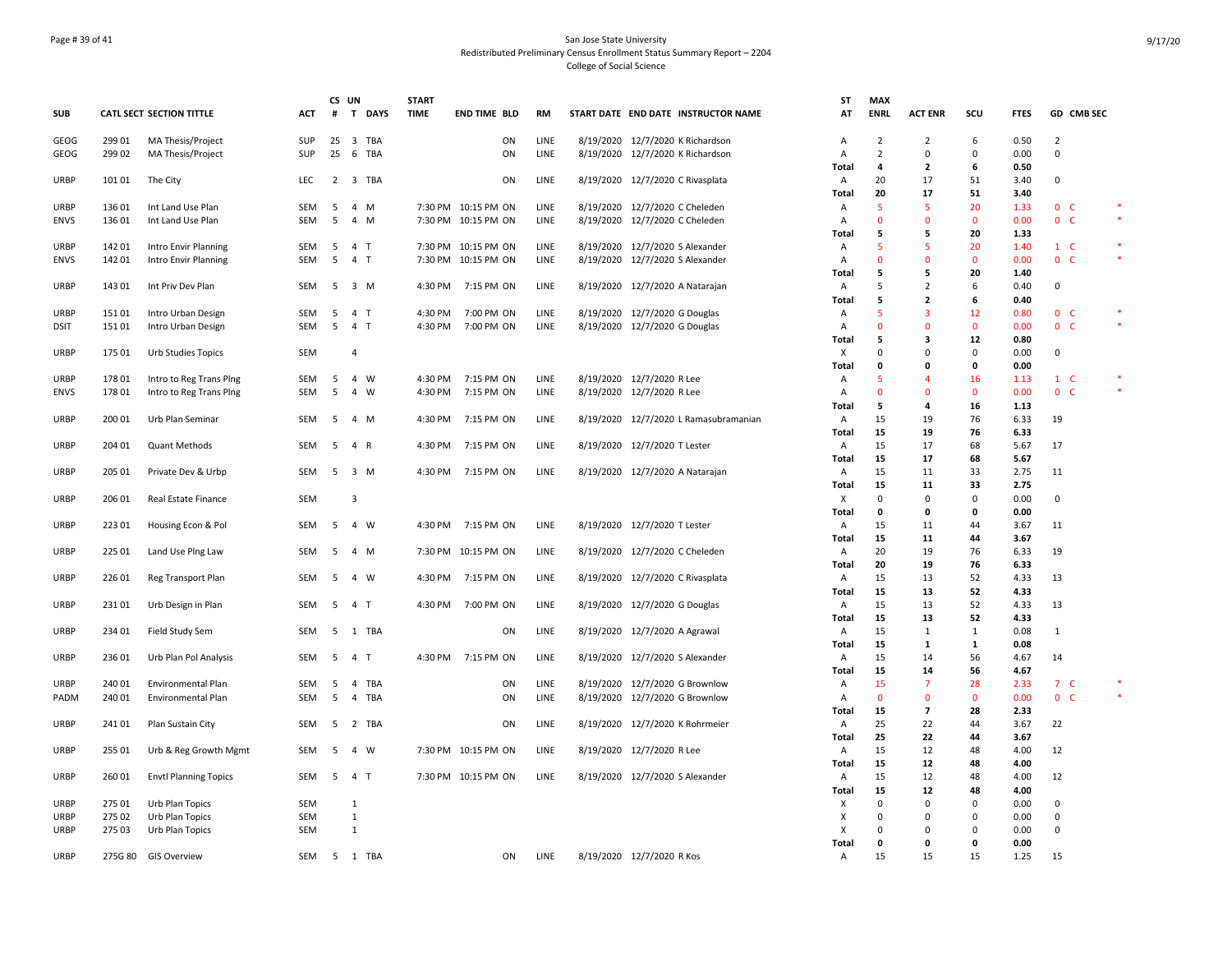## Page # 39 of 41 San Jose State University Redistributed Preliminary Census Enrollment Status Summary Report – 2204 College of Social Science

|             |                |                              |            | CS UN  |                |             | <b>START</b>       |                          |              |                                       | <b>ST</b>    | <b>MAX</b>         |                                          |                    |              |                                  |            |        |
|-------------|----------------|------------------------------|------------|--------|----------------|-------------|--------------------|--------------------------|--------------|---------------------------------------|--------------|--------------------|------------------------------------------|--------------------|--------------|----------------------------------|------------|--------|
| <b>SUB</b>  |                | CATL SECT SECTION TITTLE     | ACT        | #      | T.             | <b>DAYS</b> | <b>TIME</b>        | <b>END TIME BLD</b>      | RM           | START DATE END DATE INSTRUCTOR NAME   | AT           | <b>ENRL</b>        | <b>ACT ENR</b>                           | scu                | <b>FTES</b>  |                                  | GD CMB SEC |        |
| <b>GEOG</b> | 299 01         | MA Thesis/Project            | <b>SUP</b> | 25     |                | 3 TBA       |                    | ON                       | LINE         | 8/19/2020 12/7/2020 K Richardson      | Α            | $\overline{2}$     | $\overline{2}$                           | 6                  | 0.50         | $\overline{2}$                   |            |        |
| GEOG        | 299 02         | MA Thesis/Project            | SUP        | 25     |                | 6 TBA       |                    | ON                       | LINE         | 8/19/2020 12/7/2020 K Richardson      | Α            | $\overline{2}$     | $\Omega$                                 | 0                  | 0.00         | $\mathsf 0$                      |            |        |
|             |                |                              |            |        |                |             |                    |                          |              |                                       | Total        | 4                  | $\overline{\mathbf{2}}$                  | 6                  | 0.50         |                                  |            |        |
| URBP        | 101 01         | The City                     | LEC        |        |                | 2 3 TBA     |                    | ON                       | LINE         | 8/19/2020 12/7/2020 C Rivasplata      | Α            | 20                 | 17                                       | 51                 | 3.40         | 0                                |            |        |
|             |                |                              |            |        |                |             |                    |                          |              |                                       | Total        | 20                 | 17                                       | 51                 | 3.40         |                                  |            |        |
| <b>URBP</b> | 136 01         | Int Land Use Plan            | <b>SEM</b> | -5     |                | 4 M         |                    | 7:30 PM 10:15 PM ON      | LINE         | 8/19/2020 12/7/2020 C Cheleden        | Α            | 5                  | 5                                        | 20                 | 1.33         | 0 <sub>c</sub>                   |            |        |
| <b>ENVS</b> | 136 01         | Int Land Use Plan            | <b>SEM</b> | 5      |                | 4 M         |                    | 7:30 PM 10:15 PM ON      | LINE         | 8/19/2020 12/7/2020 C Cheleden        | A            | $\Omega$           | $\mathbf{0}$                             | $\mathbf{0}$       | 0.00         | 0 <sub>c</sub>                   |            |        |
|             |                |                              |            |        |                |             |                    |                          |              |                                       | Total        | 5                  | 5                                        | 20                 | 1.33         |                                  |            |        |
| <b>URBP</b> | 142 01         | Intro Envir Planning         | SEM        | 5      | 4 T            |             |                    | 7:30 PM 10:15 PM ON      | LINE         | 8/19/2020 12/7/2020 S Alexander       | Α            | 5                  | 5                                        | 20                 | 1.40         | $1 \quad C$                      |            |        |
| <b>ENVS</b> | 142 01         | Intro Envir Planning         | SEM        | 5      |                | 4 T         |                    | 7:30 PM 10:15 PM ON      | LINE         | 8/19/2020 12/7/2020 S Alexander       | Α            | $\Omega$           | $\Omega$                                 | $\mathbf 0$        | 0.00         | 0 <sub>c</sub>                   |            | $\ast$ |
|             |                |                              |            |        |                |             |                    |                          |              |                                       | Total        | 5                  | 5                                        | 20                 | 1.40         |                                  |            |        |
| <b>URBP</b> | 143 01         | Int Priv Dev Plan            | SEM        | -5     |                | 3 M         | 4:30 PM            | 7:15 PM ON               | LINE         | 8/19/2020 12/7/2020 A Natarajan       | Α            | 5                  | $\overline{2}$                           | 6                  | 0.40         | 0                                |            |        |
|             |                |                              |            |        |                |             |                    |                          |              |                                       | Total        | 5                  | $\overline{2}$                           | 6                  | 0.40         |                                  |            |        |
| <b>URBP</b> | 15101<br>15101 | Intro Urban Design           | SEM<br>SEM | 5<br>5 | 4 T<br>4 T     |             | 4:30 PM<br>4:30 PM | 7:00 PM ON<br>7:00 PM ON | LINE<br>LINE | 8/19/2020 12/7/2020 G Douglas         | Α<br>Α       | 5<br>$\Omega$      | 3<br>$\mathbf{0}$                        | 12<br>$\mathbf{0}$ | 0.80<br>0.00 | 0 <sub>c</sub><br>0 <sup>o</sup> |            | $\ast$ |
| <b>DSIT</b> |                | Intro Urban Design           |            |        |                |             |                    |                          |              | 8/19/2020 12/7/2020 G Douglas         | Total        | 5                  | 3                                        | 12                 | 0.80         |                                  |            |        |
| <b>URBP</b> | 175 01         | Urb Studies Topics           | SEM        |        | $\overline{4}$ |             |                    |                          |              |                                       | X            | $\Omega$           | $\Omega$                                 | $\mathbf 0$        | 0.00         | $\Omega$                         |            |        |
|             |                |                              |            |        |                |             |                    |                          |              |                                       | Total        | $\Omega$           | 0                                        | $\pmb{\mathsf{o}}$ | 0.00         |                                  |            |        |
| <b>URBP</b> | 178 01         | Intro to Reg Trans Ping      | SEM        | 5      |                | 4 W         | 4:30 PM            | 7:15 PM ON               | LINE         | 8/19/2020 12/7/2020 R Lee             | Α            | 5                  | $\overline{4}$                           | 16                 | 1.13         | 1 C                              |            |        |
| <b>ENVS</b> | 17801          | Intro to Reg Trans Ping      | SEM        | 5      | $\overline{4}$ | W           | 4:30 PM            | 7:15 PM ON               | LINE         | 8/19/2020 12/7/2020 R Lee             | Α            | $\Omega$           | $\Omega$                                 | $\mathbf{0}$       | 0.00         | 0 <sup>o</sup>                   |            |        |
|             |                |                              |            |        |                |             |                    |                          |              |                                       | Total        | 5                  | 4                                        | 16                 | 1.13         |                                  |            |        |
| <b>URBP</b> | 200 01         | Urb Plan Seminar             | <b>SEM</b> | -5     |                | 4 M         | 4:30 PM            | 7:15 PM ON               | LINE         | 8/19/2020 12/7/2020 L Ramasubramanian | Α            | 15                 | 19                                       | 76                 | 6.33         | 19                               |            |        |
|             |                |                              |            |        |                |             |                    |                          |              |                                       | Total        | 15                 | 19                                       | 76                 | 6.33         |                                  |            |        |
| <b>URBP</b> | 204 01         | Quant Methods                | SEM        | -5     | 4 R            |             | 4:30 PM            | 7:15 PM ON               | LINE         | 8/19/2020 12/7/2020 T Lester          | Α            | 15                 | 17                                       | 68                 | 5.67         | 17                               |            |        |
|             |                |                              |            |        |                |             |                    |                          |              |                                       | Total        | 15                 | 17                                       | 68                 | 5.67         |                                  |            |        |
| <b>URBP</b> | 205 01         | Private Dev & Urbp           | SEM        | 5      |                | 3 M         | 4:30 PM            | 7:15 PM ON               | LINE         | 8/19/2020 12/7/2020 A Natarajan       | Α            | 15                 | 11                                       | 33                 | 2.75         | 11                               |            |        |
|             |                |                              |            |        |                |             |                    |                          |              |                                       | Total        | 15                 | 11                                       | 33                 | 2.75         |                                  |            |        |
| <b>URBP</b> | 206 01         | Real Estate Finance          | <b>SEM</b> |        | $\overline{3}$ |             |                    |                          |              |                                       | Х            | $\Omega$           | $\Omega$                                 | $\mathbf 0$        | 0.00         | $\mathbf 0$                      |            |        |
|             |                |                              |            |        |                |             |                    |                          |              |                                       | Total        | 0                  | 0                                        | $\mathbf 0$        | 0.00         |                                  |            |        |
| <b>URBP</b> | 22301          | Housing Econ & Pol           | SEM        | 5      |                | 4 W         | 4:30 PM            | 7:15 PM ON               | LINE         | 8/19/2020 12/7/2020 T Lester          | Α            | 15                 | 11                                       | 44                 | 3.67         | 11                               |            |        |
|             |                |                              |            |        |                |             |                    |                          |              |                                       | Total        | 15                 | 11                                       | 44                 | 3.67         |                                  |            |        |
| <b>URBP</b> | 225 01         | Land Use Plng Law            | SEM        | 5      |                | 4 M         |                    | 7:30 PM 10:15 PM ON      | LINE         | 8/19/2020 12/7/2020 C Cheleden        | Α            | 20                 | 19                                       | 76                 | 6.33         | 19                               |            |        |
|             |                |                              |            |        |                |             |                    |                          |              |                                       | Total        | 20                 | 19                                       | 76                 | 6.33         |                                  |            |        |
| URBP        | 226 01         | Reg Transport Plan           | SEM        | 5      | 4              | W           | 4:30 PM            | 7:15 PM ON               | LINE         | 8/19/2020 12/7/2020 C Rivasplata      | Α            | 15                 | 13                                       | 52                 | 4.33         | 13                               |            |        |
|             |                |                              |            |        |                |             |                    |                          |              |                                       | Total        | 15                 | 13                                       | 52                 | 4.33         |                                  |            |        |
| <b>URBP</b> | 23101          | Urb Design in Plan           | SEM        | 5      | 4 T            |             | 4:30 PM            | 7:00 PM ON               | LINE         | 8/19/2020 12/7/2020 G Douglas         | Α            | 15                 | 13                                       | 52                 | 4.33         | 13                               |            |        |
|             |                |                              |            |        |                |             |                    |                          |              |                                       | Total        | 15                 | 13                                       | 52                 | 4.33         |                                  |            |        |
| <b>URBP</b> | 234 01         | Field Study Sem              | SEM        |        |                | 5 1 TBA     |                    | ON                       | LINE         | 8/19/2020 12/7/2020 A Agrawal         | A            | 15                 | $\mathbf{1}$                             | $\mathbf{1}$       | 0.08         | 1                                |            |        |
|             |                |                              |            |        |                |             |                    |                          |              |                                       | Total        | 15                 | $\mathbf{1}$                             | $\mathbf{1}$       | 0.08         |                                  |            |        |
| <b>URBP</b> | 236 01         | Urb Plan Pol Analysis        | SEM        | -5     |                | 4 T         | 4:30 PM            | 7:15 PM ON               | LINE         | 8/19/2020 12/7/2020 S Alexander       | Α            | 15                 | 14                                       | 56                 | 4.67         | 14                               |            |        |
|             |                |                              |            |        |                |             |                    |                          |              |                                       | Total        | 15                 | 14                                       | 56                 | 4.67         |                                  |            |        |
| <b>URBP</b> | 240 01         | Environmental Plan           | SEM        | -5     |                | 4 TBA       |                    | ON                       | LINE         | 8/19/2020 12/7/2020 G Brownlow        | Α            | 15<br>$\mathbf{0}$ | $\overline{7}$                           | 28<br>$\mathbf{0}$ | 2.33         | 7 <sub>c</sub><br>0 <sub>c</sub> |            | $\ast$ |
| PADM        | 240 01         | <b>Environmental Plan</b>    | <b>SEM</b> | 5      |                | 4 TBA       |                    | ON                       | LINE         | 8/19/2020 12/7/2020 G Brownlow        | Α            | 15                 | $\mathbf{0}$<br>$\overline{\phantom{a}}$ | 28                 | 0.00<br>2.33 |                                  |            |        |
| <b>URBP</b> | 24101          | Plan Sustain City            | SEM        | 5      |                | 2 TBA       |                    | ON                       | LINE         | 8/19/2020 12/7/2020 K Rohrmeier       | Total        | 25                 | 22                                       | 44                 | 3.67         | 22                               |            |        |
|             |                |                              |            |        |                |             |                    |                          |              |                                       | A<br>Total   | 25                 | 22                                       | 44                 | 3.67         |                                  |            |        |
| <b>URBP</b> | 255 01         | Urb & Reg Growth Mgmt        | SEM        | -5     |                | 4 W         |                    | 7:30 PM 10:15 PM ON      | LINE         | 8/19/2020 12/7/2020 R Lee             | Α            | 15                 | 12                                       | 48                 | 4.00         | 12                               |            |        |
|             |                |                              |            |        |                |             |                    |                          |              |                                       | Total        | 15                 | 12                                       | 48                 | 4.00         |                                  |            |        |
| <b>URBP</b> | 260 01         | <b>Envtl Planning Topics</b> | SEM        |        | 5 4 T          |             |                    | 7:30 PM 10:15 PM ON      | LINE         | 8/19/2020 12/7/2020 S Alexander       | Α            | 15                 | 12                                       | 48                 | 4.00         | 12                               |            |        |
|             |                |                              |            |        |                |             |                    |                          |              |                                       | Total        | 15                 | 12                                       | 48                 | 4.00         |                                  |            |        |
| <b>URBP</b> | 275 01         | Urb Plan Topics              | SEM        |        | $\mathbf{1}$   |             |                    |                          |              |                                       | Χ            | 0                  | 0                                        | $\mathbf 0$        | 0.00         | 0                                |            |        |
| <b>URBP</b> | 275 02         | Urb Plan Topics              | SEM        |        | $\mathbf{1}$   |             |                    |                          |              |                                       | X            | $\Omega$           | $\Omega$                                 | 0                  | 0.00         | $\Omega$                         |            |        |
| <b>URBP</b> | 275 03         | Urb Plan Topics              | SEM        |        | $\mathbf{1}$   |             |                    |                          |              |                                       | X            | $\Omega$           | $\Omega$                                 | 0                  | 0.00         | 0                                |            |        |
|             |                |                              |            |        |                |             |                    |                          |              |                                       | <b>Total</b> | 0                  | 0                                        | $\mathbf 0$        | 0.00         |                                  |            |        |
| <b>URBP</b> |                | 275G 80 GIS Overview         | SEM        |        |                | 5 1 TBA     |                    | ON                       | LINE         | 8/19/2020 12/7/2020 R Kos             | Α            | 15                 | 15                                       | 15                 | 1.25         | 15                               |            |        |
|             |                |                              |            |        |                |             |                    |                          |              |                                       |              |                    |                                          |                    |              |                                  |            |        |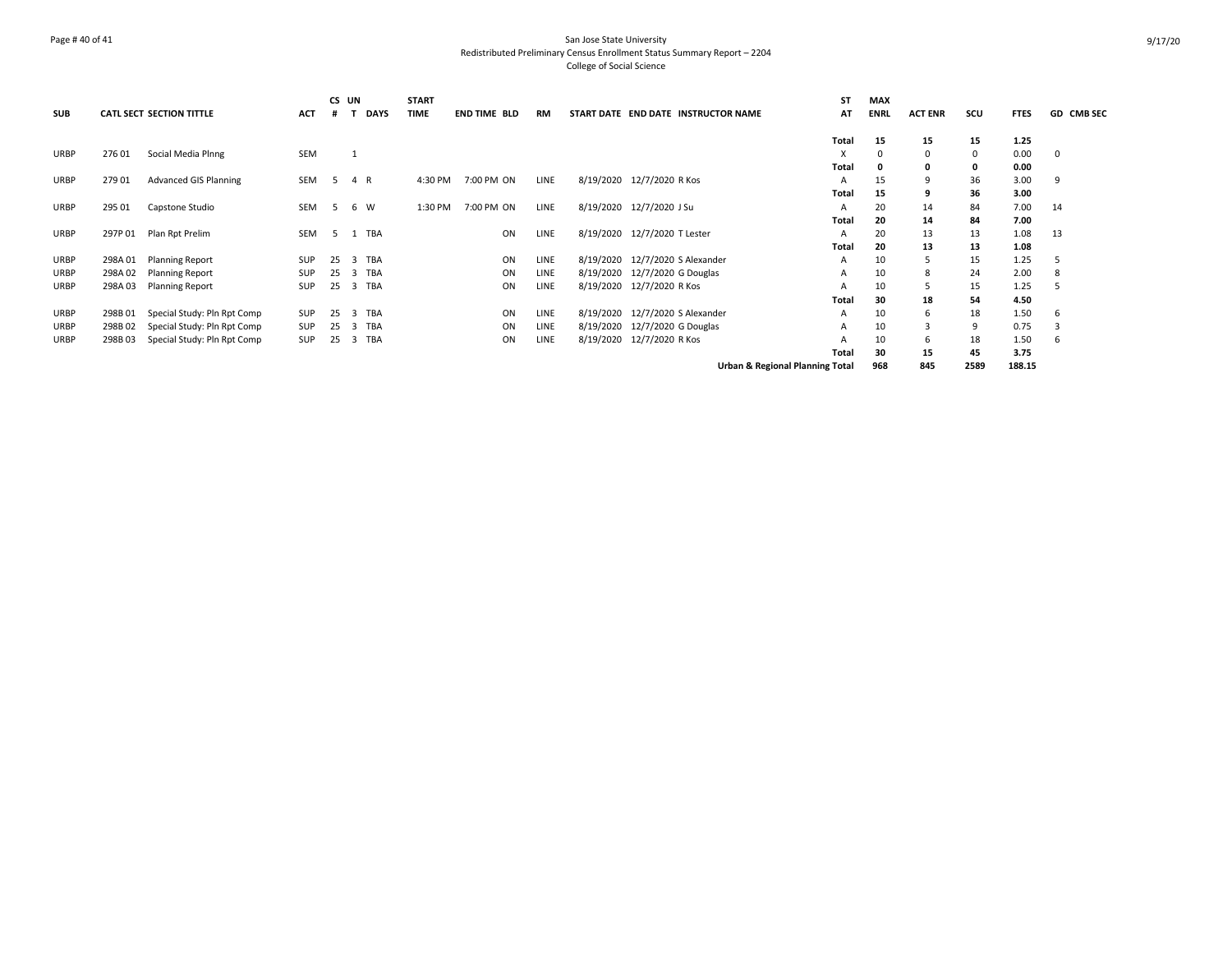## Page # 40 of 41 San Jose State University Redistributed Preliminary Census Enrollment Status Summary Report – 2204 College of Social Science

| <b>SUB</b>  |         | <b>CATL SECT SECTION TITTLE</b> | <b>ACT</b> | #  | CS UN          | <b>DAYS</b> | <b>START</b><br><b>TIME</b> | <b>END TIME BLD</b> | <b>RM</b> | START DATE END DATE INSTRUCTOR NAME |                                            | <b>ST</b><br>AT | <b>MAX</b><br><b>ENRL</b> | <b>ACT ENR</b> | scu      | <b>FTES</b> | GD CMB SEC |
|-------------|---------|---------------------------------|------------|----|----------------|-------------|-----------------------------|---------------------|-----------|-------------------------------------|--------------------------------------------|-----------------|---------------------------|----------------|----------|-------------|------------|
|             |         |                                 |            |    |                |             |                             |                     |           |                                     |                                            | Total           | 15                        | 15             | 15       | 1.25        |            |
| <b>URBP</b> | 27601   | Social Media Plnng              | <b>SEM</b> |    |                |             |                             |                     |           |                                     |                                            | X               | 0                         | 0              | $\Omega$ | 0.00        | 0          |
|             |         |                                 |            |    |                |             |                             |                     |           |                                     |                                            | Total           | 0                         | 0              |          | 0.00        |            |
| URBP        | 279 01  | <b>Advanced GIS Planning</b>    | <b>SEM</b> | -5 |                | 4 R         | 4:30 PM                     | 7:00 PM ON          | LINE      | 8/19/2020 12/7/2020 R Kos           |                                            | Α               | 15                        | 9              | 36       | 3.00        | -9         |
|             |         |                                 |            |    |                |             |                             |                     |           |                                     |                                            | Total           | 15                        | q              | 36       | 3.00        |            |
| <b>URBP</b> | 295 01  | Capstone Studio                 | <b>SEM</b> | -5 |                | 6 W         | 1:30 PM                     | 7:00 PM ON          | LINE      | 8/19/2020 12/7/2020 J Su            |                                            | A               | 20                        | 14             | 84       | 7.00        | 14         |
|             |         |                                 |            |    |                |             |                             |                     |           |                                     |                                            | <b>Total</b>    | 20                        | 14             | 84       | 7.00        |            |
| URBP        | 297P 01 | Plan Rpt Prelim                 | SEM        | -5 |                | 1 TBA       |                             | ON                  | LINE      | 8/19/2020 12/7/2020 T Lester        |                                            | Α               | 20                        | 13             | 13       | 1.08        | 13         |
|             |         |                                 |            |    |                |             |                             |                     |           |                                     |                                            | Total           | 20                        | 13             | 13       | 1.08        |            |
| URBP        | 298A 01 | <b>Planning Report</b>          | <b>SUP</b> | 25 | 3              | TBA         |                             | ON                  | LINE      | 8/19/2020 12/7/2020 S Alexander     |                                            | A               | 10                        | 5              | 15       | 1.25        |            |
| URBP        | 298A02  | <b>Planning Report</b>          | <b>SUP</b> | 25 | 3              | TBA         |                             | ON                  | LINE      | 8/19/2020 12/7/2020 G Douglas       |                                            | A               | 10                        | 8              | 24       | 2.00        | 8          |
| URBP        | 298A 03 | <b>Planning Report</b>          | <b>SUP</b> | 25 |                | 3 TBA       |                             | ON                  | LINE      | 8/19/2020 12/7/2020 R Kos           |                                            | A               | 10                        | 5              | 15       | 1.25        | .5         |
|             |         |                                 |            |    |                |             |                             |                     |           |                                     |                                            | Total           | 30                        | 18             | 54       | 4.50        |            |
| URBP        | 298B01  | Special Study: Pln Rpt Comp     | <b>SUP</b> | 25 | 3              | <b>TBA</b>  |                             | ON                  | LINE      | 8/19/2020 12/7/2020 S Alexander     |                                            | Α               | 10                        | 6              | 18       | 1.50        | 6          |
| URBP        | 298B02  | Special Study: Pln Rpt Comp     | <b>SUP</b> | 25 | $\overline{3}$ | TBA         |                             | ON                  | LINE      | 8/19/2020 12/7/2020 G Douglas       |                                            | A               | 10                        | 3              | 9        | 0.75        |            |
| URBP        | 298B03  | Special Study: Pln Rpt Comp     | <b>SUP</b> | 25 | 3              | TBA         |                             | ON                  | LINE      | 8/19/2020 12/7/2020 R Kos           |                                            | A               | 10                        | 6              | 18       | 1.50        | 6          |
|             |         |                                 |            |    |                |             |                             |                     |           |                                     |                                            | Total           | 30                        | 15             | 45       | 3.75        |            |
|             |         |                                 |            |    |                |             |                             |                     |           |                                     | <b>Urban &amp; Regional Planning Total</b> |                 | 968                       | 845            | 2589     | 188.15      |            |